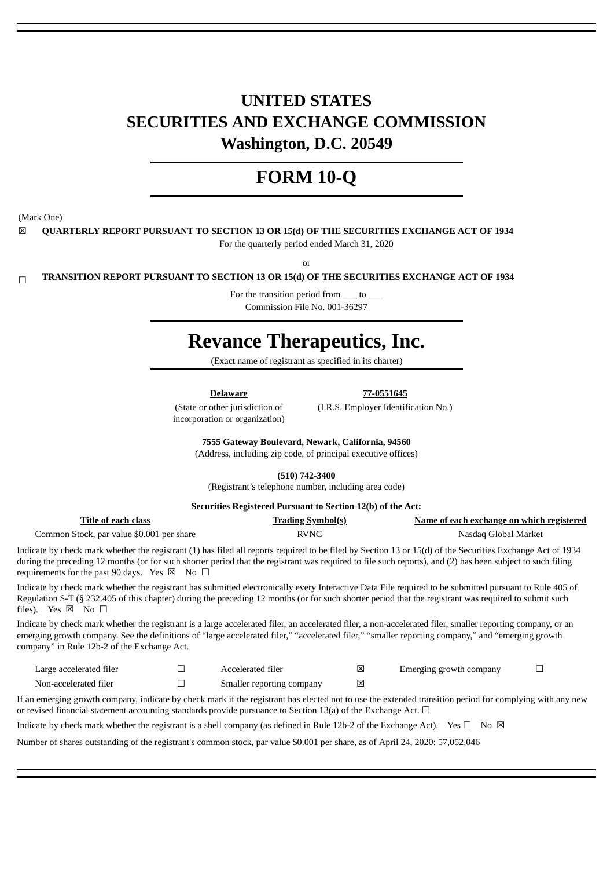# **UNITED STATES SECURITIES AND EXCHANGE COMMISSION Washington, D.C. 20549**

# **FORM 10-Q**

(Mark One)

# ☒ **QUARTERLY REPORT PURSUANT TO SECTION 13 OR 15(d) OF THE SECURITIES EXCHANGE ACT OF 1934** For the quarterly period ended March 31, 2020

or

☐ **TRANSITION REPORT PURSUANT TO SECTION 13 OR 15(d) OF THE SECURITIES EXCHANGE ACT OF 1934**

For the transition period from  $\_\_$  to  $\_\_$ Commission File No. 001-36297

# **Revance Therapeutics, Inc.**

(Exact name of registrant as specified in its charter)

**Delaware 77-0551645**

(State or other jurisdiction of incorporation or organization) (I.R.S. Employer Identification No.)

**7555 Gateway Boulevard, Newark, California, 94560**

(Address, including zip code, of principal executive offices)

**(510) 742-3400**

(Registrant's telephone number, including area code)

**Securities Registered Pursuant to Section 12(b) of the Act:**

| Title of each class                                                                                                                                                                                                                                                                                                                                                                      |   | <b>Trading Symbol(s)</b>  |   | Name of each exchange on which registered |   |  |  |  |  |
|------------------------------------------------------------------------------------------------------------------------------------------------------------------------------------------------------------------------------------------------------------------------------------------------------------------------------------------------------------------------------------------|---|---------------------------|---|-------------------------------------------|---|--|--|--|--|
| Common Stock, par value \$0.001 per share                                                                                                                                                                                                                                                                                                                                                |   | <b>RVNC</b>               |   | Nasdaq Global Market                      |   |  |  |  |  |
| Indicate by check mark whether the registrant (1) has filed all reports required to be filed by Section 13 or 15(d) of the Securities Exchange Act of 1934<br>during the preceding 12 months (or for such shorter period that the registrant was required to file such reports), and (2) has been subject to such filing<br>requirements for the past 90 days. Yes $\boxtimes$ No $\Box$ |   |                           |   |                                           |   |  |  |  |  |
| Indicate by check mark whether the registrant has submitted electronically every Interactive Data File required to be submitted pursuant to Rule 405 of<br>Regulation S-T (§ 232.405 of this chapter) during the preceding 12 months (or for such shorter period that the registrant was required to submit such<br>files). Yes ⊠ No □                                                   |   |                           |   |                                           |   |  |  |  |  |
| Indicate by check mark whether the registrant is a large accelerated filer, an accelerated filer, a non-accelerated filer, smaller reporting company, or an<br>emerging growth company. See the definitions of "large accelerated filer," "accelerated filer," "smaller reporting company," and "emerging growth<br>company" in Rule 12b-2 of the Exchange Act.                          |   |                           |   |                                           |   |  |  |  |  |
| Large accelerated filer                                                                                                                                                                                                                                                                                                                                                                  |   | Accelerated filer         | 区 | Emerging growth company                   | □ |  |  |  |  |
| Non-accelerated filer                                                                                                                                                                                                                                                                                                                                                                    | □ | Smaller reporting company | 区 |                                           |   |  |  |  |  |
| If an emerging growth company, indicate by check mark if the registrant has elected not to use the extended transition period for complying with any new<br>or revised financial statement accounting standards provide pursuance to Section 13(a) of the Exchange Act. $\Box$                                                                                                           |   |                           |   |                                           |   |  |  |  |  |
| Indicate by check mark whether the registrant is a shell company (as defined in Rule 12b-2 of the Exchange Act). Yes $\Box$<br>$\mathrm{No} \ \boxtimes$                                                                                                                                                                                                                                 |   |                           |   |                                           |   |  |  |  |  |

Number of shares outstanding of the registrant's common stock, par value \$0.001 per share, as of April 24, 2020: 57,052,046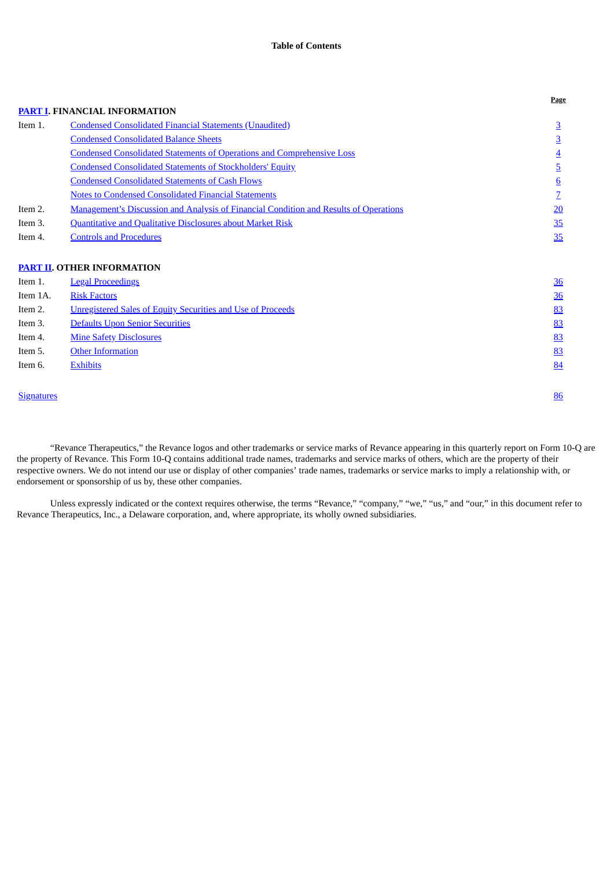<span id="page-1-0"></span>

|                   |                                                                                              | Page            |
|-------------------|----------------------------------------------------------------------------------------------|-----------------|
|                   | <b>PART I. FINANCIAL INFORMATION</b>                                                         |                 |
| Item 1.           | <b>Condensed Consolidated Financial Statements (Unaudited)</b>                               | $\overline{3}$  |
|                   | <b>Condensed Consolidated Balance Sheets</b>                                                 | $\overline{3}$  |
|                   | <b>Condensed Consolidated Statements of Operations and Comprehensive Loss</b>                | $\overline{4}$  |
|                   | <b>Condensed Consolidated Statements of Stockholders' Equity</b>                             | <u>5</u>        |
|                   | <b>Condensed Consolidated Statements of Cash Flows</b>                                       | $6\overline{6}$ |
|                   | <b>Notes to Condensed Consolidated Financial Statements</b>                                  | $\overline{Z}$  |
| Item 2.           | <b>Management's Discussion and Analysis of Financial Condition and Results of Operations</b> | 20              |
| Item 3.           | <b>Quantitative and Qualitative Disclosures about Market Risk</b>                            | 35              |
| Item 4.           | <b>Controls and Procedures</b>                                                               | 35              |
|                   | <b>PART II. OTHER INFORMATION</b>                                                            |                 |
| Item 1.           | <b>Legal Proceedings</b>                                                                     | 36              |
| Item 1A.          | <b>Risk Factors</b>                                                                          | 36              |
| Item 2.           | <b>Unregistered Sales of Equity Securities and Use of Proceeds</b>                           | 83              |
| Item 3.           | <b>Defaults Upon Senior Securities</b>                                                       | 83              |
| Item 4.           | <b>Mine Safety Disclosures</b>                                                               | 83              |
| Item 5.           | <b>Other Information</b>                                                                     | 83              |
| Item 6.           | <b>Exhibits</b>                                                                              | 84              |
| <b>Signatures</b> |                                                                                              | 86              |

"Revance Therapeutics," the Revance logos and other trademarks or service marks of Revance appearing in this quarterly report on Form 10-Q are the property of Revance. This Form 10-Q contains additional trade names, trademarks and service marks of others, which are the property of their respective owners. We do not intend our use or display of other companies' trade names, trademarks or service marks to imply a relationship with, or endorsement or sponsorship of us by, these other companies.

Unless expressly indicated or the context requires otherwise, the terms "Revance," "company," "we," "us," and "our," in this document refer to Revance Therapeutics, Inc., a Delaware corporation, and, where appropriate, its wholly owned subsidiaries.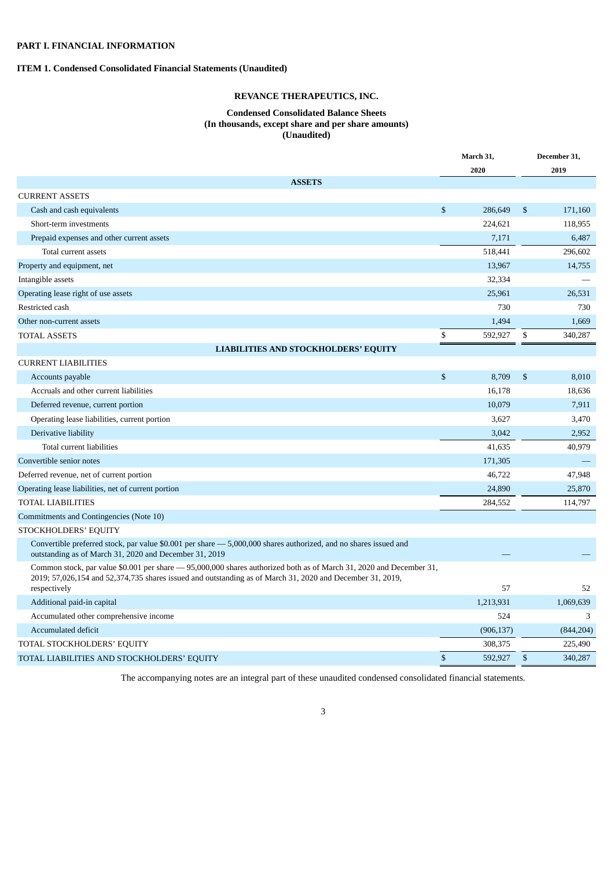# <span id="page-2-2"></span><span id="page-2-1"></span><span id="page-2-0"></span>**ITEM 1. Condensed Consolidated Financial Statements (Unaudited)**

# **REVANCE THERAPEUTICS, INC.**

# **Condensed Consolidated Balance Sheets (In thousands, except share and per share amounts) (Unaudited)**

|                                                                                                                                                                                                                                  | March 31,     | December 31,  |
|----------------------------------------------------------------------------------------------------------------------------------------------------------------------------------------------------------------------------------|---------------|---------------|
|                                                                                                                                                                                                                                  | 2020          | 2019          |
| <b>ASSETS</b>                                                                                                                                                                                                                    |               |               |
| <b>CURRENT ASSETS</b>                                                                                                                                                                                                            |               |               |
| Cash and cash equivalents                                                                                                                                                                                                        | \$<br>286,649 | \$<br>171,160 |
| Short-term investments                                                                                                                                                                                                           | 224,621       | 118,955       |
| Prepaid expenses and other current assets                                                                                                                                                                                        | 7,171         | 6,487         |
| Total current assets                                                                                                                                                                                                             | 518,441       | 296,602       |
| Property and equipment, net                                                                                                                                                                                                      | 13,967        | 14,755        |
| Intangible assets                                                                                                                                                                                                                | 32,334        |               |
| Operating lease right of use assets                                                                                                                                                                                              | 25,961        | 26,531        |
| Restricted cash                                                                                                                                                                                                                  | 730           | 730           |
| Other non-current assets                                                                                                                                                                                                         | 1,494         | 1,669         |
| <b>TOTAL ASSETS</b>                                                                                                                                                                                                              | \$<br>592,927 | \$<br>340,287 |
| <b>LIABILITIES AND STOCKHOLDERS' EQUITY</b>                                                                                                                                                                                      |               |               |
| <b>CURRENT LIABILITIES</b>                                                                                                                                                                                                       |               |               |
| Accounts payable                                                                                                                                                                                                                 | \$<br>8,709   | \$<br>8,010   |
| Accruals and other current liabilities                                                                                                                                                                                           | 16,178        | 18,636        |
| Deferred revenue, current portion                                                                                                                                                                                                | 10,079        | 7,911         |
| Operating lease liabilities, current portion                                                                                                                                                                                     | 3,627         | 3,470         |
| Derivative liability                                                                                                                                                                                                             | 3,042         | 2,952         |
| Total current liabilities                                                                                                                                                                                                        | 41,635        | 40,979        |
| Convertible senior notes                                                                                                                                                                                                         | 171,305       |               |
| Deferred revenue, net of current portion                                                                                                                                                                                         | 46,722        | 47,948        |
| Operating lease liabilities, net of current portion                                                                                                                                                                              | 24,890        | 25,870        |
| <b>TOTAL LIABILITIES</b>                                                                                                                                                                                                         | 284,552       | 114,797       |
| Commitments and Contingencies (Note 10)                                                                                                                                                                                          |               |               |
| STOCKHOLDERS' EQUITY                                                                                                                                                                                                             |               |               |
| Convertible preferred stock, par value \$0.001 per share - 5,000,000 shares authorized, and no shares issued and<br>outstanding as of March 31, 2020 and December 31, 2019                                                       |               |               |
| Common stock, par value \$0.001 per share - 95,000,000 shares authorized both as of March 31, 2020 and December 31,<br>2019; 57,026,154 and 52,374,735 shares issued and outstanding as of March 31, 2020 and December 31, 2019, |               |               |
| respectively                                                                                                                                                                                                                     | 57            | 52            |
| Additional paid-in capital                                                                                                                                                                                                       | 1,213,931     | 1,069,639     |
| Accumulated other comprehensive income                                                                                                                                                                                           | 524           | 3             |
| Accumulated deficit                                                                                                                                                                                                              | (906, 137)    | (844, 204)    |
| TOTAL STOCKHOLDERS' EQUITY                                                                                                                                                                                                       | 308,375       | 225,490       |
| TOTAL LIABILITIES AND STOCKHOLDERS' EQUITY                                                                                                                                                                                       | \$<br>592,927 | \$<br>340,287 |

The accompanying notes are an integral part of these unaudited condensed consolidated financial statements.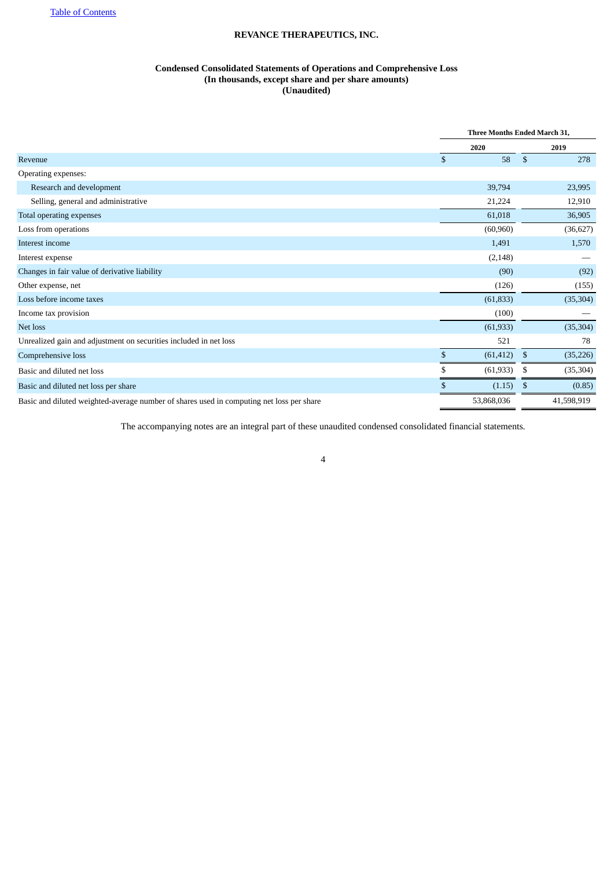# **Condensed Consolidated Statements of Operations and Comprehensive Loss (In thousands, except share and per share amounts) (Unaudited)**

<span id="page-3-0"></span>

|                                                                                          | <b>Three Months Ended March 31,</b> |            |                |            |  |
|------------------------------------------------------------------------------------------|-------------------------------------|------------|----------------|------------|--|
|                                                                                          |                                     | 2020       |                | 2019       |  |
| Revenue                                                                                  | \$                                  | 58         | $\mathfrak{S}$ | 278        |  |
| Operating expenses:                                                                      |                                     |            |                |            |  |
| Research and development                                                                 |                                     | 39,794     |                | 23,995     |  |
| Selling, general and administrative                                                      |                                     | 21,224     |                | 12,910     |  |
| Total operating expenses                                                                 |                                     | 61,018     |                | 36,905     |  |
| Loss from operations                                                                     |                                     | (60, 960)  |                | (36,627)   |  |
| Interest income                                                                          |                                     | 1,491      |                | 1,570      |  |
| Interest expense                                                                         |                                     | (2, 148)   |                |            |  |
| Changes in fair value of derivative liability                                            |                                     | (90)       |                | (92)       |  |
| Other expense, net                                                                       |                                     | (126)      |                | (155)      |  |
| Loss before income taxes                                                                 |                                     | (61, 833)  |                | (35, 304)  |  |
| Income tax provision                                                                     |                                     | (100)      |                |            |  |
| Net loss                                                                                 |                                     | (61, 933)  |                | (35, 304)  |  |
| Unrealized gain and adjustment on securities included in net loss                        |                                     | 521        |                | 78         |  |
| Comprehensive loss                                                                       | \$                                  | (61, 412)  | \$             | (35, 226)  |  |
| Basic and diluted net loss                                                               |                                     | (61, 933)  | \$             | (35, 304)  |  |
| Basic and diluted net loss per share                                                     |                                     | (1.15)     | -S             | (0.85)     |  |
| Basic and diluted weighted-average number of shares used in computing net loss per share |                                     | 53,868,036 |                | 41,598,919 |  |

The accompanying notes are an integral part of these unaudited condensed consolidated financial statements.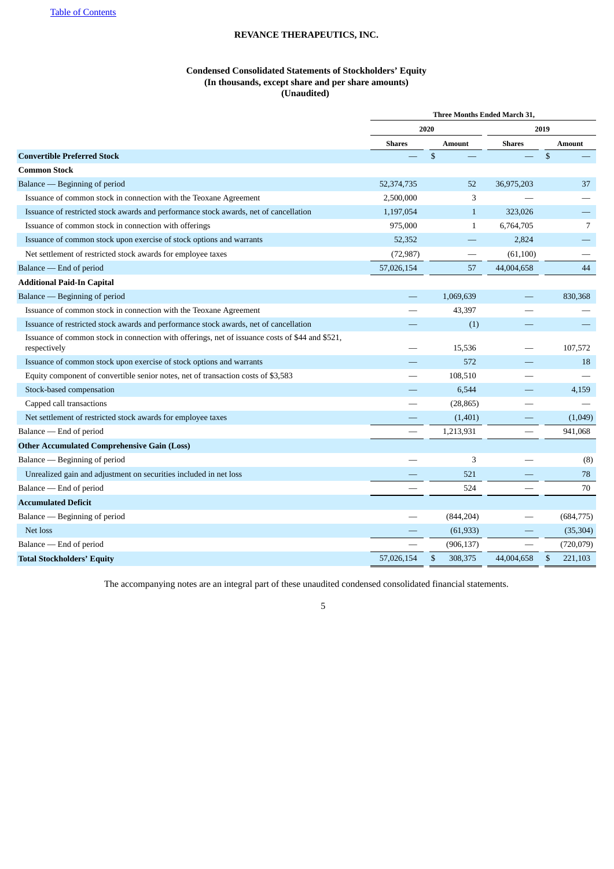# **Condensed Consolidated Statements of Stockholders' Equity (In thousands, except share and per share amounts) (Unaudited)**

<span id="page-4-0"></span>

|                                                                                                                 | <b>Three Months Ended March 31,</b> |               |               |                |  |  |  |
|-----------------------------------------------------------------------------------------------------------------|-------------------------------------|---------------|---------------|----------------|--|--|--|
|                                                                                                                 |                                     | 2020          |               | 2019           |  |  |  |
|                                                                                                                 | <b>Shares</b>                       | <b>Amount</b> | <b>Shares</b> | <b>Amount</b>  |  |  |  |
| <b>Convertible Preferred Stock</b>                                                                              |                                     | $\mathbb{S}$  |               | $\mathbb{S}$   |  |  |  |
| <b>Common Stock</b>                                                                                             |                                     |               |               |                |  |  |  |
| Balance — Beginning of period                                                                                   | 52,374,735                          | 52            | 36,975,203    | 37             |  |  |  |
| Issuance of common stock in connection with the Teoxane Agreement                                               | 2,500,000                           | 3             |               |                |  |  |  |
| Issuance of restricted stock awards and performance stock awards, net of cancellation                           | 1,197,054                           | $\mathbf{1}$  | 323,026       |                |  |  |  |
| Issuance of common stock in connection with offerings                                                           | 975,000                             | $\mathbf{1}$  | 6,764,705     | $\overline{7}$ |  |  |  |
| Issuance of common stock upon exercise of stock options and warrants                                            | 52,352                              |               | 2,824         |                |  |  |  |
| Net settlement of restricted stock awards for employee taxes                                                    | (72, 987)                           |               | (61,100)      |                |  |  |  |
| Balance — End of period                                                                                         | 57,026,154                          | 57            | 44,004,658    | 44             |  |  |  |
| <b>Additional Paid-In Capital</b>                                                                               |                                     |               |               |                |  |  |  |
| Balance — Beginning of period                                                                                   |                                     | 1,069,639     |               | 830,368        |  |  |  |
| Issuance of common stock in connection with the Teoxane Agreement                                               |                                     | 43,397        |               |                |  |  |  |
| Issuance of restricted stock awards and performance stock awards, net of cancellation                           |                                     | (1)           |               |                |  |  |  |
| Issuance of common stock in connection with offerings, net of issuance costs of \$44 and \$521,<br>respectively |                                     | 15,536        |               | 107,572        |  |  |  |
| Issuance of common stock upon exercise of stock options and warrants                                            |                                     | 572           |               | 18             |  |  |  |
| Equity component of convertible senior notes, net of transaction costs of \$3,583                               |                                     | 108,510       |               |                |  |  |  |
| Stock-based compensation                                                                                        |                                     | 6,544         |               | 4,159          |  |  |  |
| Capped call transactions                                                                                        |                                     | (28, 865)     |               |                |  |  |  |
| Net settlement of restricted stock awards for employee taxes                                                    |                                     | (1, 401)      |               | (1,049)        |  |  |  |
| Balance — End of period                                                                                         |                                     | 1,213,931     |               | 941,068        |  |  |  |
| <b>Other Accumulated Comprehensive Gain (Loss)</b>                                                              |                                     |               |               |                |  |  |  |
| Balance — Beginning of period                                                                                   |                                     | 3             |               | (8)            |  |  |  |
| Unrealized gain and adjustment on securities included in net loss                                               |                                     | 521           |               | ${\bf 78}$     |  |  |  |
| Balance — End of period                                                                                         |                                     | 524           |               | 70             |  |  |  |
| <b>Accumulated Deficit</b>                                                                                      |                                     |               |               |                |  |  |  |
| Balance — Beginning of period                                                                                   |                                     | (844, 204)    |               | (684, 775)     |  |  |  |
| Net loss                                                                                                        |                                     | (61, 933)     |               | (35, 304)      |  |  |  |
| Balance — End of period                                                                                         |                                     | (906, 137)    |               | (720, 079)     |  |  |  |
| <b>Total Stockholders' Equity</b>                                                                               | 57,026,154                          | \$<br>308,375 | 44,004,658    | \$<br>221,103  |  |  |  |

The accompanying notes are an integral part of these unaudited condensed consolidated financial statements.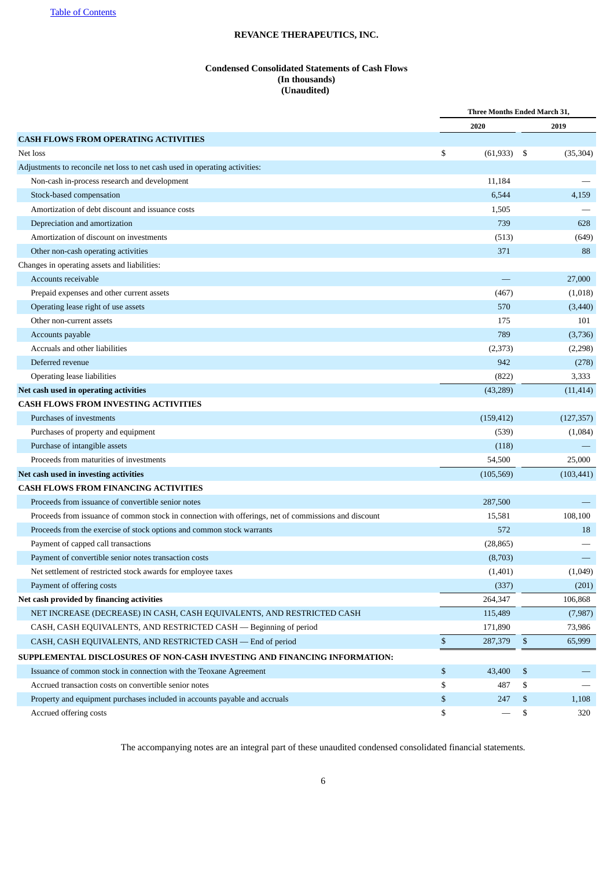# **Condensed Consolidated Statements of Cash Flows (In thousands) (Unaudited)**

<span id="page-5-0"></span>

|                                                                                                      | Three Months Ended March 31, |                   |    |            |
|------------------------------------------------------------------------------------------------------|------------------------------|-------------------|----|------------|
|                                                                                                      |                              | 2020              |    | 2019       |
| <b>CASH FLOWS FROM OPERATING ACTIVITIES</b>                                                          |                              |                   |    |            |
| Net loss                                                                                             | \$                           | (61, 933)         | \$ | (35, 304)  |
| Adjustments to reconcile net loss to net cash used in operating activities:                          |                              |                   |    |            |
| Non-cash in-process research and development                                                         |                              | 11,184            |    |            |
| Stock-based compensation                                                                             |                              | 6,544             |    | 4,159      |
| Amortization of debt discount and issuance costs                                                     |                              | 1,505             |    |            |
| Depreciation and amortization                                                                        |                              | 739               |    | 628        |
| Amortization of discount on investments                                                              |                              | (513)             |    | (649)      |
| Other non-cash operating activities                                                                  |                              | 371               |    | 88         |
| Changes in operating assets and liabilities:                                                         |                              |                   |    |            |
| Accounts receivable                                                                                  |                              |                   |    | 27,000     |
| Prepaid expenses and other current assets                                                            |                              | (467)             |    | (1,018)    |
| Operating lease right of use assets                                                                  |                              | 570               |    | (3, 440)   |
| Other non-current assets                                                                             |                              | 175               |    | 101        |
| Accounts payable                                                                                     |                              | 789               |    | (3,736)    |
| Accruals and other liabilities                                                                       |                              | (2, 373)          |    | (2,298)    |
| Deferred revenue                                                                                     |                              | 942               |    | (278)      |
| Operating lease liabilities                                                                          |                              | (822)             |    | 3,333      |
| Net cash used in operating activities                                                                |                              | (43, 289)         |    | (11, 414)  |
| <b>CASH FLOWS FROM INVESTING ACTIVITIES</b>                                                          |                              |                   |    |            |
| Purchases of investments                                                                             |                              | (159, 412)        |    | (127, 357) |
| Purchases of property and equipment                                                                  |                              | (539)             |    | (1,084)    |
| Purchase of intangible assets                                                                        |                              | (118)             |    |            |
| Proceeds from maturities of investments                                                              |                              | 54,500            |    | 25,000     |
| Net cash used in investing activities                                                                |                              | (105, 569)        |    | (103, 441) |
| <b>CASH FLOWS FROM FINANCING ACTIVITIES</b>                                                          |                              |                   |    |            |
| Proceeds from issuance of convertible senior notes                                                   |                              | 287,500           |    |            |
| Proceeds from issuance of common stock in connection with offerings, net of commissions and discount |                              | 15,581            |    | 108,100    |
| Proceeds from the exercise of stock options and common stock warrants                                |                              | 572               |    | 18         |
| Payment of capped call transactions                                                                  |                              | (28, 865)         |    |            |
| Payment of convertible senior notes transaction costs                                                |                              | (8,703)           |    |            |
| Net settlement of restricted stock awards for employee taxes                                         |                              | (1, 401)          |    | (1,049)    |
| Payment of offering costs                                                                            |                              | (337)             |    | (201)      |
| Net cash provided by financing activities                                                            |                              | 264,347           |    | 106,868    |
| NET INCREASE (DECREASE) IN CASH, CASH EQUIVALENTS, AND RESTRICTED CASH                               |                              | 115,489           |    | (7,987)    |
| CASH, CASH EQUIVALENTS, AND RESTRICTED CASH - Beginning of period                                    |                              | 171,890           |    | 73,986     |
| CASH, CASH EQUIVALENTS, AND RESTRICTED CASH - End of period                                          | $\$$                         | 287,379           | \$ | 65,999     |
| SUPPLEMENTAL DISCLOSURES OF NON-CASH INVESTING AND FINANCING INFORMATION:                            |                              |                   |    |            |
| Issuance of common stock in connection with the Teoxane Agreement                                    | $\,$                         | 43,400            | \$ |            |
| Accrued transaction costs on convertible senior notes                                                | \$                           | 487               | \$ |            |
| Property and equipment purchases included in accounts payable and accruals                           | \$                           | 247               | \$ | 1,108      |
| Accrued offering costs                                                                               | \$                           | $\qquad \qquad -$ | \$ | 320        |

The accompanying notes are an integral part of these unaudited condensed consolidated financial statements.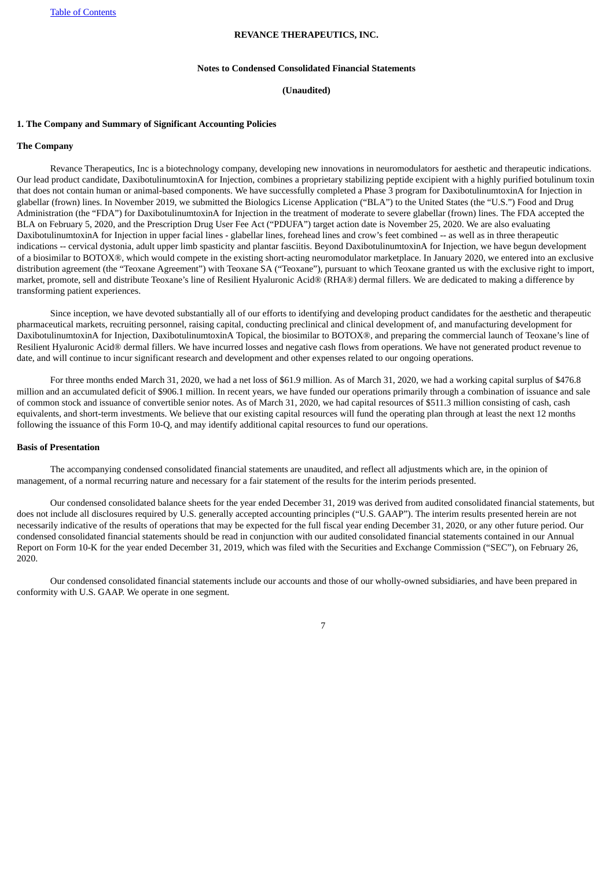#### **Notes to Condensed Consolidated Financial Statements**

#### **(Unaudited)**

#### <span id="page-6-1"></span><span id="page-6-0"></span>**1. The Company and Summary of Significant Accounting Policies**

#### **The Company**

Revance Therapeutics, Inc is a biotechnology company, developing new innovations in neuromodulators for aesthetic and therapeutic indications. Our lead product candidate, DaxibotulinumtoxinA for Injection, combines a proprietary stabilizing peptide excipient with a highly purified botulinum toxin that does not contain human or animal-based components. We have successfully completed a Phase 3 program for DaxibotulinumtoxinA for Injection in glabellar (frown) lines. In November 2019, we submitted the Biologics License Application ("BLA") to the United States (the "U.S.") Food and Drug Administration (the "FDA") for DaxibotulinumtoxinA for Injection in the treatment of moderate to severe glabellar (frown) lines. The FDA accepted the BLA on February 5, 2020, and the Prescription Drug User Fee Act ("PDUFA") target action date is November 25, 2020. We are also evaluating DaxibotulinumtoxinA for Injection in upper facial lines - glabellar lines, forehead lines and crow's feet combined -- as well as in three therapeutic indications -- cervical dystonia, adult upper limb spasticity and plantar fasciitis. Beyond DaxibotulinumtoxinA for Injection, we have begun development of a biosimilar to BOTOX®, which would compete in the existing short-acting neuromodulator marketplace. In January 2020, we entered into an exclusive distribution agreement (the "Teoxane Agreement") with Teoxane SA ("Teoxane"), pursuant to which Teoxane granted us with the exclusive right to import, market, promote, sell and distribute Teoxane's line of Resilient Hyaluronic Acid® (RHA®) dermal fillers. We are dedicated to making a difference by transforming patient experiences.

Since inception, we have devoted substantially all of our efforts to identifying and developing product candidates for the aesthetic and therapeutic pharmaceutical markets, recruiting personnel, raising capital, conducting preclinical and clinical development of, and manufacturing development for DaxibotulinumtoxinA for Injection, DaxibotulinumtoxinA Topical, the biosimilar to BOTOX®, and preparing the commercial launch of Teoxane's line of Resilient Hyaluronic Acid® dermal fillers. We have incurred losses and negative cash flows from operations. We have not generated product revenue to date, and will continue to incur significant research and development and other expenses related to our ongoing operations.

For three months ended March 31, 2020, we had a net loss of \$61.9 million. As of March 31, 2020, we had a working capital surplus of \$476.8 million and an accumulated deficit of \$906.1 million. In recent years, we have funded our operations primarily through a combination of issuance and sale of common stock and issuance of convertible senior notes. As of March 31, 2020, we had capital resources of \$511.3 million consisting of cash, cash equivalents, and short-term investments. We believe that our existing capital resources will fund the operating plan through at least the next 12 months following the issuance of this Form 10-Q, and may identify additional capital resources to fund our operations.

## **Basis of Presentation**

The accompanying condensed consolidated financial statements are unaudited, and reflect all adjustments which are, in the opinion of management, of a normal recurring nature and necessary for a fair statement of the results for the interim periods presented.

Our condensed consolidated balance sheets for the year ended December 31, 2019 was derived from audited consolidated financial statements, but does not include all disclosures required by U.S. generally accepted accounting principles ("U.S. GAAP"). The interim results presented herein are not necessarily indicative of the results of operations that may be expected for the full fiscal year ending December 31, 2020, or any other future period. Our condensed consolidated financial statements should be read in conjunction with our audited consolidated financial statements contained in our Annual Report on Form 10-K for the year ended December 31, 2019, which was filed with the Securities and Exchange Commission ("SEC"), on February 26, 2020.

Our condensed consolidated financial statements include our accounts and those of our wholly-owned subsidiaries, and have been prepared in conformity with U.S. GAAP. We operate in one segment.

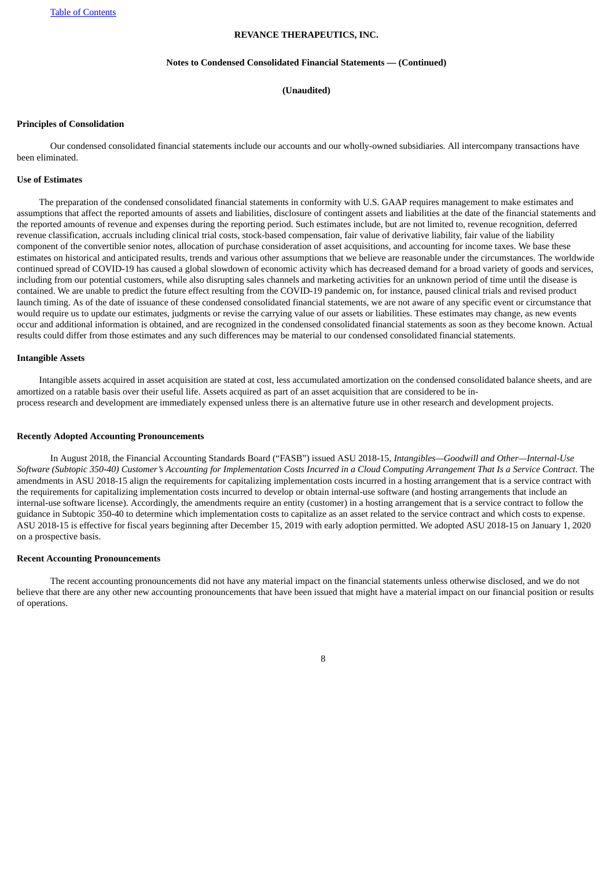#### **Notes to Condensed Consolidated Financial Statements — (Continued)**

#### **(Unaudited)**

#### **Principles of Consolidation**

Our condensed consolidated financial statements include our accounts and our wholly-owned subsidiaries. All intercompany transactions have been eliminated.

## **Use of Estimates**

The preparation of the condensed consolidated financial statements in conformity with U.S. GAAP requires management to make estimates and assumptions that affect the reported amounts of assets and liabilities, disclosure of contingent assets and liabilities at the date of the financial statements and the reported amounts of revenue and expenses during the reporting period. Such estimates include, but are not limited to, revenue recognition, deferred revenue classification, accruals including clinical trial costs, stock-based compensation, fair value of derivative liability, fair value of the liability component of the convertible senior notes, allocation of purchase consideration of asset acquisitions, and accounting for income taxes. We base these estimates on historical and anticipated results, trends and various other assumptions that we believe are reasonable under the circumstances. The worldwide continued spread of COVID-19 has caused a global slowdown of economic activity which has decreased demand for a broad variety of goods and services, including from our potential customers, while also disrupting sales channels and marketing activities for an unknown period of time until the disease is contained. We are unable to predict the future effect resulting from the COVID-19 pandemic on, for instance, paused clinical trials and revised product launch timing. As of the date of issuance of these condensed consolidated financial statements, we are not aware of any specific event or circumstance that would require us to update our estimates, judgments or revise the carrying value of our assets or liabilities. These estimates may change, as new events occur and additional information is obtained, and are recognized in the condensed consolidated financial statements as soon as they become known. Actual results could differ from those estimates and any such differences may be material to our condensed consolidated financial statements.

#### **Intangible Assets**

Intangible assets acquired in asset acquisition are stated at cost, less accumulated amortization on the condensed consolidated balance sheets, and are amortized on a ratable basis over their useful life. Assets acquired as part of an asset acquisition that are considered to be inprocess research and development are immediately expensed unless there is an alternative future use in other research and development projects.

## **Recently Adopted Accounting Pronouncements**

In August 2018, the Financial Accounting Standards Board ("FASB") issued ASU 2018-15, *Intangibles—Goodwill and Other—Internal-Use* Software (Subtopic 350-40) Customer's Accounting for Implementation Costs Incurred in a Cloud Computing Arrangement That Is a Service Contract. The amendments in ASU 2018-15 align the requirements for capitalizing implementation costs incurred in a hosting arrangement that is a service contract with the requirements for capitalizing implementation costs incurred to develop or obtain internal-use software (and hosting arrangements that include an internal-use software license). Accordingly, the amendments require an entity (customer) in a hosting arrangement that is a service contract to follow the guidance in Subtopic 350-40 to determine which implementation costs to capitalize as an asset related to the service contract and which costs to expense. ASU 2018-15 is effective for fiscal years beginning after December 15, 2019 with early adoption permitted. We adopted ASU 2018-15 on January 1, 2020 on a prospective basis.

## **Recent Accounting Pronouncements**

The recent accounting pronouncements did not have any material impact on the financial statements unless otherwise disclosed, and we do not believe that there are any other new accounting pronouncements that have been issued that might have a material impact on our financial position or results of operations.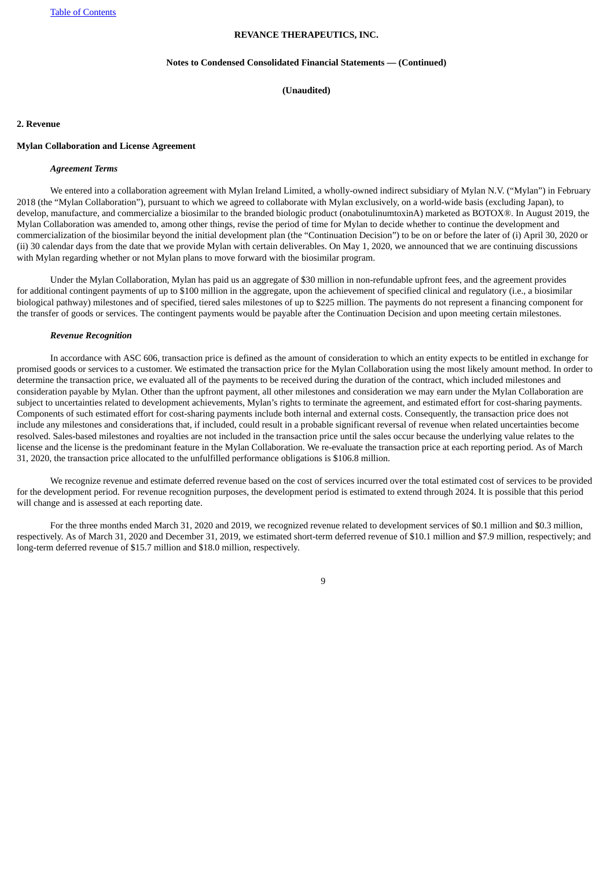#### **Notes to Condensed Consolidated Financial Statements — (Continued)**

#### **(Unaudited)**

#### **2. Revenue**

## **Mylan Collaboration and License Agreement**

## *Agreement Terms*

We entered into a collaboration agreement with Mylan Ireland Limited, a wholly-owned indirect subsidiary of Mylan N.V. ("Mylan") in February 2018 (the "Mylan Collaboration"), pursuant to which we agreed to collaborate with Mylan exclusively, on a world-wide basis (excluding Japan), to develop, manufacture, and commercialize a biosimilar to the branded biologic product (onabotulinumtoxinA) marketed as BOTOX®. In August 2019, the Mylan Collaboration was amended to, among other things, revise the period of time for Mylan to decide whether to continue the development and commercialization of the biosimilar beyond the initial development plan (the "Continuation Decision") to be on or before the later of (i) April 30, 2020 or (ii) 30 calendar days from the date that we provide Mylan with certain deliverables. On May 1, 2020, we announced that we are continuing discussions with Mylan regarding whether or not Mylan plans to move forward with the biosimilar program.

Under the Mylan Collaboration, Mylan has paid us an aggregate of \$30 million in non-refundable upfront fees, and the agreement provides for additional contingent payments of up to \$100 million in the aggregate, upon the achievement of specified clinical and regulatory (i.e., a biosimilar biological pathway) milestones and of specified, tiered sales milestones of up to \$225 million. The payments do not represent a financing component for the transfer of goods or services. The contingent payments would be payable after the Continuation Decision and upon meeting certain milestones.

#### *Revenue Recognition*

In accordance with ASC 606, transaction price is defined as the amount of consideration to which an entity expects to be entitled in exchange for promised goods or services to a customer. We estimated the transaction price for the Mylan Collaboration using the most likely amount method. In order to determine the transaction price, we evaluated all of the payments to be received during the duration of the contract, which included milestones and consideration payable by Mylan. Other than the upfront payment, all other milestones and consideration we may earn under the Mylan Collaboration are subject to uncertainties related to development achievements, Mylan's rights to terminate the agreement, and estimated effort for cost-sharing payments. Components of such estimated effort for cost-sharing payments include both internal and external costs. Consequently, the transaction price does not include any milestones and considerations that, if included, could result in a probable significant reversal of revenue when related uncertainties become resolved. Sales-based milestones and royalties are not included in the transaction price until the sales occur because the underlying value relates to the license and the license is the predominant feature in the Mylan Collaboration. We re-evaluate the transaction price at each reporting period. As of March 31, 2020, the transaction price allocated to the unfulfilled performance obligations is \$106.8 million.

We recognize revenue and estimate deferred revenue based on the cost of services incurred over the total estimated cost of services to be provided for the development period. For revenue recognition purposes, the development period is estimated to extend through 2024. It is possible that this period will change and is assessed at each reporting date.

For the three months ended March 31, 2020 and 2019, we recognized revenue related to development services of \$0.1 million and \$0.3 million, respectively. As of March 31, 2020 and December 31, 2019, we estimated short-term deferred revenue of \$10.1 million and \$7.9 million, respectively; and long-term deferred revenue of \$15.7 million and \$18.0 million, respectively.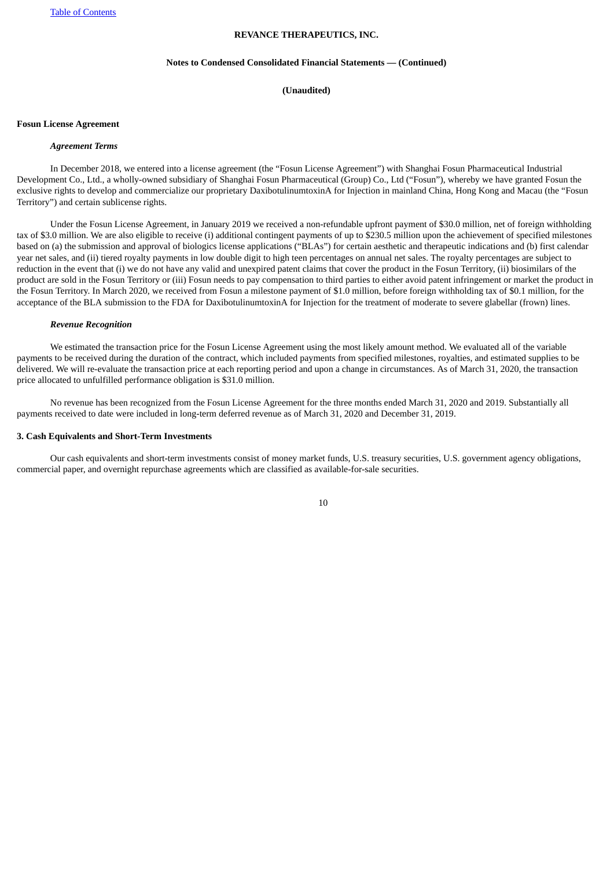#### **Notes to Condensed Consolidated Financial Statements — (Continued)**

#### **(Unaudited)**

#### **Fosun License Agreement**

#### *Agreement Terms*

In December 2018, we entered into a license agreement (the "Fosun License Agreement") with Shanghai Fosun Pharmaceutical Industrial Development Co., Ltd., a wholly-owned subsidiary of Shanghai Fosun Pharmaceutical (Group) Co., Ltd ("Fosun"), whereby we have granted Fosun the exclusive rights to develop and commercialize our proprietary DaxibotulinumtoxinA for Injection in mainland China, Hong Kong and Macau (the "Fosun Territory") and certain sublicense rights.

Under the Fosun License Agreement, in January 2019 we received a non-refundable upfront payment of \$30.0 million, net of foreign withholding tax of \$3.0 million. We are also eligible to receive (i) additional contingent payments of up to \$230.5 million upon the achievement of specified milestones based on (a) the submission and approval of biologics license applications ("BLAs") for certain aesthetic and therapeutic indications and (b) first calendar year net sales, and (ii) tiered royalty payments in low double digit to high teen percentages on annual net sales. The royalty percentages are subject to reduction in the event that (i) we do not have any valid and unexpired patent claims that cover the product in the Fosun Territory, (ii) biosimilars of the product are sold in the Fosun Territory or (iii) Fosun needs to pay compensation to third parties to either avoid patent infringement or market the product in the Fosun Territory. In March 2020, we received from Fosun a milestone payment of \$1.0 million, before foreign withholding tax of \$0.1 million, for the acceptance of the BLA submission to the FDA for DaxibotulinumtoxinA for Injection for the treatment of moderate to severe glabellar (frown) lines.

## *Revenue Recognition*

We estimated the transaction price for the Fosun License Agreement using the most likely amount method. We evaluated all of the variable payments to be received during the duration of the contract, which included payments from specified milestones, royalties, and estimated supplies to be delivered. We will re-evaluate the transaction price at each reporting period and upon a change in circumstances. As of March 31, 2020, the transaction price allocated to unfulfilled performance obligation is \$31.0 million.

No revenue has been recognized from the Fosun License Agreement for the three months ended March 31, 2020 and 2019. Substantially all payments received to date were included in long-term deferred revenue as of March 31, 2020 and December 31, 2019.

## **3. Cash Equivalents and Short-Term Investments**

Our cash equivalents and short-term investments consist of money market funds, U.S. treasury securities, U.S. government agency obligations, commercial paper, and overnight repurchase agreements which are classified as available-for-sale securities.

 $1<sub>0</sub>$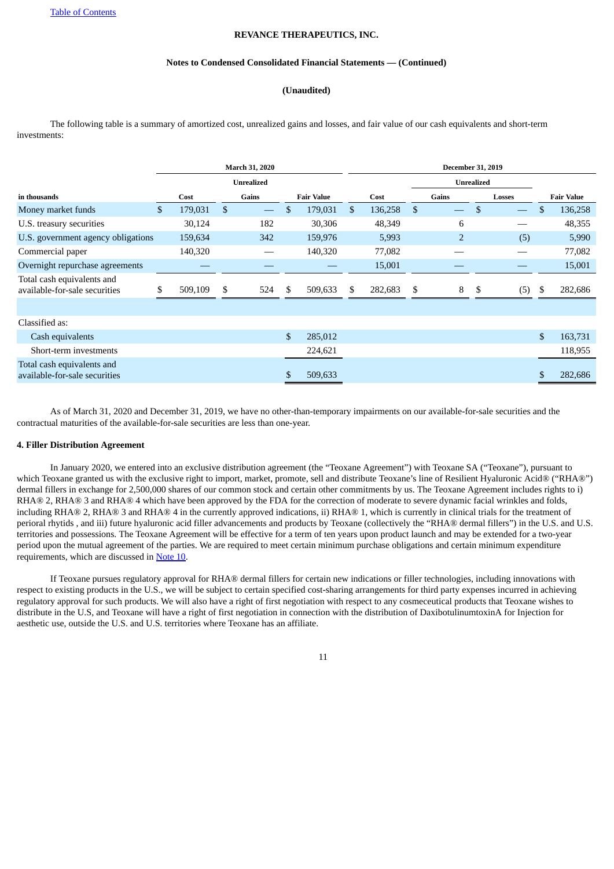## **Notes to Condensed Consolidated Financial Statements — (Continued)**

## **(Unaudited)**

The following table is a summary of amortized cost, unrealized gains and losses, and fair value of our cash equivalents and short-term investments:

|                                                             | March 31, 2020 |         |     |                   | <b>December 31, 2019</b> |     |         |                   |                |    |        |    |                   |
|-------------------------------------------------------------|----------------|---------|-----|-------------------|--------------------------|-----|---------|-------------------|----------------|----|--------|----|-------------------|
|                                                             |                |         |     | <b>Unrealized</b> |                          |     |         | <b>Unrealized</b> |                |    |        |    |                   |
| in thousands                                                |                | Cost    |     | Gains             | <b>Fair Value</b>        |     | Cost    |                   | Gains          |    | Losses |    | <b>Fair Value</b> |
| Money market funds                                          | $\mathbb{S}$   | 179,031 | \$  |                   | \$<br>179,031            | \$  | 136,258 | \$                |                | \$ |        | \$ | 136,258           |
| U.S. treasury securities                                    |                | 30,124  |     | 182               | 30,306                   |     | 48,349  |                   | 6              |    |        |    | 48,355            |
| U.S. government agency obligations                          |                | 159,634 |     | 342               | 159,976                  |     | 5,993   |                   | $\overline{2}$ |    | (5)    |    | 5,990             |
| Commercial paper                                            |                | 140,320 |     |                   | 140,320                  |     | 77,082  |                   |                |    |        |    | 77,082            |
| Overnight repurchase agreements                             |                |         |     |                   |                          |     | 15,001  |                   |                |    |        |    | 15,001            |
| Total cash equivalents and<br>available-for-sale securities |                | 509,109 | \$. | 524               | \$<br>509,633            | \$. | 282,683 | \$                | 8              | \$ | (5)    | £. | 282,686           |
|                                                             |                |         |     |                   |                          |     |         |                   |                |    |        |    |                   |
| Classified as:                                              |                |         |     |                   |                          |     |         |                   |                |    |        |    |                   |
| Cash equivalents                                            |                |         |     |                   | \$<br>285,012            |     |         |                   |                |    |        | \$ | 163,731           |
| Short-term investments                                      |                |         |     |                   | 224,621                  |     |         |                   |                |    |        |    | 118,955           |
| Total cash equivalents and<br>available-for-sale securities |                |         |     |                   | \$<br>509,633            |     |         |                   |                |    |        | \$ | 282,686           |

As of March 31, 2020 and December 31, 2019, we have no other-than-temporary impairments on our available-for-sale securities and the contractual maturities of the available-for-sale securities are less than one-year.

## <span id="page-10-0"></span>**4. Filler Distribution Agreement**

In January 2020, we entered into an exclusive distribution agreement (the "Teoxane Agreement") with Teoxane SA ("Teoxane"), pursuant to which Teoxane granted us with the exclusive right to import, market, promote, sell and distribute Teoxane's line of Resilient Hyaluronic Acid® ("RHA®") dermal fillers in exchange for 2,500,000 shares of our common stock and certain other commitments by us. The Teoxane Agreement includes rights to i) RHA® 2, RHA® 3 and RHA® 4 which have been approved by the FDA for the correction of moderate to severe dynamic facial wrinkles and folds, including RHA® 2, RHA® 3 and RHA® 4 in the currently approved indications, ii) RHA® 1, which is currently in clinical trials for the treatment of perioral rhytids , and iii) future hyaluronic acid filler advancements and products by Teoxane (collectively the "RHA® dermal fillers") in the U.S. and U.S. territories and possessions. The Teoxane Agreement will be effective for a term of ten years upon product launch and may be extended for a two-year period upon the mutual agreement of the parties. We are required to meet certain minimum purchase obligations and certain minimum expenditure requirements, which are discussed in [Note](#page-18-0) 10.

If Teoxane pursues regulatory approval for RHA® dermal fillers for certain new indications or filler technologies, including innovations with respect to existing products in the U.S., we will be subject to certain specified cost-sharing arrangements for third party expenses incurred in achieving regulatory approval for such products. We will also have a right of first negotiation with respect to any cosmeceutical products that Teoxane wishes to distribute in the U.S, and Teoxane will have a right of first negotiation in connection with the distribution of DaxibotulinumtoxinA for Injection for aesthetic use, outside the U.S. and U.S. territories where Teoxane has an affiliate.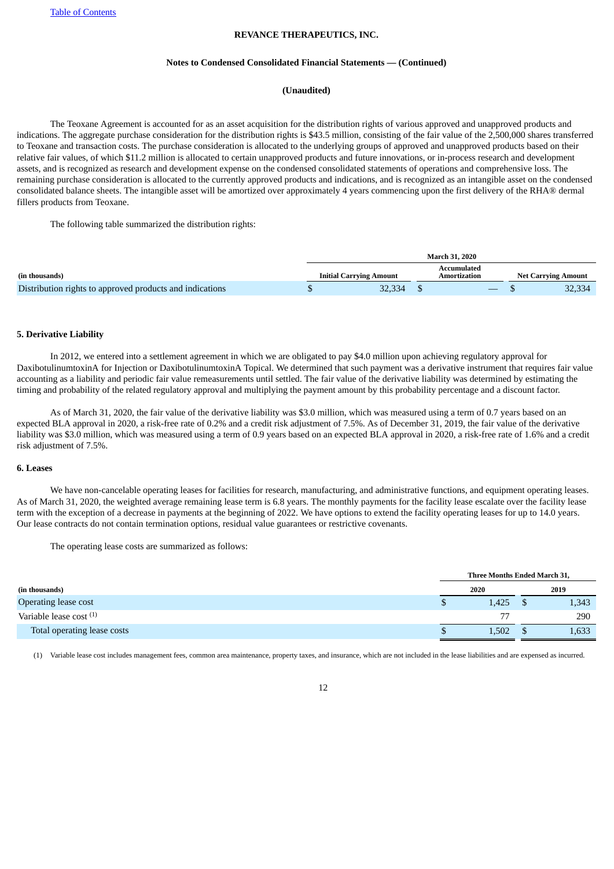## **Notes to Condensed Consolidated Financial Statements — (Continued)**

#### **(Unaudited)**

The Teoxane Agreement is accounted for as an asset acquisition for the distribution rights of various approved and unapproved products and indications. The aggregate purchase consideration for the distribution rights is \$43.5 million, consisting of the fair value of the 2,500,000 shares transferred to Teoxane and transaction costs. The purchase consideration is allocated to the underlying groups of approved and unapproved products based on their relative fair values, of which \$11.2 million is allocated to certain unapproved products and future innovations, or in-process research and development assets, and is recognized as research and development expense on the condensed consolidated statements of operations and comprehensive loss. The remaining purchase consideration is allocated to the currently approved products and indications, and is recognized as an intangible asset on the condensed consolidated balance sheets. The intangible asset will be amortized over approximately 4 years commencing upon the first delivery of the RHA® dermal fillers products from Teoxane.

The following table summarized the distribution rights:

|                                                          | <b>March 31, 2020</b>          |        |  |                             |                            |        |  |  |
|----------------------------------------------------------|--------------------------------|--------|--|-----------------------------|----------------------------|--------|--|--|
| (in thousands)                                           | <b>Initial Carrving Amount</b> |        |  | Accumulated<br>Amortization | <b>Net Carrying Amount</b> |        |  |  |
| Distribution rights to approved products and indications |                                | 32.334 |  | $\hspace{0.05cm}$           |                            | 32,334 |  |  |

#### **5. Derivative Liability**

In 2012, we entered into a settlement agreement in which we are obligated to pay \$4.0 million upon achieving regulatory approval for DaxibotulinumtoxinA for Injection or DaxibotulinumtoxinA Topical. We determined that such payment was a derivative instrument that requires fair value accounting as a liability and periodic fair value remeasurements until settled. The fair value of the derivative liability was determined by estimating the timing and probability of the related regulatory approval and multiplying the payment amount by this probability percentage and a discount factor.

As of March 31, 2020, the fair value of the derivative liability was \$3.0 million, which was measured using a term of 0.7 years based on an expected BLA approval in 2020, a risk-free rate of 0.2% and a credit risk adjustment of 7.5%. As of December 31, 2019, the fair value of the derivative liability was \$3.0 million, which was measured using a term of 0.9 years based on an expected BLA approval in 2020, a risk-free rate of 1.6% and a credit risk adjustment of 7.5%.

## **6. Leases**

We have non-cancelable operating leases for facilities for research, manufacturing, and administrative functions, and equipment operating leases. As of March 31, 2020, the weighted average remaining lease term is 6.8 years. The monthly payments for the facility lease escalate over the facility lease term with the exception of a decrease in payments at the beginning of 2022. We have options to extend the facility operating leases for up to 14.0 years. Our lease contracts do not contain termination options, residual value guarantees or restrictive covenants.

The operating lease costs are summarized as follows:

|                             |  | Three Months Ended March 31, |  |       |
|-----------------------------|--|------------------------------|--|-------|
| (in thousands)              |  | 2020                         |  | 2019  |
| Operating lease cost        |  | 1,425                        |  | 1,343 |
| Variable lease cost (1)     |  | 77                           |  | 290   |
| Total operating lease costs |  | 1,502                        |  | 1,633 |

(1) Variable lease cost includes management fees, common area maintenance, property taxes, and insurance, which are not included in the lease liabilities and are expensed as incurred.

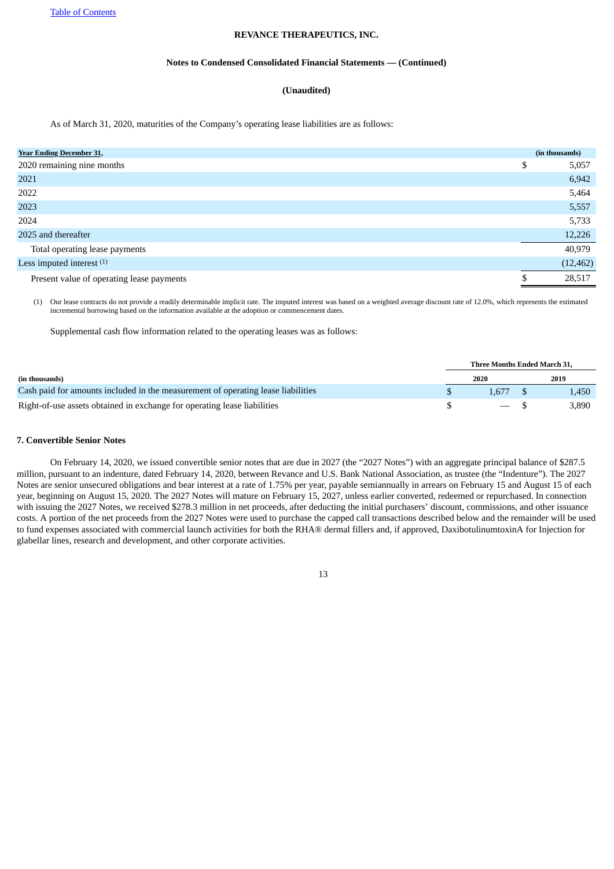## **Notes to Condensed Consolidated Financial Statements — (Continued)**

## **(Unaudited)**

As of March 31, 2020, maturities of the Company's operating lease liabilities are as follows:

| <b>Year Ending December 31,</b>           |    | (in thousands) |
|-------------------------------------------|----|----------------|
| 2020 remaining nine months                | \$ | 5,057          |
| 2021                                      |    | 6,942          |
| 2022                                      |    | 5,464          |
| 2023                                      |    | 5,557          |
| 2024                                      |    | 5,733          |
| 2025 and thereafter                       |    | 12,226         |
| Total operating lease payments            |    | 40,979         |
| Less imputed interest (1)                 |    | (12, 462)      |
| Present value of operating lease payments | S  | 28,517         |

(1) Our lease contracts do not provide a readily determinable implicit rate. The imputed interest was based on a weighted average discount rate of 12.0%, which represents the estimated incremental borrowing based on the information available at the adoption or commencement dates.

Supplemental cash flow information related to the operating leases was as follows:

|                                                                                  | <b>Three Months Ended March 31.</b> |       |      |        |  |
|----------------------------------------------------------------------------------|-------------------------------------|-------|------|--------|--|
| (in thousands)                                                                   | 2020                                |       | 2019 |        |  |
| Cash paid for amounts included in the measurement of operating lease liabilities |                                     | 1.677 |      | 1.450. |  |
| Right-of-use assets obtained in exchange for operating lease liabilities         |                                     | $-$ S |      | 3.890  |  |

## <span id="page-12-0"></span>**7. Convertible Senior Notes**

On February 14, 2020, we issued convertible senior notes that are due in 2027 (the "2027 Notes") with an aggregate principal balance of \$287.5 million, pursuant to an indenture, dated February 14, 2020, between Revance and U.S. Bank National Association, as trustee (the "Indenture"). The 2027 Notes are senior unsecured obligations and bear interest at a rate of 1.75% per year, payable semiannually in arrears on February 15 and August 15 of each year, beginning on August 15, 2020. The 2027 Notes will mature on February 15, 2027, unless earlier converted, redeemed or repurchased. In connection with issuing the 2027 Notes, we received \$278.3 million in net proceeds, after deducting the initial purchasers' discount, commissions, and other issuance costs. A portion of the net proceeds from the 2027 Notes were used to purchase the capped call transactions described below and the remainder will be used to fund expenses associated with commercial launch activities for both the RHA® dermal fillers and, if approved, DaxibotulinumtoxinA for Injection for glabellar lines, research and development, and other corporate activities.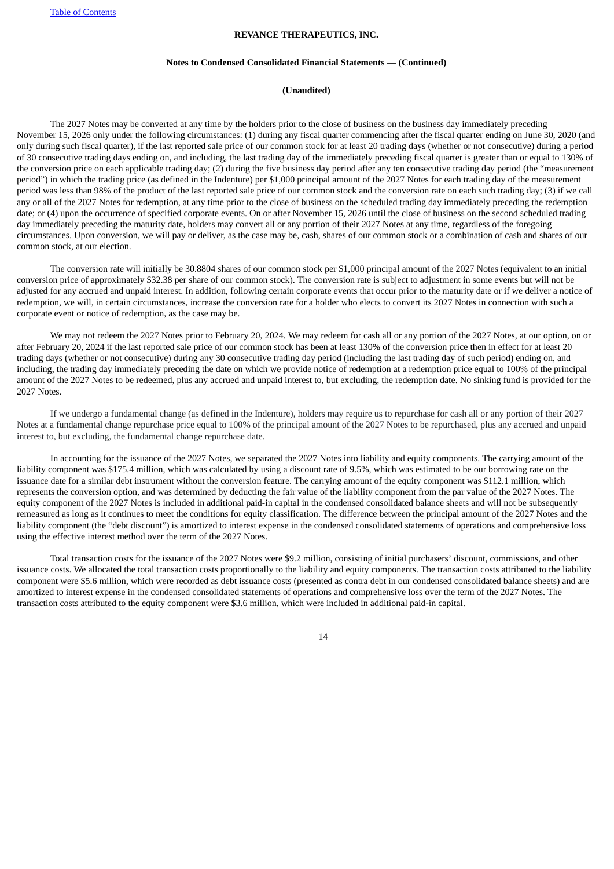#### **Notes to Condensed Consolidated Financial Statements — (Continued)**

## **(Unaudited)**

The 2027 Notes may be converted at any time by the holders prior to the close of business on the business day immediately preceding November 15, 2026 only under the following circumstances: (1) during any fiscal quarter commencing after the fiscal quarter ending on June 30, 2020 (and only during such fiscal quarter), if the last reported sale price of our common stock for at least 20 trading days (whether or not consecutive) during a period of 30 consecutive trading days ending on, and including, the last trading day of the immediately preceding fiscal quarter is greater than or equal to 130% of the conversion price on each applicable trading day; (2) during the five business day period after any ten consecutive trading day period (the "measurement period") in which the trading price (as defined in the Indenture) per \$1,000 principal amount of the 2027 Notes for each trading day of the measurement period was less than 98% of the product of the last reported sale price of our common stock and the conversion rate on each such trading day; (3) if we call any or all of the 2027 Notes for redemption, at any time prior to the close of business on the scheduled trading day immediately preceding the redemption date; or (4) upon the occurrence of specified corporate events. On or after November 15, 2026 until the close of business on the second scheduled trading day immediately preceding the maturity date, holders may convert all or any portion of their 2027 Notes at any time, regardless of the foregoing circumstances. Upon conversion, we will pay or deliver, as the case may be, cash, shares of our common stock or a combination of cash and shares of our common stock, at our election.

The conversion rate will initially be 30.8804 shares of our common stock per \$1,000 principal amount of the 2027 Notes (equivalent to an initial conversion price of approximately \$32.38 per share of our common stock). The conversion rate is subject to adjustment in some events but will not be adjusted for any accrued and unpaid interest. In addition, following certain corporate events that occur prior to the maturity date or if we deliver a notice of redemption, we will, in certain circumstances, increase the conversion rate for a holder who elects to convert its 2027 Notes in connection with such a corporate event or notice of redemption, as the case may be.

We may not redeem the 2027 Notes prior to February 20, 2024. We may redeem for cash all or any portion of the 2027 Notes, at our option, on or after February 20, 2024 if the last reported sale price of our common stock has been at least 130% of the conversion price then in effect for at least 20 trading days (whether or not consecutive) during any 30 consecutive trading day period (including the last trading day of such period) ending on, and including, the trading day immediately preceding the date on which we provide notice of redemption at a redemption price equal to 100% of the principal amount of the 2027 Notes to be redeemed, plus any accrued and unpaid interest to, but excluding, the redemption date. No sinking fund is provided for the 2027 Notes.

If we undergo a fundamental change (as defined in the Indenture), holders may require us to repurchase for cash all or any portion of their 2027 Notes at a fundamental change repurchase price equal to 100% of the principal amount of the 2027 Notes to be repurchased, plus any accrued and unpaid interest to, but excluding, the fundamental change repurchase date.

In accounting for the issuance of the 2027 Notes, we separated the 2027 Notes into liability and equity components. The carrying amount of the liability component was \$175.4 million, which was calculated by using a discount rate of 9.5%, which was estimated to be our borrowing rate on the issuance date for a similar debt instrument without the conversion feature. The carrying amount of the equity component was \$112.1 million, which represents the conversion option, and was determined by deducting the fair value of the liability component from the par value of the 2027 Notes. The equity component of the 2027 Notes is included in additional paid-in capital in the condensed consolidated balance sheets and will not be subsequently remeasured as long as it continues to meet the conditions for equity classification. The difference between the principal amount of the 2027 Notes and the liability component (the "debt discount") is amortized to interest expense in the condensed consolidated statements of operations and comprehensive loss using the effective interest method over the term of the 2027 Notes.

Total transaction costs for the issuance of the 2027 Notes were \$9.2 million, consisting of initial purchasers' discount, commissions, and other issuance costs. We allocated the total transaction costs proportionally to the liability and equity components. The transaction costs attributed to the liability component were \$5.6 million, which were recorded as debt issuance costs (presented as contra debt in our condensed consolidated balance sheets) and are amortized to interest expense in the condensed consolidated statements of operations and comprehensive loss over the term of the 2027 Notes. The transaction costs attributed to the equity component were \$3.6 million, which were included in additional paid-in capital.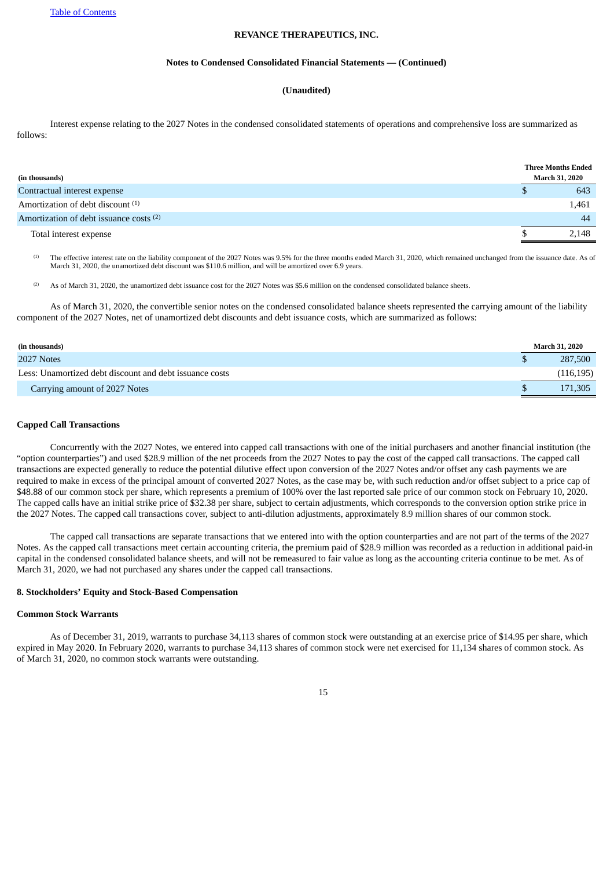#### **Notes to Condensed Consolidated Financial Statements — (Continued)**

## **(Unaudited)**

Interest expense relating to the 2027 Notes in the condensed consolidated statements of operations and comprehensive loss are summarized as follows:

| (in thousands)                          | <b>Three Months Ended</b><br><b>March 31, 2020</b> |       |
|-----------------------------------------|----------------------------------------------------|-------|
| Contractual interest expense            | J.                                                 | 643   |
| Amortization of debt discount (1)       |                                                    | 1,461 |
| Amortization of debt issuance costs (2) |                                                    | 44    |
| Total interest expense                  |                                                    | 2,148 |

(1) The effective interest rate on the liability component of the 2027 Notes was 9.5% for the three months ended March 31, 2020, which remained unchanged from the issuance date. As of March 31, 2020, the unamortized debt discount was \$110.6 million, and will be amortized over 6.9 years.

(2) As of March 31, 2020, the unamortized debt issuance cost for the 2027 Notes was \$5.6 million on the condensed consolidated balance sheets.

As of March 31, 2020, the convertible senior notes on the condensed consolidated balance sheets represented the carrying amount of the liability component of the 2027 Notes, net of unamortized debt discounts and debt issuance costs, which are summarized as follows:

| (in thousands)                                          | March 31, 2020 |
|---------------------------------------------------------|----------------|
| 2027 Notes                                              | 287,500        |
| Less: Unamortized debt discount and debt issuance costs | (116, 195)     |
| Carrying amount of 2027 Notes                           | 171.305        |

## **Capped Call Transactions**

Concurrently with the 2027 Notes, we entered into capped call transactions with one of the initial purchasers and another financial institution (the "option counterparties") and used \$28.9 million of the net proceeds from the 2027 Notes to pay the cost of the capped call transactions. The capped call transactions are expected generally to reduce the potential dilutive effect upon conversion of the 2027 Notes and/or offset any cash payments we are required to make in excess of the principal amount of converted 2027 Notes, as the case may be, with such reduction and/or offset subject to a price cap of \$48.88 of our common stock per share, which represents a premium of 100% over the last reported sale price of our common stock on February 10, 2020. The capped calls have an initial strike price of \$32.38 per share, subject to certain adjustments, which corresponds to the conversion option strike price in the 2027 Notes. The capped call transactions cover, subject to anti-dilution adjustments, approximately 8.9 million shares of our common stock.

The capped call transactions are separate transactions that we entered into with the option counterparties and are not part of the terms of the 2027 Notes. As the capped call transactions meet certain accounting criteria, the premium paid of \$28.9 million was recorded as a reduction in additional paid-in capital in the condensed consolidated balance sheets, and will not be remeasured to fair value as long as the accounting criteria continue to be met. As of March 31, 2020, we had not purchased any shares under the capped call transactions.

## **8. Stockholders' Equity and Stock-Based Compensation**

## **Common Stock Warrants**

As of December 31, 2019, warrants to purchase 34,113 shares of common stock were outstanding at an exercise price of \$14.95 per share, which expired in May 2020. In February 2020, warrants to purchase 34,113 shares of common stock were net exercised for 11,134 shares of common stock. As of March 31, 2020, no common stock warrants were outstanding.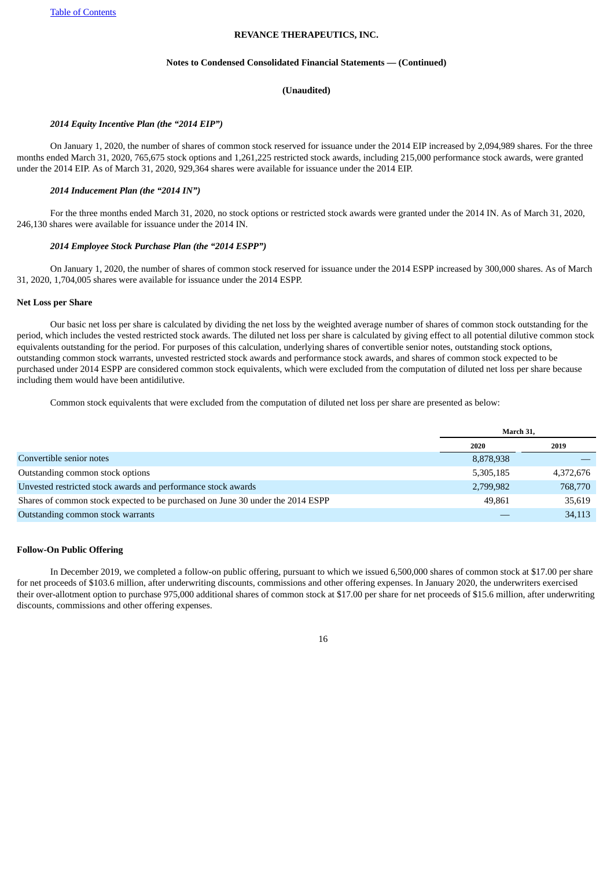## **Notes to Condensed Consolidated Financial Statements — (Continued)**

## **(Unaudited)**

## *2014 Equity Incentive Plan (the "2014 EIP")*

On January 1, 2020, the number of shares of common stock reserved for issuance under the 2014 EIP increased by 2,094,989 shares. For the three months ended March 31, 2020, 765,675 stock options and 1,261,225 restricted stock awards, including 215,000 performance stock awards, were granted under the 2014 EIP. As of March 31, 2020, 929,364 shares were available for issuance under the 2014 EIP.

## *2014 Inducement Plan (the "2014 IN")*

For the three months ended March 31, 2020, no stock options or restricted stock awards were granted under the 2014 IN. As of March 31, 2020, 246,130 shares were available for issuance under the 2014 IN.

## *2014 Employee Stock Purchase Plan (the "2014 ESPP")*

On January 1, 2020, the number of shares of common stock reserved for issuance under the 2014 ESPP increased by 300,000 shares. As of March 31, 2020, 1,704,005 shares were available for issuance under the 2014 ESPP.

#### **Net Loss per Share**

Our basic net loss per share is calculated by dividing the net loss by the weighted average number of shares of common stock outstanding for the period, which includes the vested restricted stock awards. The diluted net loss per share is calculated by giving effect to all potential dilutive common stock equivalents outstanding for the period. For purposes of this calculation, underlying shares of convertible senior notes, outstanding stock options, outstanding common stock warrants, unvested restricted stock awards and performance stock awards, and shares of common stock expected to be purchased under 2014 ESPP are considered common stock equivalents, which were excluded from the computation of diluted net loss per share because including them would have been antidilutive.

Common stock equivalents that were excluded from the computation of diluted net loss per share are presented as below:

|                                                                                | March 31, |           |
|--------------------------------------------------------------------------------|-----------|-----------|
|                                                                                | 2020      | 2019      |
| Convertible senior notes                                                       | 8,878,938 |           |
| Outstanding common stock options                                               | 5,305,185 | 4,372,676 |
| Unvested restricted stock awards and performance stock awards                  | 2,799,982 | 768,770   |
| Shares of common stock expected to be purchased on June 30 under the 2014 ESPP | 49.861    | 35,619    |
| Outstanding common stock warrants                                              |           | 34,113    |

## **Follow-On Public Offering**

In December 2019, we completed a follow-on public offering, pursuant to which we issued 6,500,000 shares of common stock at \$17.00 per share for net proceeds of \$103.6 million, after underwriting discounts, commissions and other offering expenses. In January 2020, the underwriters exercised their over-allotment option to purchase 975,000 additional shares of common stock at \$17.00 per share for net proceeds of \$15.6 million, after underwriting discounts, commissions and other offering expenses.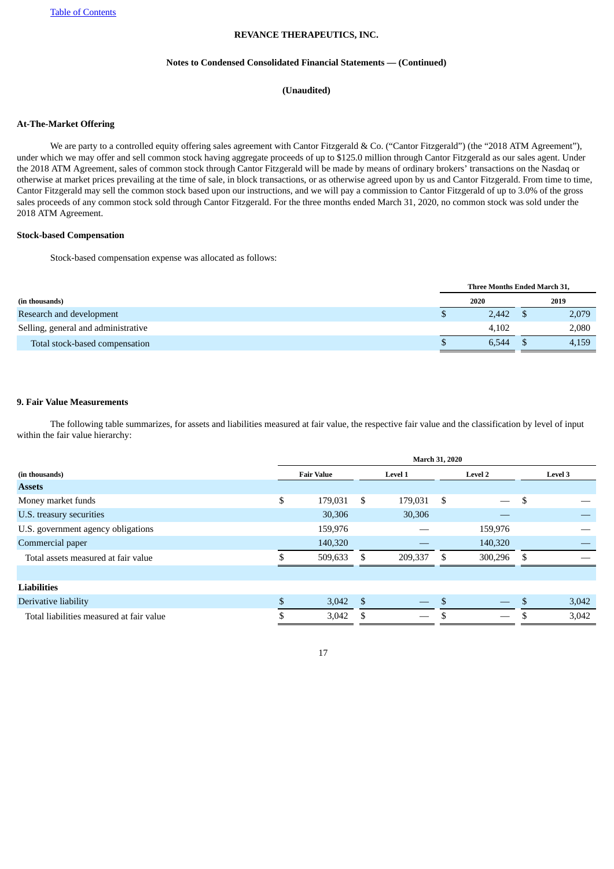## **Notes to Condensed Consolidated Financial Statements — (Continued)**

## **(Unaudited)**

#### **At-The-Market Offering**

We are party to a controlled equity offering sales agreement with Cantor Fitzgerald & Co. ("Cantor Fitzgerald") (the "2018 ATM Agreement"), under which we may offer and sell common stock having aggregate proceeds of up to \$125.0 million through Cantor Fitzgerald as our sales agent. Under the 2018 ATM Agreement, sales of common stock through Cantor Fitzgerald will be made by means of ordinary brokers' transactions on the Nasdaq or otherwise at market prices prevailing at the time of sale, in block transactions, or as otherwise agreed upon by us and Cantor Fitzgerald. From time to time, Cantor Fitzgerald may sell the common stock based upon our instructions, and we will pay a commission to Cantor Fitzgerald of up to 3.0% of the gross sales proceeds of any common stock sold through Cantor Fitzgerald. For the three months ended March 31, 2020, no common stock was sold under the 2018 ATM Agreement.

## **Stock-based Compensation**

Stock-based compensation expense was allocated as follows:

|                                     | Three Months Ended March 31, |       |  |       |  |
|-------------------------------------|------------------------------|-------|--|-------|--|
| (in thousands)                      |                              | 2020  |  | 2019  |  |
| Research and development            |                              | 2.442 |  | 2,079 |  |
| Selling, general and administrative |                              | 4.102 |  | 2,080 |  |
| Total stock-based compensation      |                              | 6.544 |  | 4.159 |  |

# **9. Fair Value Measurements**

The following table summarizes, for assets and liabilities measured at fair value, the respective fair value and the classification by level of input within the fair value hierarchy:

|                                          |    | <b>March 31, 2020</b> |      |                |    |                |    |         |  |
|------------------------------------------|----|-----------------------|------|----------------|----|----------------|----|---------|--|
| (in thousands)                           |    | <b>Fair Value</b>     |      | <b>Level 1</b> |    | <b>Level 2</b> |    | Level 3 |  |
| <b>Assets</b>                            |    |                       |      |                |    |                |    |         |  |
| Money market funds                       | \$ | 179,031               | - \$ | 179,031        | \$ |                | \$ |         |  |
| U.S. treasury securities                 |    | 30,306                |      | 30,306         |    |                |    |         |  |
| U.S. government agency obligations       |    | 159,976               |      |                |    | 159,976        |    |         |  |
| Commercial paper                         |    | 140,320               |      |                |    | 140,320        |    |         |  |
| Total assets measured at fair value      |    | 509,633               | -\$  | 209,337        | -S | 300,296        | -S |         |  |
|                                          |    |                       |      |                |    |                |    |         |  |
| <b>Liabilities</b>                       |    |                       |      |                |    |                |    |         |  |
| Derivative liability                     |    | 3,042                 | - \$ |                |    |                |    | 3,042   |  |
| Total liabilities measured at fair value |    | 3,042                 |      |                |    |                |    | 3,042   |  |
|                                          |    |                       |      |                |    |                |    |         |  |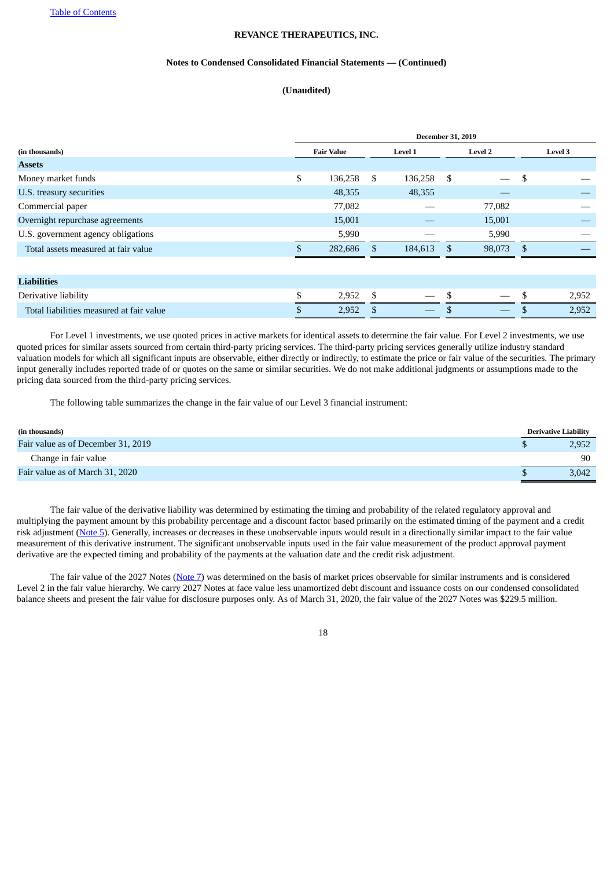#### **Notes to Condensed Consolidated Financial Statements — (Continued)**

## **(Unaudited)**

|                                          | <b>December 31, 2019</b>            |              |         |                |                                |     |       |  |         |
|------------------------------------------|-------------------------------------|--------------|---------|----------------|--------------------------------|-----|-------|--|---------|
| (in thousands)                           | <b>Fair Value</b><br><b>Level 1</b> |              |         | <b>Level 2</b> |                                |     |       |  | Level 3 |
| <b>Assets</b>                            |                                     |              |         |                |                                |     |       |  |         |
| Money market funds                       | \$<br>136,258                       | \$           | 136,258 | <b>S</b>       |                                | \$. |       |  |         |
| U.S. treasury securities                 | 48,355                              |              | 48,355  |                |                                |     |       |  |         |
| Commercial paper                         | 77,082                              |              |         |                | 77,082                         |     |       |  |         |
| Overnight repurchase agreements          | 15,001                              |              |         |                | 15,001                         |     |       |  |         |
| U.S. government agency obligations       | 5,990                               |              |         |                | 5,990                          |     |       |  |         |
| Total assets measured at fair value      | \$<br>282,686                       | $\mathsf{S}$ | 184,613 | -\$            | 98,073                         | -\$ |       |  |         |
|                                          |                                     |              |         |                |                                |     |       |  |         |
| <b>Liabilities</b>                       |                                     |              |         |                |                                |     |       |  |         |
| Derivative liability                     | \$<br>2,952                         | S.           |         | \$             | $\overbrace{\hspace{25mm}}^{}$ | \$  | 2,952 |  |         |
| Total liabilities measured at fair value | \$<br>2,952                         | \$.          |         |                |                                |     | 2,952 |  |         |

For Level 1 investments, we use quoted prices in active markets for identical assets to determine the fair value. For Level 2 investments, we use quoted prices for similar assets sourced from certain third-party pricing services. The third-party pricing services generally utilize industry standard valuation models for which all significant inputs are observable, either directly or indirectly, to estimate the price or fair value of the securities. The primary input generally includes reported trade of or quotes on the same or similar securities. We do not make additional judgments or assumptions made to the pricing data sourced from the third-party pricing services.

The following table summarizes the change in the fair value of our Level 3 financial instrument:

| (in thousands)                     | <b>Derivative Liability</b> |       |
|------------------------------------|-----------------------------|-------|
| Fair value as of December 31, 2019 |                             | 2,952 |
| Change in fair value               |                             | 90    |
| Fair value as of March 31, 2020    |                             | 3,042 |

The fair value of the derivative liability was determined by estimating the timing and probability of the related regulatory approval and multiplying the payment amount by this probability percentage and a discount factor based primarily on the estimated timing of the payment and a credit risk adjustment (Note 5). Generally, increases or decreases in these unobservable inputs would result in a directionally similar impact to the fair value measurement of this derivative instrument. The significant unobservable inputs used in the fair value measurement of the product approval payment derivative are the expected timing and probability of the payments at the valuation date and the credit risk adjustment.

The fair value of the 2027 Notes (Note 7) was determined on the basis of market prices observable for similar instruments and is considered Level 2 in the fair value hierarchy. We carry 2027 Notes at face value less unamortized debt discount and issuance costs on our condensed consolidated balance sheets and present the fair value for disclosure purposes only. As of March 31, 2020, the fair value of the 2027 Notes was \$229.5 million.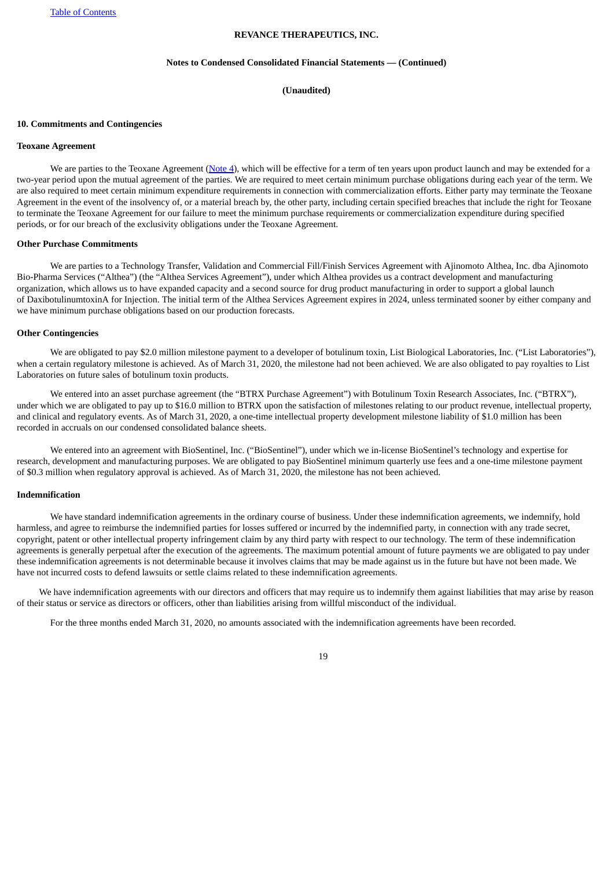#### **Notes to Condensed Consolidated Financial Statements — (Continued)**

#### **(Unaudited)**

#### <span id="page-18-0"></span>**10. Commitments and Contingencies**

#### **Teoxane Agreement**

We are parties to the Teoxane Agreement ([Note](#page-10-0) 4), which will be effective for a term of ten vears upon product launch and may be extended for a two-year period upon the mutual agreement of the parties. We are required to meet certain minimum purchase obligations during each year of the term. We are also required to meet certain minimum expenditure requirements in connection with commercialization efforts. Either party may terminate the Teoxane Agreement in the event of the insolvency of, or a material breach by, the other party, including certain specified breaches that include the right for Teoxane to terminate the Teoxane Agreement for our failure to meet the minimum purchase requirements or commercialization expenditure during specified periods, or for our breach of the exclusivity obligations under the Teoxane Agreement.

## **Other Purchase Commitments**

We are parties to a Technology Transfer, Validation and Commercial Fill/Finish Services Agreement with Ajinomoto Althea, Inc. dba Ajinomoto Bio-Pharma Services ("Althea") (the "Althea Services Agreement"), under which Althea provides us a contract development and manufacturing organization, which allows us to have expanded capacity and a second source for drug product manufacturing in order to support a global launch of DaxibotulinumtoxinA for Injection. The initial term of the Althea Services Agreement expires in 2024, unless terminated sooner by either company and we have minimum purchase obligations based on our production forecasts.

## **Other Contingencies**

We are obligated to pay \$2.0 million milestone payment to a developer of botulinum toxin, List Biological Laboratories, Inc. ("List Laboratories"), when a certain regulatory milestone is achieved. As of March 31, 2020, the milestone had not been achieved. We are also obligated to pay royalties to List Laboratories on future sales of botulinum toxin products.

We entered into an asset purchase agreement (the "BTRX Purchase Agreement") with Botulinum Toxin Research Associates, Inc. ("BTRX"), under which we are obligated to pay up to \$16.0 million to BTRX upon the satisfaction of milestones relating to our product revenue, intellectual property, and clinical and regulatory events. As of March 31, 2020, a one-time intellectual property development milestone liability of \$1.0 million has been recorded in accruals on our condensed consolidated balance sheets.

We entered into an agreement with BioSentinel, Inc. ("BioSentinel"), under which we in-license BioSentinel's technology and expertise for research, development and manufacturing purposes. We are obligated to pay BioSentinel minimum quarterly use fees and a one-time milestone payment of \$0.3 million when regulatory approval is achieved. As of March 31, 2020, the milestone has not been achieved.

## **Indemnification**

We have standard indemnification agreements in the ordinary course of business. Under these indemnification agreements, we indemnify, hold harmless, and agree to reimburse the indemnified parties for losses suffered or incurred by the indemnified party, in connection with any trade secret, copyright, patent or other intellectual property infringement claim by any third party with respect to our technology. The term of these indemnification agreements is generally perpetual after the execution of the agreements. The maximum potential amount of future payments we are obligated to pay under these indemnification agreements is not determinable because it involves claims that may be made against us in the future but have not been made. We have not incurred costs to defend lawsuits or settle claims related to these indemnification agreements.

We have indemnification agreements with our directors and officers that may require us to indemnify them against liabilities that may arise by reason of their status or service as directors or officers, other than liabilities arising from willful misconduct of the individual.

For the three months ended March 31, 2020, no amounts associated with the indemnification agreements have been recorded.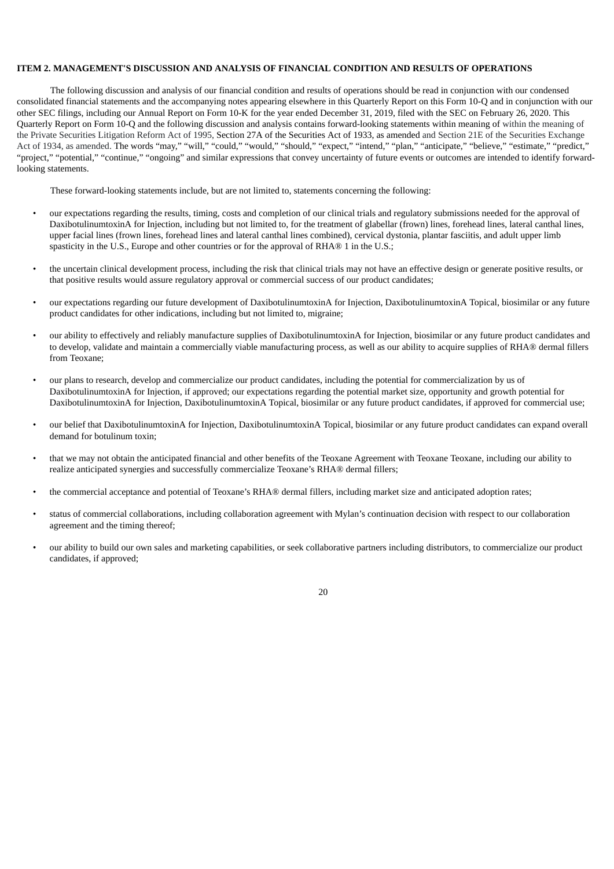## <span id="page-19-0"></span>**ITEM 2. MANAGEMENT'S DISCUSSION AND ANALYSIS OF FINANCIAL CONDITION AND RESULTS OF OPERATIONS**

The following discussion and analysis of our financial condition and results of operations should be read in conjunction with our condensed consolidated financial statements and the accompanying notes appearing elsewhere in this Quarterly Report on this Form 10-Q and in conjunction with our other SEC filings, including our Annual Report on Form 10-K for the year ended December 31, 2019, filed with the SEC on February 26, 2020. This Quarterly Report on Form 10-Q and the following discussion and analysis contains forward-looking statements within meaning of within the meaning of the Private Securities Litigation Reform Act of 1995, Section 27A of the Securities Act of 1933, as amended and Section 21E of the Securities Exchange Act of 1934, as amended. The words "may," "will," "could," "would," "should," "expect," "intend," "plan," "anticipate," "believe," "estimate," "predict," "project," "potential," "continue," "ongoing" and similar expressions that convey uncertainty of future events or outcomes are intended to identify forwardlooking statements.

These forward-looking statements include, but are not limited to, statements concerning the following:

- our expectations regarding the results, timing, costs and completion of our clinical trials and regulatory submissions needed for the approval of DaxibotulinumtoxinA for Injection, including but not limited to, for the treatment of glabellar (frown) lines, forehead lines, lateral canthal lines, upper facial lines (frown lines, forehead lines and lateral canthal lines combined), cervical dystonia, plantar fasciitis, and adult upper limb spasticity in the U.S., Europe and other countries or for the approval of RHA® 1 in the U.S.;
- the uncertain clinical development process, including the risk that clinical trials may not have an effective design or generate positive results, or that positive results would assure regulatory approval or commercial success of our product candidates;
- our expectations regarding our future development of DaxibotulinumtoxinA for Injection, DaxibotulinumtoxinA Topical, biosimilar or any future product candidates for other indications, including but not limited to, migraine;
- our ability to effectively and reliably manufacture supplies of DaxibotulinumtoxinA for Injection, biosimilar or any future product candidates and to develop, validate and maintain a commercially viable manufacturing process, as well as our ability to acquire supplies of RHA® dermal fillers from Teoxane;
- our plans to research, develop and commercialize our product candidates, including the potential for commercialization by us of DaxibotulinumtoxinA for Injection, if approved; our expectations regarding the potential market size, opportunity and growth potential for DaxibotulinumtoxinA for Injection, DaxibotulinumtoxinA Topical, biosimilar or any future product candidates, if approved for commercial use;
- our belief that DaxibotulinumtoxinA for Injection, DaxibotulinumtoxinA Topical, biosimilar or any future product candidates can expand overall demand for botulinum toxin;
- that we may not obtain the anticipated financial and other benefits of the Teoxane Agreement with Teoxane Teoxane, including our ability to realize anticipated synergies and successfully commercialize Teoxane's RHA® dermal fillers;
- the commercial acceptance and potential of Teoxane's RHA® dermal fillers, including market size and anticipated adoption rates;
- status of commercial collaborations, including collaboration agreement with Mylan's continuation decision with respect to our collaboration agreement and the timing thereof;
- our ability to build our own sales and marketing capabilities, or seek collaborative partners including distributors, to commercialize our product candidates, if approved;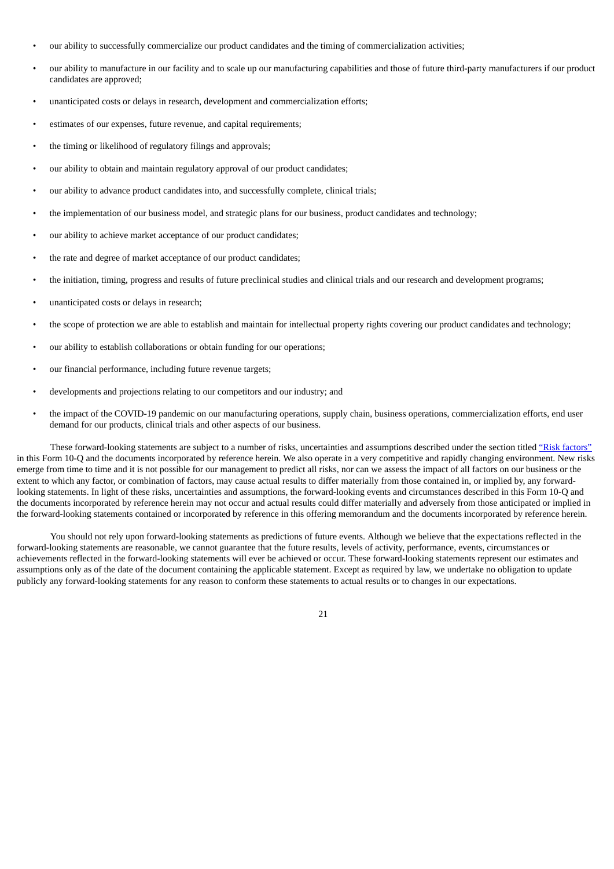- our ability to successfully commercialize our product candidates and the timing of commercialization activities;
- our ability to manufacture in our facility and to scale up our manufacturing capabilities and those of future third-party manufacturers if our product candidates are approved;
- unanticipated costs or delays in research, development and commercialization efforts;
- estimates of our expenses, future revenue, and capital requirements;
- the timing or likelihood of regulatory filings and approvals;
- our ability to obtain and maintain regulatory approval of our product candidates;
- our ability to advance product candidates into, and successfully complete, clinical trials;
- the implementation of our business model, and strategic plans for our business, product candidates and technology;
- our ability to achieve market acceptance of our product candidates;
- the rate and degree of market acceptance of our product candidates;
- the initiation, timing, progress and results of future preclinical studies and clinical trials and our research and development programs;
- unanticipated costs or delays in research;
- the scope of protection we are able to establish and maintain for intellectual property rights covering our product candidates and technology;
- our ability to establish collaborations or obtain funding for our operations;
- our financial performance, including future revenue targets;
- developments and projections relating to our competitors and our industry; and
- the impact of the COVID-19 pandemic on our manufacturing operations, supply chain, business operations, commercialization efforts, end user demand for our products, clinical trials and other aspects of our business.

These forward-looking statements are subject to a number of risks, uncertainties and assumptions described under the section titled "Risk [factors"](#page-35-2) in this Form 10-Q and the documents incorporated by reference herein. We also operate in a very competitive and rapidly changing environment. New risks emerge from time to time and it is not possible for our management to predict all risks, nor can we assess the impact of all factors on our business or the extent to which any factor, or combination of factors, may cause actual results to differ materially from those contained in, or implied by, any forwardlooking statements. In light of these risks, uncertainties and assumptions, the forward-looking events and circumstances described in this Form 10-Q and the documents incorporated by reference herein may not occur and actual results could differ materially and adversely from those anticipated or implied in the forward-looking statements contained or incorporated by reference in this offering memorandum and the documents incorporated by reference herein.

You should not rely upon forward-looking statements as predictions of future events. Although we believe that the expectations reflected in the forward-looking statements are reasonable, we cannot guarantee that the future results, levels of activity, performance, events, circumstances or achievements reflected in the forward-looking statements will ever be achieved or occur. These forward-looking statements represent our estimates and assumptions only as of the date of the document containing the applicable statement. Except as required by law, we undertake no obligation to update publicly any forward-looking statements for any reason to conform these statements to actual results or to changes in our expectations.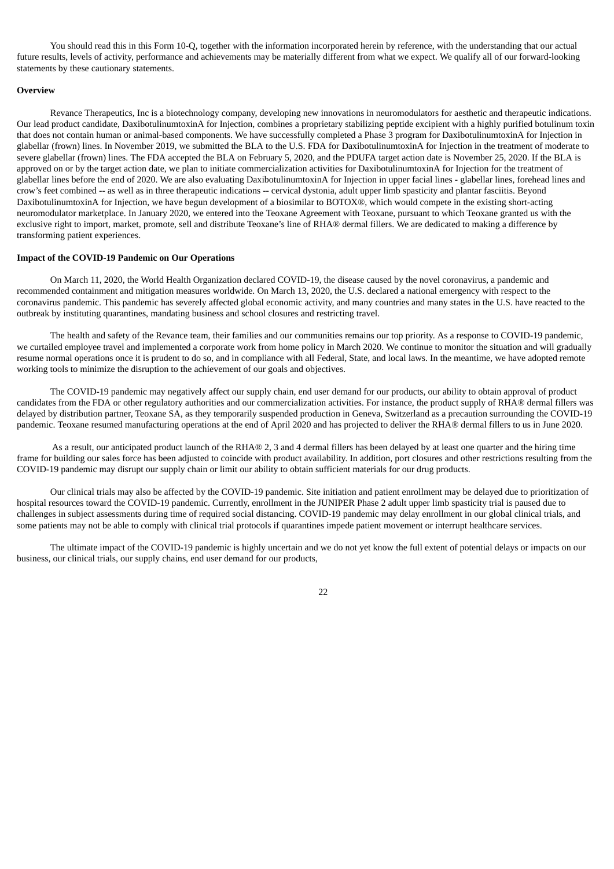You should read this in this Form 10-Q, together with the information incorporated herein by reference, with the understanding that our actual future results, levels of activity, performance and achievements may be materially different from what we expect. We qualify all of our forward-looking statements by these cautionary statements.

## **Overview**

Revance Therapeutics, Inc is a biotechnology company, developing new innovations in neuromodulators for aesthetic and therapeutic indications. Our lead product candidate, DaxibotulinumtoxinA for Injection, combines a proprietary stabilizing peptide excipient with a highly purified botulinum toxin that does not contain human or animal-based components. We have successfully completed a Phase 3 program for DaxibotulinumtoxinA for Injection in glabellar (frown) lines. In November 2019, we submitted the BLA to the U.S. FDA for DaxibotulinumtoxinA for Injection in the treatment of moderate to severe glabellar (frown) lines. The FDA accepted the BLA on February 5, 2020, and the PDUFA target action date is November 25, 2020. If the BLA is approved on or by the target action date, we plan to initiate commercialization activities for DaxibotulinumtoxinA for Injection for the treatment of glabellar lines before the end of 2020. We are also evaluating DaxibotulinumtoxinA for Injection in upper facial lines - glabellar lines, forehead lines and crow's feet combined -- as well as in three therapeutic indications -- cervical dystonia, adult upper limb spasticity and plantar fasciitis. Beyond DaxibotulinumtoxinA for Injection, we have begun development of a biosimilar to BOTOX®, which would compete in the existing short-acting neuromodulator marketplace. In January 2020, we entered into the Teoxane Agreement with Teoxane, pursuant to which Teoxane granted us with the exclusive right to import, market, promote, sell and distribute Teoxane's line of RHA® dermal fillers. We are dedicated to making a difference by transforming patient experiences.

## **Impact of the COVID-19 Pandemic on Our Operations**

On March 11, 2020, the World Health Organization declared COVID-19, the disease caused by the novel coronavirus, a pandemic and recommended containment and mitigation measures worldwide. On March 13, 2020, the U.S. declared a national emergency with respect to the coronavirus pandemic. This pandemic has severely affected global economic activity, and many countries and many states in the U.S. have reacted to the outbreak by instituting quarantines, mandating business and school closures and restricting travel.

The health and safety of the Revance team, their families and our communities remains our top priority. As a response to COVID-19 pandemic, we curtailed employee travel and implemented a corporate work from home policy in March 2020. We continue to monitor the situation and will gradually resume normal operations once it is prudent to do so, and in compliance with all Federal, State, and local laws. In the meantime, we have adopted remote working tools to minimize the disruption to the achievement of our goals and objectives.

The COVID-19 pandemic may negatively affect our supply chain, end user demand for our products, our ability to obtain approval of product candidates from the FDA or other regulatory authorities and our commercialization activities. For instance, the product supply of RHA® dermal fillers was delayed by distribution partner, Teoxane SA, as they temporarily suspended production in Geneva, Switzerland as a precaution surrounding the COVID-19 pandemic. Teoxane resumed manufacturing operations at the end of April 2020 and has projected to deliver the RHA® dermal fillers to us in June 2020.

As a result, our anticipated product launch of the RHA® 2, 3 and 4 dermal fillers has been delayed by at least one quarter and the hiring time frame for building our sales force has been adjusted to coincide with product availability. In addition, port closures and other restrictions resulting from the COVID-19 pandemic may disrupt our supply chain or limit our ability to obtain sufficient materials for our drug products.

Our clinical trials may also be affected by the COVID-19 pandemic. Site initiation and patient enrollment may be delayed due to prioritization of hospital resources toward the COVID-19 pandemic. Currently, enrollment in the JUNIPER Phase 2 adult upper limb spasticity trial is paused due to challenges in subject assessments during time of required social distancing. COVID-19 pandemic may delay enrollment in our global clinical trials, and some patients may not be able to comply with clinical trial protocols if quarantines impede patient movement or interrupt healthcare services.

The ultimate impact of the COVID-19 pandemic is highly uncertain and we do not yet know the full extent of potential delays or impacts on our business, our clinical trials, our supply chains, end user demand for our products,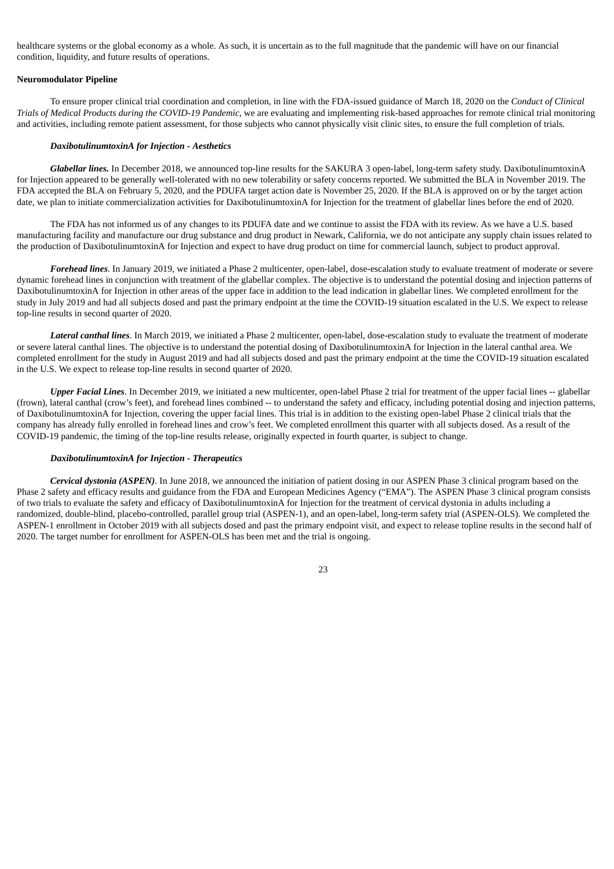healthcare systems or the global economy as a whole. As such, it is uncertain as to the full magnitude that the pandemic will have on our financial condition, liquidity, and future results of operations.

#### **Neuromodulator Pipeline**

To ensure proper clinical trial coordination and completion, in line with the FDA-issued guidance of March 18, 2020 on the *Conduct of Clinical Trials of Medical Products during the COVID-19 Pandemic*, we are evaluating and implementing risk-based approaches for remote clinical trial monitoring and activities, including remote patient assessment, for those subjects who cannot physically visit clinic sites, to ensure the full completion of trials.

## *DaxibotulinumtoxinA for Injection - Aesthetics*

*Glabellar lines.* In December 2018, we announced top-line results for the SAKURA 3 open-label, long-term safety study. DaxibotulinumtoxinA for Injection appeared to be generally well-tolerated with no new tolerability or safety concerns reported. We submitted the BLA in November 2019. The FDA accepted the BLA on February 5, 2020, and the PDUFA target action date is November 25, 2020. If the BLA is approved on or by the target action date, we plan to initiate commercialization activities for DaxibotulinumtoxinA for Injection for the treatment of glabellar lines before the end of 2020.

The FDA has not informed us of any changes to its PDUFA date and we continue to assist the FDA with its review. As we have a U.S. based manufacturing facility and manufacture our drug substance and drug product in Newark, California, we do not anticipate any supply chain issues related to the production of DaxibotulinumtoxinA for Injection and expect to have drug product on time for commercial launch, subject to product approval.

*Forehead lines*. In January 2019, we initiated a Phase 2 multicenter, open-label, dose-escalation study to evaluate treatment of moderate or severe dynamic forehead lines in conjunction with treatment of the glabellar complex. The objective is to understand the potential dosing and injection patterns of DaxibotulinumtoxinA for Injection in other areas of the upper face in addition to the lead indication in glabellar lines. We completed enrollment for the study in July 2019 and had all subjects dosed and past the primary endpoint at the time the COVID-19 situation escalated in the U.S. We expect to release top-line results in second quarter of 2020.

*Lateral canthal lines*. In March 2019, we initiated a Phase 2 multicenter, open-label, dose-escalation study to evaluate the treatment of moderate or severe lateral canthal lines. The objective is to understand the potential dosing of DaxibotulinumtoxinA for Injection in the lateral canthal area. We completed enrollment for the study in August 2019 and had all subjects dosed and past the primary endpoint at the time the COVID-19 situation escalated in the U.S. We expect to release top-line results in second quarter of 2020.

*Upper Facial Lines*. In December 2019, we initiated a new multicenter, open-label Phase 2 trial for treatment of the upper facial lines -- glabellar (frown), lateral canthal (crow's feet), and forehead lines combined -- to understand the safety and efficacy, including potential dosing and injection patterns, of DaxibotulinumtoxinA for Injection, covering the upper facial lines. This trial is in addition to the existing open-label Phase 2 clinical trials that the company has already fully enrolled in forehead lines and crow's feet. We completed enrollment this quarter with all subjects dosed. As a result of the COVID-19 pandemic, the timing of the top-line results release, originally expected in fourth quarter, is subject to change.

# *DaxibotulinumtoxinA for Injection - Therapeutics*

*Cervical dystonia (ASPEN)*. In June 2018, we announced the initiation of patient dosing in our ASPEN Phase 3 clinical program based on the Phase 2 safety and efficacy results and guidance from the FDA and European Medicines Agency ("EMA"). The ASPEN Phase 3 clinical program consists of two trials to evaluate the safety and efficacy of DaxibotulinumtoxinA for Injection for the treatment of cervical dystonia in adults including a randomized, double-blind, placebo-controlled, parallel group trial (ASPEN-1), and an open-label, long-term safety trial (ASPEN-OLS). We completed the ASPEN-1 enrollment in October 2019 with all subjects dosed and past the primary endpoint visit, and expect to release topline results in the second half of 2020. The target number for enrollment for ASPEN-OLS has been met and the trial is ongoing.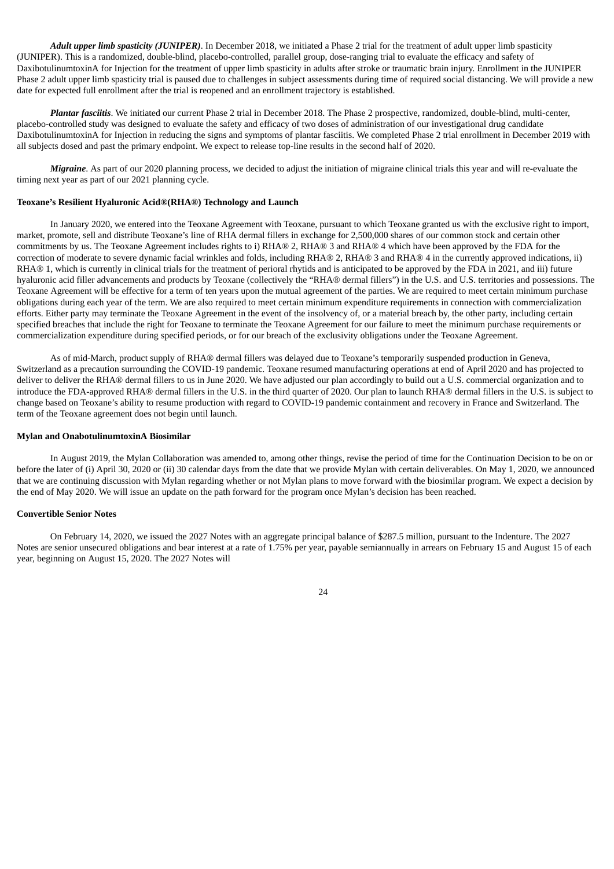*Adult upper limb spasticity (JUNIPER)*. In December 2018, we initiated a Phase 2 trial for the treatment of adult upper limb spasticity (JUNIPER). This is a randomized, double-blind, placebo-controlled, parallel group, dose-ranging trial to evaluate the efficacy and safety of DaxibotulinumtoxinA for Injection for the treatment of upper limb spasticity in adults after stroke or traumatic brain injury. Enrollment in the JUNIPER Phase 2 adult upper limb spasticity trial is paused due to challenges in subject assessments during time of required social distancing. We will provide a new date for expected full enrollment after the trial is reopened and an enrollment trajectory is established.

*Plantar fasciitis*. We initiated our current Phase 2 trial in December 2018. The Phase 2 prospective, randomized, double-blind, multi-center, placebo-controlled study was designed to evaluate the safety and efficacy of two doses of administration of our investigational drug candidate DaxibotulinumtoxinA for Injection in reducing the signs and symptoms of plantar fasciitis. We completed Phase 2 trial enrollment in December 2019 with all subjects dosed and past the primary endpoint. We expect to release top-line results in the second half of 2020.

*Migraine*. As part of our 2020 planning process, we decided to adjust the initiation of migraine clinical trials this year and will re-evaluate the timing next year as part of our 2021 planning cycle.

## **Teoxane's Resilient Hyaluronic Acid®(RHA®) Technology and Launch**

In January 2020, we entered into the Teoxane Agreement with Teoxane, pursuant to which Teoxane granted us with the exclusive right to import, market, promote, sell and distribute Teoxane's line of RHA dermal fillers in exchange for 2,500,000 shares of our common stock and certain other commitments by us. The Teoxane Agreement includes rights to i) RHA® 2, RHA® 3 and RHA® 4 which have been approved by the FDA for the correction of moderate to severe dynamic facial wrinkles and folds, including RHA® 2, RHA® 3 and RHA® 4 in the currently approved indications, ii) RHA® 1, which is currently in clinical trials for the treatment of perioral rhytids and is anticipated to be approved by the FDA in 2021, and iii) future hyaluronic acid filler advancements and products by Teoxane (collectively the "RHA® dermal fillers") in the U.S. and U.S. territories and possessions. The Teoxane Agreement will be effective for a term of ten years upon the mutual agreement of the parties. We are required to meet certain minimum purchase obligations during each year of the term. We are also required to meet certain minimum expenditure requirements in connection with commercialization efforts. Either party may terminate the Teoxane Agreement in the event of the insolvency of, or a material breach by, the other party, including certain specified breaches that include the right for Teoxane to terminate the Teoxane Agreement for our failure to meet the minimum purchase requirements or commercialization expenditure during specified periods, or for our breach of the exclusivity obligations under the Teoxane Agreement.

As of mid-March, product supply of RHA® dermal fillers was delayed due to Teoxane's temporarily suspended production in Geneva, Switzerland as a precaution surrounding the COVID-19 pandemic. Teoxane resumed manufacturing operations at end of April 2020 and has projected to deliver to deliver the RHA® dermal fillers to us in June 2020. We have adjusted our plan accordingly to build out a U.S. commercial organization and to introduce the FDA-approved RHA® dermal fillers in the U.S. in the third quarter of 2020. Our plan to launch RHA® dermal fillers in the U.S. is subject to change based on Teoxane's ability to resume production with regard to COVID-19 pandemic containment and recovery in France and Switzerland. The term of the Teoxane agreement does not begin until launch.

## **Mylan and OnabotulinumtoxinA Biosimilar**

In August 2019, the Mylan Collaboration was amended to, among other things, revise the period of time for the Continuation Decision to be on or before the later of (i) April 30, 2020 or (ii) 30 calendar days from the date that we provide Mylan with certain deliverables. On May 1, 2020, we announced that we are continuing discussion with Mylan regarding whether or not Mylan plans to move forward with the biosimilar program. We expect a decision by the end of May 2020. We will issue an update on the path forward for the program once Mylan's decision has been reached.

# **Convertible Senior Notes**

On February 14, 2020, we issued the 2027 Notes with an aggregate principal balance of \$287.5 million, pursuant to the Indenture. The 2027 Notes are senior unsecured obligations and bear interest at a rate of 1.75% per year, payable semiannually in arrears on February 15 and August 15 of each year, beginning on August 15, 2020. The 2027 Notes will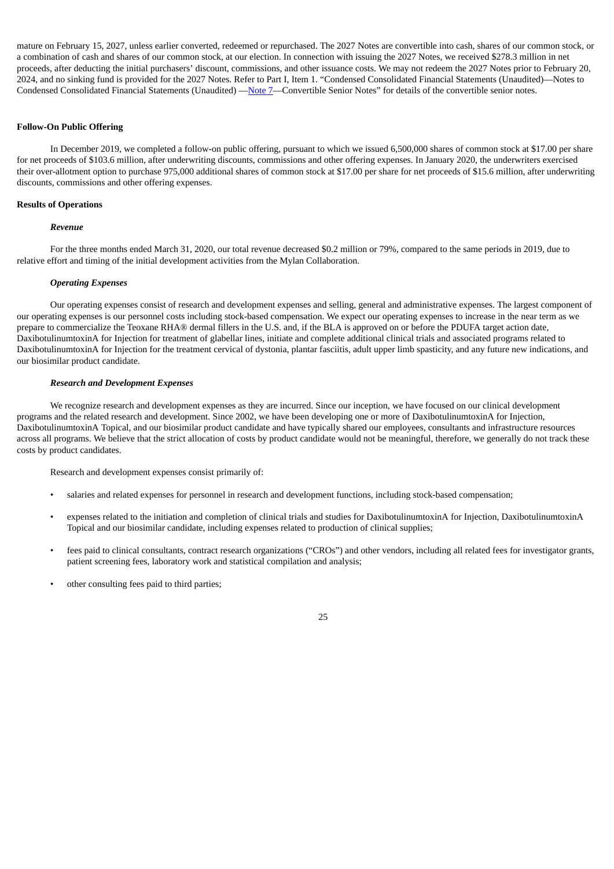mature on February 15, 2027, unless earlier converted, redeemed or repurchased. The 2027 Notes are convertible into cash, shares of our common stock, or a combination of cash and shares of our common stock, at our election. In connection with issuing the 2027 Notes, we received \$278.3 million in net proceeds, after deducting the initial purchasers' discount, commissions, and other issuance costs. We may not redeem the 2027 Notes prior to February 20, 2024, and no sinking fund is provided for the 2027 Notes. Refer to Part I, Item 1. "Condensed Consolidated Financial Statements (Unaudited)—Notes to Condensed Consolidated Financial Statements (Unaudited) [—Note](#page-12-0) 7—Convertible Senior Notes" for details of the convertible senior notes.

## **Follow-On Public Offering**

In December 2019, we completed a follow-on public offering, pursuant to which we issued 6,500,000 shares of common stock at \$17.00 per share for net proceeds of \$103.6 million, after underwriting discounts, commissions and other offering expenses. In January 2020, the underwriters exercised their over-allotment option to purchase 975,000 additional shares of common stock at \$17.00 per share for net proceeds of \$15.6 million, after underwriting discounts, commissions and other offering expenses.

## **Results of Operations**

## *Revenue*

For the three months ended March 31, 2020, our total revenue decreased \$0.2 million or 79%, compared to the same periods in 2019, due to relative effort and timing of the initial development activities from the Mylan Collaboration.

## *Operating Expenses*

Our operating expenses consist of research and development expenses and selling, general and administrative expenses. The largest component of our operating expenses is our personnel costs including stock-based compensation. We expect our operating expenses to increase in the near term as we prepare to commercialize the Teoxane RHA® dermal fillers in the U.S. and, if the BLA is approved on or before the PDUFA target action date, DaxibotulinumtoxinA for Injection for treatment of glabellar lines, initiate and complete additional clinical trials and associated programs related to DaxibotulinumtoxinA for Injection for the treatment cervical of dystonia, plantar fasciitis, adult upper limb spasticity, and any future new indications, and our biosimilar product candidate.

## *Research and Development Expenses*

We recognize research and development expenses as they are incurred. Since our inception, we have focused on our clinical development programs and the related research and development. Since 2002, we have been developing one or more of DaxibotulinumtoxinA for Injection, DaxibotulinumtoxinA Topical, and our biosimilar product candidate and have typically shared our employees, consultants and infrastructure resources across all programs. We believe that the strict allocation of costs by product candidate would not be meaningful, therefore, we generally do not track these costs by product candidates.

Research and development expenses consist primarily of:

- salaries and related expenses for personnel in research and development functions, including stock-based compensation;
- expenses related to the initiation and completion of clinical trials and studies for DaxibotulinumtoxinA for Injection, DaxibotulinumtoxinA Topical and our biosimilar candidate, including expenses related to production of clinical supplies;
- fees paid to clinical consultants, contract research organizations ("CROs") and other vendors, including all related fees for investigator grants, patient screening fees, laboratory work and statistical compilation and analysis;
- other consulting fees paid to third parties;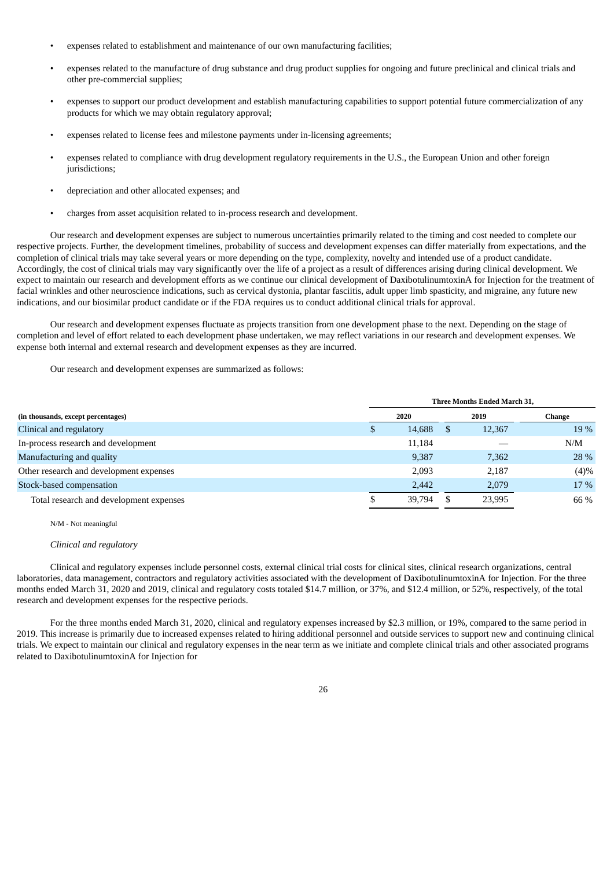- expenses related to establishment and maintenance of our own manufacturing facilities;
- expenses related to the manufacture of drug substance and drug product supplies for ongoing and future preclinical and clinical trials and other pre-commercial supplies;
- expenses to support our product development and establish manufacturing capabilities to support potential future commercialization of any products for which we may obtain regulatory approval;
- expenses related to license fees and milestone payments under in-licensing agreements;
- expenses related to compliance with drug development regulatory requirements in the U.S., the European Union and other foreign jurisdictions:
- depreciation and other allocated expenses; and
- charges from asset acquisition related to in-process research and development.

Our research and development expenses are subject to numerous uncertainties primarily related to the timing and cost needed to complete our respective projects. Further, the development timelines, probability of success and development expenses can differ materially from expectations, and the completion of clinical trials may take several years or more depending on the type, complexity, novelty and intended use of a product candidate. Accordingly, the cost of clinical trials may vary significantly over the life of a project as a result of differences arising during clinical development. We expect to maintain our research and development efforts as we continue our clinical development of DaxibotulinumtoxinA for Injection for the treatment of facial wrinkles and other neuroscience indications, such as cervical dystonia, plantar fasciitis, adult upper limb spasticity, and migraine, any future new indications, and our biosimilar product candidate or if the FDA requires us to conduct additional clinical trials for approval.

Our research and development expenses fluctuate as projects transition from one development phase to the next. Depending on the stage of completion and level of effort related to each development phase undertaken, we may reflect variations in our research and development expenses. We expense both internal and external research and development expenses as they are incurred.

Our research and development expenses are summarized as follows:

|                                         |  | Three Months Ended March 31. |    |        |        |  |  |  |  |
|-----------------------------------------|--|------------------------------|----|--------|--------|--|--|--|--|
| (in thousands, except percentages)      |  | 2020                         |    | 2019   | Change |  |  |  |  |
| Clinical and regulatory                 |  | 14,688                       | -5 | 12,367 | 19 %   |  |  |  |  |
| In-process research and development     |  | 11,184                       |    |        | N/M    |  |  |  |  |
| Manufacturing and quality               |  | 9,387                        |    | 7.362  | 28 %   |  |  |  |  |
| Other research and development expenses |  | 2,093                        |    | 2,187  | (4)%   |  |  |  |  |
| Stock-based compensation                |  | 2.442                        |    | 2.079  | $17\%$ |  |  |  |  |
| Total research and development expenses |  | 39.794                       |    | 23.995 | 66 %   |  |  |  |  |

N/M - Not meaningful

#### *Clinical and regulatory*

Clinical and regulatory expenses include personnel costs, external clinical trial costs for clinical sites, clinical research organizations, central laboratories, data management, contractors and regulatory activities associated with the development of DaxibotulinumtoxinA for Injection. For the three months ended March 31, 2020 and 2019, clinical and regulatory costs totaled \$14.7 million, or 37%, and \$12.4 million, or 52%, respectively, of the total research and development expenses for the respective periods.

For the three months ended March 31, 2020, clinical and regulatory expenses increased by \$2.3 million, or 19%, compared to the same period in 2019. This increase is primarily due to increased expenses related to hiring additional personnel and outside services to support new and continuing clinical trials. We expect to maintain our clinical and regulatory expenses in the near term as we initiate and complete clinical trials and other associated programs related to DaxibotulinumtoxinA for Injection for

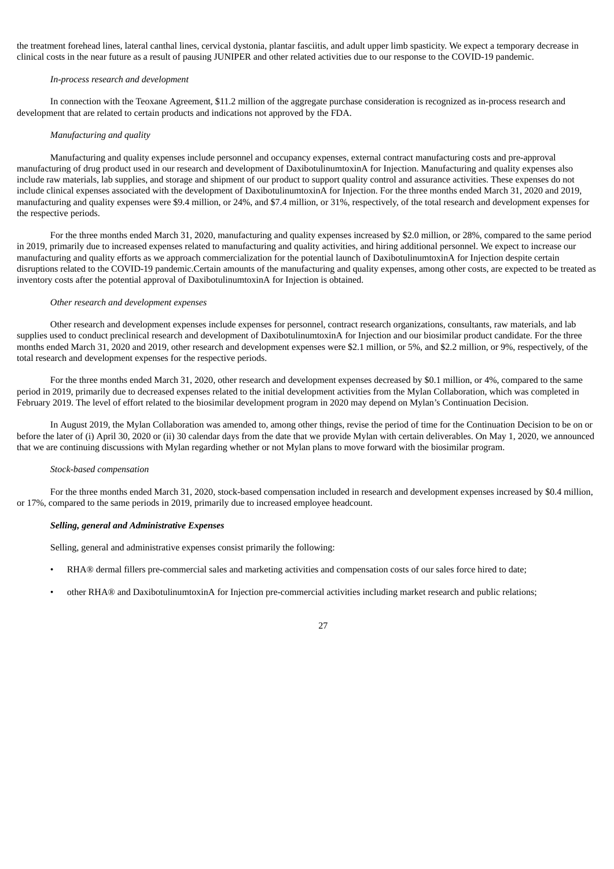the treatment forehead lines, lateral canthal lines, cervical dystonia, plantar fasciitis, and adult upper limb spasticity. We expect a temporary decrease in clinical costs in the near future as a result of pausing JUNIPER and other related activities due to our response to the COVID-19 pandemic.

#### *In-process research and development*

In connection with the Teoxane Agreement, \$11.2 million of the aggregate purchase consideration is recognized as in-process research and development that are related to certain products and indications not approved by the FDA.

### *Manufacturing and quality*

Manufacturing and quality expenses include personnel and occupancy expenses, external contract manufacturing costs and pre-approval manufacturing of drug product used in our research and development of DaxibotulinumtoxinA for Injection. Manufacturing and quality expenses also include raw materials, lab supplies, and storage and shipment of our product to support quality control and assurance activities. These expenses do not include clinical expenses associated with the development of DaxibotulinumtoxinA for Injection. For the three months ended March 31, 2020 and 2019, manufacturing and quality expenses were \$9.4 million, or 24%, and \$7.4 million, or 31%, respectively, of the total research and development expenses for the respective periods.

For the three months ended March 31, 2020, manufacturing and quality expenses increased by \$2.0 million, or 28%, compared to the same period in 2019, primarily due to increased expenses related to manufacturing and quality activities, and hiring additional personnel. We expect to increase our manufacturing and quality efforts as we approach commercialization for the potential launch of DaxibotulinumtoxinA for Injection despite certain disruptions related to the COVID-19 pandemic.Certain amounts of the manufacturing and quality expenses, among other costs, are expected to be treated as inventory costs after the potential approval of DaxibotulinumtoxinA for Injection is obtained.

## *Other research and development expenses*

Other research and development expenses include expenses for personnel, contract research organizations, consultants, raw materials, and lab supplies used to conduct preclinical research and development of DaxibotulinumtoxinA for Injection and our biosimilar product candidate. For the three months ended March 31, 2020 and 2019, other research and development expenses were \$2.1 million, or 5%, and \$2.2 million, or 9%, respectively, of the total research and development expenses for the respective periods.

For the three months ended March 31, 2020, other research and development expenses decreased by \$0.1 million, or 4%, compared to the same period in 2019, primarily due to decreased expenses related to the initial development activities from the Mylan Collaboration, which was completed in February 2019. The level of effort related to the biosimilar development program in 2020 may depend on Mylan's Continuation Decision.

In August 2019, the Mylan Collaboration was amended to, among other things, revise the period of time for the Continuation Decision to be on or before the later of (i) April 30, 2020 or (ii) 30 calendar days from the date that we provide Mylan with certain deliverables. On May 1, 2020, we announced that we are continuing discussions with Mylan regarding whether or not Mylan plans to move forward with the biosimilar program.

#### *Stock-based compensation*

For the three months ended March 31, 2020, stock-based compensation included in research and development expenses increased by \$0.4 million, or 17%, compared to the same periods in 2019, primarily due to increased employee headcount.

## *Selling, general and Administrative Expenses*

Selling, general and administrative expenses consist primarily the following:

- RHA® dermal fillers pre-commercial sales and marketing activities and compensation costs of our sales force hired to date;
- other RHA® and DaxibotulinumtoxinA for Injection pre-commercial activities including market research and public relations;

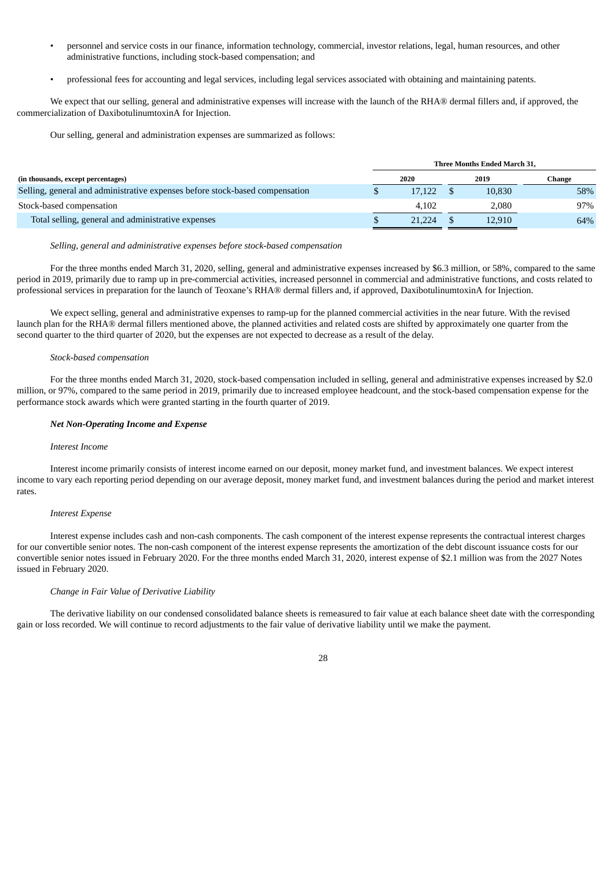- personnel and service costs in our finance, information technology, commercial, investor relations, legal, human resources, and other administrative functions, including stock-based compensation; and
- professional fees for accounting and legal services, including legal services associated with obtaining and maintaining patents.

We expect that our selling, general and administrative expenses will increase with the launch of the RHA® dermal fillers and, if approved, the commercialization of DaxibotulinumtoxinA for Injection.

Our selling, general and administration expenses are summarized as follows:

|                                                                              | Three Months Ended March 31, |        |  |        |        |  |
|------------------------------------------------------------------------------|------------------------------|--------|--|--------|--------|--|
| (in thousands, except percentages)                                           |                              | 2020   |  | 2019   | Change |  |
| Selling, general and administrative expenses before stock-based compensation |                              | 17.122 |  | 10,830 | 58%    |  |
| Stock-based compensation                                                     |                              | 4.102  |  | 2.080  | 97%    |  |
| Total selling, general and administrative expenses                           |                              | 21.224 |  | 12,910 | 64%    |  |

#### *Selling, general and administrative expenses before stock-based compensation*

For the three months ended March 31, 2020, selling, general and administrative expenses increased by \$6.3 million, or 58%, compared to the same period in 2019, primarily due to ramp up in pre-commercial activities, increased personnel in commercial and administrative functions, and costs related to professional services in preparation for the launch of Teoxane's RHA® dermal fillers and, if approved, DaxibotulinumtoxinA for Injection.

We expect selling, general and administrative expenses to ramp-up for the planned commercial activities in the near future. With the revised launch plan for the RHA® dermal fillers mentioned above, the planned activities and related costs are shifted by approximately one quarter from the second quarter to the third quarter of 2020, but the expenses are not expected to decrease as a result of the delay.

#### *Stock-based compensation*

For the three months ended March 31, 2020, stock-based compensation included in selling, general and administrative expenses increased by \$2.0 million, or 97%, compared to the same period in 2019, primarily due to increased employee headcount, and the stock-based compensation expense for the performance stock awards which were granted starting in the fourth quarter of 2019.

## *Net Non-Operating Income and Expense*

## *Interest Income*

Interest income primarily consists of interest income earned on our deposit, money market fund, and investment balances. We expect interest income to vary each reporting period depending on our average deposit, money market fund, and investment balances during the period and market interest rates.

#### *Interest Expense*

Interest expense includes cash and non-cash components. The cash component of the interest expense represents the contractual interest charges for our convertible senior notes. The non-cash component of the interest expense represents the amortization of the debt discount issuance costs for our convertible senior notes issued in February 2020. For the three months ended March 31, 2020, interest expense of \$2.1 million was from the 2027 Notes issued in February 2020.

## *Change in Fair Value of Derivative Liability*

The derivative liability on our condensed consolidated balance sheets is remeasured to fair value at each balance sheet date with the corresponding gain or loss recorded. We will continue to record adjustments to the fair value of derivative liability until we make the payment.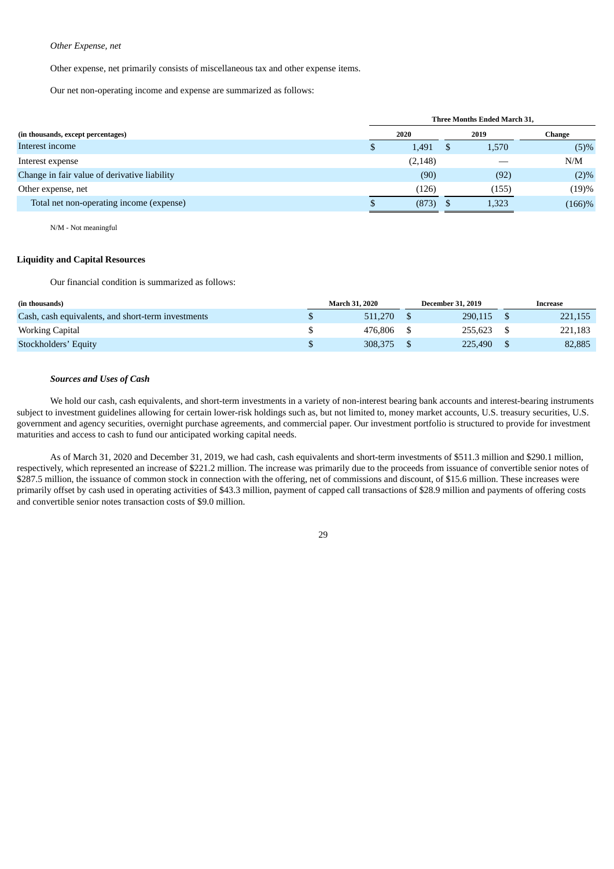#### *Other Expense, net*

Other expense, net primarily consists of miscellaneous tax and other expense items.

Our net non-operating income and expense are summarized as follows:

|                                              | Three Months Ended March 31, |          |    |       |         |  |  |  |
|----------------------------------------------|------------------------------|----------|----|-------|---------|--|--|--|
| (in thousands, except percentages)           |                              | 2020     |    | 2019  | Change  |  |  |  |
| Interest income                              |                              | 1,491    | -5 | 1,570 | $(5)\%$ |  |  |  |
| Interest expense                             |                              | (2, 148) |    |       | N/M     |  |  |  |
| Change in fair value of derivative liability |                              | (90)     |    | (92)  | $(2)\%$ |  |  |  |
| Other expense, net                           |                              | (126)    |    | (155) | (19)%   |  |  |  |
| Total net non-operating income (expense)     |                              | (873)    |    | 1,323 | (166)%  |  |  |  |

N/M - Not meaningful

## **Liquidity and Capital Resources**

Our financial condition is summarized as follows:

| (in thousands)                                     | March 31, 2020 |          | <b>December 31, 2019</b> |         |  | Increase |
|----------------------------------------------------|----------------|----------|--------------------------|---------|--|----------|
| Cash, cash equivalents, and short-term investments |                | 511,270  |                          | 290,115 |  | 221.155  |
| <b>Working Capital</b>                             |                | 476.806  |                          | 255.623 |  | 221.183  |
| Stockholders' Equity                               |                | 308, 375 |                          | 225,490 |  | 82,885   |

## *Sources and Uses of Cash*

We hold our cash, cash equivalents, and short-term investments in a variety of non-interest bearing bank accounts and interest-bearing instruments subject to investment guidelines allowing for certain lower-risk holdings such as, but not limited to, money market accounts, U.S. treasury securities, U.S. government and agency securities, overnight purchase agreements, and commercial paper. Our investment portfolio is structured to provide for investment maturities and access to cash to fund our anticipated working capital needs.

As of March 31, 2020 and December 31, 2019, we had cash, cash equivalents and short-term investments of \$511.3 million and \$290.1 million, respectively, which represented an increase of \$221.2 million. The increase was primarily due to the proceeds from issuance of convertible senior notes of \$287.5 million, the issuance of common stock in connection with the offering, net of commissions and discount, of \$15.6 million. These increases were primarily offset by cash used in operating activities of \$43.3 million, payment of capped call transactions of \$28.9 million and payments of offering costs and convertible senior notes transaction costs of \$9.0 million.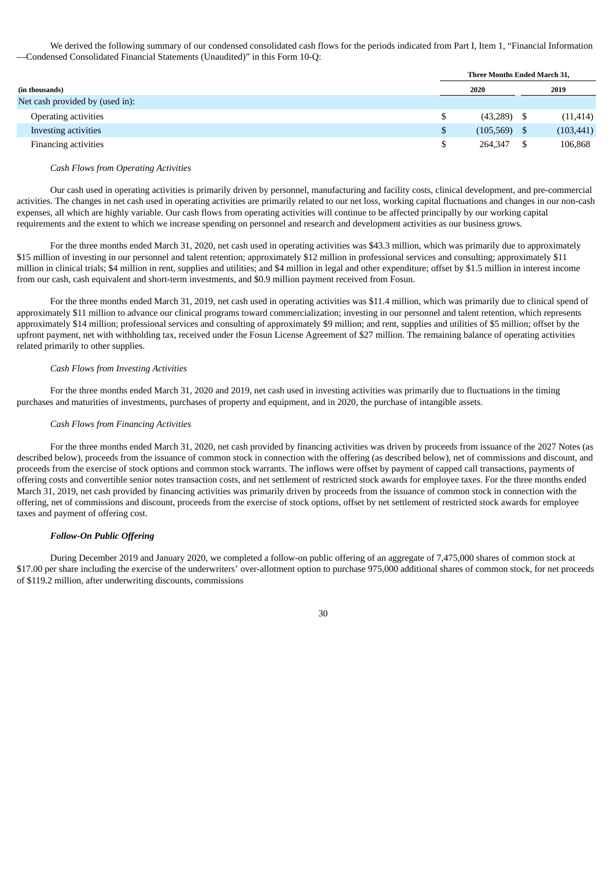We derived the following summary of our condensed consolidated cash flows for the periods indicated from Part I, Item 1, "Financial Information —Condensed Consolidated Financial Statements (Unaudited)" in this Form 10-Q:

|                                 |  | Three Months Ended March 31, |            |  |
|---------------------------------|--|------------------------------|------------|--|
| (in thousands)                  |  | 2020                         | 2019       |  |
| Net cash provided by (used in): |  |                              |            |  |
| Operating activities            |  | (43,289)                     | (11, 414)  |  |
| Investing activities            |  | $(105,569)$ \$               | (103, 441) |  |
| <b>Financing activities</b>     |  | 264,347                      | 106,868    |  |

#### *Cash Flows from Operating Activities*

Our cash used in operating activities is primarily driven by personnel, manufacturing and facility costs, clinical development, and pre-commercial activities. The changes in net cash used in operating activities are primarily related to our net loss, working capital fluctuations and changes in our non-cash expenses, all which are highly variable. Our cash flows from operating activities will continue to be affected principally by our working capital requirements and the extent to which we increase spending on personnel and research and development activities as our business grows.

For the three months ended March 31, 2020, net cash used in operating activities was \$43.3 million, which was primarily due to approximately \$15 million of investing in our personnel and talent retention; approximately \$12 million in professional services and consulting; approximately \$11 million in clinical trials; \$4 million in rent, supplies and utilities; and \$4 million in legal and other expenditure; offset by \$1.5 million in interest income from our cash, cash equivalent and short-term investments, and \$0.9 million payment received from Fosun.

For the three months ended March 31, 2019, net cash used in operating activities was \$11.4 million, which was primarily due to clinical spend of approximately \$11 million to advance our clinical programs toward commercialization; investing in our personnel and talent retention, which represents approximately \$14 million; professional services and consulting of approximately \$9 million; and rent, supplies and utilities of \$5 million; offset by the upfront payment, net with withholding tax, received under the Fosun License Agreement of \$27 million. The remaining balance of operating activities related primarily to other supplies.

## *Cash Flows from Investing Activities*

For the three months ended March 31, 2020 and 2019, net cash used in investing activities was primarily due to fluctuations in the timing purchases and maturities of investments, purchases of property and equipment, and in 2020, the purchase of intangible assets.

# *Cash Flows from Financing Activities*

For the three months ended March 31, 2020, net cash provided by financing activities was driven by proceeds from issuance of the 2027 Notes (as described below), proceeds from the issuance of common stock in connection with the offering (as described below), net of commissions and discount, and proceeds from the exercise of stock options and common stock warrants. The inflows were offset by payment of capped call transactions, payments of offering costs and convertible senior notes transaction costs, and net settlement of restricted stock awards for employee taxes. For the three months ended March 31, 2019, net cash provided by financing activities was primarily driven by proceeds from the issuance of common stock in connection with the offering, net of commissions and discount, proceeds from the exercise of stock options, offset by net settlement of restricted stock awards for employee taxes and payment of offering cost.

## *Follow-On Public Offering*

During December 2019 and January 2020, we completed a follow-on public offering of an aggregate of 7,475,000 shares of common stock at \$17.00 per share including the exercise of the underwriters' over-allotment option to purchase 975,000 additional shares of common stock, for net proceeds of \$119.2 million, after underwriting discounts, commissions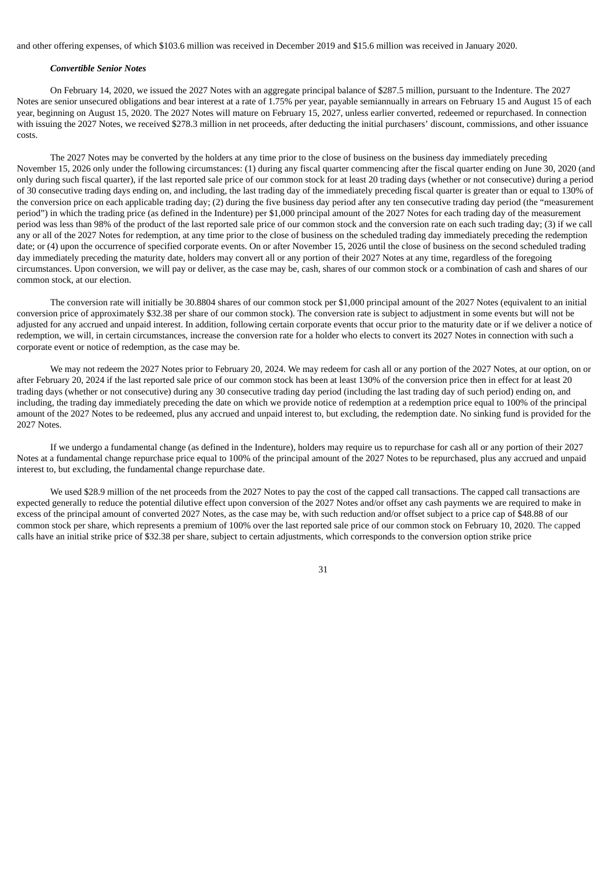and other offering expenses, of which \$103.6 million was received in December 2019 and \$15.6 million was received in January 2020.

## *Convertible Senior Notes*

On February 14, 2020, we issued the 2027 Notes with an aggregate principal balance of \$287.5 million, pursuant to the Indenture. The 2027 Notes are senior unsecured obligations and bear interest at a rate of 1.75% per year, payable semiannually in arrears on February 15 and August 15 of each year, beginning on August 15, 2020. The 2027 Notes will mature on February 15, 2027, unless earlier converted, redeemed or repurchased. In connection with issuing the 2027 Notes, we received \$278.3 million in net proceeds, after deducting the initial purchasers' discount, commissions, and other issuance costs.

The 2027 Notes may be converted by the holders at any time prior to the close of business on the business day immediately preceding November 15, 2026 only under the following circumstances: (1) during any fiscal quarter commencing after the fiscal quarter ending on June 30, 2020 (and only during such fiscal quarter), if the last reported sale price of our common stock for at least 20 trading days (whether or not consecutive) during a period of 30 consecutive trading days ending on, and including, the last trading day of the immediately preceding fiscal quarter is greater than or equal to 130% of the conversion price on each applicable trading day; (2) during the five business day period after any ten consecutive trading day period (the "measurement period") in which the trading price (as defined in the Indenture) per \$1,000 principal amount of the 2027 Notes for each trading day of the measurement period was less than 98% of the product of the last reported sale price of our common stock and the conversion rate on each such trading day; (3) if we call any or all of the 2027 Notes for redemption, at any time prior to the close of business on the scheduled trading day immediately preceding the redemption date; or (4) upon the occurrence of specified corporate events. On or after November 15, 2026 until the close of business on the second scheduled trading day immediately preceding the maturity date, holders may convert all or any portion of their 2027 Notes at any time, regardless of the foregoing circumstances. Upon conversion, we will pay or deliver, as the case may be, cash, shares of our common stock or a combination of cash and shares of our common stock, at our election.

The conversion rate will initially be 30.8804 shares of our common stock per \$1,000 principal amount of the 2027 Notes (equivalent to an initial conversion price of approximately \$32.38 per share of our common stock). The conversion rate is subject to adjustment in some events but will not be adjusted for any accrued and unpaid interest. In addition, following certain corporate events that occur prior to the maturity date or if we deliver a notice of redemption, we will, in certain circumstances, increase the conversion rate for a holder who elects to convert its 2027 Notes in connection with such a corporate event or notice of redemption, as the case may be.

We may not redeem the 2027 Notes prior to February 20, 2024. We may redeem for cash all or any portion of the 2027 Notes, at our option, on or after February 20, 2024 if the last reported sale price of our common stock has been at least 130% of the conversion price then in effect for at least 20 trading days (whether or not consecutive) during any 30 consecutive trading day period (including the last trading day of such period) ending on, and including, the trading day immediately preceding the date on which we provide notice of redemption at a redemption price equal to 100% of the principal amount of the 2027 Notes to be redeemed, plus any accrued and unpaid interest to, but excluding, the redemption date. No sinking fund is provided for the 2027 Notes.

If we undergo a fundamental change (as defined in the Indenture), holders may require us to repurchase for cash all or any portion of their 2027 Notes at a fundamental change repurchase price equal to 100% of the principal amount of the 2027 Notes to be repurchased, plus any accrued and unpaid interest to, but excluding, the fundamental change repurchase date.

We used \$28.9 million of the net proceeds from the 2027 Notes to pay the cost of the capped call transactions. The capped call transactions are expected generally to reduce the potential dilutive effect upon conversion of the 2027 Notes and/or offset any cash payments we are required to make in excess of the principal amount of converted 2027 Notes, as the case may be, with such reduction and/or offset subject to a price cap of \$48.88 of our common stock per share, which represents a premium of 100% over the last reported sale price of our common stock on February 10, 2020. The capped calls have an initial strike price of \$32.38 per share, subject to certain adjustments, which corresponds to the conversion option strike price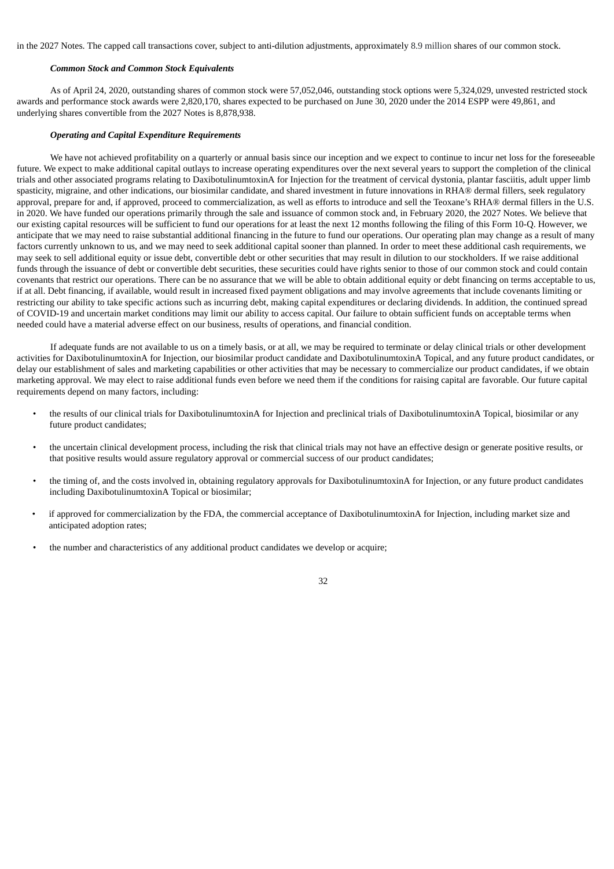in the 2027 Notes. The capped call transactions cover, subject to anti-dilution adjustments, approximately 8.9 million shares of our common stock.

## *Common Stock and Common Stock Equivalents*

As of April 24, 2020, outstanding shares of common stock were 57,052,046, outstanding stock options were 5,324,029, unvested restricted stock awards and performance stock awards were 2,820,170, shares expected to be purchased on June 30, 2020 under the 2014 ESPP were 49,861, and underlying shares convertible from the 2027 Notes is 8,878,938.

#### *Operating and Capital Expenditure Requirements*

We have not achieved profitability on a quarterly or annual basis since our inception and we expect to continue to incur net loss for the foreseeable future. We expect to make additional capital outlays to increase operating expenditures over the next several years to support the completion of the clinical trials and other associated programs relating to DaxibotulinumtoxinA for Injection for the treatment of cervical dystonia, plantar fasciitis, adult upper limb spasticity, migraine, and other indications, our biosimilar candidate, and shared investment in future innovations in RHA® dermal fillers, seek regulatory approval, prepare for and, if approved, proceed to commercialization, as well as efforts to introduce and sell the Teoxane's RHA® dermal fillers in the U.S. in 2020. We have funded our operations primarily through the sale and issuance of common stock and, in February 2020, the 2027 Notes. We believe that our existing capital resources will be sufficient to fund our operations for at least the next 12 months following the filing of this Form 10-Q. However, we anticipate that we may need to raise substantial additional financing in the future to fund our operations. Our operating plan may change as a result of many factors currently unknown to us, and we may need to seek additional capital sooner than planned. In order to meet these additional cash requirements, we may seek to sell additional equity or issue debt, convertible debt or other securities that may result in dilution to our stockholders. If we raise additional funds through the issuance of debt or convertible debt securities, these securities could have rights senior to those of our common stock and could contain covenants that restrict our operations. There can be no assurance that we will be able to obtain additional equity or debt financing on terms acceptable to us, if at all. Debt financing, if available, would result in increased fixed payment obligations and may involve agreements that include covenants limiting or restricting our ability to take specific actions such as incurring debt, making capital expenditures or declaring dividends. In addition, the continued spread of COVID-19 and uncertain market conditions may limit our ability to access capital. Our failure to obtain sufficient funds on acceptable terms when needed could have a material adverse effect on our business, results of operations, and financial condition.

If adequate funds are not available to us on a timely basis, or at all, we may be required to terminate or delay clinical trials or other development activities for DaxibotulinumtoxinA for Injection, our biosimilar product candidate and DaxibotulinumtoxinA Topical, and any future product candidates, or delay our establishment of sales and marketing capabilities or other activities that may be necessary to commercialize our product candidates, if we obtain marketing approval. We may elect to raise additional funds even before we need them if the conditions for raising capital are favorable. Our future capital requirements depend on many factors, including:

- the results of our clinical trials for DaxibotulinumtoxinA for Injection and preclinical trials of DaxibotulinumtoxinA Topical, biosimilar or any future product candidates;
- the uncertain clinical development process, including the risk that clinical trials may not have an effective design or generate positive results, or that positive results would assure regulatory approval or commercial success of our product candidates;
- the timing of, and the costs involved in, obtaining regulatory approvals for DaxibotulinumtoxinA for Injection, or any future product candidates including DaxibotulinumtoxinA Topical or biosimilar;
- if approved for commercialization by the FDA, the commercial acceptance of DaxibotulinumtoxinA for Injection, including market size and anticipated adoption rates;
- the number and characteristics of any additional product candidates we develop or acquire;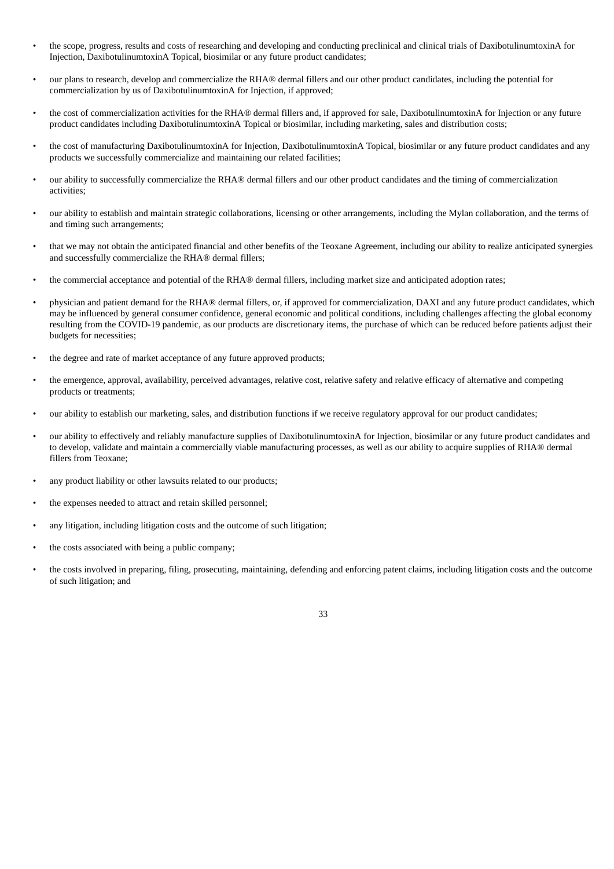- the scope, progress, results and costs of researching and developing and conducting preclinical and clinical trials of DaxibotulinumtoxinA for Injection, DaxibotulinumtoxinA Topical, biosimilar or any future product candidates;
- our plans to research, develop and commercialize the RHA® dermal fillers and our other product candidates, including the potential for commercialization by us of DaxibotulinumtoxinA for Injection, if approved;
- the cost of commercialization activities for the RHA® dermal fillers and, if approved for sale, DaxibotulinumtoxinA for Injection or any future product candidates including DaxibotulinumtoxinA Topical or biosimilar, including marketing, sales and distribution costs;
- the cost of manufacturing DaxibotulinumtoxinA for Injection, DaxibotulinumtoxinA Topical, biosimilar or any future product candidates and any products we successfully commercialize and maintaining our related facilities;
- our ability to successfully commercialize the RHA® dermal fillers and our other product candidates and the timing of commercialization activities;
- our ability to establish and maintain strategic collaborations, licensing or other arrangements, including the Mylan collaboration, and the terms of and timing such arrangements;
- that we may not obtain the anticipated financial and other benefits of the Teoxane Agreement, including our ability to realize anticipated synergies and successfully commercialize the RHA® dermal fillers;
- the commercial acceptance and potential of the RHA® dermal fillers, including market size and anticipated adoption rates;
- physician and patient demand for the RHA® dermal fillers, or, if approved for commercialization, DAXI and any future product candidates, which may be influenced by general consumer confidence, general economic and political conditions, including challenges affecting the global economy resulting from the COVID-19 pandemic, as our products are discretionary items, the purchase of which can be reduced before patients adjust their budgets for necessities;
- the degree and rate of market acceptance of any future approved products;
- the emergence, approval, availability, perceived advantages, relative cost, relative safety and relative efficacy of alternative and competing products or treatments;
- our ability to establish our marketing, sales, and distribution functions if we receive regulatory approval for our product candidates;
- our ability to effectively and reliably manufacture supplies of DaxibotulinumtoxinA for Injection, biosimilar or any future product candidates and to develop, validate and maintain a commercially viable manufacturing processes, as well as our ability to acquire supplies of RHA® dermal fillers from Teoxane;
- any product liability or other lawsuits related to our products;
- the expenses needed to attract and retain skilled personnel;
- any litigation, including litigation costs and the outcome of such litigation;
- the costs associated with being a public company;
- the costs involved in preparing, filing, prosecuting, maintaining, defending and enforcing patent claims, including litigation costs and the outcome of such litigation; and

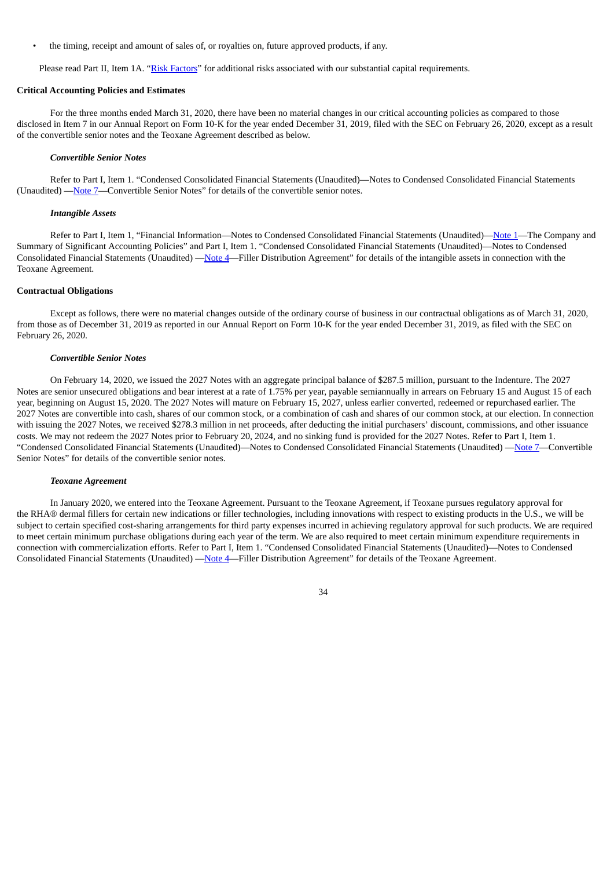• the timing, receipt and amount of sales of, or royalties on, future approved products, if any.

Please read Part II, Item 1A. "Risk [Factors"](#page-35-2) for additional risks associated with our substantial capital requirements.

## **Critical Accounting Policies and Estimates**

For the three months ended March 31, 2020, there have been no material changes in our critical accounting policies as compared to those disclosed in Item 7 in our Annual Report on Form 10-K for the year ended December 31, 2019, filed with the SEC on February 26, 2020, except as a result of the convertible senior notes and the Teoxane Agreement described as below.

## *Convertible Senior Notes*

Refer to Part I, Item 1. "Condensed Consolidated Financial Statements (Unaudited)—Notes to Condensed Consolidated Financial Statements (Unaudited) [—Note](#page-12-0) 7—Convertible Senior Notes" for details of the convertible senior notes.

## *Intangible Assets*

Refer to Part I, Item 1, "Financial Information—Notes to Condensed Consolidated Financial Statements (Unaudited)[—Note](#page-6-1) 1—The Company and Summary of Significant Accounting Policies" and Part I, Item 1. "Condensed Consolidated Financial Statements (Unaudited)—Notes to Condensed Consolidated Financial Statements (Unaudited) [—Note](#page-10-0) 4—Filler Distribution Agreement" for details of the intangible assets in connection with the Teoxane Agreement.

## **Contractual Obligations**

Except as follows, there were no material changes outside of the ordinary course of business in our contractual obligations as of March 31, 2020, from those as of December 31, 2019 as reported in our Annual Report on Form 10-K for the year ended December 31, 2019, as filed with the SEC on February 26, 2020.

### *Convertible Senior Notes*

On February 14, 2020, we issued the 2027 Notes with an aggregate principal balance of \$287.5 million, pursuant to the Indenture. The 2027 Notes are senior unsecured obligations and bear interest at a rate of 1.75% per year, payable semiannually in arrears on February 15 and August 15 of each year, beginning on August 15, 2020. The 2027 Notes will mature on February 15, 2027, unless earlier converted, redeemed or repurchased earlier. The 2027 Notes are convertible into cash, shares of our common stock, or a combination of cash and shares of our common stock, at our election. In connection with issuing the 2027 Notes, we received \$278.3 million in net proceeds, after deducting the initial purchasers' discount, commissions, and other issuance costs. We may not redeem the 2027 Notes prior to February 20, 2024, and no sinking fund is provided for the 2027 Notes. Refer to Part I, Item 1. "Condensed Consolidated Financial Statements (Unaudited)—Notes to Condensed Consolidated Financial Statements (Unaudited) —[Note](#page-12-0) 7—Convertible Senior Notes" for details of the convertible senior notes.

## *Teoxane Agreement*

In January 2020, we entered into the Teoxane Agreement. Pursuant to the Teoxane Agreement, if Teoxane pursues regulatory approval for the RHA® dermal fillers for certain new indications or filler technologies, including innovations with respect to existing products in the U.S., we will be subject to certain specified cost-sharing arrangements for third party expenses incurred in achieving regulatory approval for such products. We are required to meet certain minimum purchase obligations during each year of the term. We are also required to meet certain minimum expenditure requirements in connection with commercialization efforts. Refer to Part I, Item 1. "Condensed Consolidated Financial Statements (Unaudited)—Notes to Condensed Consolidated Financial Statements (Unaudited) [—Note](#page-10-0) 4—Filler Distribution Agreement" for details of the Teoxane Agreement.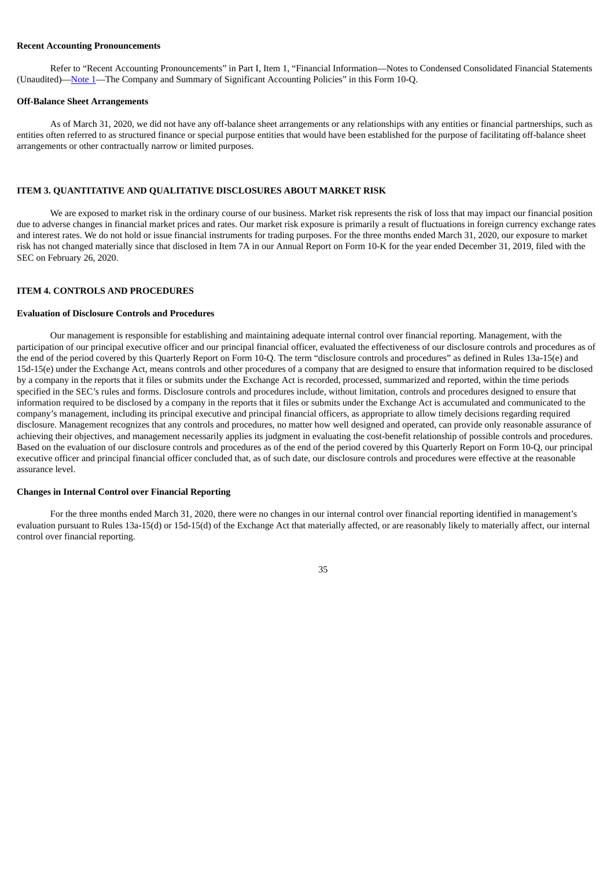#### **Recent Accounting Pronouncements**

Refer to "Recent Accounting Pronouncements" in Part I, Item 1, "Financial Information—Notes to Condensed Consolidated Financial Statements (Unaudited)—[Note](#page-6-1) 1—The Company and Summary of Significant Accounting Policies" in this Form 10-Q.

## **Off-Balance Sheet Arrangements**

As of March 31, 2020, we did not have any off-balance sheet arrangements or any relationships with any entities or financial partnerships, such as entities often referred to as structured finance or special purpose entities that would have been established for the purpose of facilitating off-balance sheet arrangements or other contractually narrow or limited purposes.

## <span id="page-34-0"></span>**ITEM 3. QUANTITATIVE AND QUALITATIVE DISCLOSURES ABOUT MARKET RISK**

We are exposed to market risk in the ordinary course of our business. Market risk represents the risk of loss that may impact our financial position due to adverse changes in financial market prices and rates. Our market risk exposure is primarily a result of fluctuations in foreign currency exchange rates and interest rates. We do not hold or issue financial instruments for trading purposes. For the three months ended March 31, 2020, our exposure to market risk has not changed materially since that disclosed in Item 7A in our Annual Report on Form 10-K for the year ended December 31, 2019, filed with the SEC on February 26, 2020.

# <span id="page-34-1"></span>**ITEM 4. CONTROLS AND PROCEDURES**

# **Evaluation of Disclosure Controls and Procedures**

Our management is responsible for establishing and maintaining adequate internal control over financial reporting. Management, with the participation of our principal executive officer and our principal financial officer, evaluated the effectiveness of our disclosure controls and procedures as of the end of the period covered by this Quarterly Report on Form 10-Q. The term "disclosure controls and procedures" as defined in Rules 13a-15(e) and 15d-15(e) under the Exchange Act, means controls and other procedures of a company that are designed to ensure that information required to be disclosed by a company in the reports that it files or submits under the Exchange Act is recorded, processed, summarized and reported, within the time periods specified in the SEC's rules and forms. Disclosure controls and procedures include, without limitation, controls and procedures designed to ensure that information required to be disclosed by a company in the reports that it files or submits under the Exchange Act is accumulated and communicated to the company's management, including its principal executive and principal financial officers, as appropriate to allow timely decisions regarding required disclosure. Management recognizes that any controls and procedures, no matter how well designed and operated, can provide only reasonable assurance of achieving their objectives, and management necessarily applies its judgment in evaluating the cost-benefit relationship of possible controls and procedures. Based on the evaluation of our disclosure controls and procedures as of the end of the period covered by this Quarterly Report on Form 10-Q, our principal executive officer and principal financial officer concluded that, as of such date, our disclosure controls and procedures were effective at the reasonable assurance level.

## **Changes in Internal Control over Financial Reporting**

For the three months ended March 31, 2020, there were no changes in our internal control over financial reporting identified in management's evaluation pursuant to Rules 13a-15(d) or 15d-15(d) of the Exchange Act that materially affected, or are reasonably likely to materially affect, our internal control over financial reporting.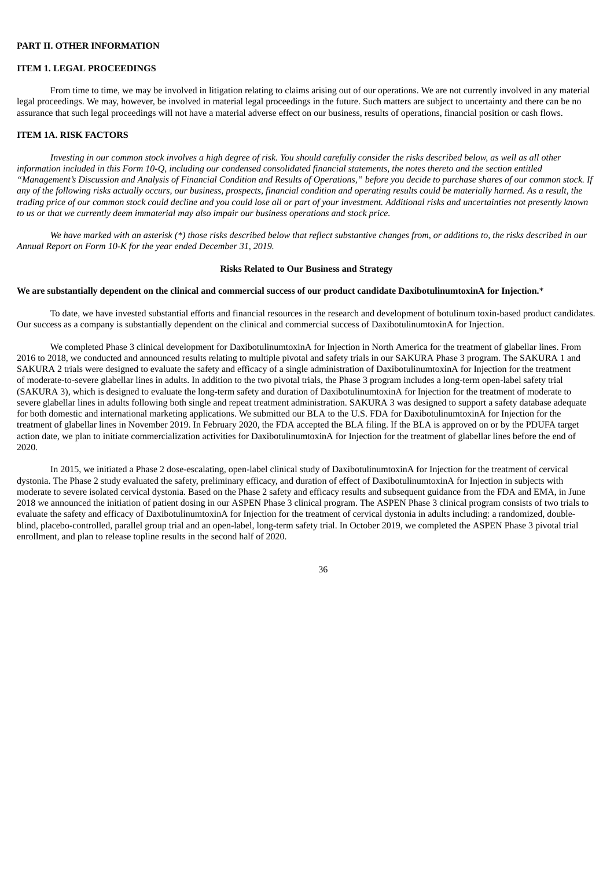## <span id="page-35-0"></span>**PART II. OTHER INFORMATION**

# <span id="page-35-1"></span>**ITEM 1. LEGAL PROCEEDINGS**

From time to time, we may be involved in litigation relating to claims arising out of our operations. We are not currently involved in any material legal proceedings. We may, however, be involved in material legal proceedings in the future. Such matters are subject to uncertainty and there can be no assurance that such legal proceedings will not have a material adverse effect on our business, results of operations, financial position or cash flows.

# <span id="page-35-2"></span>**ITEM 1A. RISK FACTORS**

Investing in our common stock involves a high degree of risk. You should carefully consider the risks described below, as well as all other information included in this Form 10-O, including our condensed consolidated financial statements, the notes thereto and the section entitled "Management's Discussion and Analysis of Financial Condition and Results of Operations," before you decide to purchase shares of our common stock. If any of the following risks actually occurs, our business, prospects, financial condition and operating results could be materially harmed. As a result, the trading price of our common stock could decline and you could lose all or part of your investment. Additional risks and uncertainties not presently known *to us or that we currently deem immaterial may also impair our business operations and stock price.*

We have marked with an asterisk (\*) those risks described below that reflect substantive changes from, or additions to, the risks described in our *Annual Report on Form 10-K for the year ended December 31, 2019.*

# **Risks Related to Our Business and Strategy**

# We are substantially dependent on the clinical and commercial success of our product candidate DaxibotulinumtoxinA for Iniection.\*

To date, we have invested substantial efforts and financial resources in the research and development of botulinum toxin-based product candidates. Our success as a company is substantially dependent on the clinical and commercial success of DaxibotulinumtoxinA for Injection.

We completed Phase 3 clinical development for DaxibotulinumtoxinA for Injection in North America for the treatment of glabellar lines. From 2016 to 2018, we conducted and announced results relating to multiple pivotal and safety trials in our SAKURA Phase 3 program. The SAKURA 1 and SAKURA 2 trials were designed to evaluate the safety and efficacy of a single administration of DaxibotulinumtoxinA for Injection for the treatment of moderate-to-severe glabellar lines in adults. In addition to the two pivotal trials, the Phase 3 program includes a long-term open-label safety trial (SAKURA 3), which is designed to evaluate the long-term safety and duration of DaxibotulinumtoxinA for Injection for the treatment of moderate to severe glabellar lines in adults following both single and repeat treatment administration. SAKURA 3 was designed to support a safety database adequate for both domestic and international marketing applications. We submitted our BLA to the U.S. FDA for DaxibotulinumtoxinA for Injection for the treatment of glabellar lines in November 2019. In February 2020, the FDA accepted the BLA filing. If the BLA is approved on or by the PDUFA target action date, we plan to initiate commercialization activities for DaxibotulinumtoxinA for Injection for the treatment of glabellar lines before the end of 2020.

In 2015, we initiated a Phase 2 dose-escalating, open-label clinical study of DaxibotulinumtoxinA for Injection for the treatment of cervical dystonia. The Phase 2 study evaluated the safety, preliminary efficacy, and duration of effect of DaxibotulinumtoxinA for Injection in subjects with moderate to severe isolated cervical dystonia. Based on the Phase 2 safety and efficacy results and subsequent guidance from the FDA and EMA, in June 2018 we announced the initiation of patient dosing in our ASPEN Phase 3 clinical program. The ASPEN Phase 3 clinical program consists of two trials to evaluate the safety and efficacy of DaxibotulinumtoxinA for Injection for the treatment of cervical dystonia in adults including: a randomized, doubleblind, placebo-controlled, parallel group trial and an open-label, long-term safety trial. In October 2019, we completed the ASPEN Phase 3 pivotal trial enrollment, and plan to release topline results in the second half of 2020.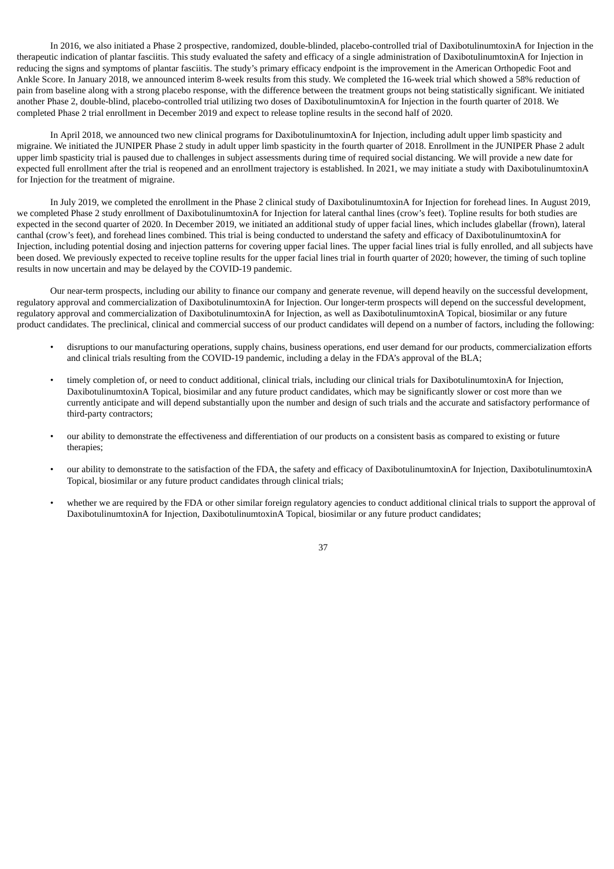In 2016, we also initiated a Phase 2 prospective, randomized, double-blinded, placebo-controlled trial of DaxibotulinumtoxinA for Injection in the therapeutic indication of plantar fasciitis. This study evaluated the safety and efficacy of a single administration of DaxibotulinumtoxinA for Injection in reducing the signs and symptoms of plantar fasciitis. The study's primary efficacy endpoint is the improvement in the American Orthopedic Foot and Ankle Score. In January 2018, we announced interim 8-week results from this study. We completed the 16-week trial which showed a 58% reduction of pain from baseline along with a strong placebo response, with the difference between the treatment groups not being statistically significant. We initiated another Phase 2, double-blind, placebo-controlled trial utilizing two doses of DaxibotulinumtoxinA for Injection in the fourth quarter of 2018. We completed Phase 2 trial enrollment in December 2019 and expect to release topline results in the second half of 2020.

In April 2018, we announced two new clinical programs for DaxibotulinumtoxinA for Injection, including adult upper limb spasticity and migraine. We initiated the JUNIPER Phase 2 study in adult upper limb spasticity in the fourth quarter of 2018. Enrollment in the JUNIPER Phase 2 adult upper limb spasticity trial is paused due to challenges in subject assessments during time of required social distancing. We will provide a new date for expected full enrollment after the trial is reopened and an enrollment trajectory is established. In 2021, we may initiate a study with DaxibotulinumtoxinA for Injection for the treatment of migraine.

In July 2019, we completed the enrollment in the Phase 2 clinical study of DaxibotulinumtoxinA for Injection for forehead lines. In August 2019, we completed Phase 2 study enrollment of DaxibotulinumtoxinA for Injection for lateral canthal lines (crow's feet). Topline results for both studies are expected in the second quarter of 2020. In December 2019, we initiated an additional study of upper facial lines, which includes glabellar (frown), lateral canthal (crow's feet), and forehead lines combined. This trial is being conducted to understand the safety and efficacy of DaxibotulinumtoxinA for Injection, including potential dosing and injection patterns for covering upper facial lines. The upper facial lines trial is fully enrolled, and all subjects have been dosed. We previously expected to receive topline results for the upper facial lines trial in fourth quarter of 2020; however, the timing of such topline results in now uncertain and may be delayed by the COVID-19 pandemic.

Our near-term prospects, including our ability to finance our company and generate revenue, will depend heavily on the successful development, regulatory approval and commercialization of DaxibotulinumtoxinA for Injection. Our longer-term prospects will depend on the successful development, regulatory approval and commercialization of DaxibotulinumtoxinA for Injection, as well as DaxibotulinumtoxinA Topical, biosimilar or any future product candidates. The preclinical, clinical and commercial success of our product candidates will depend on a number of factors, including the following:

- disruptions to our manufacturing operations, supply chains, business operations, end user demand for our products, commercialization efforts and clinical trials resulting from the COVID-19 pandemic, including a delay in the FDA's approval of the BLA;
- timely completion of, or need to conduct additional, clinical trials, including our clinical trials for DaxibotulinumtoxinA for Injection, DaxibotulinumtoxinA Topical, biosimilar and any future product candidates, which may be significantly slower or cost more than we currently anticipate and will depend substantially upon the number and design of such trials and the accurate and satisfactory performance of third-party contractors;
- our ability to demonstrate the effectiveness and differentiation of our products on a consistent basis as compared to existing or future therapies;
- our ability to demonstrate to the satisfaction of the FDA, the safety and efficacy of DaxibotulinumtoxinA for Injection, DaxibotulinumtoxinA Topical, biosimilar or any future product candidates through clinical trials;
- whether we are required by the FDA or other similar foreign regulatory agencies to conduct additional clinical trials to support the approval of DaxibotulinumtoxinA for Injection, DaxibotulinumtoxinA Topical, biosimilar or any future product candidates;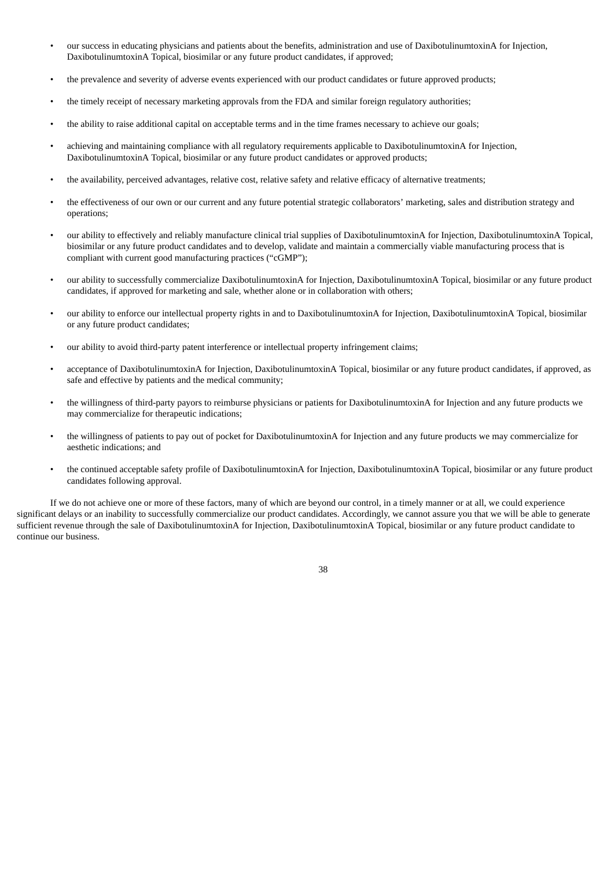- our success in educating physicians and patients about the benefits, administration and use of DaxibotulinumtoxinA for Injection, DaxibotulinumtoxinA Topical, biosimilar or any future product candidates, if approved;
- the prevalence and severity of adverse events experienced with our product candidates or future approved products;
- the timely receipt of necessary marketing approvals from the FDA and similar foreign regulatory authorities;
- the ability to raise additional capital on acceptable terms and in the time frames necessary to achieve our goals;
- achieving and maintaining compliance with all regulatory requirements applicable to DaxibotulinumtoxinA for Injection, DaxibotulinumtoxinA Topical, biosimilar or any future product candidates or approved products;
- the availability, perceived advantages, relative cost, relative safety and relative efficacy of alternative treatments;
- the effectiveness of our own or our current and any future potential strategic collaborators' marketing, sales and distribution strategy and operations;
- our ability to effectively and reliably manufacture clinical trial supplies of DaxibotulinumtoxinA for Injection, DaxibotulinumtoxinA Topical, biosimilar or any future product candidates and to develop, validate and maintain a commercially viable manufacturing process that is compliant with current good manufacturing practices ("cGMP");
- our ability to successfully commercialize DaxibotulinumtoxinA for Injection, DaxibotulinumtoxinA Topical, biosimilar or any future product candidates, if approved for marketing and sale, whether alone or in collaboration with others;
- our ability to enforce our intellectual property rights in and to DaxibotulinumtoxinA for Injection, DaxibotulinumtoxinA Topical, biosimilar or any future product candidates;
- our ability to avoid third-party patent interference or intellectual property infringement claims;
- acceptance of DaxibotulinumtoxinA for Injection, DaxibotulinumtoxinA Topical, biosimilar or any future product candidates, if approved, as safe and effective by patients and the medical community;
- the willingness of third-party payors to reimburse physicians or patients for DaxibotulinumtoxinA for Injection and any future products we may commercialize for therapeutic indications;
- the willingness of patients to pay out of pocket for DaxibotulinumtoxinA for Injection and any future products we may commercialize for aesthetic indications; and
- the continued acceptable safety profile of DaxibotulinumtoxinA for Injection, DaxibotulinumtoxinA Topical, biosimilar or any future product candidates following approval.

If we do not achieve one or more of these factors, many of which are beyond our control, in a timely manner or at all, we could experience significant delays or an inability to successfully commercialize our product candidates. Accordingly, we cannot assure you that we will be able to generate sufficient revenue through the sale of DaxibotulinumtoxinA for Injection, DaxibotulinumtoxinA Topical, biosimilar or any future product candidate to continue our business.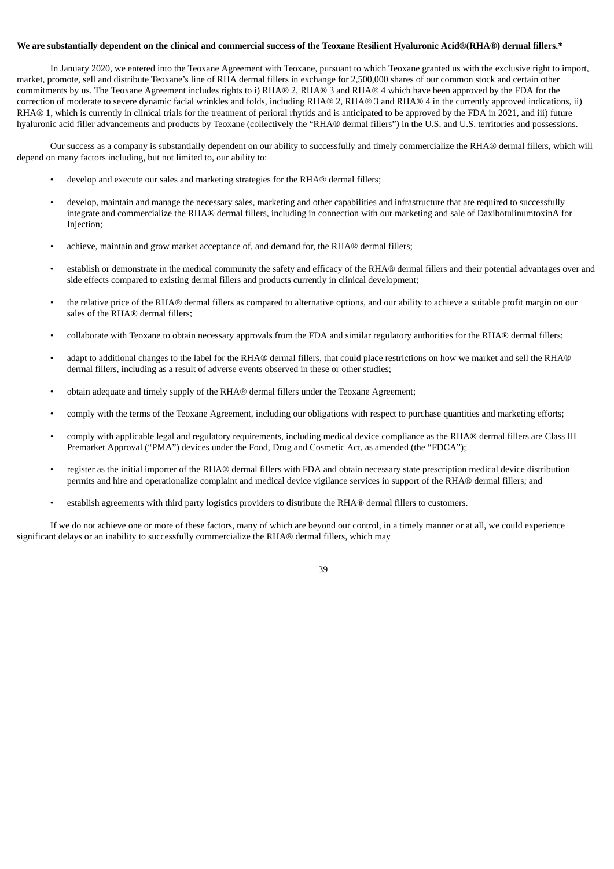#### We are substantially dependent on the clinical and commercial success of the Teoxane Resilient Hyaluronic Acid®(RHA®) dermal fillers.\*

In January 2020, we entered into the Teoxane Agreement with Teoxane, pursuant to which Teoxane granted us with the exclusive right to import, market, promote, sell and distribute Teoxane's line of RHA dermal fillers in exchange for 2,500,000 shares of our common stock and certain other commitments by us. The Teoxane Agreement includes rights to i) RHA® 2, RHA® 3 and RHA® 4 which have been approved by the FDA for the correction of moderate to severe dynamic facial wrinkles and folds, including RHA® 2, RHA® 3 and RHA® 4 in the currently approved indications, ii) RHA® 1, which is currently in clinical trials for the treatment of perioral rhytids and is anticipated to be approved by the FDA in 2021, and iii) future hyaluronic acid filler advancements and products by Teoxane (collectively the "RHA® dermal fillers") in the U.S. and U.S. territories and possessions.

Our success as a company is substantially dependent on our ability to successfully and timely commercialize the RHA® dermal fillers, which will depend on many factors including, but not limited to, our ability to:

- develop and execute our sales and marketing strategies for the RHA® dermal fillers;
- develop, maintain and manage the necessary sales, marketing and other capabilities and infrastructure that are required to successfully integrate and commercialize the RHA® dermal fillers, including in connection with our marketing and sale of DaxibotulinumtoxinA for Injection;
- achieve, maintain and grow market acceptance of, and demand for, the RHA® dermal fillers;
- establish or demonstrate in the medical community the safety and efficacy of the RHA® dermal fillers and their potential advantages over and side effects compared to existing dermal fillers and products currently in clinical development;
- the relative price of the RHA® dermal fillers as compared to alternative options, and our ability to achieve a suitable profit margin on our sales of the RHA® dermal fillers;
- collaborate with Teoxane to obtain necessary approvals from the FDA and similar regulatory authorities for the RHA® dermal fillers;
- adapt to additional changes to the label for the RHA® dermal fillers, that could place restrictions on how we market and sell the RHA® dermal fillers, including as a result of adverse events observed in these or other studies;
- obtain adequate and timely supply of the RHA® dermal fillers under the Teoxane Agreement;
- comply with the terms of the Teoxane Agreement, including our obligations with respect to purchase quantities and marketing efforts;
- comply with applicable legal and regulatory requirements, including medical device compliance as the RHA® dermal fillers are Class III Premarket Approval ("PMA") devices under the Food, Drug and Cosmetic Act, as amended (the "FDCA");
- register as the initial importer of the RHA® dermal fillers with FDA and obtain necessary state prescription medical device distribution permits and hire and operationalize complaint and medical device vigilance services in support of the RHA® dermal fillers; and
- establish agreements with third party logistics providers to distribute the RHA® dermal fillers to customers.

If we do not achieve one or more of these factors, many of which are beyond our control, in a timely manner or at all, we could experience significant delays or an inability to successfully commercialize the RHA® dermal fillers, which may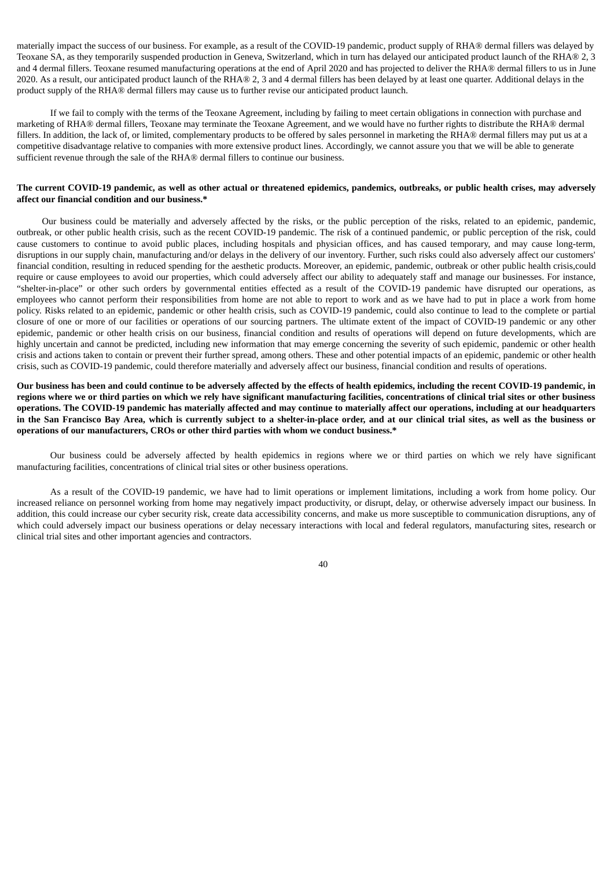materially impact the success of our business. For example, as a result of the COVID-19 pandemic, product supply of RHA® dermal fillers was delayed by Teoxane SA, as they temporarily suspended production in Geneva, Switzerland, which in turn has delayed our anticipated product launch of the RHA® 2, 3 and 4 dermal fillers. Teoxane resumed manufacturing operations at the end of April 2020 and has projected to deliver the RHA® dermal fillers to us in June 2020. As a result, our anticipated product launch of the RHA® 2, 3 and 4 dermal fillers has been delayed by at least one quarter. Additional delays in the product supply of the RHA® dermal fillers may cause us to further revise our anticipated product launch.

If we fail to comply with the terms of the Teoxane Agreement, including by failing to meet certain obligations in connection with purchase and marketing of RHA® dermal fillers, Teoxane may terminate the Teoxane Agreement, and we would have no further rights to distribute the RHA® dermal fillers. In addition, the lack of, or limited, complementary products to be offered by sales personnel in marketing the RHA® dermal fillers may put us at a competitive disadvantage relative to companies with more extensive product lines. Accordingly, we cannot assure you that we will be able to generate sufficient revenue through the sale of the RHA® dermal fillers to continue our business.

## The current COVID-19 pandemic, as well as other actual or threatened epidemics, pandemics, outbreaks, or public health crises, may adversely **affect our financial condition and our business.\***

Our business could be materially and adversely affected by the risks, or the public perception of the risks, related to an epidemic, pandemic, outbreak, or other public health crisis, such as the recent COVID-19 pandemic. The risk of a continued pandemic, or public perception of the risk, could cause customers to continue to avoid public places, including hospitals and physician offices, and has caused temporary, and may cause long-term, disruptions in our supply chain, manufacturing and/or delays in the delivery of our inventory. Further, such risks could also adversely affect our customers' financial condition, resulting in reduced spending for the aesthetic products. Moreover, an epidemic, pandemic, outbreak or other public health crisis,could require or cause employees to avoid our properties, which could adversely affect our ability to adequately staff and manage our businesses. For instance, "shelter-in-place" or other such orders by governmental entities effected as a result of the COVID-19 pandemic have disrupted our operations, as employees who cannot perform their responsibilities from home are not able to report to work and as we have had to put in place a work from home policy. Risks related to an epidemic, pandemic or other health crisis, such as COVID-19 pandemic, could also continue to lead to the complete or partial closure of one or more of our facilities or operations of our sourcing partners. The ultimate extent of the impact of COVID-19 pandemic or any other epidemic, pandemic or other health crisis on our business, financial condition and results of operations will depend on future developments, which are highly uncertain and cannot be predicted, including new information that may emerge concerning the severity of such epidemic, pandemic or other health crisis and actions taken to contain or prevent their further spread, among others. These and other potential impacts of an epidemic, pandemic or other health crisis, such as COVID-19 pandemic, could therefore materially and adversely affect our business, financial condition and results of operations.

Our business has been and could continue to be adversely affected by the effects of health epidemics, including the recent COVID-19 pandemic, in regions where we or third parties on which we rely have significant manufacturing facilities, concentrations of clinical trial sites or other business operations. The COVID-19 pandemic has materially affected and may continue to materially affect our operations, including at our headquarters in the San Francisco Bay Area, which is currently subject to a shelter-in-place order, and at our clinical trial sites, as well as the business or **operations of our manufacturers, CROs or other third parties with whom we conduct business.\***

Our business could be adversely affected by health epidemics in regions where we or third parties on which we rely have significant manufacturing facilities, concentrations of clinical trial sites or other business operations.

As a result of the COVID-19 pandemic, we have had to limit operations or implement limitations, including a work from home policy. Our increased reliance on personnel working from home may negatively impact productivity, or disrupt, delay, or otherwise adversely impact our business. In addition, this could increase our cyber security risk, create data accessibility concerns, and make us more susceptible to communication disruptions, any of which could adversely impact our business operations or delay necessary interactions with local and federal regulators, manufacturing sites, research or clinical trial sites and other important agencies and contractors.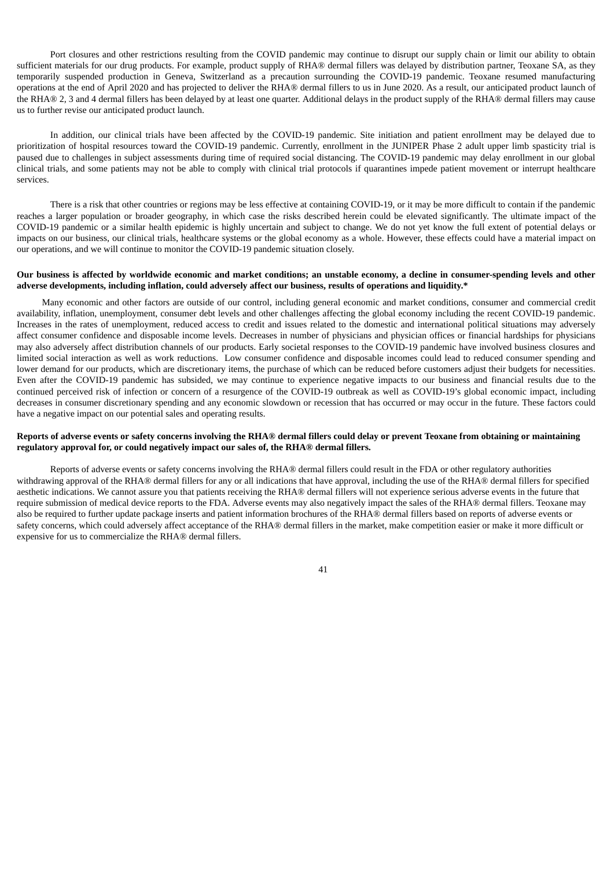Port closures and other restrictions resulting from the COVID pandemic may continue to disrupt our supply chain or limit our ability to obtain sufficient materials for our drug products. For example, product supply of RHA® dermal fillers was delayed by distribution partner, Teoxane SA, as they temporarily suspended production in Geneva, Switzerland as a precaution surrounding the COVID-19 pandemic. Teoxane resumed manufacturing operations at the end of April 2020 and has projected to deliver the RHA® dermal fillers to us in June 2020. As a result, our anticipated product launch of the RHA® 2, 3 and 4 dermal fillers has been delayed by at least one quarter. Additional delays in the product supply of the RHA® dermal fillers may cause us to further revise our anticipated product launch.

In addition, our clinical trials have been affected by the COVID-19 pandemic. Site initiation and patient enrollment may be delayed due to prioritization of hospital resources toward the COVID-19 pandemic. Currently, enrollment in the JUNIPER Phase 2 adult upper limb spasticity trial is paused due to challenges in subject assessments during time of required social distancing. The COVID-19 pandemic may delay enrollment in our global clinical trials, and some patients may not be able to comply with clinical trial protocols if quarantines impede patient movement or interrupt healthcare services.

There is a risk that other countries or regions may be less effective at containing COVID-19, or it may be more difficult to contain if the pandemic reaches a larger population or broader geography, in which case the risks described herein could be elevated significantly. The ultimate impact of the COVID-19 pandemic or a similar health epidemic is highly uncertain and subject to change. We do not yet know the full extent of potential delays or impacts on our business, our clinical trials, healthcare systems or the global economy as a whole. However, these effects could have a material impact on our operations, and we will continue to monitor the COVID-19 pandemic situation closely.

#### Our business is affected by worldwide economic and market conditions; an unstable economy, a decline in consumer-spending levels and other **adverse developments, including inflation, could adversely affect our business, results of operations and liquidity.\***

Many economic and other factors are outside of our control, including general economic and market conditions, consumer and commercial credit availability, inflation, unemployment, consumer debt levels and other challenges affecting the global economy including the recent COVID-19 pandemic. Increases in the rates of unemployment, reduced access to credit and issues related to the domestic and international political situations may adversely affect consumer confidence and disposable income levels. Decreases in number of physicians and physician offices or financial hardships for physicians may also adversely affect distribution channels of our products. Early societal responses to the COVID-19 pandemic have involved business closures and limited social interaction as well as work reductions. Low consumer confidence and disposable incomes could lead to reduced consumer spending and lower demand for our products, which are discretionary items, the purchase of which can be reduced before customers adjust their budgets for necessities. Even after the COVID-19 pandemic has subsided, we may continue to experience negative impacts to our business and financial results due to the continued perceived risk of infection or concern of a resurgence of the COVID-19 outbreak as well as COVID-19's global economic impact, including decreases in consumer discretionary spending and any economic slowdown or recession that has occurred or may occur in the future. These factors could have a negative impact on our potential sales and operating results.

#### Reports of adverse events or safety concerns involving the RHA® dermal fillers could delay or prevent Teoxane from obtaining or maintaining **regulatory approval for, or could negatively impact our sales of, the RHA® dermal fillers.**

Reports of adverse events or safety concerns involving the RHA® dermal fillers could result in the FDA or other regulatory authorities withdrawing approval of the RHA® dermal fillers for any or all indications that have approval, including the use of the RHA® dermal fillers for specified aesthetic indications. We cannot assure you that patients receiving the RHA® dermal fillers will not experience serious adverse events in the future that require submission of medical device reports to the FDA. Adverse events may also negatively impact the sales of the RHA® dermal fillers. Teoxane may also be required to further update package inserts and patient information brochures of the RHA® dermal fillers based on reports of adverse events or safety concerns, which could adversely affect acceptance of the RHA® dermal fillers in the market, make competition easier or make it more difficult or expensive for us to commercialize the RHA® dermal fillers.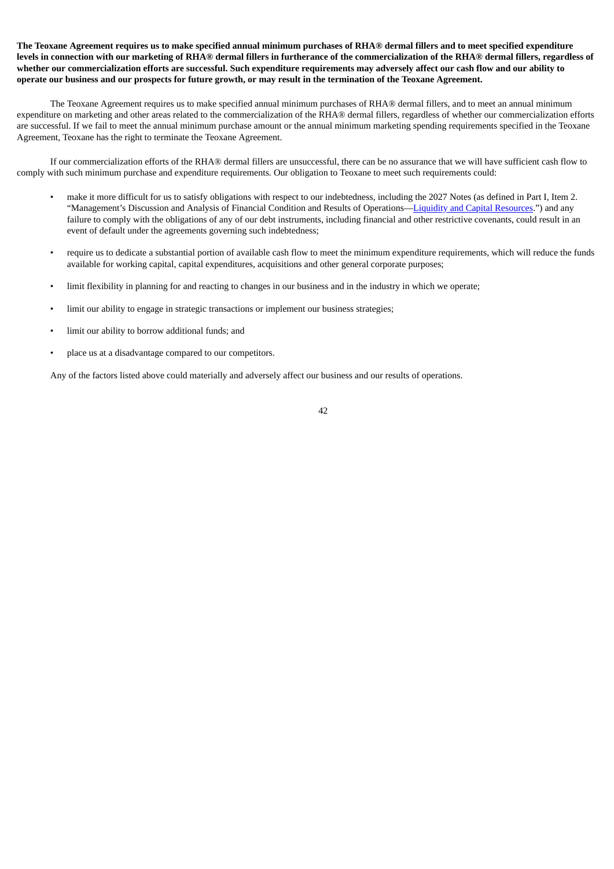The Teoxane Agreement requires us to make specified annual minimum purchases of RHA® dermal fillers and to meet specified expenditure levels in connection with our marketing of RHA® dermal fillers in furtherance of the commercialization of the RHA® dermal fillers, regardless of whether our commercialization efforts are successful. Such expenditure requirements may adversely affect our cash flow and our ability to operate our business and our prospects for future growth, or may result in the termination of the Teoxane Agreement.

The Teoxane Agreement requires us to make specified annual minimum purchases of RHA® dermal fillers, and to meet an annual minimum expenditure on marketing and other areas related to the commercialization of the RHA® dermal fillers, regardless of whether our commercialization efforts are successful. If we fail to meet the annual minimum purchase amount or the annual minimum marketing spending requirements specified in the Teoxane Agreement, Teoxane has the right to terminate the Teoxane Agreement.

If our commercialization efforts of the RHA® dermal fillers are unsuccessful, there can be no assurance that we will have sufficient cash flow to comply with such minimum purchase and expenditure requirements. Our obligation to Teoxane to meet such requirements could:

- make it more difficult for us to satisfy obligations with respect to our indebtedness, including the 2027 Notes (as defined in Part I, Item 2. "Management's Discussion and Analysis of Financial Condition and Results of Operations—Liquidity and Capital [Resources.](#page-28-0)") and any failure to comply with the obligations of any of our debt instruments, including financial and other restrictive covenants, could result in an event of default under the agreements governing such indebtedness;
- require us to dedicate a substantial portion of available cash flow to meet the minimum expenditure requirements, which will reduce the funds available for working capital, capital expenditures, acquisitions and other general corporate purposes;
- limit flexibility in planning for and reacting to changes in our business and in the industry in which we operate;
- limit our ability to engage in strategic transactions or implement our business strategies;
- limit our ability to borrow additional funds; and
- place us at a disadvantage compared to our competitors.

Any of the factors listed above could materially and adversely affect our business and our results of operations.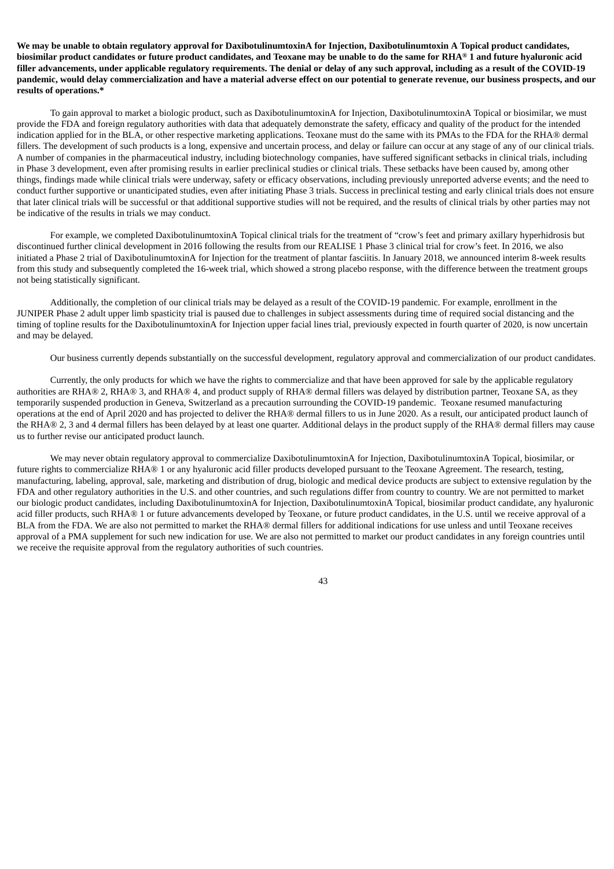We may be unable to obtain regulatory approval for DaxibotulinumtoxinA for Injection, Daxibotulinumtoxin A Topical product candidates, biosimilar product candidates or future product candidates, and Teoxane may be unable to do the same for RHA® 1 and future hyaluronic acid filler advancements, under applicable regulatory requirements. The denial or delay of any such approval, including as a result of the COVID-19 pandemic, would delay commercialization and have a material adverse effect on our potential to generate revenue, our business prospects, and our **results of operations.\***

To gain approval to market a biologic product, such as DaxibotulinumtoxinA for Injection, DaxibotulinumtoxinA Topical or biosimilar, we must provide the FDA and foreign regulatory authorities with data that adequately demonstrate the safety, efficacy and quality of the product for the intended indication applied for in the BLA, or other respective marketing applications. Teoxane must do the same with its PMAs to the FDA for the RHA® dermal fillers. The development of such products is a long, expensive and uncertain process, and delay or failure can occur at any stage of any of our clinical trials. A number of companies in the pharmaceutical industry, including biotechnology companies, have suffered significant setbacks in clinical trials, including in Phase 3 development, even after promising results in earlier preclinical studies or clinical trials. These setbacks have been caused by, among other things, findings made while clinical trials were underway, safety or efficacy observations, including previously unreported adverse events; and the need to conduct further supportive or unanticipated studies, even after initiating Phase 3 trials. Success in preclinical testing and early clinical trials does not ensure that later clinical trials will be successful or that additional supportive studies will not be required, and the results of clinical trials by other parties may not be indicative of the results in trials we may conduct.

For example, we completed DaxibotulinumtoxinA Topical clinical trials for the treatment of "crow's feet and primary axillary hyperhidrosis but discontinued further clinical development in 2016 following the results from our REALISE 1 Phase 3 clinical trial for crow's feet. In 2016, we also initiated a Phase 2 trial of DaxibotulinumtoxinA for Injection for the treatment of plantar fasciitis. In January 2018, we announced interim 8-week results from this study and subsequently completed the 16-week trial, which showed a strong placebo response, with the difference between the treatment groups not being statistically significant.

Additionally, the completion of our clinical trials may be delayed as a result of the COVID-19 pandemic. For example, enrollment in the JUNIPER Phase 2 adult upper limb spasticity trial is paused due to challenges in subject assessments during time of required social distancing and the timing of topline results for the DaxibotulinumtoxinA for Injection upper facial lines trial, previously expected in fourth quarter of 2020, is now uncertain and may be delayed.

Our business currently depends substantially on the successful development, regulatory approval and commercialization of our product candidates.

Currently, the only products for which we have the rights to commercialize and that have been approved for sale by the applicable regulatory authorities are RHA® 2, RHA® 3, and RHA® 4, and product supply of RHA® dermal fillers was delayed by distribution partner, Teoxane SA, as they temporarily suspended production in Geneva, Switzerland as a precaution surrounding the COVID-19 pandemic. Teoxane resumed manufacturing operations at the end of April 2020 and has projected to deliver the RHA® dermal fillers to us in June 2020. As a result, our anticipated product launch of the RHA® 2, 3 and 4 dermal fillers has been delayed by at least one quarter. Additional delays in the product supply of the RHA® dermal fillers may cause us to further revise our anticipated product launch.

We may never obtain regulatory approval to commercialize DaxibotulinumtoxinA for Injection, DaxibotulinumtoxinA Topical, biosimilar, or future rights to commercialize RHA® 1 or any hyaluronic acid filler products developed pursuant to the Teoxane Agreement. The research, testing, manufacturing, labeling, approval, sale, marketing and distribution of drug, biologic and medical device products are subject to extensive regulation by the FDA and other regulatory authorities in the U.S. and other countries, and such regulations differ from country to country. We are not permitted to market our biologic product candidates, including DaxibotulinumtoxinA for Injection, DaxibotulinumtoxinA Topical, biosimilar product candidate, any hyaluronic acid filler products, such RHA® 1 or future advancements developed by Teoxane, or future product candidates, in the U.S. until we receive approval of a BLA from the FDA. We are also not permitted to market the RHA® dermal fillers for additional indications for use unless and until Teoxane receives approval of a PMA supplement for such new indication for use. We are also not permitted to market our product candidates in any foreign countries until we receive the requisite approval from the regulatory authorities of such countries.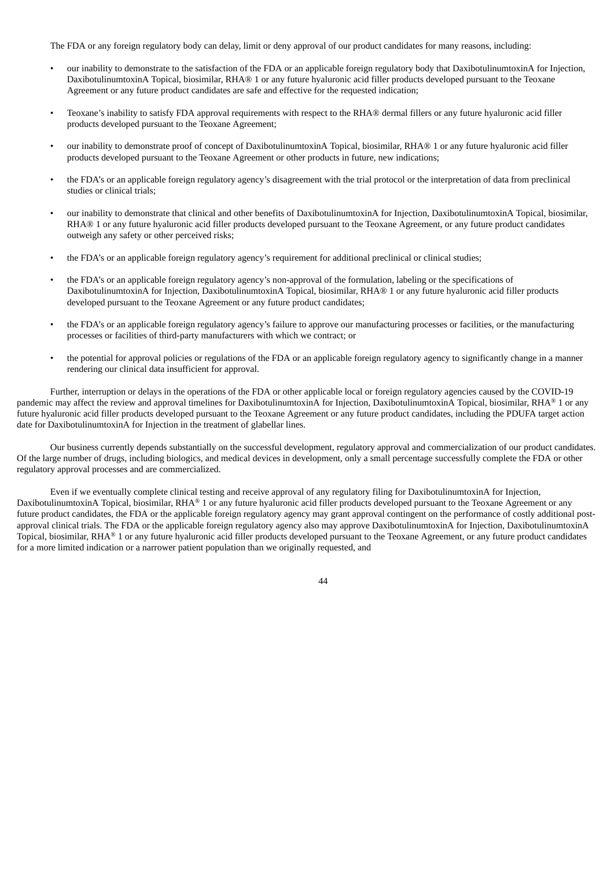The FDA or any foreign regulatory body can delay, limit or deny approval of our product candidates for many reasons, including:

- our inability to demonstrate to the satisfaction of the FDA or an applicable foreign regulatory body that DaxibotulinumtoxinA for Injection, DaxibotulinumtoxinA Topical, biosimilar, RHA® 1 or any future hyaluronic acid filler products developed pursuant to the Teoxane Agreement or any future product candidates are safe and effective for the requested indication;
- Teoxane's inability to satisfy FDA approval requirements with respect to the RHA® dermal fillers or any future hyaluronic acid filler products developed pursuant to the Teoxane Agreement;
- our inability to demonstrate proof of concept of DaxibotulinumtoxinA Topical, biosimilar, RHA® 1 or any future hyaluronic acid filler products developed pursuant to the Teoxane Agreement or other products in future, new indications;
- the FDA's or an applicable foreign regulatory agency's disagreement with the trial protocol or the interpretation of data from preclinical studies or clinical trials;
- our inability to demonstrate that clinical and other benefits of DaxibotulinumtoxinA for Injection, DaxibotulinumtoxinA Topical, biosimilar, RHA® 1 or any future hyaluronic acid filler products developed pursuant to the Teoxane Agreement, or any future product candidates outweigh any safety or other perceived risks;
- the FDA's or an applicable foreign regulatory agency's requirement for additional preclinical or clinical studies;
- the FDA's or an applicable foreign regulatory agency's non-approval of the formulation, labeling or the specifications of DaxibotulinumtoxinA for Injection, DaxibotulinumtoxinA Topical, biosimilar, RHA® 1 or any future hyaluronic acid filler products developed pursuant to the Teoxane Agreement or any future product candidates;
- the FDA's or an applicable foreign regulatory agency's failure to approve our manufacturing processes or facilities, or the manufacturing processes or facilities of third-party manufacturers with which we contract; or
- the potential for approval policies or regulations of the FDA or an applicable foreign regulatory agency to significantly change in a manner rendering our clinical data insufficient for approval.

Further, interruption or delays in the operations of the FDA or other applicable local or foreign regulatory agencies caused by the COVID-19 pandemic may affect the review and approval timelines for DaxibotulinumtoxinA for Injection, DaxibotulinumtoxinA Topical, biosimilar, RHA® 1 or any future hyaluronic acid filler products developed pursuant to the Teoxane Agreement or any future product candidates, including the PDUFA target action date for DaxibotulinumtoxinA for Injection in the treatment of glabellar lines.

Our business currently depends substantially on the successful development, regulatory approval and commercialization of our product candidates. Of the large number of drugs, including biologics, and medical devices in development, only a small percentage successfully complete the FDA or other regulatory approval processes and are commercialized.

Even if we eventually complete clinical testing and receive approval of any regulatory filing for DaxibotulinumtoxinA for Injection, DaxibotulinumtoxinA Topical, biosimilar, RHA® 1 or any future hyaluronic acid filler products developed pursuant to the Teoxane Agreement or any future product candidates, the FDA or the applicable foreign regulatory agency may grant approval contingent on the performance of costly additional postapproval clinical trials. The FDA or the applicable foreign regulatory agency also may approve DaxibotulinumtoxinA for Injection, DaxibotulinumtoxinA Topical, biosimilar, RHA® 1 or any future hyaluronic acid filler products developed pursuant to the Teoxane Agreement, or any future product candidates for a more limited indication or a narrower patient population than we originally requested, and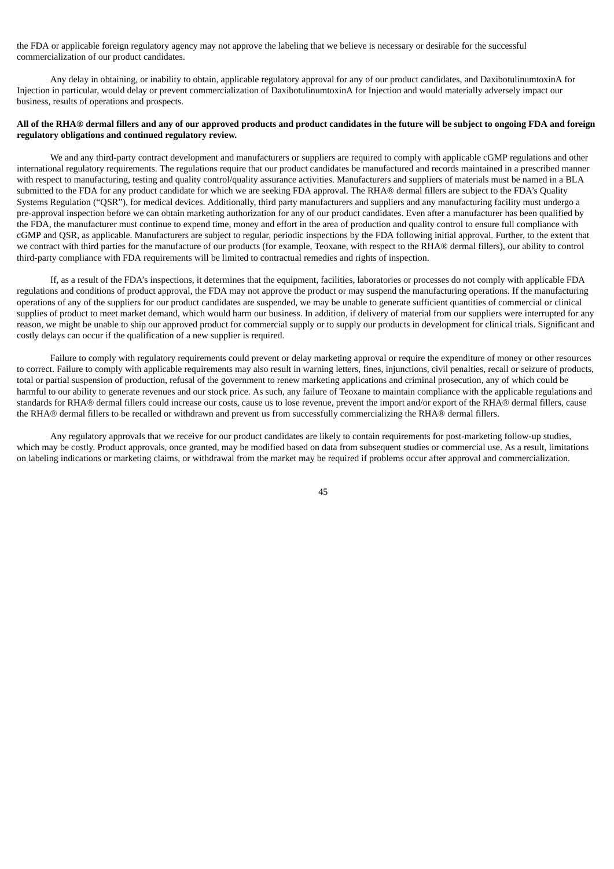the FDA or applicable foreign regulatory agency may not approve the labeling that we believe is necessary or desirable for the successful commercialization of our product candidates.

Any delay in obtaining, or inability to obtain, applicable regulatory approval for any of our product candidates, and DaxibotulinumtoxinA for Injection in particular, would delay or prevent commercialization of DaxibotulinumtoxinA for Injection and would materially adversely impact our business, results of operations and prospects.

# All of the RHA® dermal fillers and any of our approved products and product candidates in the future will be subject to ongoing FDA and foreign **regulatory obligations and continued regulatory review.**

We and any third-party contract development and manufacturers or suppliers are required to comply with applicable cGMP regulations and other international regulatory requirements. The regulations require that our product candidates be manufactured and records maintained in a prescribed manner with respect to manufacturing, testing and quality control/quality assurance activities. Manufacturers and suppliers of materials must be named in a BLA submitted to the FDA for any product candidate for which we are seeking FDA approval. The RHA® dermal fillers are subject to the FDA's Quality Systems Regulation ("QSR"), for medical devices. Additionally, third party manufacturers and suppliers and any manufacturing facility must undergo a pre-approval inspection before we can obtain marketing authorization for any of our product candidates. Even after a manufacturer has been qualified by the FDA, the manufacturer must continue to expend time, money and effort in the area of production and quality control to ensure full compliance with cGMP and QSR, as applicable. Manufacturers are subject to regular, periodic inspections by the FDA following initial approval. Further, to the extent that we contract with third parties for the manufacture of our products (for example, Teoxane, with respect to the RHA® dermal fillers), our ability to control third-party compliance with FDA requirements will be limited to contractual remedies and rights of inspection.

If, as a result of the FDA's inspections, it determines that the equipment, facilities, laboratories or processes do not comply with applicable FDA regulations and conditions of product approval, the FDA may not approve the product or may suspend the manufacturing operations. If the manufacturing operations of any of the suppliers for our product candidates are suspended, we may be unable to generate sufficient quantities of commercial or clinical supplies of product to meet market demand, which would harm our business. In addition, if delivery of material from our suppliers were interrupted for any reason, we might be unable to ship our approved product for commercial supply or to supply our products in development for clinical trials. Significant and costly delays can occur if the qualification of a new supplier is required.

Failure to comply with regulatory requirements could prevent or delay marketing approval or require the expenditure of money or other resources to correct. Failure to comply with applicable requirements may also result in warning letters, fines, injunctions, civil penalties, recall or seizure of products, total or partial suspension of production, refusal of the government to renew marketing applications and criminal prosecution, any of which could be harmful to our ability to generate revenues and our stock price. As such, any failure of Teoxane to maintain compliance with the applicable regulations and standards for RHA® dermal fillers could increase our costs, cause us to lose revenue, prevent the import and/or export of the RHA® dermal fillers, cause the RHA® dermal fillers to be recalled or withdrawn and prevent us from successfully commercializing the RHA® dermal fillers.

Any regulatory approvals that we receive for our product candidates are likely to contain requirements for post-marketing follow-up studies, which may be costly. Product approvals, once granted, may be modified based on data from subsequent studies or commercial use. As a result, limitations on labeling indications or marketing claims, or withdrawal from the market may be required if problems occur after approval and commercialization.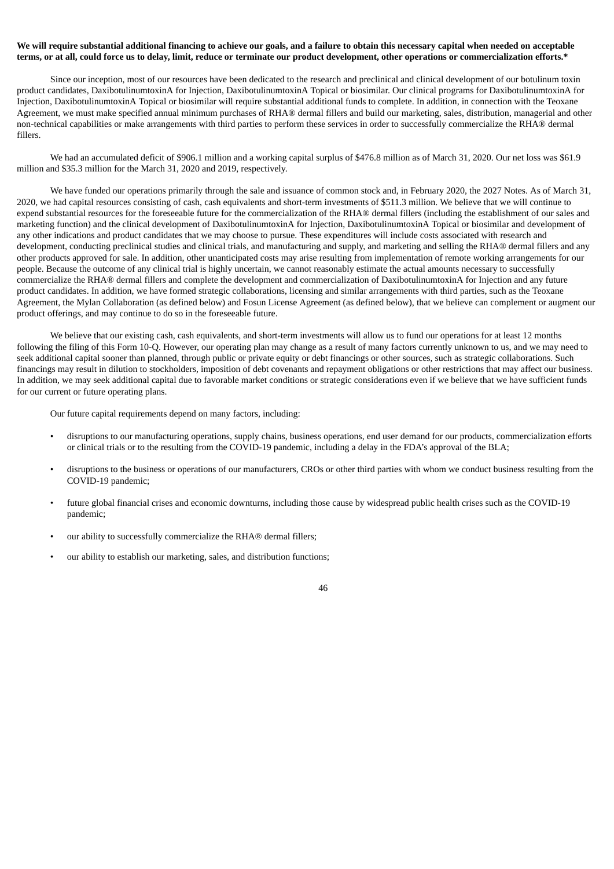## We will require substantial additional financing to achieve our goals, and a failure to obtain this necessary capital when needed on acceptable terms, or at all, could force us to delay, limit, reduce or terminate our product development, other operations or commercialization efforts.\*

Since our inception, most of our resources have been dedicated to the research and preclinical and clinical development of our botulinum toxin product candidates, DaxibotulinumtoxinA for Injection, DaxibotulinumtoxinA Topical or biosimilar. Our clinical programs for DaxibotulinumtoxinA for Injection, DaxibotulinumtoxinA Topical or biosimilar will require substantial additional funds to complete. In addition, in connection with the Teoxane Agreement, we must make specified annual minimum purchases of RHA® dermal fillers and build our marketing, sales, distribution, managerial and other non-technical capabilities or make arrangements with third parties to perform these services in order to successfully commercialize the RHA® dermal fillers.

We had an accumulated deficit of \$906.1 million and a working capital surplus of \$476.8 million as of March 31, 2020. Our net loss was \$61.9 million and \$35.3 million for the March 31, 2020 and 2019, respectively.

We have funded our operations primarily through the sale and issuance of common stock and, in February 2020, the 2027 Notes. As of March 31, 2020, we had capital resources consisting of cash, cash equivalents and short-term investments of \$511.3 million. We believe that we will continue to expend substantial resources for the foreseeable future for the commercialization of the RHA® dermal fillers (including the establishment of our sales and marketing function) and the clinical development of DaxibotulinumtoxinA for Injection, DaxibotulinumtoxinA Topical or biosimilar and development of any other indications and product candidates that we may choose to pursue. These expenditures will include costs associated with research and development, conducting preclinical studies and clinical trials, and manufacturing and supply, and marketing and selling the RHA® dermal fillers and any other products approved for sale. In addition, other unanticipated costs may arise resulting from implementation of remote working arrangements for our people. Because the outcome of any clinical trial is highly uncertain, we cannot reasonably estimate the actual amounts necessary to successfully commercialize the RHA® dermal fillers and complete the development and commercialization of DaxibotulinumtoxinA for Injection and any future product candidates. In addition, we have formed strategic collaborations, licensing and similar arrangements with third parties, such as the Teoxane Agreement, the Mylan Collaboration (as defined below) and Fosun License Agreement (as defined below), that we believe can complement or augment our product offerings, and may continue to do so in the foreseeable future.

We believe that our existing cash, cash equivalents, and short-term investments will allow us to fund our operations for at least 12 months following the filing of this Form 10-Q. However, our operating plan may change as a result of many factors currently unknown to us, and we may need to seek additional capital sooner than planned, through public or private equity or debt financings or other sources, such as strategic collaborations. Such financings may result in dilution to stockholders, imposition of debt covenants and repayment obligations or other restrictions that may affect our business. In addition, we may seek additional capital due to favorable market conditions or strategic considerations even if we believe that we have sufficient funds for our current or future operating plans.

Our future capital requirements depend on many factors, including:

- disruptions to our manufacturing operations, supply chains, business operations, end user demand for our products, commercialization efforts or clinical trials or to the resulting from the COVID-19 pandemic, including a delay in the FDA's approval of the BLA;
- disruptions to the business or operations of our manufacturers, CROs or other third parties with whom we conduct business resulting from the COVID-19 pandemic;
- future global financial crises and economic downturns, including those cause by widespread public health crises such as the COVID-19 pandemic;
- our ability to successfully commercialize the RHA® dermal fillers;
- our ability to establish our marketing, sales, and distribution functions;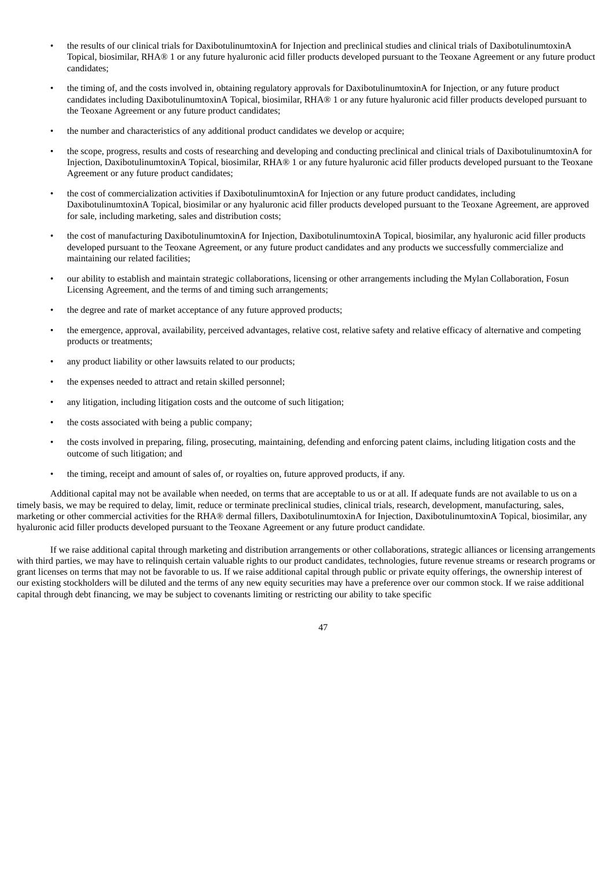- the results of our clinical trials for DaxibotulinumtoxinA for Injection and preclinical studies and clinical trials of DaxibotulinumtoxinA Topical, biosimilar, RHA® 1 or any future hyaluronic acid filler products developed pursuant to the Teoxane Agreement or any future product candidates;
- the timing of, and the costs involved in, obtaining regulatory approvals for DaxibotulinumtoxinA for Injection, or any future product candidates including DaxibotulinumtoxinA Topical, biosimilar, RHA® 1 or any future hyaluronic acid filler products developed pursuant to the Teoxane Agreement or any future product candidates;
- the number and characteristics of any additional product candidates we develop or acquire;
- the scope, progress, results and costs of researching and developing and conducting preclinical and clinical trials of DaxibotulinumtoxinA for Injection, DaxibotulinumtoxinA Topical, biosimilar, RHA® 1 or any future hyaluronic acid filler products developed pursuant to the Teoxane Agreement or any future product candidates;
- the cost of commercialization activities if DaxibotulinumtoxinA for Injection or any future product candidates, including DaxibotulinumtoxinA Topical, biosimilar or any hyaluronic acid filler products developed pursuant to the Teoxane Agreement, are approved for sale, including marketing, sales and distribution costs;
- the cost of manufacturing DaxibotulinumtoxinA for Injection, DaxibotulinumtoxinA Topical, biosimilar, any hyaluronic acid filler products developed pursuant to the Teoxane Agreement, or any future product candidates and any products we successfully commercialize and maintaining our related facilities;
- our ability to establish and maintain strategic collaborations, licensing or other arrangements including the Mylan Collaboration, Fosun Licensing Agreement, and the terms of and timing such arrangements;
- the degree and rate of market acceptance of any future approved products;
- the emergence, approval, availability, perceived advantages, relative cost, relative safety and relative efficacy of alternative and competing products or treatments;
- any product liability or other lawsuits related to our products;
- the expenses needed to attract and retain skilled personnel;
- any litigation, including litigation costs and the outcome of such litigation;
- the costs associated with being a public company;
- the costs involved in preparing, filing, prosecuting, maintaining, defending and enforcing patent claims, including litigation costs and the outcome of such litigation; and
- the timing, receipt and amount of sales of, or royalties on, future approved products, if any.

Additional capital may not be available when needed, on terms that are acceptable to us or at all. If adequate funds are not available to us on a timely basis, we may be required to delay, limit, reduce or terminate preclinical studies, clinical trials, research, development, manufacturing, sales, marketing or other commercial activities for the RHA® dermal fillers, DaxibotulinumtoxinA for Injection, DaxibotulinumtoxinA Topical, biosimilar, any hyaluronic acid filler products developed pursuant to the Teoxane Agreement or any future product candidate.

If we raise additional capital through marketing and distribution arrangements or other collaborations, strategic alliances or licensing arrangements with third parties, we may have to relinquish certain valuable rights to our product candidates, technologies, future revenue streams or research programs or grant licenses on terms that may not be favorable to us. If we raise additional capital through public or private equity offerings, the ownership interest of our existing stockholders will be diluted and the terms of any new equity securities may have a preference over our common stock. If we raise additional capital through debt financing, we may be subject to covenants limiting or restricting our ability to take specific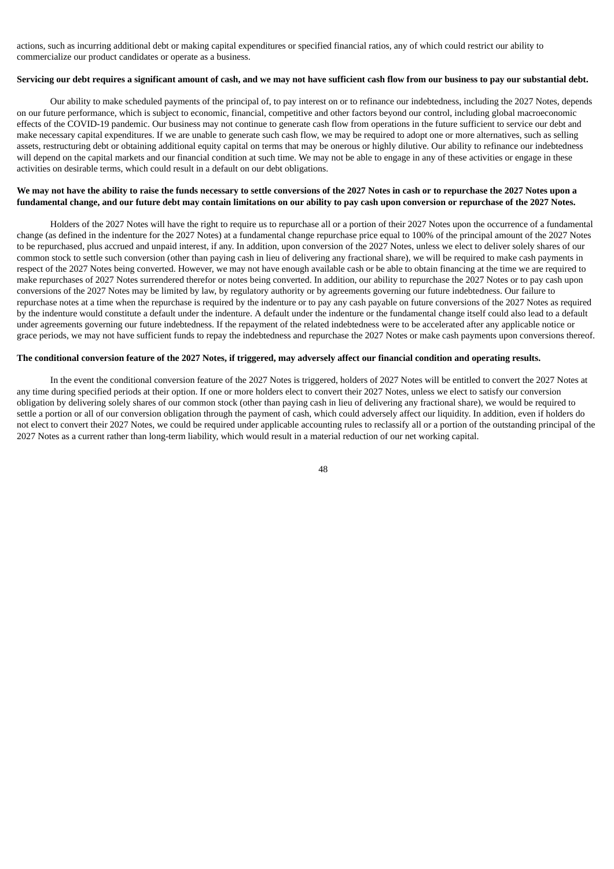actions, such as incurring additional debt or making capital expenditures or specified financial ratios, any of which could restrict our ability to commercialize our product candidates or operate as a business.

### Servicing our debt requires a significant amount of cash, and we may not have sufficient cash flow from our business to pay our substantial debt.

Our ability to make scheduled payments of the principal of, to pay interest on or to refinance our indebtedness, including the 2027 Notes, depends on our future performance, which is subject to economic, financial, competitive and other factors beyond our control, including global macroeconomic effects of the COVID-19 pandemic. Our business may not continue to generate cash flow from operations in the future sufficient to service our debt and make necessary capital expenditures. If we are unable to generate such cash flow, we may be required to adopt one or more alternatives, such as selling assets, restructuring debt or obtaining additional equity capital on terms that may be onerous or highly dilutive. Our ability to refinance our indebtedness will depend on the capital markets and our financial condition at such time. We may not be able to engage in any of these activities or engage in these activities on desirable terms, which could result in a default on our debt obligations.

#### We may not have the ability to raise the funds necessary to settle conversions of the 2027 Notes in cash or to repurchase the 2027 Notes upon a fundamental change, and our future debt may contain limitations on our ability to pay cash upon conversion or repurchase of the 2027 Notes.

Holders of the 2027 Notes will have the right to require us to repurchase all or a portion of their 2027 Notes upon the occurrence of a fundamental change (as defined in the indenture for the 2027 Notes) at a fundamental change repurchase price equal to 100% of the principal amount of the 2027 Notes to be repurchased, plus accrued and unpaid interest, if any. In addition, upon conversion of the 2027 Notes, unless we elect to deliver solely shares of our common stock to settle such conversion (other than paying cash in lieu of delivering any fractional share), we will be required to make cash payments in respect of the 2027 Notes being converted. However, we may not have enough available cash or be able to obtain financing at the time we are required to make repurchases of 2027 Notes surrendered therefor or notes being converted. In addition, our ability to repurchase the 2027 Notes or to pay cash upon conversions of the 2027 Notes may be limited by law, by regulatory authority or by agreements governing our future indebtedness. Our failure to repurchase notes at a time when the repurchase is required by the indenture or to pay any cash payable on future conversions of the 2027 Notes as required by the indenture would constitute a default under the indenture. A default under the indenture or the fundamental change itself could also lead to a default under agreements governing our future indebtedness. If the repayment of the related indebtedness were to be accelerated after any applicable notice or grace periods, we may not have sufficient funds to repay the indebtedness and repurchase the 2027 Notes or make cash payments upon conversions thereof.

#### The conditional conversion feature of the 2027 Notes, if triggered, may adversely affect our financial condition and operating results.

In the event the conditional conversion feature of the 2027 Notes is triggered, holders of 2027 Notes will be entitled to convert the 2027 Notes at any time during specified periods at their option. If one or more holders elect to convert their 2027 Notes, unless we elect to satisfy our conversion obligation by delivering solely shares of our common stock (other than paying cash in lieu of delivering any fractional share), we would be required to settle a portion or all of our conversion obligation through the payment of cash, which could adversely affect our liquidity. In addition, even if holders do not elect to convert their 2027 Notes, we could be required under applicable accounting rules to reclassify all or a portion of the outstanding principal of the 2027 Notes as a current rather than long-term liability, which would result in a material reduction of our net working capital.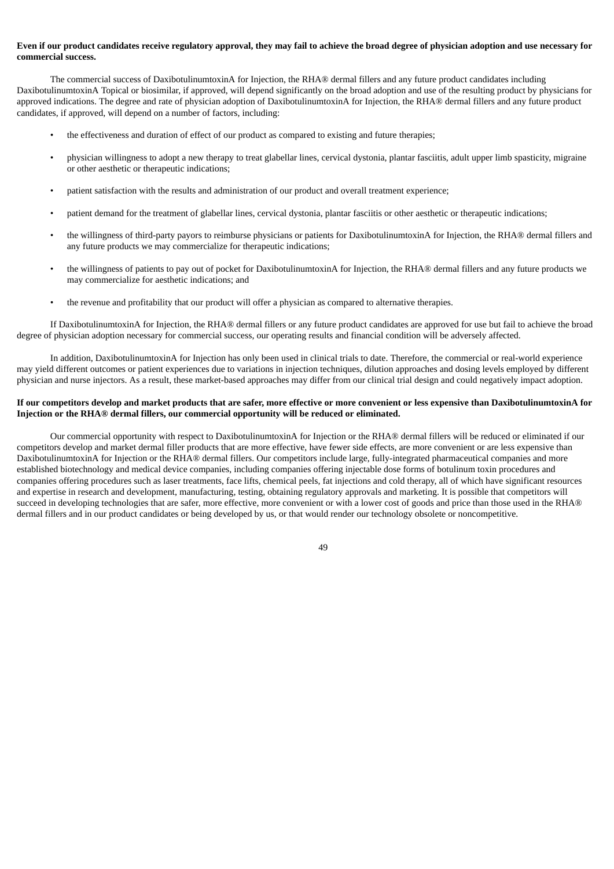# Even if our product candidates receive regulatory approval, they may fail to achieve the broad degree of physician adoption and use necessary for **commercial success.**

The commercial success of DaxibotulinumtoxinA for Injection, the RHA® dermal fillers and any future product candidates including DaxibotulinumtoxinA Topical or biosimilar, if approved, will depend significantly on the broad adoption and use of the resulting product by physicians for approved indications. The degree and rate of physician adoption of DaxibotulinumtoxinA for Injection, the RHA® dermal fillers and any future product candidates, if approved, will depend on a number of factors, including:

- the effectiveness and duration of effect of our product as compared to existing and future therapies;
- physician willingness to adopt a new therapy to treat glabellar lines, cervical dystonia, plantar fasciitis, adult upper limb spasticity, migraine or other aesthetic or therapeutic indications;
- patient satisfaction with the results and administration of our product and overall treatment experience;
- patient demand for the treatment of glabellar lines, cervical dystonia, plantar fasciitis or other aesthetic or therapeutic indications;
- the willingness of third-party payors to reimburse physicians or patients for DaxibotulinumtoxinA for Injection, the RHA® dermal fillers and any future products we may commercialize for therapeutic indications;
- the willingness of patients to pay out of pocket for DaxibotulinumtoxinA for Injection, the RHA® dermal fillers and any future products we may commercialize for aesthetic indications; and
- the revenue and profitability that our product will offer a physician as compared to alternative therapies.

If DaxibotulinumtoxinA for Injection, the RHA® dermal fillers or any future product candidates are approved for use but fail to achieve the broad degree of physician adoption necessary for commercial success, our operating results and financial condition will be adversely affected.

In addition, DaxibotulinumtoxinA for Injection has only been used in clinical trials to date. Therefore, the commercial or real-world experience may yield different outcomes or patient experiences due to variations in injection techniques, dilution approaches and dosing levels employed by different physician and nurse injectors. As a result, these market-based approaches may differ from our clinical trial design and could negatively impact adoption.

# If our competitors develop and market products that are safer, more effective or more convenient or less expensive than DaxibotulinumtoxinA for **Injection or the RHA® dermal fillers, our commercial opportunity will be reduced or eliminated.**

Our commercial opportunity with respect to DaxibotulinumtoxinA for Injection or the RHA® dermal fillers will be reduced or eliminated if our competitors develop and market dermal filler products that are more effective, have fewer side effects, are more convenient or are less expensive than DaxibotulinumtoxinA for Injection or the RHA® dermal fillers. Our competitors include large, fully-integrated pharmaceutical companies and more established biotechnology and medical device companies, including companies offering injectable dose forms of botulinum toxin procedures and companies offering procedures such as laser treatments, face lifts, chemical peels, fat injections and cold therapy, all of which have significant resources and expertise in research and development, manufacturing, testing, obtaining regulatory approvals and marketing. It is possible that competitors will succeed in developing technologies that are safer, more effective, more convenient or with a lower cost of goods and price than those used in the RHA® dermal fillers and in our product candidates or being developed by us, or that would render our technology obsolete or noncompetitive.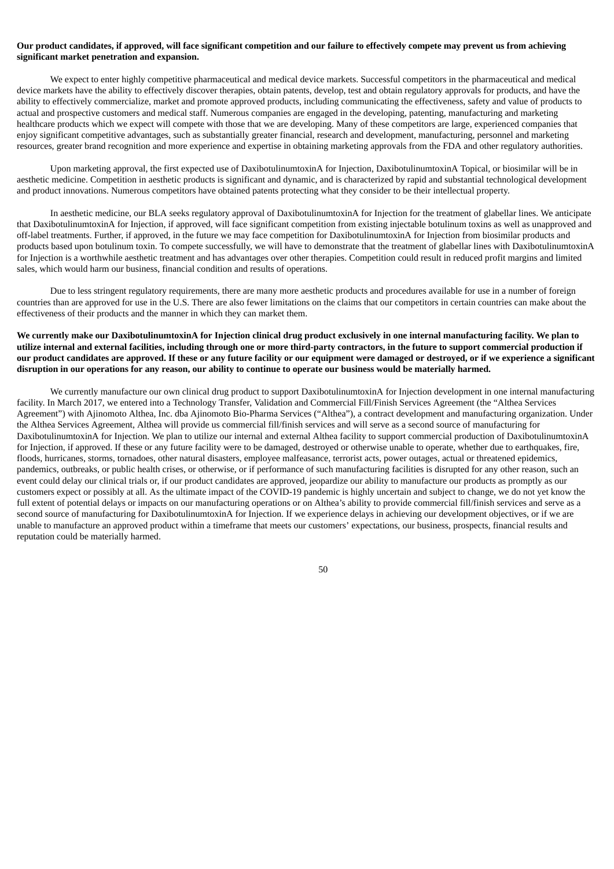# Our product candidates, if approved, will face significant competition and our failure to effectively compete may prevent us from achieving **significant market penetration and expansion.**

We expect to enter highly competitive pharmaceutical and medical device markets. Successful competitors in the pharmaceutical and medical device markets have the ability to effectively discover therapies, obtain patents, develop, test and obtain regulatory approvals for products, and have the ability to effectively commercialize, market and promote approved products, including communicating the effectiveness, safety and value of products to actual and prospective customers and medical staff. Numerous companies are engaged in the developing, patenting, manufacturing and marketing healthcare products which we expect will compete with those that we are developing. Many of these competitors are large, experienced companies that enjoy significant competitive advantages, such as substantially greater financial, research and development, manufacturing, personnel and marketing resources, greater brand recognition and more experience and expertise in obtaining marketing approvals from the FDA and other regulatory authorities.

Upon marketing approval, the first expected use of DaxibotulinumtoxinA for Injection, DaxibotulinumtoxinA Topical, or biosimilar will be in aesthetic medicine. Competition in aesthetic products is significant and dynamic, and is characterized by rapid and substantial technological development and product innovations. Numerous competitors have obtained patents protecting what they consider to be their intellectual property.

In aesthetic medicine, our BLA seeks regulatory approval of DaxibotulinumtoxinA for Injection for the treatment of glabellar lines. We anticipate that DaxibotulinumtoxinA for Injection, if approved, will face significant competition from existing injectable botulinum toxins as well as unapproved and off-label treatments. Further, if approved, in the future we may face competition for DaxibotulinumtoxinA for Injection from biosimilar products and products based upon botulinum toxin. To compete successfully, we will have to demonstrate that the treatment of glabellar lines with DaxibotulinumtoxinA for Injection is a worthwhile aesthetic treatment and has advantages over other therapies. Competition could result in reduced profit margins and limited sales, which would harm our business, financial condition and results of operations.

Due to less stringent regulatory requirements, there are many more aesthetic products and procedures available for use in a number of foreign countries than are approved for use in the U.S. There are also fewer limitations on the claims that our competitors in certain countries can make about the effectiveness of their products and the manner in which they can market them.

# We currently make our DaxibotulinumtoxinA for Injection clinical drug product exclusively in one internal manufacturing facility. We plan to utilize internal and external facilities, including through one or more third-party contractors, in the future to support commercial production if our product candidates are approved. If these or any future facility or our equipment were damaged or destroyed, or if we experience a significant disruption in our operations for any reason, our ability to continue to operate our business would be materially harmed.

We currently manufacture our own clinical drug product to support DaxibotulinumtoxinA for Injection development in one internal manufacturing facility. In March 2017, we entered into a Technology Transfer, Validation and Commercial Fill/Finish Services Agreement (the "Althea Services Agreement") with Ajinomoto Althea, Inc. dba Ajinomoto Bio-Pharma Services ("Althea"), a contract development and manufacturing organization. Under the Althea Services Agreement, Althea will provide us commercial fill/finish services and will serve as a second source of manufacturing for DaxibotulinumtoxinA for Injection. We plan to utilize our internal and external Althea facility to support commercial production of DaxibotulinumtoxinA for Injection, if approved. If these or any future facility were to be damaged, destroyed or otherwise unable to operate, whether due to earthquakes, fire, floods, hurricanes, storms, tornadoes, other natural disasters, employee malfeasance, terrorist acts, power outages, actual or threatened epidemics, pandemics, outbreaks, or public health crises, or otherwise, or if performance of such manufacturing facilities is disrupted for any other reason, such an event could delay our clinical trials or, if our product candidates are approved, jeopardize our ability to manufacture our products as promptly as our customers expect or possibly at all. As the ultimate impact of the COVID-19 pandemic is highly uncertain and subject to change, we do not yet know the full extent of potential delays or impacts on our manufacturing operations or on Althea's ability to provide commercial fill/finish services and serve as a second source of manufacturing for DaxibotulinumtoxinA for Injection. If we experience delays in achieving our development objectives, or if we are unable to manufacture an approved product within a timeframe that meets our customers' expectations, our business, prospects, financial results and reputation could be materially harmed.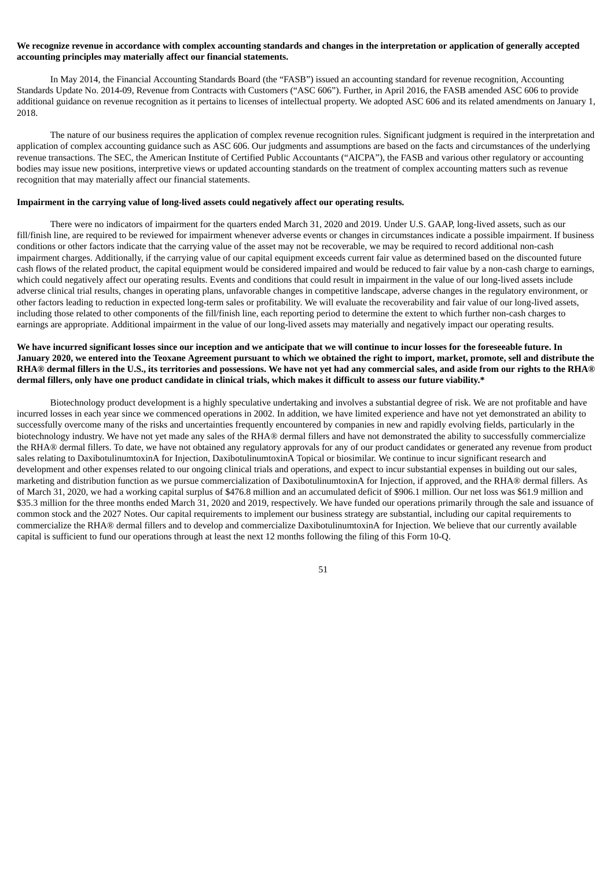#### We recognize revenue in accordance with complex accounting standards and changes in the interpretation or application of generally accepted **accounting principles may materially affect our financial statements.**

In May 2014, the Financial Accounting Standards Board (the "FASB") issued an accounting standard for revenue recognition, Accounting Standards Update No. 2014-09, Revenue from Contracts with Customers ("ASC 606"). Further, in April 2016, the FASB amended ASC 606 to provide additional guidance on revenue recognition as it pertains to licenses of intellectual property. We adopted ASC 606 and its related amendments on January 1, 2018.

The nature of our business requires the application of complex revenue recognition rules. Significant judgment is required in the interpretation and application of complex accounting guidance such as ASC 606. Our judgments and assumptions are based on the facts and circumstances of the underlying revenue transactions. The SEC, the American Institute of Certified Public Accountants ("AICPA"), the FASB and various other regulatory or accounting bodies may issue new positions, interpretive views or updated accounting standards on the treatment of complex accounting matters such as revenue recognition that may materially affect our financial statements.

#### **Impairment in the carrying value of long-lived assets could negatively affect our operating results.**

There were no indicators of impairment for the quarters ended March 31, 2020 and 2019. Under U.S. GAAP, long-lived assets, such as our fill/finish line, are required to be reviewed for impairment whenever adverse events or changes in circumstances indicate a possible impairment. If business conditions or other factors indicate that the carrying value of the asset may not be recoverable, we may be required to record additional non-cash impairment charges. Additionally, if the carrying value of our capital equipment exceeds current fair value as determined based on the discounted future cash flows of the related product, the capital equipment would be considered impaired and would be reduced to fair value by a non-cash charge to earnings, which could negatively affect our operating results. Events and conditions that could result in impairment in the value of our long-lived assets include adverse clinical trial results, changes in operating plans, unfavorable changes in competitive landscape, adverse changes in the regulatory environment, or other factors leading to reduction in expected long-term sales or profitability. We will evaluate the recoverability and fair value of our long-lived assets, including those related to other components of the fill/finish line, each reporting period to determine the extent to which further non-cash charges to earnings are appropriate. Additional impairment in the value of our long-lived assets may materially and negatively impact our operating results.

We have incurred significant losses since our inception and we anticipate that we will continue to incur losses for the foreseeable future. In January 2020, we entered into the Teoxane Agreement pursuant to which we obtained the right to import, market, promote, sell and distribute the RHA® dermal fillers in the U.S., its territories and possessions. We have not yet had any commercial sales, and aside from our rights to the RHA® dermal fillers, only have one product candidate in clinical trials, which makes it difficult to assess our future viability.\*

Biotechnology product development is a highly speculative undertaking and involves a substantial degree of risk. We are not profitable and have incurred losses in each year since we commenced operations in 2002. In addition, we have limited experience and have not yet demonstrated an ability to successfully overcome many of the risks and uncertainties frequently encountered by companies in new and rapidly evolving fields, particularly in the biotechnology industry. We have not yet made any sales of the RHA® dermal fillers and have not demonstrated the ability to successfully commercialize the RHA® dermal fillers. To date, we have not obtained any regulatory approvals for any of our product candidates or generated any revenue from product sales relating to DaxibotulinumtoxinA for Injection, DaxibotulinumtoxinA Topical or biosimilar. We continue to incur significant research and development and other expenses related to our ongoing clinical trials and operations, and expect to incur substantial expenses in building out our sales, marketing and distribution function as we pursue commercialization of DaxibotulinumtoxinA for Injection, if approved, and the RHA® dermal fillers. As of March 31, 2020, we had a working capital surplus of \$476.8 million and an accumulated deficit of \$906.1 million. Our net loss was \$61.9 million and \$35.3 million for the three months ended March 31, 2020 and 2019, respectively. We have funded our operations primarily through the sale and issuance of common stock and the 2027 Notes. Our capital requirements to implement our business strategy are substantial, including our capital requirements to commercialize the RHA® dermal fillers and to develop and commercialize DaxibotulinumtoxinA for Injection. We believe that our currently available capital is sufficient to fund our operations through at least the next 12 months following the filing of this Form 10-Q.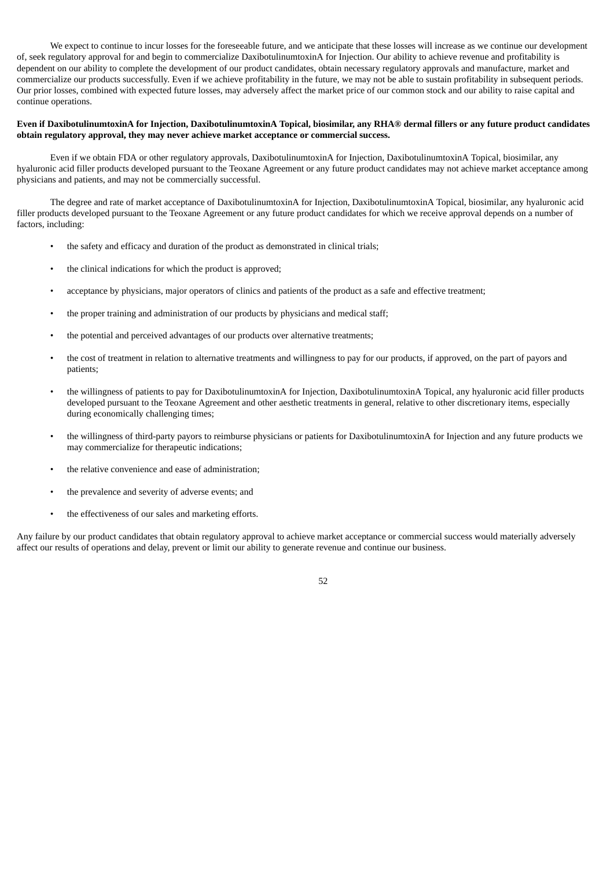We expect to continue to incur losses for the foreseeable future, and we anticipate that these losses will increase as we continue our development of, seek regulatory approval for and begin to commercialize DaxibotulinumtoxinA for Injection. Our ability to achieve revenue and profitability is dependent on our ability to complete the development of our product candidates, obtain necessary regulatory approvals and manufacture, market and commercialize our products successfully. Even if we achieve profitability in the future, we may not be able to sustain profitability in subsequent periods. Our prior losses, combined with expected future losses, may adversely affect the market price of our common stock and our ability to raise capital and continue operations.

# Even if DaxibotulinumtoxinA for Injection, DaxibotulinumtoxinA Topical, biosimilar, any RHA® dermal fillers or any future product candidates **obtain regulatory approval, they may never achieve market acceptance or commercial success.**

Even if we obtain FDA or other regulatory approvals, DaxibotulinumtoxinA for Injection, DaxibotulinumtoxinA Topical, biosimilar, any hyaluronic acid filler products developed pursuant to the Teoxane Agreement or any future product candidates may not achieve market acceptance among physicians and patients, and may not be commercially successful.

The degree and rate of market acceptance of DaxibotulinumtoxinA for Injection, DaxibotulinumtoxinA Topical, biosimilar, any hyaluronic acid filler products developed pursuant to the Teoxane Agreement or any future product candidates for which we receive approval depends on a number of factors, including:

- the safety and efficacy and duration of the product as demonstrated in clinical trials;
- the clinical indications for which the product is approved;
- acceptance by physicians, major operators of clinics and patients of the product as a safe and effective treatment;
- the proper training and administration of our products by physicians and medical staff;
- the potential and perceived advantages of our products over alternative treatments;
- the cost of treatment in relation to alternative treatments and willingness to pay for our products, if approved, on the part of payors and patients;
- the willingness of patients to pay for DaxibotulinumtoxinA for Injection, DaxibotulinumtoxinA Topical, any hyaluronic acid filler products developed pursuant to the Teoxane Agreement and other aesthetic treatments in general, relative to other discretionary items, especially during economically challenging times;
- the willingness of third-party payors to reimburse physicians or patients for DaxibotulinumtoxinA for Injection and any future products we may commercialize for therapeutic indications;
- the relative convenience and ease of administration;
- the prevalence and severity of adverse events; and
- the effectiveness of our sales and marketing efforts.

Any failure by our product candidates that obtain regulatory approval to achieve market acceptance or commercial success would materially adversely affect our results of operations and delay, prevent or limit our ability to generate revenue and continue our business.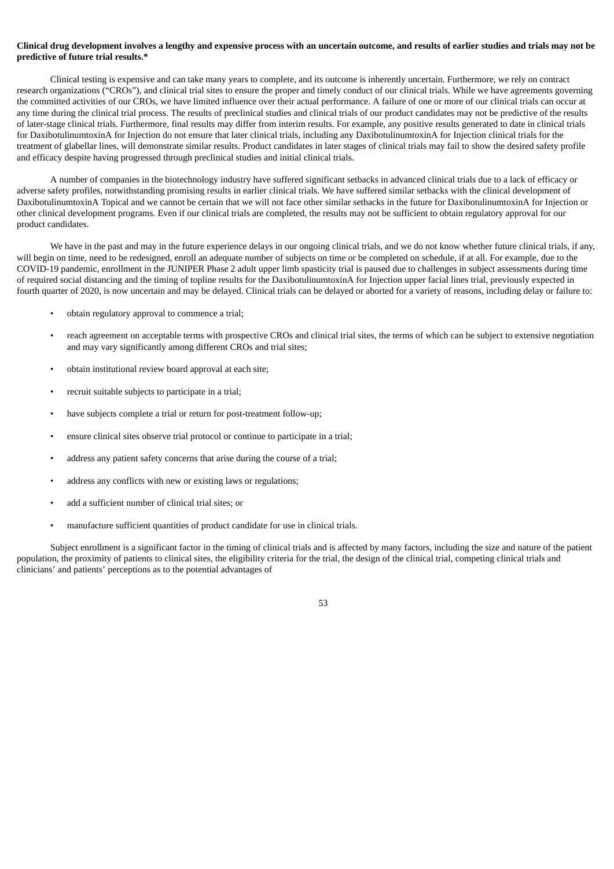## Clinical drug development involves a lengthy and expensive process with an uncertain outcome, and results of earlier studies and trials may not be **predictive of future trial results.\***

Clinical testing is expensive and can take many years to complete, and its outcome is inherently uncertain. Furthermore, we rely on contract research organizations ("CROs"), and clinical trial sites to ensure the proper and timely conduct of our clinical trials. While we have agreements governing the committed activities of our CROs, we have limited influence over their actual performance. A failure of one or more of our clinical trials can occur at any time during the clinical trial process. The results of preclinical studies and clinical trials of our product candidates may not be predictive of the results of later-stage clinical trials. Furthermore, final results may differ from interim results. For example, any positive results generated to date in clinical trials for DaxibotulinumtoxinA for Injection do not ensure that later clinical trials, including any DaxibotulinumtoxinA for Injection clinical trials for the treatment of glabellar lines, will demonstrate similar results. Product candidates in later stages of clinical trials may fail to show the desired safety profile and efficacy despite having progressed through preclinical studies and initial clinical trials.

A number of companies in the biotechnology industry have suffered significant setbacks in advanced clinical trials due to a lack of efficacy or adverse safety profiles, notwithstanding promising results in earlier clinical trials. We have suffered similar setbacks with the clinical development of DaxibotulinumtoxinA Topical and we cannot be certain that we will not face other similar setbacks in the future for DaxibotulinumtoxinA for Injection or other clinical development programs. Even if our clinical trials are completed, the results may not be sufficient to obtain regulatory approval for our product candidates.

We have in the past and may in the future experience delays in our ongoing clinical trials, and we do not know whether future clinical trials, if any, will begin on time, need to be redesigned, enroll an adequate number of subjects on time or be completed on schedule, if at all. For example, due to the COVID-19 pandemic, enrollment in the JUNIPER Phase 2 adult upper limb spasticity trial is paused due to challenges in subject assessments during time of required social distancing and the timing of topline results for the DaxibotulinumtoxinA for Injection upper facial lines trial, previously expected in fourth quarter of 2020, is now uncertain and may be delayed. Clinical trials can be delayed or aborted for a variety of reasons, including delay or failure to:

- obtain regulatory approval to commence a trial;
- reach agreement on acceptable terms with prospective CROs and clinical trial sites, the terms of which can be subject to extensive negotiation and may vary significantly among different CROs and trial sites;
- obtain institutional review board approval at each site;
- recruit suitable subjects to participate in a trial;
- have subjects complete a trial or return for post-treatment follow-up;
- ensure clinical sites observe trial protocol or continue to participate in a trial;
- address any patient safety concerns that arise during the course of a trial;
- address any conflicts with new or existing laws or regulations;
- add a sufficient number of clinical trial sites; or
- manufacture sufficient quantities of product candidate for use in clinical trials.

Subject enrollment is a significant factor in the timing of clinical trials and is affected by many factors, including the size and nature of the patient population, the proximity of patients to clinical sites, the eligibility criteria for the trial, the design of the clinical trial, competing clinical trials and clinicians' and patients' perceptions as to the potential advantages of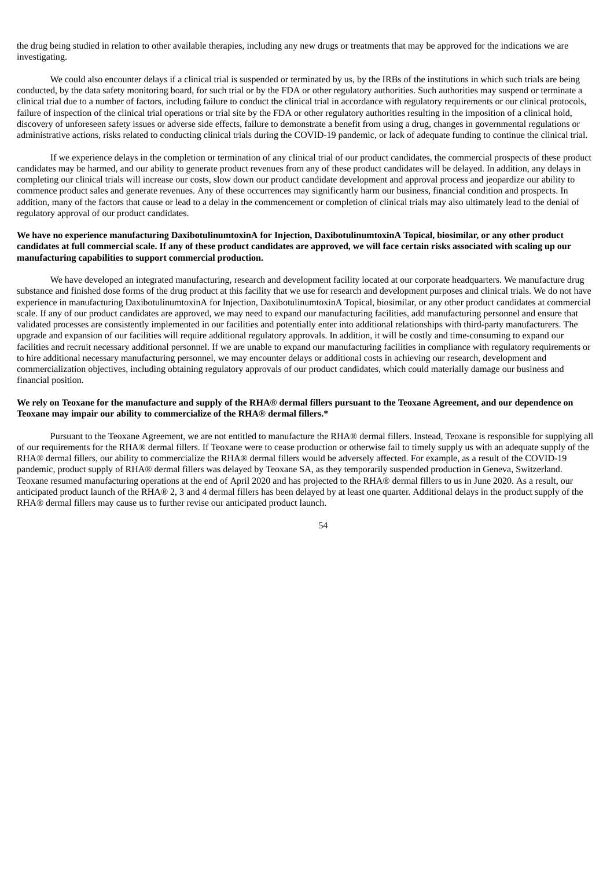the drug being studied in relation to other available therapies, including any new drugs or treatments that may be approved for the indications we are investigating.

We could also encounter delays if a clinical trial is suspended or terminated by us, by the IRBs of the institutions in which such trials are being conducted, by the data safety monitoring board, for such trial or by the FDA or other regulatory authorities. Such authorities may suspend or terminate a clinical trial due to a number of factors, including failure to conduct the clinical trial in accordance with regulatory requirements or our clinical protocols, failure of inspection of the clinical trial operations or trial site by the FDA or other regulatory authorities resulting in the imposition of a clinical hold, discovery of unforeseen safety issues or adverse side effects, failure to demonstrate a benefit from using a drug, changes in governmental regulations or administrative actions, risks related to conducting clinical trials during the COVID-19 pandemic, or lack of adequate funding to continue the clinical trial.

If we experience delays in the completion or termination of any clinical trial of our product candidates, the commercial prospects of these product candidates may be harmed, and our ability to generate product revenues from any of these product candidates will be delayed. In addition, any delays in completing our clinical trials will increase our costs, slow down our product candidate development and approval process and jeopardize our ability to commence product sales and generate revenues. Any of these occurrences may significantly harm our business, financial condition and prospects. In addition, many of the factors that cause or lead to a delay in the commencement or completion of clinical trials may also ultimately lead to the denial of regulatory approval of our product candidates.

# We have no experience manufacturing DaxibotulinumtoxinA for Injection, DaxibotulinumtoxinA Topical, biosimilar, or any other product candidates at full commercial scale. If any of these product candidates are approved, we will face certain risks associated with scaling up our **manufacturing capabilities to support commercial production.**

We have developed an integrated manufacturing, research and development facility located at our corporate headquarters. We manufacture drug substance and finished dose forms of the drug product at this facility that we use for research and development purposes and clinical trials. We do not have experience in manufacturing DaxibotulinumtoxinA for Injection, DaxibotulinumtoxinA Topical, biosimilar, or any other product candidates at commercial scale. If any of our product candidates are approved, we may need to expand our manufacturing facilities, add manufacturing personnel and ensure that validated processes are consistently implemented in our facilities and potentially enter into additional relationships with third-party manufacturers. The upgrade and expansion of our facilities will require additional regulatory approvals. In addition, it will be costly and time-consuming to expand our facilities and recruit necessary additional personnel. If we are unable to expand our manufacturing facilities in compliance with regulatory requirements or to hire additional necessary manufacturing personnel, we may encounter delays or additional costs in achieving our research, development and commercialization objectives, including obtaining regulatory approvals of our product candidates, which could materially damage our business and financial position.

# We rely on Teoxane for the manufacture and supply of the RHA® dermal fillers pursuant to the Teoxane Agreement, and our dependence on **Teoxane may impair our ability to commercialize of the RHA® dermal fillers.\***

Pursuant to the Teoxane Agreement, we are not entitled to manufacture the RHA® dermal fillers. Instead, Teoxane is responsible for supplying all of our requirements for the RHA® dermal fillers. If Teoxane were to cease production or otherwise fail to timely supply us with an adequate supply of the RHA® dermal fillers, our ability to commercialize the RHA® dermal fillers would be adversely affected. For example, as a result of the COVID-19 pandemic, product supply of RHA® dermal fillers was delayed by Teoxane SA, as they temporarily suspended production in Geneva, Switzerland. Teoxane resumed manufacturing operations at the end of April 2020 and has projected to the RHA® dermal fillers to us in June 2020. As a result, our anticipated product launch of the RHA® 2, 3 and 4 dermal fillers has been delayed by at least one quarter. Additional delays in the product supply of the RHA® dermal fillers may cause us to further revise our anticipated product launch.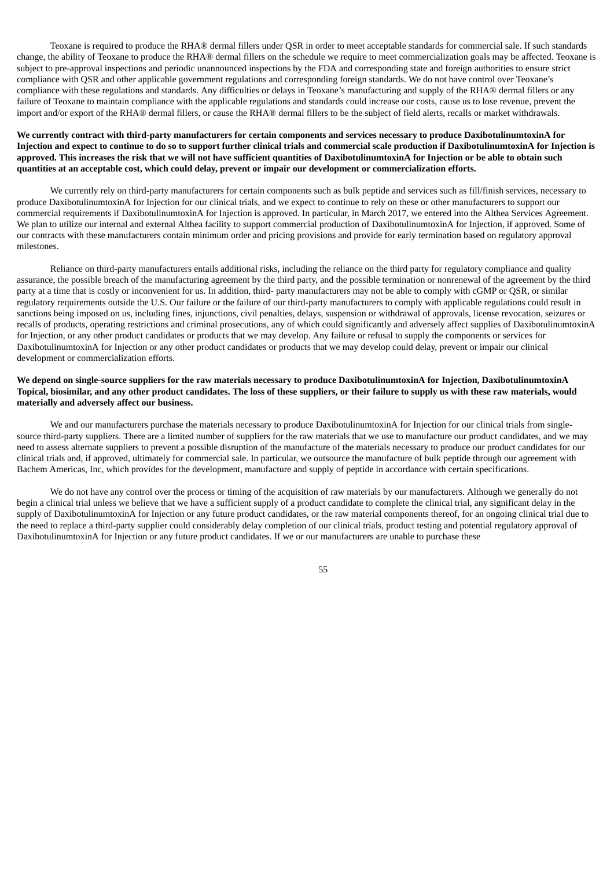Teoxane is required to produce the RHA® dermal fillers under QSR in order to meet acceptable standards for commercial sale. If such standards change, the ability of Teoxane to produce the RHA® dermal fillers on the schedule we require to meet commercialization goals may be affected. Teoxane is subject to pre-approval inspections and periodic unannounced inspections by the FDA and corresponding state and foreign authorities to ensure strict compliance with QSR and other applicable government regulations and corresponding foreign standards. We do not have control over Teoxane's compliance with these regulations and standards. Any difficulties or delays in Teoxane's manufacturing and supply of the RHA® dermal fillers or any failure of Teoxane to maintain compliance with the applicable regulations and standards could increase our costs, cause us to lose revenue, prevent the import and/or export of the RHA® dermal fillers, or cause the RHA® dermal fillers to be the subject of field alerts, recalls or market withdrawals.

## We currently contract with third-party manufacturers for certain components and services necessary to produce DaxibotulinumtoxinA for Injection and expect to continue to do so to support further clinical trials and commercial scale production if DaxibotulinumtoxinA for Injection is approved. This increases the risk that we will not have sufficient quantities of DaxibotulinumtoxinA for Injection or be able to obtain such quantities at an acceptable cost, which could delay, prevent or impair our development or commercialization efforts.

We currently rely on third-party manufacturers for certain components such as bulk peptide and services such as fill/finish services, necessary to produce DaxibotulinumtoxinA for Injection for our clinical trials, and we expect to continue to rely on these or other manufacturers to support our commercial requirements if DaxibotulinumtoxinA for Injection is approved. In particular, in March 2017, we entered into the Althea Services Agreement. We plan to utilize our internal and external Althea facility to support commercial production of DaxibotulinumtoxinA for Injection, if approved. Some of our contracts with these manufacturers contain minimum order and pricing provisions and provide for early termination based on regulatory approval milestones.

Reliance on third-party manufacturers entails additional risks, including the reliance on the third party for regulatory compliance and quality assurance, the possible breach of the manufacturing agreement by the third party, and the possible termination or nonrenewal of the agreement by the third party at a time that is costly or inconvenient for us. In addition, third- party manufacturers may not be able to comply with cGMP or QSR, or similar regulatory requirements outside the U.S. Our failure or the failure of our third-party manufacturers to comply with applicable regulations could result in sanctions being imposed on us, including fines, injunctions, civil penalties, delays, suspension or withdrawal of approvals, license revocation, seizures or recalls of products, operating restrictions and criminal prosecutions, any of which could significantly and adversely affect supplies of DaxibotulinumtoxinA for Injection, or any other product candidates or products that we may develop. Any failure or refusal to supply the components or services for DaxibotulinumtoxinA for Injection or any other product candidates or products that we may develop could delay, prevent or impair our clinical development or commercialization efforts.

# We depend on single-source suppliers for the raw materials necessary to produce DaxibotulinumtoxinA for Injection, DaxibotulinumtoxinA Topical, biosimilar, and any other product candidates. The loss of these suppliers, or their failure to supply us with these raw materials, would **materially and adversely affect our business.**

We and our manufacturers purchase the materials necessary to produce DaxibotulinumtoxinA for Injection for our clinical trials from singlesource third-party suppliers. There are a limited number of suppliers for the raw materials that we use to manufacture our product candidates, and we may need to assess alternate suppliers to prevent a possible disruption of the manufacture of the materials necessary to produce our product candidates for our clinical trials and, if approved, ultimately for commercial sale. In particular, we outsource the manufacture of bulk peptide through our agreement with Bachem Americas, Inc, which provides for the development, manufacture and supply of peptide in accordance with certain specifications.

We do not have any control over the process or timing of the acquisition of raw materials by our manufacturers. Although we generally do not begin a clinical trial unless we believe that we have a sufficient supply of a product candidate to complete the clinical trial, any significant delay in the supply of DaxibotulinumtoxinA for Injection or any future product candidates, or the raw material components thereof, for an ongoing clinical trial due to the need to replace a third-party supplier could considerably delay completion of our clinical trials, product testing and potential regulatory approval of DaxibotulinumtoxinA for Injection or any future product candidates. If we or our manufacturers are unable to purchase these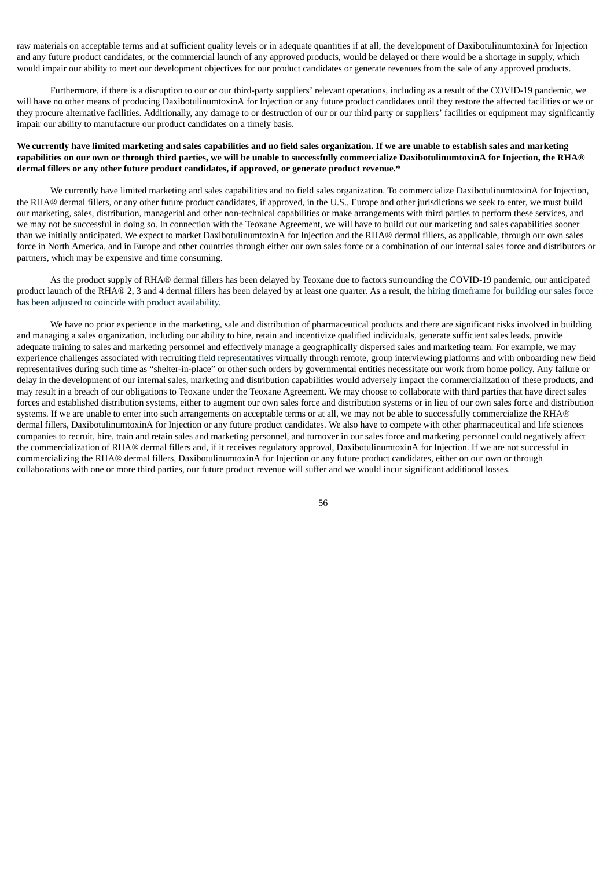raw materials on acceptable terms and at sufficient quality levels or in adequate quantities if at all, the development of DaxibotulinumtoxinA for Injection and any future product candidates, or the commercial launch of any approved products, would be delayed or there would be a shortage in supply, which would impair our ability to meet our development objectives for our product candidates or generate revenues from the sale of any approved products.

Furthermore, if there is a disruption to our or our third-party suppliers' relevant operations, including as a result of the COVID-19 pandemic, we will have no other means of producing DaxibotulinumtoxinA for Injection or any future product candidates until they restore the affected facilities or we or they procure alternative facilities. Additionally, any damage to or destruction of our or our third party or suppliers' facilities or equipment may significantly impair our ability to manufacture our product candidates on a timely basis.

# We currently have limited marketing and sales capabilities and no field sales organization. If we are unable to establish sales and marketing capabilities on our own or through third parties, we will be unable to successfully commercialize DaxibotulinumtoxinA for Injection, the RHA® **dermal fillers or any other future product candidates, if approved, or generate product revenue.\***

We currently have limited marketing and sales capabilities and no field sales organization. To commercialize DaxibotulinumtoxinA for Injection, the RHA® dermal fillers, or any other future product candidates, if approved, in the U.S., Europe and other jurisdictions we seek to enter, we must build our marketing, sales, distribution, managerial and other non-technical capabilities or make arrangements with third parties to perform these services, and we may not be successful in doing so. In connection with the Teoxane Agreement, we will have to build out our marketing and sales capabilities sooner than we initially anticipated. We expect to market DaxibotulinumtoxinA for Injection and the RHA® dermal fillers, as applicable, through our own sales force in North America, and in Europe and other countries through either our own sales force or a combination of our internal sales force and distributors or partners, which may be expensive and time consuming.

As the product supply of RHA® dermal fillers has been delayed by Teoxane due to factors surrounding the COVID-19 pandemic, our anticipated product launch of the RHA® 2, 3 and 4 dermal fillers has been delayed by at least one quarter. As a result, the hiring timeframe for building our sales force has been adjusted to coincide with product availability.

We have no prior experience in the marketing, sale and distribution of pharmaceutical products and there are significant risks involved in building and managing a sales organization, including our ability to hire, retain and incentivize qualified individuals, generate sufficient sales leads, provide adequate training to sales and marketing personnel and effectively manage a geographically dispersed sales and marketing team. For example, we may experience challenges associated with recruiting field representatives virtually through remote, group interviewing platforms and with onboarding new field representatives during such time as "shelter-in-place" or other such orders by governmental entities necessitate our work from home policy. Any failure or delay in the development of our internal sales, marketing and distribution capabilities would adversely impact the commercialization of these products, and may result in a breach of our obligations to Teoxane under the Teoxane Agreement. We may choose to collaborate with third parties that have direct sales forces and established distribution systems, either to augment our own sales force and distribution systems or in lieu of our own sales force and distribution systems. If we are unable to enter into such arrangements on acceptable terms or at all, we may not be able to successfully commercialize the RHA® dermal fillers, DaxibotulinumtoxinA for Injection or any future product candidates. We also have to compete with other pharmaceutical and life sciences companies to recruit, hire, train and retain sales and marketing personnel, and turnover in our sales force and marketing personnel could negatively affect the commercialization of RHA® dermal fillers and, if it receives regulatory approval, DaxibotulinumtoxinA for Injection. If we are not successful in commercializing the RHA® dermal fillers, DaxibotulinumtoxinA for Injection or any future product candidates, either on our own or through collaborations with one or more third parties, our future product revenue will suffer and we would incur significant additional losses.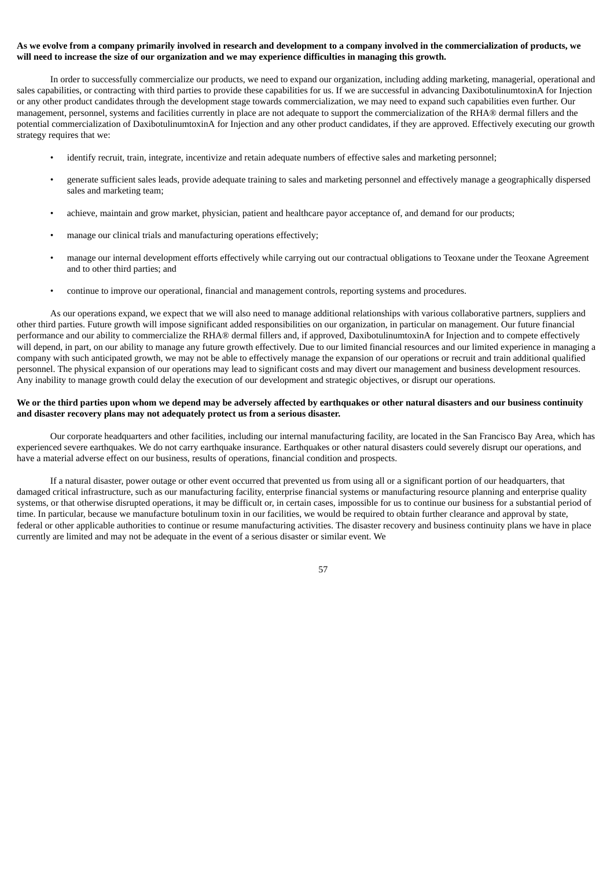## As we evolve from a company primarily involved in research and development to a company involved in the commercialization of products, we will need to increase the size of our organization and we may experience difficulties in managing this growth.

In order to successfully commercialize our products, we need to expand our organization, including adding marketing, managerial, operational and sales capabilities, or contracting with third parties to provide these capabilities for us. If we are successful in advancing DaxibotulinumtoxinA for Injection or any other product candidates through the development stage towards commercialization, we may need to expand such capabilities even further. Our management, personnel, systems and facilities currently in place are not adequate to support the commercialization of the RHA® dermal fillers and the potential commercialization of DaxibotulinumtoxinA for Injection and any other product candidates, if they are approved. Effectively executing our growth strategy requires that we:

- identify recruit, train, integrate, incentivize and retain adequate numbers of effective sales and marketing personnel;
- generate sufficient sales leads, provide adequate training to sales and marketing personnel and effectively manage a geographically dispersed sales and marketing team;
- achieve, maintain and grow market, physician, patient and healthcare payor acceptance of, and demand for our products;
- manage our clinical trials and manufacturing operations effectively;
- manage our internal development efforts effectively while carrying out our contractual obligations to Teoxane under the Teoxane Agreement and to other third parties; and
- continue to improve our operational, financial and management controls, reporting systems and procedures.

As our operations expand, we expect that we will also need to manage additional relationships with various collaborative partners, suppliers and other third parties. Future growth will impose significant added responsibilities on our organization, in particular on management. Our future financial performance and our ability to commercialize the RHA® dermal fillers and, if approved, DaxibotulinumtoxinA for Injection and to compete effectively will depend, in part, on our ability to manage any future growth effectively. Due to our limited financial resources and our limited experience in managing a company with such anticipated growth, we may not be able to effectively manage the expansion of our operations or recruit and train additional qualified personnel. The physical expansion of our operations may lead to significant costs and may divert our management and business development resources. Any inability to manage growth could delay the execution of our development and strategic objectives, or disrupt our operations.

# We or the third parties upon whom we depend may be adversely affected by earthquakes or other natural disasters and our business continuity **and disaster recovery plans may not adequately protect us from a serious disaster.**

Our corporate headquarters and other facilities, including our internal manufacturing facility, are located in the San Francisco Bay Area, which has experienced severe earthquakes. We do not carry earthquake insurance. Earthquakes or other natural disasters could severely disrupt our operations, and have a material adverse effect on our business, results of operations, financial condition and prospects.

If a natural disaster, power outage or other event occurred that prevented us from using all or a significant portion of our headquarters, that damaged critical infrastructure, such as our manufacturing facility, enterprise financial systems or manufacturing resource planning and enterprise quality systems, or that otherwise disrupted operations, it may be difficult or, in certain cases, impossible for us to continue our business for a substantial period of time. In particular, because we manufacture botulinum toxin in our facilities, we would be required to obtain further clearance and approval by state, federal or other applicable authorities to continue or resume manufacturing activities. The disaster recovery and business continuity plans we have in place currently are limited and may not be adequate in the event of a serious disaster or similar event. We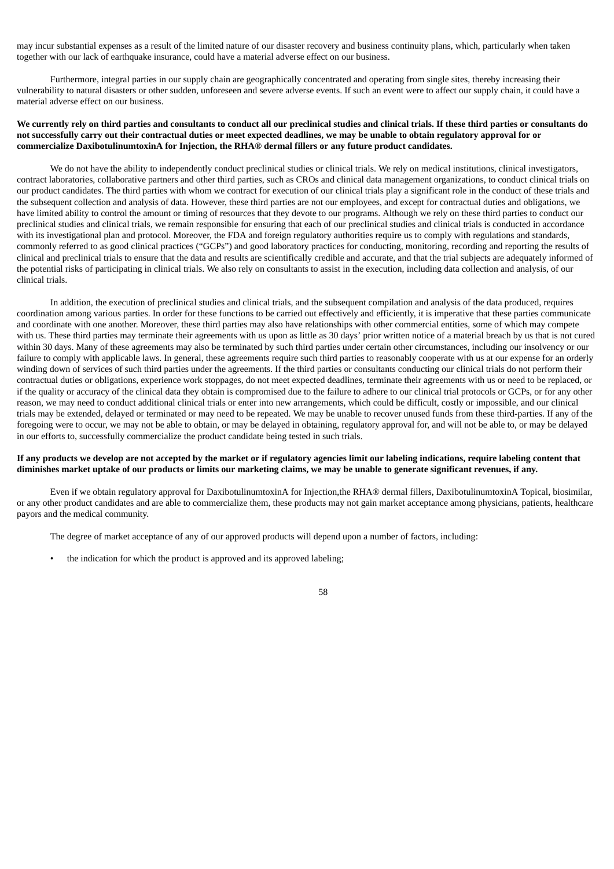may incur substantial expenses as a result of the limited nature of our disaster recovery and business continuity plans, which, particularly when taken together with our lack of earthquake insurance, could have a material adverse effect on our business.

Furthermore, integral parties in our supply chain are geographically concentrated and operating from single sites, thereby increasing their vulnerability to natural disasters or other sudden, unforeseen and severe adverse events. If such an event were to affect our supply chain, it could have a material adverse effect on our business.

# We currently rely on third parties and consultants to conduct all our preclinical studies and clinical trials. If these third parties or consultants do not successfully carry out their contractual duties or meet expected deadlines, we may be unable to obtain regulatory approval for or **commercialize DaxibotulinumtoxinA for Injection, the RHA® dermal fillers or any future product candidates.**

We do not have the ability to independently conduct preclinical studies or clinical trials. We rely on medical institutions, clinical investigators, contract laboratories, collaborative partners and other third parties, such as CROs and clinical data management organizations, to conduct clinical trials on our product candidates. The third parties with whom we contract for execution of our clinical trials play a significant role in the conduct of these trials and the subsequent collection and analysis of data. However, these third parties are not our employees, and except for contractual duties and obligations, we have limited ability to control the amount or timing of resources that they devote to our programs. Although we rely on these third parties to conduct our preclinical studies and clinical trials, we remain responsible for ensuring that each of our preclinical studies and clinical trials is conducted in accordance with its investigational plan and protocol. Moreover, the FDA and foreign regulatory authorities require us to comply with regulations and standards, commonly referred to as good clinical practices ("GCPs") and good laboratory practices for conducting, monitoring, recording and reporting the results of clinical and preclinical trials to ensure that the data and results are scientifically credible and accurate, and that the trial subjects are adequately informed of the potential risks of participating in clinical trials. We also rely on consultants to assist in the execution, including data collection and analysis, of our clinical trials.

In addition, the execution of preclinical studies and clinical trials, and the subsequent compilation and analysis of the data produced, requires coordination among various parties. In order for these functions to be carried out effectively and efficiently, it is imperative that these parties communicate and coordinate with one another. Moreover, these third parties may also have relationships with other commercial entities, some of which may compete with us. These third parties may terminate their agreements with us upon as little as 30 days' prior written notice of a material breach by us that is not cured within 30 days. Many of these agreements may also be terminated by such third parties under certain other circumstances, including our insolvency or our failure to comply with applicable laws. In general, these agreements require such third parties to reasonably cooperate with us at our expense for an orderly winding down of services of such third parties under the agreements. If the third parties or consultants conducting our clinical trials do not perform their contractual duties or obligations, experience work stoppages, do not meet expected deadlines, terminate their agreements with us or need to be replaced, or if the quality or accuracy of the clinical data they obtain is compromised due to the failure to adhere to our clinical trial protocols or GCPs, or for any other reason, we may need to conduct additional clinical trials or enter into new arrangements, which could be difficult, costly or impossible, and our clinical trials may be extended, delayed or terminated or may need to be repeated. We may be unable to recover unused funds from these third-parties. If any of the foregoing were to occur, we may not be able to obtain, or may be delayed in obtaining, regulatory approval for, and will not be able to, or may be delayed in our efforts to, successfully commercialize the product candidate being tested in such trials.

# If any products we develop are not accepted by the market or if regulatory agencies limit our labeling indications, require labeling content that diminishes market uptake of our products or limits our marketing claims, we may be unable to generate significant revenues, if any.

Even if we obtain regulatory approval for DaxibotulinumtoxinA for Injection,the RHA® dermal fillers, DaxibotulinumtoxinA Topical, biosimilar, or any other product candidates and are able to commercialize them, these products may not gain market acceptance among physicians, patients, healthcare payors and the medical community.

The degree of market acceptance of any of our approved products will depend upon a number of factors, including:

the indication for which the product is approved and its approved labeling;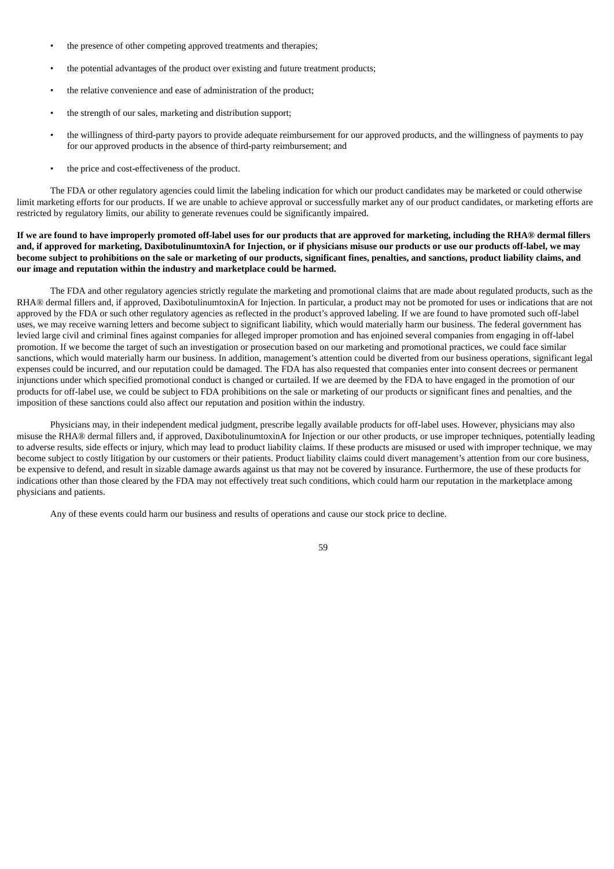- the presence of other competing approved treatments and therapies;
- the potential advantages of the product over existing and future treatment products;
- the relative convenience and ease of administration of the product;
- the strength of our sales, marketing and distribution support;
- the willingness of third-party payors to provide adequate reimbursement for our approved products, and the willingness of payments to pay for our approved products in the absence of third-party reimbursement; and
- the price and cost-effectiveness of the product.

The FDA or other regulatory agencies could limit the labeling indication for which our product candidates may be marketed or could otherwise limit marketing efforts for our products. If we are unable to achieve approval or successfully market any of our product candidates, or marketing efforts are restricted by regulatory limits, our ability to generate revenues could be significantly impaired.

### If we are found to have improperly promoted off-label uses for our products that are approved for marketing, including the RHA® dermal fillers and, if approved for marketing, DaxibotulinumtoxinA for Injection, or if physicians misuse our products or use our products off-label, we may become subject to prohibitions on the sale or marketing of our products, significant fines, penalties, and sanctions, product liability claims, and **our image and reputation within the industry and marketplace could be harmed.**

The FDA and other regulatory agencies strictly regulate the marketing and promotional claims that are made about regulated products, such as the RHA® dermal fillers and, if approved, DaxibotulinumtoxinA for Injection. In particular, a product may not be promoted for uses or indications that are not approved by the FDA or such other regulatory agencies as reflected in the product's approved labeling. If we are found to have promoted such off-label uses, we may receive warning letters and become subject to significant liability, which would materially harm our business. The federal government has levied large civil and criminal fines against companies for alleged improper promotion and has enjoined several companies from engaging in off-label promotion. If we become the target of such an investigation or prosecution based on our marketing and promotional practices, we could face similar sanctions, which would materially harm our business. In addition, management's attention could be diverted from our business operations, significant legal expenses could be incurred, and our reputation could be damaged. The FDA has also requested that companies enter into consent decrees or permanent injunctions under which specified promotional conduct is changed or curtailed. If we are deemed by the FDA to have engaged in the promotion of our products for off-label use, we could be subject to FDA prohibitions on the sale or marketing of our products or significant fines and penalties, and the imposition of these sanctions could also affect our reputation and position within the industry.

Physicians may, in their independent medical judgment, prescribe legally available products for off-label uses. However, physicians may also misuse the RHA® dermal fillers and, if approved, DaxibotulinumtoxinA for Injection or our other products, or use improper techniques, potentially leading to adverse results, side effects or injury, which may lead to product liability claims. If these products are misused or used with improper technique, we may become subject to costly litigation by our customers or their patients. Product liability claims could divert management's attention from our core business, be expensive to defend, and result in sizable damage awards against us that may not be covered by insurance. Furthermore, the use of these products for indications other than those cleared by the FDA may not effectively treat such conditions, which could harm our reputation in the marketplace among physicians and patients.

Any of these events could harm our business and results of operations and cause our stock price to decline.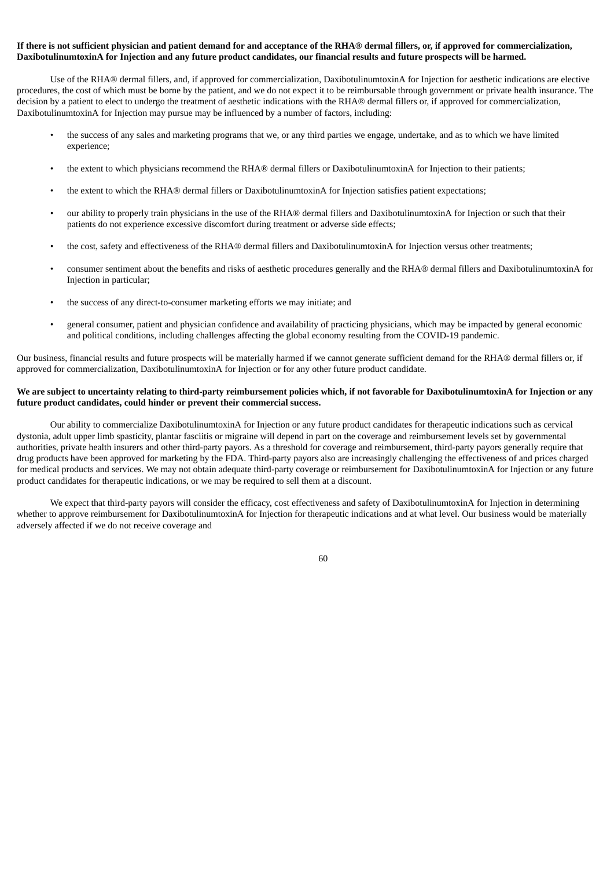# If there is not sufficient physician and patient demand for and acceptance of the RHA® dermal fillers, or, if approved for commercialization, DaxibotulinumtoxinA for Injection and any future product candidates, our financial results and future prospects will be harmed.

Use of the RHA® dermal fillers, and, if approved for commercialization, DaxibotulinumtoxinA for Injection for aesthetic indications are elective procedures, the cost of which must be borne by the patient, and we do not expect it to be reimbursable through government or private health insurance. The decision by a patient to elect to undergo the treatment of aesthetic indications with the RHA® dermal fillers or, if approved for commercialization, DaxibotulinumtoxinA for Injection may pursue may be influenced by a number of factors, including:

- the success of any sales and marketing programs that we, or any third parties we engage, undertake, and as to which we have limited experience;
- the extent to which physicians recommend the RHA® dermal fillers or DaxibotulinumtoxinA for Injection to their patients;
- the extent to which the RHA® dermal fillers or DaxibotulinumtoxinA for Injection satisfies patient expectations;
- our ability to properly train physicians in the use of the RHA® dermal fillers and DaxibotulinumtoxinA for Injection or such that their patients do not experience excessive discomfort during treatment or adverse side effects;
- the cost, safety and effectiveness of the RHA® dermal fillers and DaxibotulinumtoxinA for Injection versus other treatments;
- consumer sentiment about the benefits and risks of aesthetic procedures generally and the RHA® dermal fillers and DaxibotulinumtoxinA for Injection in particular;
- the success of any direct-to-consumer marketing efforts we may initiate; and
- general consumer, patient and physician confidence and availability of practicing physicians, which may be impacted by general economic and political conditions, including challenges affecting the global economy resulting from the COVID-19 pandemic.

Our business, financial results and future prospects will be materially harmed if we cannot generate sufficient demand for the RHA® dermal fillers or, if approved for commercialization, DaxibotulinumtoxinA for Injection or for any other future product candidate.

## We are subject to uncertainty relating to third-party reimbursement policies which, if not favorable for DaxibotulinumtoxinA for Injection or any **future product candidates, could hinder or prevent their commercial success.**

Our ability to commercialize DaxibotulinumtoxinA for Injection or any future product candidates for therapeutic indications such as cervical dystonia, adult upper limb spasticity, plantar fasciitis or migraine will depend in part on the coverage and reimbursement levels set by governmental authorities, private health insurers and other third-party payors. As a threshold for coverage and reimbursement, third-party payors generally require that drug products have been approved for marketing by the FDA. Third-party payors also are increasingly challenging the effectiveness of and prices charged for medical products and services. We may not obtain adequate third-party coverage or reimbursement for DaxibotulinumtoxinA for Injection or any future product candidates for therapeutic indications, or we may be required to sell them at a discount.

We expect that third-party payors will consider the efficacy, cost effectiveness and safety of DaxibotulinumtoxinA for Injection in determining whether to approve reimbursement for DaxibotulinumtoxinA for Injection for therapeutic indications and at what level. Our business would be materially adversely affected if we do not receive coverage and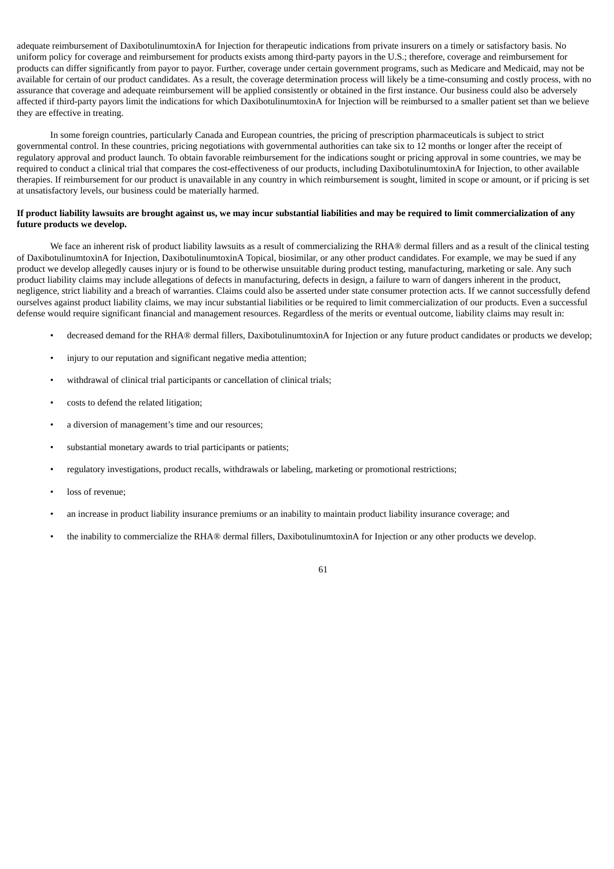adequate reimbursement of DaxibotulinumtoxinA for Injection for therapeutic indications from private insurers on a timely or satisfactory basis. No uniform policy for coverage and reimbursement for products exists among third-party payors in the U.S.; therefore, coverage and reimbursement for products can differ significantly from payor to payor. Further, coverage under certain government programs, such as Medicare and Medicaid, may not be available for certain of our product candidates. As a result, the coverage determination process will likely be a time-consuming and costly process, with no assurance that coverage and adequate reimbursement will be applied consistently or obtained in the first instance. Our business could also be adversely affected if third-party payors limit the indications for which DaxibotulinumtoxinA for Injection will be reimbursed to a smaller patient set than we believe they are effective in treating.

In some foreign countries, particularly Canada and European countries, the pricing of prescription pharmaceuticals is subject to strict governmental control. In these countries, pricing negotiations with governmental authorities can take six to 12 months or longer after the receipt of regulatory approval and product launch. To obtain favorable reimbursement for the indications sought or pricing approval in some countries, we may be required to conduct a clinical trial that compares the cost-effectiveness of our products, including DaxibotulinumtoxinA for Injection, to other available therapies. If reimbursement for our product is unavailable in any country in which reimbursement is sought, limited in scope or amount, or if pricing is set at unsatisfactory levels, our business could be materially harmed.

# If product liability lawsuits are brought against us, we may incur substantial liabilities and may be required to limit commercialization of any **future products we develop.**

We face an inherent risk of product liability lawsuits as a result of commercializing the RHA® dermal fillers and as a result of the clinical testing of DaxibotulinumtoxinA for Injection, DaxibotulinumtoxinA Topical, biosimilar, or any other product candidates. For example, we may be sued if any product we develop allegedly causes injury or is found to be otherwise unsuitable during product testing, manufacturing, marketing or sale. Any such product liability claims may include allegations of defects in manufacturing, defects in design, a failure to warn of dangers inherent in the product, negligence, strict liability and a breach of warranties. Claims could also be asserted under state consumer protection acts. If we cannot successfully defend ourselves against product liability claims, we may incur substantial liabilities or be required to limit commercialization of our products. Even a successful defense would require significant financial and management resources. Regardless of the merits or eventual outcome, liability claims may result in:

- decreased demand for the RHA® dermal fillers, DaxibotulinumtoxinA for Injection or any future product candidates or products we develop;
- injury to our reputation and significant negative media attention;
- withdrawal of clinical trial participants or cancellation of clinical trials;
- costs to defend the related litigation;
- a diversion of management's time and our resources;
- substantial monetary awards to trial participants or patients;
- regulatory investigations, product recalls, withdrawals or labeling, marketing or promotional restrictions;
- loss of revenue;
- an increase in product liability insurance premiums or an inability to maintain product liability insurance coverage; and
- the inability to commercialize the RHA® dermal fillers, DaxibotulinumtoxinA for Injection or any other products we develop.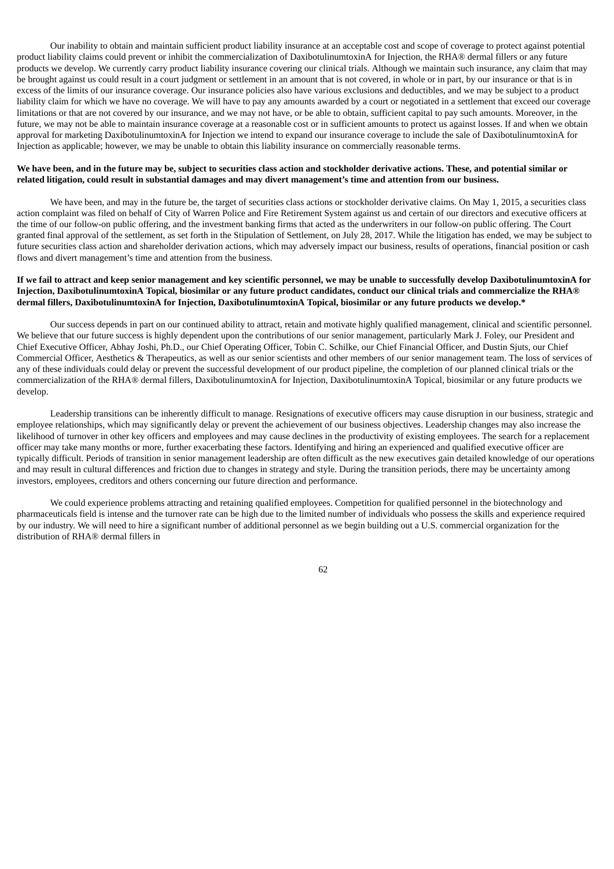Our inability to obtain and maintain sufficient product liability insurance at an acceptable cost and scope of coverage to protect against potential product liability claims could prevent or inhibit the commercialization of DaxibotulinumtoxinA for Injection, the RHA® dermal fillers or any future products we develop. We currently carry product liability insurance covering our clinical trials. Although we maintain such insurance, any claim that may be brought against us could result in a court judgment or settlement in an amount that is not covered, in whole or in part, by our insurance or that is in excess of the limits of our insurance coverage. Our insurance policies also have various exclusions and deductibles, and we may be subject to a product liability claim for which we have no coverage. We will have to pay any amounts awarded by a court or negotiated in a settlement that exceed our coverage limitations or that are not covered by our insurance, and we may not have, or be able to obtain, sufficient capital to pay such amounts. Moreover, in the future, we may not be able to maintain insurance coverage at a reasonable cost or in sufficient amounts to protect us against losses. If and when we obtain approval for marketing DaxibotulinumtoxinA for Injection we intend to expand our insurance coverage to include the sale of DaxibotulinumtoxinA for Injection as applicable; however, we may be unable to obtain this liability insurance on commercially reasonable terms.

#### We have been, and in the future may be, subject to securities class action and stockholder derivative actions. These, and potential similar or related litigation, could result in substantial damages and may divert management's time and attention from our business.

We have been, and may in the future be, the target of securities class actions or stockholder derivative claims. On May 1, 2015, a securities class action complaint was filed on behalf of City of Warren Police and Fire Retirement System against us and certain of our directors and executive officers at the time of our follow-on public offering, and the investment banking firms that acted as the underwriters in our follow-on public offering. The Court granted final approval of the settlement, as set forth in the Stipulation of Settlement, on July 28, 2017. While the litigation has ended, we may be subject to future securities class action and shareholder derivation actions, which may adversely impact our business, results of operations, financial position or cash flows and divert management's time and attention from the business.

# If we fail to attract and keep senior management and key scientific personnel, we may be unable to successfully develop DaxibotulinumtoxinA for Injection, DaxibotulinumtoxinA Topical, biosimilar or any future product candidates, conduct our clinical trials and commercialize the RHA® **dermal fillers, DaxibotulinumtoxinA for Injection, DaxibotulinumtoxinA Topical, biosimilar or any future products we develop.\***

Our success depends in part on our continued ability to attract, retain and motivate highly qualified management, clinical and scientific personnel. We believe that our future success is highly dependent upon the contributions of our senior management, particularly Mark J. Foley, our President and Chief Executive Officer, Abhay Joshi, Ph.D., our Chief Operating Officer, Tobin C. Schilke, our Chief Financial Officer, and Dustin Sjuts, our Chief Commercial Officer, Aesthetics & Therapeutics, as well as our senior scientists and other members of our senior management team. The loss of services of any of these individuals could delay or prevent the successful development of our product pipeline, the completion of our planned clinical trials or the commercialization of the RHA® dermal fillers, DaxibotulinumtoxinA for Injection, DaxibotulinumtoxinA Topical, biosimilar or any future products we develop.

Leadership transitions can be inherently difficult to manage. Resignations of executive officers may cause disruption in our business, strategic and employee relationships, which may significantly delay or prevent the achievement of our business objectives. Leadership changes may also increase the likelihood of turnover in other key officers and employees and may cause declines in the productivity of existing employees. The search for a replacement officer may take many months or more, further exacerbating these factors. Identifying and hiring an experienced and qualified executive officer are typically difficult. Periods of transition in senior management leadership are often difficult as the new executives gain detailed knowledge of our operations and may result in cultural differences and friction due to changes in strategy and style. During the transition periods, there may be uncertainty among investors, employees, creditors and others concerning our future direction and performance.

We could experience problems attracting and retaining qualified employees. Competition for qualified personnel in the biotechnology and pharmaceuticals field is intense and the turnover rate can be high due to the limited number of individuals who possess the skills and experience required by our industry. We will need to hire a significant number of additional personnel as we begin building out a U.S. commercial organization for the distribution of RHA® dermal fillers in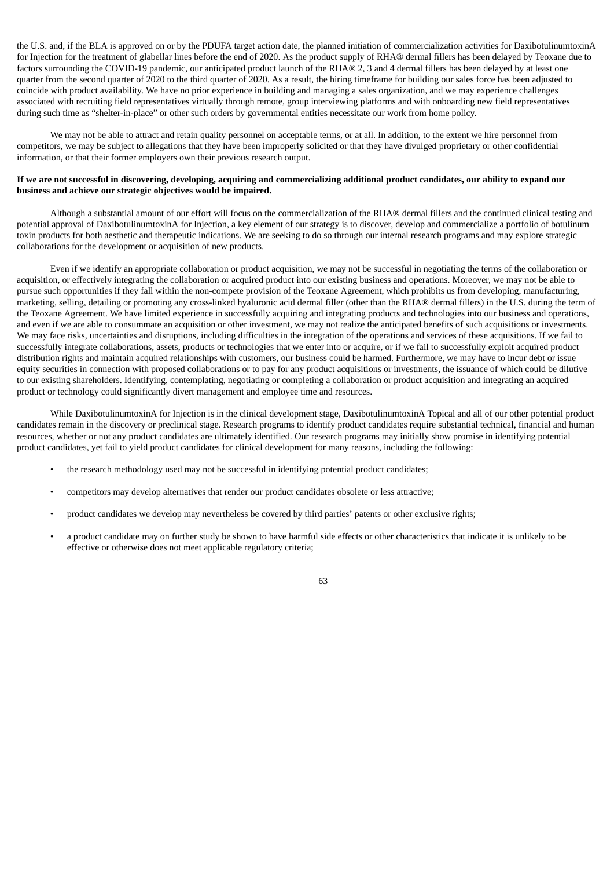the U.S. and, if the BLA is approved on or by the PDUFA target action date, the planned initiation of commercialization activities for DaxibotulinumtoxinA for Injection for the treatment of glabellar lines before the end of 2020. As the product supply of RHA® dermal fillers has been delayed by Teoxane due to factors surrounding the COVID-19 pandemic, our anticipated product launch of the RHA® 2, 3 and 4 dermal fillers has been delayed by at least one quarter from the second quarter of 2020 to the third quarter of 2020. As a result, the hiring timeframe for building our sales force has been adjusted to coincide with product availability. We have no prior experience in building and managing a sales organization, and we may experience challenges associated with recruiting field representatives virtually through remote, group interviewing platforms and with onboarding new field representatives during such time as "shelter-in-place" or other such orders by governmental entities necessitate our work from home policy.

We may not be able to attract and retain quality personnel on acceptable terms, or at all. In addition, to the extent we hire personnel from competitors, we may be subject to allegations that they have been improperly solicited or that they have divulged proprietary or other confidential information, or that their former employers own their previous research output.

# If we are not successful in discovering, developing, acquiring and commercializing additional product candidates, our ability to expand our **business and achieve our strategic objectives would be impaired.**

Although a substantial amount of our effort will focus on the commercialization of the RHA® dermal fillers and the continued clinical testing and potential approval of DaxibotulinumtoxinA for Injection, a key element of our strategy is to discover, develop and commercialize a portfolio of botulinum toxin products for both aesthetic and therapeutic indications. We are seeking to do so through our internal research programs and may explore strategic collaborations for the development or acquisition of new products.

Even if we identify an appropriate collaboration or product acquisition, we may not be successful in negotiating the terms of the collaboration or acquisition, or effectively integrating the collaboration or acquired product into our existing business and operations. Moreover, we may not be able to pursue such opportunities if they fall within the non-compete provision of the Teoxane Agreement, which prohibits us from developing, manufacturing, marketing, selling, detailing or promoting any cross-linked hyaluronic acid dermal filler (other than the RHA® dermal fillers) in the U.S. during the term of the Teoxane Agreement. We have limited experience in successfully acquiring and integrating products and technologies into our business and operations, and even if we are able to consummate an acquisition or other investment, we may not realize the anticipated benefits of such acquisitions or investments. We may face risks, uncertainties and disruptions, including difficulties in the integration of the operations and services of these acquisitions. If we fail to successfully integrate collaborations, assets, products or technologies that we enter into or acquire, or if we fail to successfully exploit acquired product distribution rights and maintain acquired relationships with customers, our business could be harmed. Furthermore, we may have to incur debt or issue equity securities in connection with proposed collaborations or to pay for any product acquisitions or investments, the issuance of which could be dilutive to our existing shareholders. Identifying, contemplating, negotiating or completing a collaboration or product acquisition and integrating an acquired product or technology could significantly divert management and employee time and resources.

While DaxibotulinumtoxinA for Injection is in the clinical development stage, DaxibotulinumtoxinA Topical and all of our other potential product candidates remain in the discovery or preclinical stage. Research programs to identify product candidates require substantial technical, financial and human resources, whether or not any product candidates are ultimately identified. Our research programs may initially show promise in identifying potential product candidates, yet fail to yield product candidates for clinical development for many reasons, including the following:

- the research methodology used may not be successful in identifying potential product candidates;
- competitors may develop alternatives that render our product candidates obsolete or less attractive;
- product candidates we develop may nevertheless be covered by third parties' patents or other exclusive rights;
- a product candidate may on further study be shown to have harmful side effects or other characteristics that indicate it is unlikely to be effective or otherwise does not meet applicable regulatory criteria;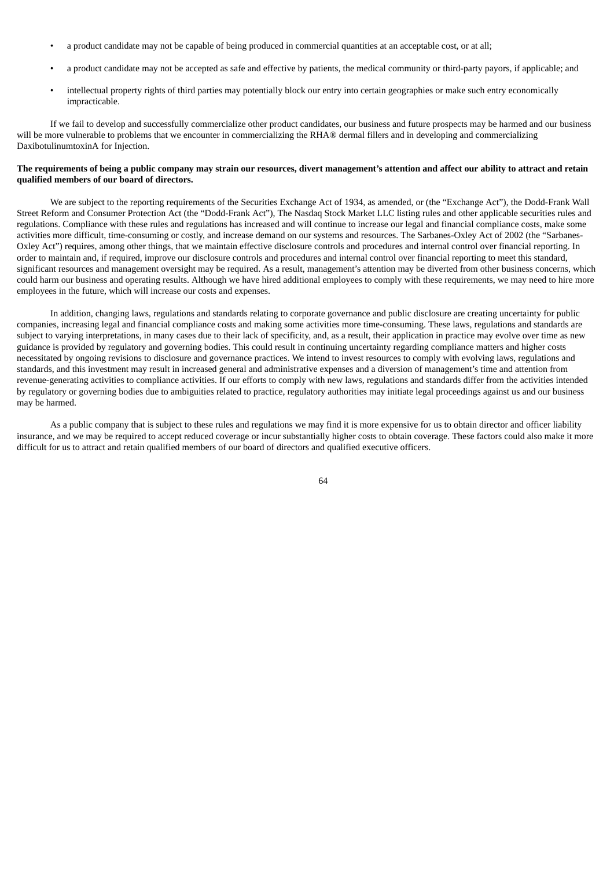- a product candidate may not be capable of being produced in commercial quantities at an acceptable cost, or at all;
- a product candidate may not be accepted as safe and effective by patients, the medical community or third-party payors, if applicable; and
- intellectual property rights of third parties may potentially block our entry into certain geographies or make such entry economically impracticable.

If we fail to develop and successfully commercialize other product candidates, our business and future prospects may be harmed and our business will be more vulnerable to problems that we encounter in commercializing the RHA® dermal fillers and in developing and commercializing DaxibotulinumtoxinA for Injection.

## The requirements of being a public company may strain our resources, divert management's attention and affect our ability to attract and retain **qualified members of our board of directors.**

We are subject to the reporting requirements of the Securities Exchange Act of 1934, as amended, or (the "Exchange Act"), the Dodd-Frank Wall Street Reform and Consumer Protection Act (the "Dodd-Frank Act"), The Nasdaq Stock Market LLC listing rules and other applicable securities rules and regulations. Compliance with these rules and regulations has increased and will continue to increase our legal and financial compliance costs, make some activities more difficult, time-consuming or costly, and increase demand on our systems and resources. The Sarbanes-Oxley Act of 2002 (the "Sarbanes-Oxley Act") requires, among other things, that we maintain effective disclosure controls and procedures and internal control over financial reporting. In order to maintain and, if required, improve our disclosure controls and procedures and internal control over financial reporting to meet this standard, significant resources and management oversight may be required. As a result, management's attention may be diverted from other business concerns, which could harm our business and operating results. Although we have hired additional employees to comply with these requirements, we may need to hire more employees in the future, which will increase our costs and expenses.

In addition, changing laws, regulations and standards relating to corporate governance and public disclosure are creating uncertainty for public companies, increasing legal and financial compliance costs and making some activities more time-consuming. These laws, regulations and standards are subject to varying interpretations, in many cases due to their lack of specificity, and, as a result, their application in practice may evolve over time as new guidance is provided by regulatory and governing bodies. This could result in continuing uncertainty regarding compliance matters and higher costs necessitated by ongoing revisions to disclosure and governance practices. We intend to invest resources to comply with evolving laws, regulations and standards, and this investment may result in increased general and administrative expenses and a diversion of management's time and attention from revenue-generating activities to compliance activities. If our efforts to comply with new laws, regulations and standards differ from the activities intended by regulatory or governing bodies due to ambiguities related to practice, regulatory authorities may initiate legal proceedings against us and our business may be harmed.

As a public company that is subject to these rules and regulations we may find it is more expensive for us to obtain director and officer liability insurance, and we may be required to accept reduced coverage or incur substantially higher costs to obtain coverage. These factors could also make it more difficult for us to attract and retain qualified members of our board of directors and qualified executive officers.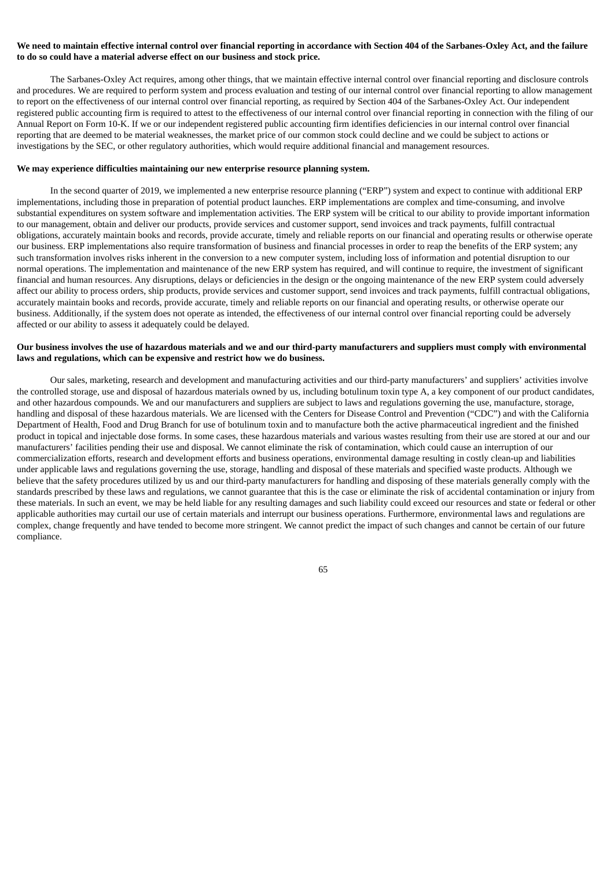### We need to maintain effective internal control over financial reporting in accordance with Section 404 of the Sarbanes-Oxley Act, and the failure **to do so could have a material adverse effect on our business and stock price.**

The Sarbanes-Oxley Act requires, among other things, that we maintain effective internal control over financial reporting and disclosure controls and procedures. We are required to perform system and process evaluation and testing of our internal control over financial reporting to allow management to report on the effectiveness of our internal control over financial reporting, as required by Section 404 of the Sarbanes-Oxley Act. Our independent registered public accounting firm is required to attest to the effectiveness of our internal control over financial reporting in connection with the filing of our Annual Report on Form 10-K. If we or our independent registered public accounting firm identifies deficiencies in our internal control over financial reporting that are deemed to be material weaknesses, the market price of our common stock could decline and we could be subject to actions or investigations by the SEC, or other regulatory authorities, which would require additional financial and management resources.

### **We may experience difficulties maintaining our new enterprise resource planning system.**

In the second quarter of 2019, we implemented a new enterprise resource planning ("ERP") system and expect to continue with additional ERP implementations, including those in preparation of potential product launches. ERP implementations are complex and time-consuming, and involve substantial expenditures on system software and implementation activities. The ERP system will be critical to our ability to provide important information to our management, obtain and deliver our products, provide services and customer support, send invoices and track payments, fulfill contractual obligations, accurately maintain books and records, provide accurate, timely and reliable reports on our financial and operating results or otherwise operate our business. ERP implementations also require transformation of business and financial processes in order to reap the benefits of the ERP system; any such transformation involves risks inherent in the conversion to a new computer system, including loss of information and potential disruption to our normal operations. The implementation and maintenance of the new ERP system has required, and will continue to require, the investment of significant financial and human resources. Any disruptions, delays or deficiencies in the design or the ongoing maintenance of the new ERP system could adversely affect our ability to process orders, ship products, provide services and customer support, send invoices and track payments, fulfill contractual obligations, accurately maintain books and records, provide accurate, timely and reliable reports on our financial and operating results, or otherwise operate our business. Additionally, if the system does not operate as intended, the effectiveness of our internal control over financial reporting could be adversely affected or our ability to assess it adequately could be delayed.

#### Our business involves the use of hazardous materials and we and our third-party manufacturers and suppliers must comply with environmental **laws and regulations, which can be expensive and restrict how we do business.**

Our sales, marketing, research and development and manufacturing activities and our third-party manufacturers' and suppliers' activities involve the controlled storage, use and disposal of hazardous materials owned by us, including botulinum toxin type A, a key component of our product candidates, and other hazardous compounds. We and our manufacturers and suppliers are subject to laws and regulations governing the use, manufacture, storage, handling and disposal of these hazardous materials. We are licensed with the Centers for Disease Control and Prevention ("CDC") and with the California Department of Health, Food and Drug Branch for use of botulinum toxin and to manufacture both the active pharmaceutical ingredient and the finished product in topical and injectable dose forms. In some cases, these hazardous materials and various wastes resulting from their use are stored at our and our manufacturers' facilities pending their use and disposal. We cannot eliminate the risk of contamination, which could cause an interruption of our commercialization efforts, research and development efforts and business operations, environmental damage resulting in costly clean-up and liabilities under applicable laws and regulations governing the use, storage, handling and disposal of these materials and specified waste products. Although we believe that the safety procedures utilized by us and our third-party manufacturers for handling and disposing of these materials generally comply with the standards prescribed by these laws and regulations, we cannot guarantee that this is the case or eliminate the risk of accidental contamination or injury from these materials. In such an event, we may be held liable for any resulting damages and such liability could exceed our resources and state or federal or other applicable authorities may curtail our use of certain materials and interrupt our business operations. Furthermore, environmental laws and regulations are complex, change frequently and have tended to become more stringent. We cannot predict the impact of such changes and cannot be certain of our future compliance.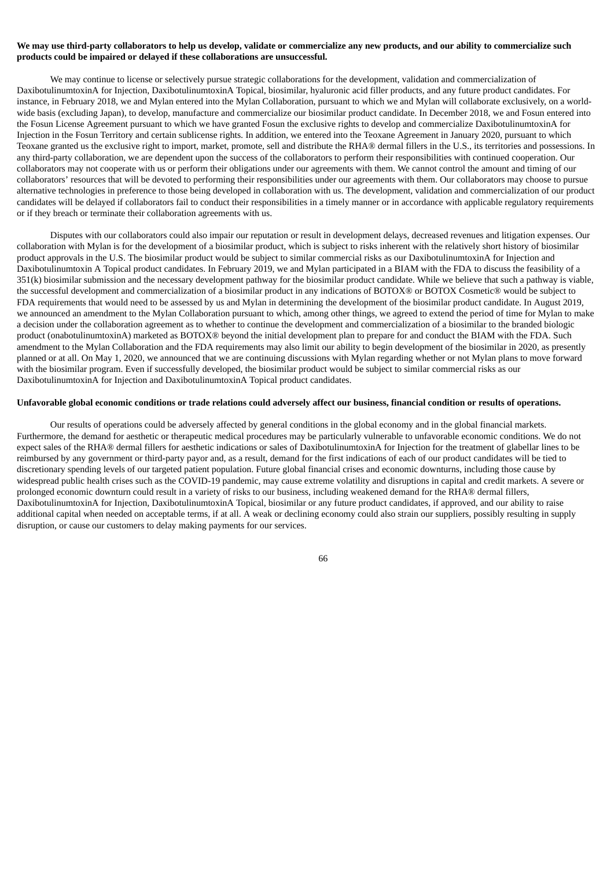#### We may use third-party collaborators to help us develop, validate or commercialize any new products, and our ability to commercialize such **products could be impaired or delayed if these collaborations are unsuccessful.**

We may continue to license or selectively pursue strategic collaborations for the development, validation and commercialization of DaxibotulinumtoxinA for Injection, DaxibotulinumtoxinA Topical, biosimilar, hyaluronic acid filler products, and any future product candidates. For instance, in February 2018, we and Mylan entered into the Mylan Collaboration, pursuant to which we and Mylan will collaborate exclusively, on a worldwide basis (excluding Japan), to develop, manufacture and commercialize our biosimilar product candidate. In December 2018, we and Fosun entered into the Fosun License Agreement pursuant to which we have granted Fosun the exclusive rights to develop and commercialize DaxibotulinumtoxinA for Injection in the Fosun Territory and certain sublicense rights. In addition, we entered into the Teoxane Agreement in January 2020, pursuant to which Teoxane granted us the exclusive right to import, market, promote, sell and distribute the RHA® dermal fillers in the U.S., its territories and possessions. In any third-party collaboration, we are dependent upon the success of the collaborators to perform their responsibilities with continued cooperation. Our collaborators may not cooperate with us or perform their obligations under our agreements with them. We cannot control the amount and timing of our collaborators' resources that will be devoted to performing their responsibilities under our agreements with them. Our collaborators may choose to pursue alternative technologies in preference to those being developed in collaboration with us. The development, validation and commercialization of our product candidates will be delayed if collaborators fail to conduct their responsibilities in a timely manner or in accordance with applicable regulatory requirements or if they breach or terminate their collaboration agreements with us.

Disputes with our collaborators could also impair our reputation or result in development delays, decreased revenues and litigation expenses. Our collaboration with Mylan is for the development of a biosimilar product, which is subject to risks inherent with the relatively short history of biosimilar product approvals in the U.S. The biosimilar product would be subject to similar commercial risks as our DaxibotulinumtoxinA for Injection and Daxibotulinumtoxin A Topical product candidates. In February 2019, we and Mylan participated in a BIAM with the FDA to discuss the feasibility of a 351(k) biosimilar submission and the necessary development pathway for the biosimilar product candidate. While we believe that such a pathway is viable, the successful development and commercialization of a biosimilar product in any indications of BOTOX® or BOTOX Cosmetic® would be subject to FDA requirements that would need to be assessed by us and Mylan in determining the development of the biosimilar product candidate. In August 2019, we announced an amendment to the Mylan Collaboration pursuant to which, among other things, we agreed to extend the period of time for Mylan to make a decision under the collaboration agreement as to whether to continue the development and commercialization of a biosimilar to the branded biologic product (onabotulinumtoxinA) marketed as BOTOX® beyond the initial development plan to prepare for and conduct the BIAM with the FDA. Such amendment to the Mylan Collaboration and the FDA requirements may also limit our ability to begin development of the biosimilar in 2020, as presently planned or at all. On May 1, 2020, we announced that we are continuing discussions with Mylan regarding whether or not Mylan plans to move forward with the biosimilar program. Even if successfully developed, the biosimilar product would be subject to similar commercial risks as our DaxibotulinumtoxinA for Injection and DaxibotulinumtoxinA Topical product candidates.

#### Unfavorable global economic conditions or trade relations could adversely affect our business, financial condition or results of operations.

Our results of operations could be adversely affected by general conditions in the global economy and in the global financial markets. Furthermore, the demand for aesthetic or therapeutic medical procedures may be particularly vulnerable to unfavorable economic conditions. We do not expect sales of the RHA® dermal fillers for aesthetic indications or sales of DaxibotulinumtoxinA for Injection for the treatment of glabellar lines to be reimbursed by any government or third-party payor and, as a result, demand for the first indications of each of our product candidates will be tied to discretionary spending levels of our targeted patient population. Future global financial crises and economic downturns, including those cause by widespread public health crises such as the COVID-19 pandemic, may cause extreme volatility and disruptions in capital and credit markets. A severe or prolonged economic downturn could result in a variety of risks to our business, including weakened demand for the RHA® dermal fillers, DaxibotulinumtoxinA for Injection, DaxibotulinumtoxinA Topical, biosimilar or any future product candidates, if approved, and our ability to raise additional capital when needed on acceptable terms, if at all. A weak or declining economy could also strain our suppliers, possibly resulting in supply disruption, or cause our customers to delay making payments for our services.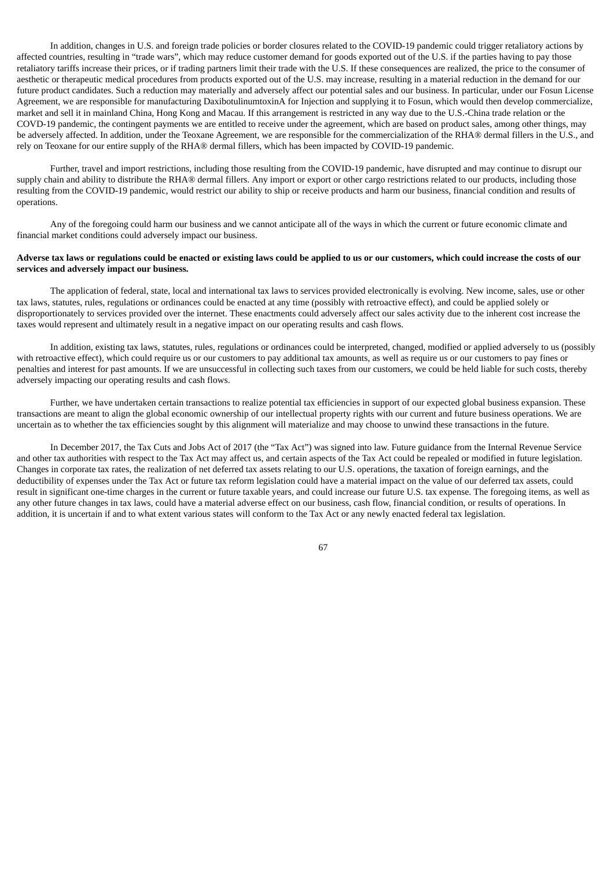In addition, changes in U.S. and foreign trade policies or border closures related to the COVID-19 pandemic could trigger retaliatory actions by affected countries, resulting in "trade wars", which may reduce customer demand for goods exported out of the U.S. if the parties having to pay those retaliatory tariffs increase their prices, or if trading partners limit their trade with the U.S. If these consequences are realized, the price to the consumer of aesthetic or therapeutic medical procedures from products exported out of the U.S. may increase, resulting in a material reduction in the demand for our future product candidates. Such a reduction may materially and adversely affect our potential sales and our business. In particular, under our Fosun License Agreement, we are responsible for manufacturing DaxibotulinumtoxinA for Injection and supplying it to Fosun, which would then develop commercialize, market and sell it in mainland China, Hong Kong and Macau. If this arrangement is restricted in any way due to the U.S.-China trade relation or the COVD-19 pandemic, the contingent payments we are entitled to receive under the agreement, which are based on product sales, among other things, may be adversely affected. In addition, under the Teoxane Agreement, we are responsible for the commercialization of the RHA® dermal fillers in the U.S., and rely on Teoxane for our entire supply of the RHA® dermal fillers, which has been impacted by COVID-19 pandemic.

Further, travel and import restrictions, including those resulting from the COVID-19 pandemic, have disrupted and may continue to disrupt our supply chain and ability to distribute the RHA® dermal fillers. Any import or export or other cargo restrictions related to our products, including those resulting from the COVID-19 pandemic, would restrict our ability to ship or receive products and harm our business, financial condition and results of operations.

Any of the foregoing could harm our business and we cannot anticipate all of the ways in which the current or future economic climate and financial market conditions could adversely impact our business.

#### Adverse tax laws or regulations could be enacted or existing laws could be applied to us or our customers, which could increase the costs of our **services and adversely impact our business.**

The application of federal, state, local and international tax laws to services provided electronically is evolving. New income, sales, use or other tax laws, statutes, rules, regulations or ordinances could be enacted at any time (possibly with retroactive effect), and could be applied solely or disproportionately to services provided over the internet. These enactments could adversely affect our sales activity due to the inherent cost increase the taxes would represent and ultimately result in a negative impact on our operating results and cash flows.

In addition, existing tax laws, statutes, rules, regulations or ordinances could be interpreted, changed, modified or applied adversely to us (possibly with retroactive effect), which could require us or our customers to pay additional tax amounts, as well as require us or our customers to pay fines or penalties and interest for past amounts. If we are unsuccessful in collecting such taxes from our customers, we could be held liable for such costs, thereby adversely impacting our operating results and cash flows.

Further, we have undertaken certain transactions to realize potential tax efficiencies in support of our expected global business expansion. These transactions are meant to align the global economic ownership of our intellectual property rights with our current and future business operations. We are uncertain as to whether the tax efficiencies sought by this alignment will materialize and may choose to unwind these transactions in the future.

In December 2017, the Tax Cuts and Jobs Act of 2017 (the "Tax Act") was signed into law. Future guidance from the Internal Revenue Service and other tax authorities with respect to the Tax Act may affect us, and certain aspects of the Tax Act could be repealed or modified in future legislation. Changes in corporate tax rates, the realization of net deferred tax assets relating to our U.S. operations, the taxation of foreign earnings, and the deductibility of expenses under the Tax Act or future tax reform legislation could have a material impact on the value of our deferred tax assets, could result in significant one-time charges in the current or future taxable years, and could increase our future U.S. tax expense. The foregoing items, as well as any other future changes in tax laws, could have a material adverse effect on our business, cash flow, financial condition, or results of operations. In addition, it is uncertain if and to what extent various states will conform to the Tax Act or any newly enacted federal tax legislation.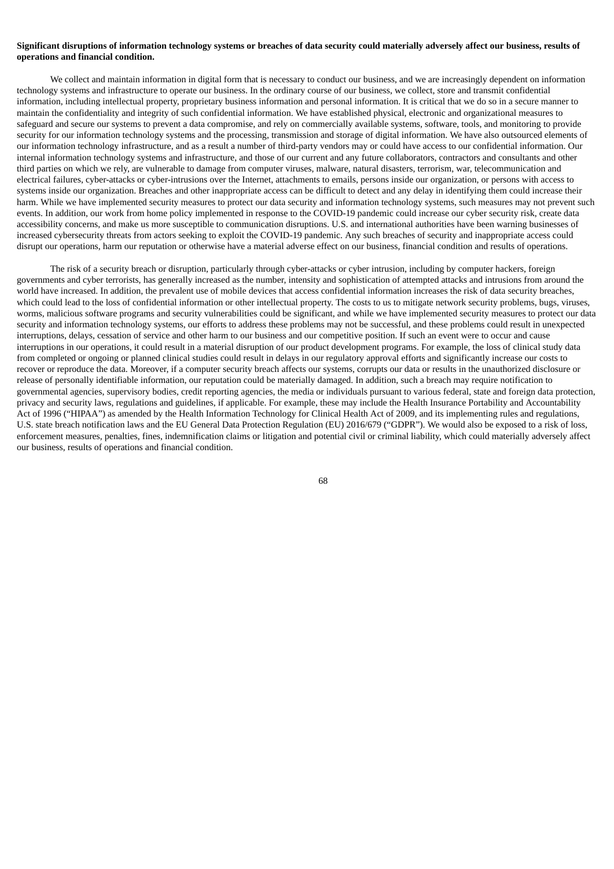#### Significant disruptions of information technology systems or breaches of data security could materially adversely affect our business, results of **operations and financial condition.**

We collect and maintain information in digital form that is necessary to conduct our business, and we are increasingly dependent on information technology systems and infrastructure to operate our business. In the ordinary course of our business, we collect, store and transmit confidential information, including intellectual property, proprietary business information and personal information. It is critical that we do so in a secure manner to maintain the confidentiality and integrity of such confidential information. We have established physical, electronic and organizational measures to safeguard and secure our systems to prevent a data compromise, and rely on commercially available systems, software, tools, and monitoring to provide security for our information technology systems and the processing, transmission and storage of digital information. We have also outsourced elements of our information technology infrastructure, and as a result a number of third-party vendors may or could have access to our confidential information. Our internal information technology systems and infrastructure, and those of our current and any future collaborators, contractors and consultants and other third parties on which we rely, are vulnerable to damage from computer viruses, malware, natural disasters, terrorism, war, telecommunication and electrical failures, cyber-attacks or cyber-intrusions over the Internet, attachments to emails, persons inside our organization, or persons with access to systems inside our organization. Breaches and other inappropriate access can be difficult to detect and any delay in identifying them could increase their harm. While we have implemented security measures to protect our data security and information technology systems, such measures may not prevent such events. In addition, our work from home policy implemented in response to the COVID-19 pandemic could increase our cyber security risk, create data accessibility concerns, and make us more susceptible to communication disruptions. U.S. and international authorities have been warning businesses of increased cybersecurity threats from actors seeking to exploit the COVID-19 pandemic. Any such breaches of security and inappropriate access could disrupt our operations, harm our reputation or otherwise have a material adverse effect on our business, financial condition and results of operations.

The risk of a security breach or disruption, particularly through cyber-attacks or cyber intrusion, including by computer hackers, foreign governments and cyber terrorists, has generally increased as the number, intensity and sophistication of attempted attacks and intrusions from around the world have increased. In addition, the prevalent use of mobile devices that access confidential information increases the risk of data security breaches, which could lead to the loss of confidential information or other intellectual property. The costs to us to mitigate network security problems, bugs, viruses, worms, malicious software programs and security vulnerabilities could be significant, and while we have implemented security measures to protect our data security and information technology systems, our efforts to address these problems may not be successful, and these problems could result in unexpected interruptions, delays, cessation of service and other harm to our business and our competitive position. If such an event were to occur and cause interruptions in our operations, it could result in a material disruption of our product development programs. For example, the loss of clinical study data from completed or ongoing or planned clinical studies could result in delays in our regulatory approval efforts and significantly increase our costs to recover or reproduce the data. Moreover, if a computer security breach affects our systems, corrupts our data or results in the unauthorized disclosure or release of personally identifiable information, our reputation could be materially damaged. In addition, such a breach may require notification to governmental agencies, supervisory bodies, credit reporting agencies, the media or individuals pursuant to various federal, state and foreign data protection, privacy and security laws, regulations and guidelines, if applicable. For example, these may include the Health Insurance Portability and Accountability Act of 1996 ("HIPAA") as amended by the Health Information Technology for Clinical Health Act of 2009, and its implementing rules and regulations, U.S. state breach notification laws and the EU General Data Protection Regulation (EU) 2016/679 ("GDPR"). We would also be exposed to a risk of loss, enforcement measures, penalties, fines, indemnification claims or litigation and potential civil or criminal liability, which could materially adversely affect our business, results of operations and financial condition.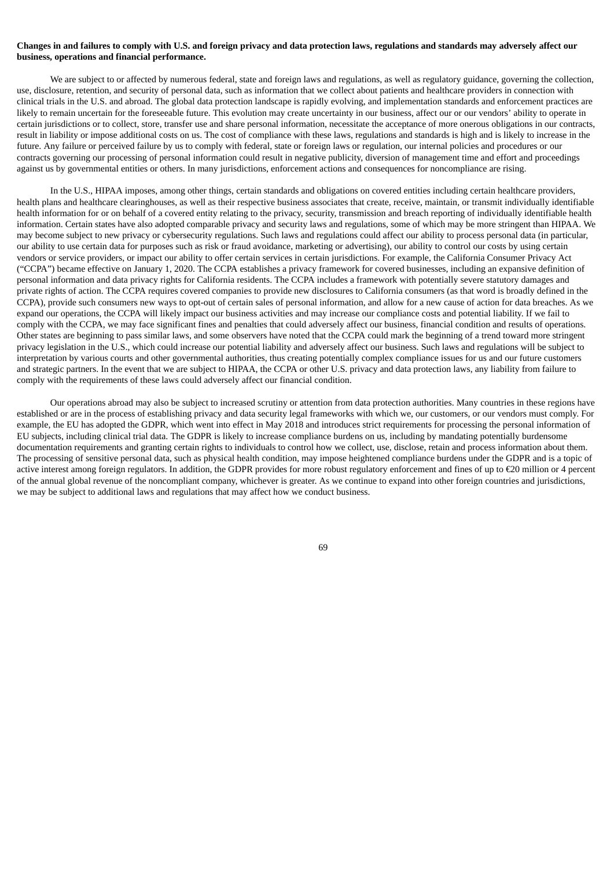#### Changes in and failures to comply with U.S. and foreign privacy and data protection laws, regulations and standards may adversely affect our **business, operations and financial performance.**

We are subject to or affected by numerous federal, state and foreign laws and regulations, as well as regulatory guidance, governing the collection, use, disclosure, retention, and security of personal data, such as information that we collect about patients and healthcare providers in connection with clinical trials in the U.S. and abroad. The global data protection landscape is rapidly evolving, and implementation standards and enforcement practices are likely to remain uncertain for the foreseeable future. This evolution may create uncertainty in our business, affect our or our vendors' ability to operate in certain jurisdictions or to collect, store, transfer use and share personal information, necessitate the acceptance of more onerous obligations in our contracts, result in liability or impose additional costs on us. The cost of compliance with these laws, regulations and standards is high and is likely to increase in the future. Any failure or perceived failure by us to comply with federal, state or foreign laws or regulation, our internal policies and procedures or our contracts governing our processing of personal information could result in negative publicity, diversion of management time and effort and proceedings against us by governmental entities or others. In many jurisdictions, enforcement actions and consequences for noncompliance are rising.

In the U.S., HIPAA imposes, among other things, certain standards and obligations on covered entities including certain healthcare providers, health plans and healthcare clearinghouses, as well as their respective business associates that create, receive, maintain, or transmit individually identifiable health information for or on behalf of a covered entity relating to the privacy, security, transmission and breach reporting of individually identifiable health information. Certain states have also adopted comparable privacy and security laws and regulations, some of which may be more stringent than HIPAA. We may become subject to new privacy or cybersecurity regulations. Such laws and regulations could affect our ability to process personal data (in particular, our ability to use certain data for purposes such as risk or fraud avoidance, marketing or advertising), our ability to control our costs by using certain vendors or service providers, or impact our ability to offer certain services in certain jurisdictions. For example, the California Consumer Privacy Act ("CCPA") became effective on January 1, 2020. The CCPA establishes a privacy framework for covered businesses, including an expansive definition of personal information and data privacy rights for California residents. The CCPA includes a framework with potentially severe statutory damages and private rights of action. The CCPA requires covered companies to provide new disclosures to California consumers (as that word is broadly defined in the CCPA), provide such consumers new ways to opt-out of certain sales of personal information, and allow for a new cause of action for data breaches. As we expand our operations, the CCPA will likely impact our business activities and may increase our compliance costs and potential liability. If we fail to comply with the CCPA, we may face significant fines and penalties that could adversely affect our business, financial condition and results of operations. Other states are beginning to pass similar laws, and some observers have noted that the CCPA could mark the beginning of a trend toward more stringent privacy legislation in the U.S., which could increase our potential liability and adversely affect our business. Such laws and regulations will be subject to interpretation by various courts and other governmental authorities, thus creating potentially complex compliance issues for us and our future customers and strategic partners. In the event that we are subject to HIPAA, the CCPA or other U.S. privacy and data protection laws, any liability from failure to comply with the requirements of these laws could adversely affect our financial condition.

Our operations abroad may also be subject to increased scrutiny or attention from data protection authorities. Many countries in these regions have established or are in the process of establishing privacy and data security legal frameworks with which we, our customers, or our vendors must comply. For example, the EU has adopted the GDPR, which went into effect in May 2018 and introduces strict requirements for processing the personal information of EU subjects, including clinical trial data. The GDPR is likely to increase compliance burdens on us, including by mandating potentially burdensome documentation requirements and granting certain rights to individuals to control how we collect, use, disclose, retain and process information about them. The processing of sensitive personal data, such as physical health condition, may impose heightened compliance burdens under the GDPR and is a topic of active interest among foreign regulators. In addition, the GDPR provides for more robust regulatory enforcement and fines of up to €20 million or 4 percent of the annual global revenue of the noncompliant company, whichever is greater. As we continue to expand into other foreign countries and jurisdictions, we may be subject to additional laws and regulations that may affect how we conduct business.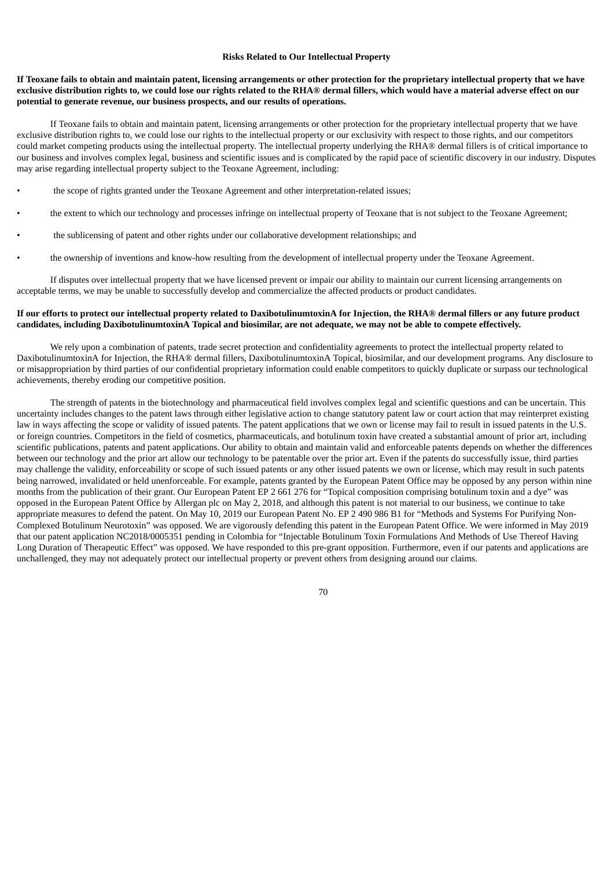#### **Risks Related to Our Intellectual Property**

# If Teoxane fails to obtain and maintain patent, licensing arrangements or other protection for the proprietary intellectual property that we have exclusive distribution rights to, we could lose our rights related to the RHA® dermal fillers, which would have a material adverse effect on our **potential to generate revenue, our business prospects, and our results of operations.**

If Teoxane fails to obtain and maintain patent, licensing arrangements or other protection for the proprietary intellectual property that we have exclusive distribution rights to, we could lose our rights to the intellectual property or our exclusivity with respect to those rights, and our competitors could market competing products using the intellectual property. The intellectual property underlying the RHA® dermal fillers is of critical importance to our business and involves complex legal, business and scientific issues and is complicated by the rapid pace of scientific discovery in our industry. Disputes may arise regarding intellectual property subject to the Teoxane Agreement, including:

- the scope of rights granted under the Teoxane Agreement and other interpretation-related issues;
- the extent to which our technology and processes infringe on intellectual property of Teoxane that is not subject to the Teoxane Agreement;
- the sublicensing of patent and other rights under our collaborative development relationships; and
- the ownership of inventions and know-how resulting from the development of intellectual property under the Teoxane Agreement.

If disputes over intellectual property that we have licensed prevent or impair our ability to maintain our current licensing arrangements on acceptable terms, we may be unable to successfully develop and commercialize the affected products or product candidates.

# If our efforts to protect our intellectual property related to DaxibotulinumtoxinA for Injection, the RHA® dermal fillers or any future product candidates, including DaxibotulinumtoxinA Topical and biosimilar, are not adequate, we may not be able to compete effectively.

We rely upon a combination of patents, trade secret protection and confidentiality agreements to protect the intellectual property related to DaxibotulinumtoxinA for Injection, the RHA® dermal fillers, DaxibotulinumtoxinA Topical, biosimilar, and our development programs. Any disclosure to or misappropriation by third parties of our confidential proprietary information could enable competitors to quickly duplicate or surpass our technological achievements, thereby eroding our competitive position.

The strength of patents in the biotechnology and pharmaceutical field involves complex legal and scientific questions and can be uncertain. This uncertainty includes changes to the patent laws through either legislative action to change statutory patent law or court action that may reinterpret existing law in ways affecting the scope or validity of issued patents. The patent applications that we own or license may fail to result in issued patents in the U.S. or foreign countries. Competitors in the field of cosmetics, pharmaceuticals, and botulinum toxin have created a substantial amount of prior art, including scientific publications, patents and patent applications. Our ability to obtain and maintain valid and enforceable patents depends on whether the differences between our technology and the prior art allow our technology to be patentable over the prior art. Even if the patents do successfully issue, third parties may challenge the validity, enforceability or scope of such issued patents or any other issued patents we own or license, which may result in such patents being narrowed, invalidated or held unenforceable. For example, patents granted by the European Patent Office may be opposed by any person within nine months from the publication of their grant. Our European Patent EP 2 661 276 for "Topical composition comprising botulinum toxin and a dye" was opposed in the European Patent Office by Allergan plc on May 2, 2018, and although this patent is not material to our business, we continue to take appropriate measures to defend the patent. On May 10, 2019 our European Patent No. EP 2 490 986 B1 for "Methods and Systems For Purifying Non-Complexed Botulinum Neurotoxin" was opposed. We are vigorously defending this patent in the European Patent Office. We were informed in May 2019 that our patent application NC2018/0005351 pending in Colombia for "Injectable Botulinum Toxin Formulations And Methods of Use Thereof Having Long Duration of Therapeutic Effect" was opposed. We have responded to this pre-grant opposition. Furthermore, even if our patents and applications are unchallenged, they may not adequately protect our intellectual property or prevent others from designing around our claims.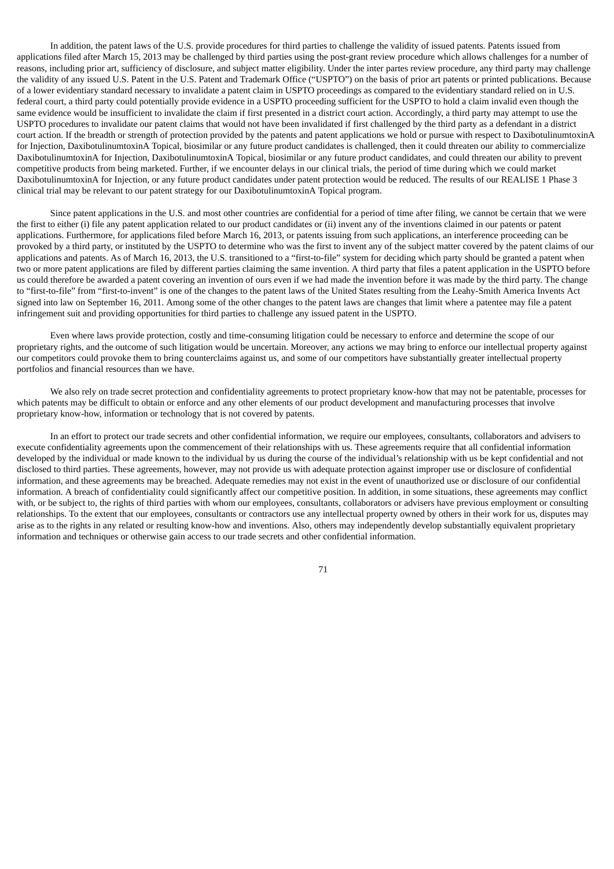In addition, the patent laws of the U.S. provide procedures for third parties to challenge the validity of issued patents. Patents issued from applications filed after March 15, 2013 may be challenged by third parties using the post-grant review procedure which allows challenges for a number of reasons, including prior art, sufficiency of disclosure, and subject matter eligibility. Under the inter partes review procedure, any third party may challenge the validity of any issued U.S. Patent in the U.S. Patent and Trademark Office ("USPTO") on the basis of prior art patents or printed publications. Because of a lower evidentiary standard necessary to invalidate a patent claim in USPTO proceedings as compared to the evidentiary standard relied on in U.S. federal court, a third party could potentially provide evidence in a USPTO proceeding sufficient for the USPTO to hold a claim invalid even though the same evidence would be insufficient to invalidate the claim if first presented in a district court action. Accordingly, a third party may attempt to use the USPTO procedures to invalidate our patent claims that would not have been invalidated if first challenged by the third party as a defendant in a district court action. If the breadth or strength of protection provided by the patents and patent applications we hold or pursue with respect to DaxibotulinumtoxinA for Injection, DaxibotulinumtoxinA Topical, biosimilar or any future product candidates is challenged, then it could threaten our ability to commercialize DaxibotulinumtoxinA for Injection, DaxibotulinumtoxinA Topical, biosimilar or any future product candidates, and could threaten our ability to prevent competitive products from being marketed. Further, if we encounter delays in our clinical trials, the period of time during which we could market DaxibotulinumtoxinA for Injection, or any future product candidates under patent protection would be reduced. The results of our REALISE 1 Phase 3 clinical trial may be relevant to our patent strategy for our DaxibotulinumtoxinA Topical program.

Since patent applications in the U.S. and most other countries are confidential for a period of time after filing, we cannot be certain that we were the first to either (i) file any patent application related to our product candidates or (ii) invent any of the inventions claimed in our patents or patent applications. Furthermore, for applications filed before March 16, 2013, or patents issuing from such applications, an interference proceeding can be provoked by a third party, or instituted by the USPTO to determine who was the first to invent any of the subject matter covered by the patent claims of our applications and patents. As of March 16, 2013, the U.S. transitioned to a "first-to-file" system for deciding which party should be granted a patent when two or more patent applications are filed by different parties claiming the same invention. A third party that files a patent application in the USPTO before us could therefore be awarded a patent covering an invention of ours even if we had made the invention before it was made by the third party. The change to "first-to-file" from "first-to-invent" is one of the changes to the patent laws of the United States resulting from the Leahy-Smith America Invents Act signed into law on September 16, 2011. Among some of the other changes to the patent laws are changes that limit where a patentee may file a patent infringement suit and providing opportunities for third parties to challenge any issued patent in the USPTO.

Even where laws provide protection, costly and time-consuming litigation could be necessary to enforce and determine the scope of our proprietary rights, and the outcome of such litigation would be uncertain. Moreover, any actions we may bring to enforce our intellectual property against our competitors could provoke them to bring counterclaims against us, and some of our competitors have substantially greater intellectual property portfolios and financial resources than we have.

We also rely on trade secret protection and confidentiality agreements to protect proprietary know-how that may not be patentable, processes for which patents may be difficult to obtain or enforce and any other elements of our product development and manufacturing processes that involve proprietary know-how, information or technology that is not covered by patents.

In an effort to protect our trade secrets and other confidential information, we require our employees, consultants, collaborators and advisers to execute confidentiality agreements upon the commencement of their relationships with us. These agreements require that all confidential information developed by the individual or made known to the individual by us during the course of the individual's relationship with us be kept confidential and not disclosed to third parties. These agreements, however, may not provide us with adequate protection against improper use or disclosure of confidential information, and these agreements may be breached. Adequate remedies may not exist in the event of unauthorized use or disclosure of our confidential information. A breach of confidentiality could significantly affect our competitive position. In addition, in some situations, these agreements may conflict with, or be subject to, the rights of third parties with whom our employees, consultants, collaborators or advisers have previous employment or consulting relationships. To the extent that our employees, consultants or contractors use any intellectual property owned by others in their work for us, disputes may arise as to the rights in any related or resulting know-how and inventions. Also, others may independently develop substantially equivalent proprietary information and techniques or otherwise gain access to our trade secrets and other confidential information.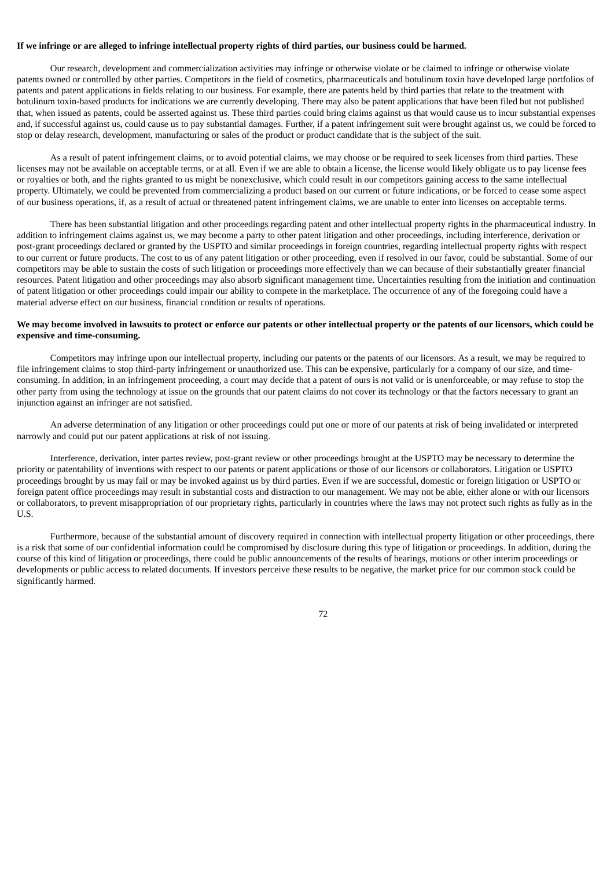#### If we infringe or are alleged to infringe intellectual property rights of third parties, our business could be harmed.

Our research, development and commercialization activities may infringe or otherwise violate or be claimed to infringe or otherwise violate patents owned or controlled by other parties. Competitors in the field of cosmetics, pharmaceuticals and botulinum toxin have developed large portfolios of patents and patent applications in fields relating to our business. For example, there are patents held by third parties that relate to the treatment with botulinum toxin-based products for indications we are currently developing. There may also be patent applications that have been filed but not published that, when issued as patents, could be asserted against us. These third parties could bring claims against us that would cause us to incur substantial expenses and, if successful against us, could cause us to pay substantial damages. Further, if a patent infringement suit were brought against us, we could be forced to stop or delay research, development, manufacturing or sales of the product or product candidate that is the subject of the suit.

As a result of patent infringement claims, or to avoid potential claims, we may choose or be required to seek licenses from third parties. These licenses may not be available on acceptable terms, or at all. Even if we are able to obtain a license, the license would likely obligate us to pay license fees or royalties or both, and the rights granted to us might be nonexclusive, which could result in our competitors gaining access to the same intellectual property. Ultimately, we could be prevented from commercializing a product based on our current or future indications, or be forced to cease some aspect of our business operations, if, as a result of actual or threatened patent infringement claims, we are unable to enter into licenses on acceptable terms.

There has been substantial litigation and other proceedings regarding patent and other intellectual property rights in the pharmaceutical industry. In addition to infringement claims against us, we may become a party to other patent litigation and other proceedings, including interference, derivation or post-grant proceedings declared or granted by the USPTO and similar proceedings in foreign countries, regarding intellectual property rights with respect to our current or future products. The cost to us of any patent litigation or other proceeding, even if resolved in our favor, could be substantial. Some of our competitors may be able to sustain the costs of such litigation or proceedings more effectively than we can because of their substantially greater financial resources. Patent litigation and other proceedings may also absorb significant management time. Uncertainties resulting from the initiation and continuation of patent litigation or other proceedings could impair our ability to compete in the marketplace. The occurrence of any of the foregoing could have a material adverse effect on our business, financial condition or results of operations.

# We may become involved in lawsuits to protect or enforce our patents or other intellectual property or the patents of our licensors, which could be **expensive and time-consuming.**

Competitors may infringe upon our intellectual property, including our patents or the patents of our licensors. As a result, we may be required to file infringement claims to stop third-party infringement or unauthorized use. This can be expensive, particularly for a company of our size, and timeconsuming. In addition, in an infringement proceeding, a court may decide that a patent of ours is not valid or is unenforceable, or may refuse to stop the other party from using the technology at issue on the grounds that our patent claims do not cover its technology or that the factors necessary to grant an injunction against an infringer are not satisfied.

An adverse determination of any litigation or other proceedings could put one or more of our patents at risk of being invalidated or interpreted narrowly and could put our patent applications at risk of not issuing.

Interference, derivation, inter partes review, post-grant review or other proceedings brought at the USPTO may be necessary to determine the priority or patentability of inventions with respect to our patents or patent applications or those of our licensors or collaborators. Litigation or USPTO proceedings brought by us may fail or may be invoked against us by third parties. Even if we are successful, domestic or foreign litigation or USPTO or foreign patent office proceedings may result in substantial costs and distraction to our management. We may not be able, either alone or with our licensors or collaborators, to prevent misappropriation of our proprietary rights, particularly in countries where the laws may not protect such rights as fully as in the U.S.

Furthermore, because of the substantial amount of discovery required in connection with intellectual property litigation or other proceedings, there is a risk that some of our confidential information could be compromised by disclosure during this type of litigation or proceedings. In addition, during the course of this kind of litigation or proceedings, there could be public announcements of the results of hearings, motions or other interim proceedings or developments or public access to related documents. If investors perceive these results to be negative, the market price for our common stock could be significantly harmed.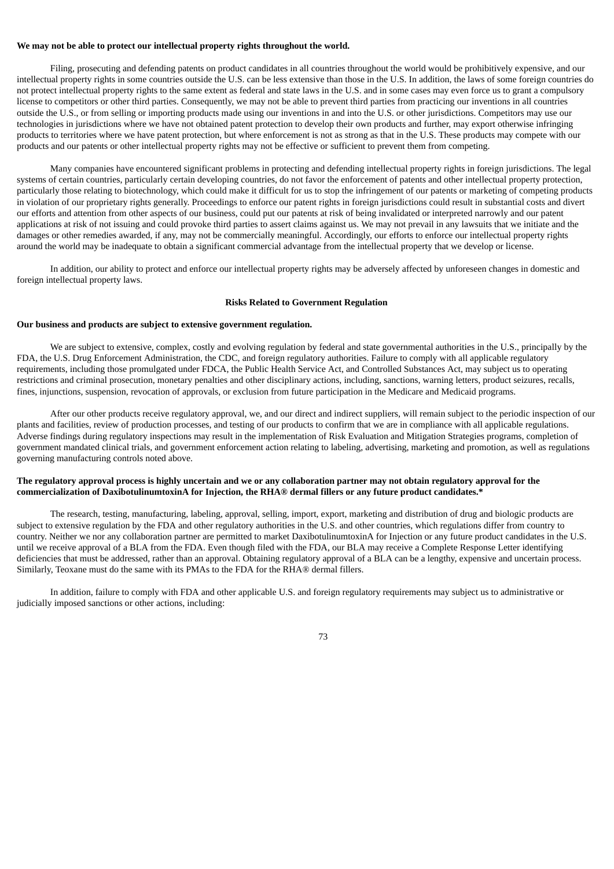#### **We may not be able to protect our intellectual property rights throughout the world.**

Filing, prosecuting and defending patents on product candidates in all countries throughout the world would be prohibitively expensive, and our intellectual property rights in some countries outside the U.S. can be less extensive than those in the U.S. In addition, the laws of some foreign countries do not protect intellectual property rights to the same extent as federal and state laws in the U.S. and in some cases may even force us to grant a compulsory license to competitors or other third parties. Consequently, we may not be able to prevent third parties from practicing our inventions in all countries outside the U.S., or from selling or importing products made using our inventions in and into the U.S. or other jurisdictions. Competitors may use our technologies in jurisdictions where we have not obtained patent protection to develop their own products and further, may export otherwise infringing products to territories where we have patent protection, but where enforcement is not as strong as that in the U.S. These products may compete with our products and our patents or other intellectual property rights may not be effective or sufficient to prevent them from competing.

Many companies have encountered significant problems in protecting and defending intellectual property rights in foreign jurisdictions. The legal systems of certain countries, particularly certain developing countries, do not favor the enforcement of patents and other intellectual property protection, particularly those relating to biotechnology, which could make it difficult for us to stop the infringement of our patents or marketing of competing products in violation of our proprietary rights generally. Proceedings to enforce our patent rights in foreign jurisdictions could result in substantial costs and divert our efforts and attention from other aspects of our business, could put our patents at risk of being invalidated or interpreted narrowly and our patent applications at risk of not issuing and could provoke third parties to assert claims against us. We may not prevail in any lawsuits that we initiate and the damages or other remedies awarded, if any, may not be commercially meaningful. Accordingly, our efforts to enforce our intellectual property rights around the world may be inadequate to obtain a significant commercial advantage from the intellectual property that we develop or license.

In addition, our ability to protect and enforce our intellectual property rights may be adversely affected by unforeseen changes in domestic and foreign intellectual property laws.

### **Risks Related to Government Regulation**

## **Our business and products are subject to extensive government regulation.**

We are subject to extensive, complex, costly and evolving regulation by federal and state governmental authorities in the U.S., principally by the FDA, the U.S. Drug Enforcement Administration, the CDC, and foreign regulatory authorities. Failure to comply with all applicable regulatory requirements, including those promulgated under FDCA, the Public Health Service Act, and Controlled Substances Act, may subject us to operating restrictions and criminal prosecution, monetary penalties and other disciplinary actions, including, sanctions, warning letters, product seizures, recalls, fines, injunctions, suspension, revocation of approvals, or exclusion from future participation in the Medicare and Medicaid programs.

After our other products receive regulatory approval, we, and our direct and indirect suppliers, will remain subject to the periodic inspection of our plants and facilities, review of production processes, and testing of our products to confirm that we are in compliance with all applicable regulations. Adverse findings during regulatory inspections may result in the implementation of Risk Evaluation and Mitigation Strategies programs, completion of government mandated clinical trials, and government enforcement action relating to labeling, advertising, marketing and promotion, as well as regulations governing manufacturing controls noted above.

## The regulatory approval process is highly uncertain and we or any collaboration partner may not obtain regulatory approval for the **commercialization of DaxibotulinumtoxinA for Injection, the RHA® dermal fillers or any future product candidates.\***

The research, testing, manufacturing, labeling, approval, selling, import, export, marketing and distribution of drug and biologic products are subject to extensive regulation by the FDA and other regulatory authorities in the U.S. and other countries, which regulations differ from country to country. Neither we nor any collaboration partner are permitted to market DaxibotulinumtoxinA for Injection or any future product candidates in the U.S. until we receive approval of a BLA from the FDA. Even though filed with the FDA, our BLA may receive a Complete Response Letter identifying deficiencies that must be addressed, rather than an approval. Obtaining regulatory approval of a BLA can be a lengthy, expensive and uncertain process. Similarly, Teoxane must do the same with its PMAs to the FDA for the RHA® dermal fillers.

In addition, failure to comply with FDA and other applicable U.S. and foreign regulatory requirements may subject us to administrative or judicially imposed sanctions or other actions, including: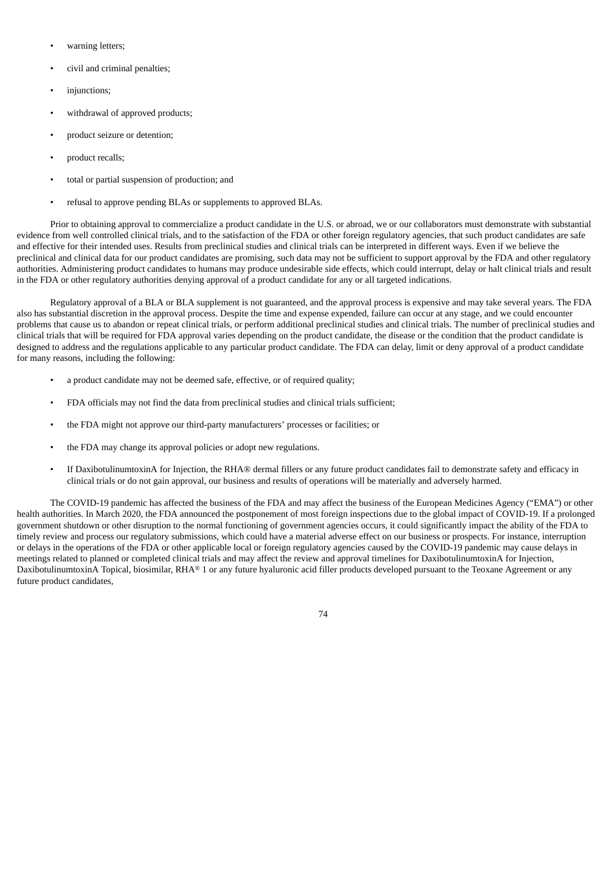- warning letters:
- civil and criminal penalties;
- injunctions;
- withdrawal of approved products;
- product seizure or detention;
- product recalls;
- total or partial suspension of production; and
- refusal to approve pending BLAs or supplements to approved BLAs.

Prior to obtaining approval to commercialize a product candidate in the U.S. or abroad, we or our collaborators must demonstrate with substantial evidence from well controlled clinical trials, and to the satisfaction of the FDA or other foreign regulatory agencies, that such product candidates are safe and effective for their intended uses. Results from preclinical studies and clinical trials can be interpreted in different ways. Even if we believe the preclinical and clinical data for our product candidates are promising, such data may not be sufficient to support approval by the FDA and other regulatory authorities. Administering product candidates to humans may produce undesirable side effects, which could interrupt, delay or halt clinical trials and result in the FDA or other regulatory authorities denying approval of a product candidate for any or all targeted indications.

Regulatory approval of a BLA or BLA supplement is not guaranteed, and the approval process is expensive and may take several years. The FDA also has substantial discretion in the approval process. Despite the time and expense expended, failure can occur at any stage, and we could encounter problems that cause us to abandon or repeat clinical trials, or perform additional preclinical studies and clinical trials. The number of preclinical studies and clinical trials that will be required for FDA approval varies depending on the product candidate, the disease or the condition that the product candidate is designed to address and the regulations applicable to any particular product candidate. The FDA can delay, limit or deny approval of a product candidate for many reasons, including the following:

- a product candidate may not be deemed safe, effective, or of required quality;
- FDA officials may not find the data from preclinical studies and clinical trials sufficient;
- the FDA might not approve our third-party manufacturers' processes or facilities; or
- the FDA may change its approval policies or adopt new regulations.
- If DaxibotulinumtoxinA for Injection, the RHA® dermal fillers or any future product candidates fail to demonstrate safety and efficacy in clinical trials or do not gain approval, our business and results of operations will be materially and adversely harmed.

The COVID-19 pandemic has affected the business of the FDA and may affect the business of the European Medicines Agency ("EMA") or other health authorities. In March 2020, the FDA announced the postponement of most foreign inspections due to the global impact of COVID-19. If a prolonged government shutdown or other disruption to the normal functioning of government agencies occurs, it could significantly impact the ability of the FDA to timely review and process our regulatory submissions, which could have a material adverse effect on our business or prospects. For instance, interruption or delays in the operations of the FDA or other applicable local or foreign regulatory agencies caused by the COVID-19 pandemic may cause delays in meetings related to planned or completed clinical trials and may affect the review and approval timelines for DaxibotulinumtoxinA for Injection, DaxibotulinumtoxinA Topical, biosimilar, RHA® 1 or any future hyaluronic acid filler products developed pursuant to the Teoxane Agreement or any future product candidates,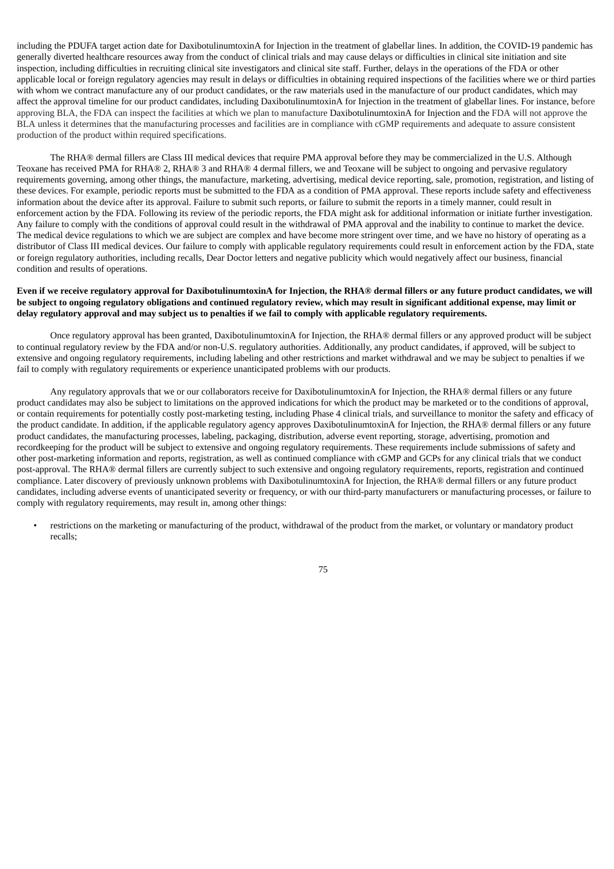including the PDUFA target action date for DaxibotulinumtoxinA for Injection in the treatment of glabellar lines. In addition, the COVID-19 pandemic has generally diverted healthcare resources away from the conduct of clinical trials and may cause delays or difficulties in clinical site initiation and site inspection, including difficulties in recruiting clinical site investigators and clinical site staff. Further, delays in the operations of the FDA or other applicable local or foreign regulatory agencies may result in delays or difficulties in obtaining required inspections of the facilities where we or third parties with whom we contract manufacture any of our product candidates, or the raw materials used in the manufacture of our product candidates, which may affect the approval timeline for our product candidates, including DaxibotulinumtoxinA for Injection in the treatment of glabellar lines. For instance, before approving BLA, the FDA can inspect the facilities at which we plan to manufacture DaxibotulinumtoxinA for Injection and the FDA will not approve the BLA unless it determines that the manufacturing processes and facilities are in compliance with cGMP requirements and adequate to assure consistent production of the product within required specifications.

The RHA® dermal fillers are Class III medical devices that require PMA approval before they may be commercialized in the U.S. Although Teoxane has received PMA for RHA® 2, RHA® 3 and RHA® 4 dermal fillers, we and Teoxane will be subject to ongoing and pervasive regulatory requirements governing, among other things, the manufacture, marketing, advertising, medical device reporting, sale, promotion, registration, and listing of these devices. For example, periodic reports must be submitted to the FDA as a condition of PMA approval. These reports include safety and effectiveness information about the device after its approval. Failure to submit such reports, or failure to submit the reports in a timely manner, could result in enforcement action by the FDA. Following its review of the periodic reports, the FDA might ask for additional information or initiate further investigation. Any failure to comply with the conditions of approval could result in the withdrawal of PMA approval and the inability to continue to market the device. The medical device regulations to which we are subject are complex and have become more stringent over time, and we have no history of operating as a distributor of Class III medical devices. Our failure to comply with applicable regulatory requirements could result in enforcement action by the FDA, state or foreign regulatory authorities, including recalls, Dear Doctor letters and negative publicity which would negatively affect our business, financial condition and results of operations.

## Even if we receive regulatory approval for DaxibotulinumtoxinA for Injection, the RHA® dermal fillers or any future product candidates, we will be subject to ongoing regulatory obligations and continued regulatory review, which may result in significant additional expense, may limit or delay regulatory approval and may subject us to penalties if we fail to comply with applicable regulatory requirements.

Once regulatory approval has been granted, DaxibotulinumtoxinA for Injection, the RHA® dermal fillers or any approved product will be subject to continual regulatory review by the FDA and/or non-U.S. regulatory authorities. Additionally, any product candidates, if approved, will be subject to extensive and ongoing regulatory requirements, including labeling and other restrictions and market withdrawal and we may be subject to penalties if we fail to comply with regulatory requirements or experience unanticipated problems with our products.

Any regulatory approvals that we or our collaborators receive for DaxibotulinumtoxinA for Injection, the RHA® dermal fillers or any future product candidates may also be subject to limitations on the approved indications for which the product may be marketed or to the conditions of approval, or contain requirements for potentially costly post-marketing testing, including Phase 4 clinical trials, and surveillance to monitor the safety and efficacy of the product candidate. In addition, if the applicable regulatory agency approves DaxibotulinumtoxinA for Injection, the RHA® dermal fillers or any future product candidates, the manufacturing processes, labeling, packaging, distribution, adverse event reporting, storage, advertising, promotion and recordkeeping for the product will be subject to extensive and ongoing regulatory requirements. These requirements include submissions of safety and other post-marketing information and reports, registration, as well as continued compliance with cGMP and GCPs for any clinical trials that we conduct post-approval. The RHA® dermal fillers are currently subject to such extensive and ongoing regulatory requirements, reports, registration and continued compliance. Later discovery of previously unknown problems with DaxibotulinumtoxinA for Injection, the RHA® dermal fillers or any future product candidates, including adverse events of unanticipated severity or frequency, or with our third-party manufacturers or manufacturing processes, or failure to comply with regulatory requirements, may result in, among other things:

• restrictions on the marketing or manufacturing of the product, withdrawal of the product from the market, or voluntary or mandatory product recalls;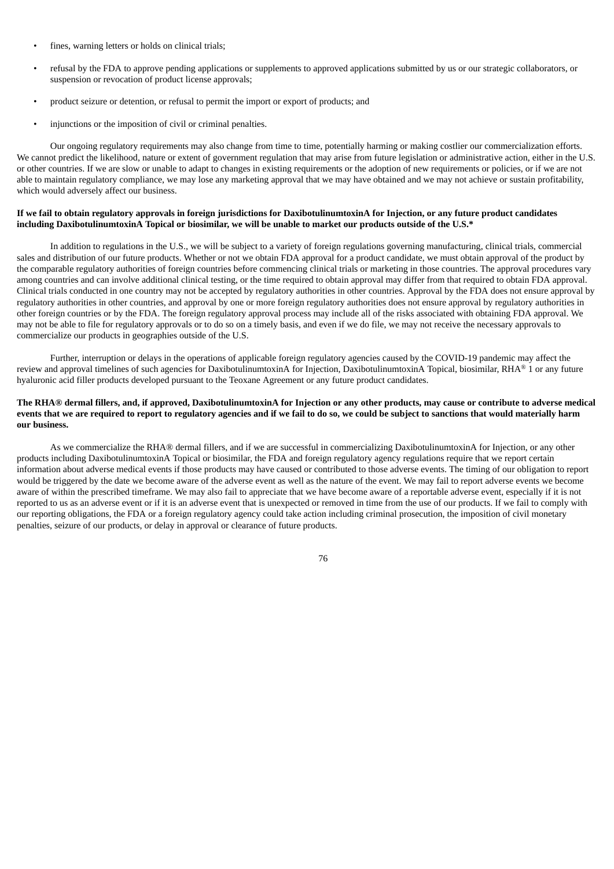- fines, warning letters or holds on clinical trials:
- refusal by the FDA to approve pending applications or supplements to approved applications submitted by us or our strategic collaborators, or suspension or revocation of product license approvals;
- product seizure or detention, or refusal to permit the import or export of products; and
- injunctions or the imposition of civil or criminal penalties.

Our ongoing regulatory requirements may also change from time to time, potentially harming or making costlier our commercialization efforts. We cannot predict the likelihood, nature or extent of government regulation that may arise from future legislation or administrative action, either in the U.S. or other countries. If we are slow or unable to adapt to changes in existing requirements or the adoption of new requirements or policies, or if we are not able to maintain regulatory compliance, we may lose any marketing approval that we may have obtained and we may not achieve or sustain profitability, which would adversely affect our business.

## If we fail to obtain regulatory approvals in foreign jurisdictions for DaxibotulinumtoxinA for Injection, or any future product candidates including DaxibotulinumtoxinA Topical or biosimilar, we will be unable to market our products outside of the U.S.\*

In addition to regulations in the U.S., we will be subject to a variety of foreign regulations governing manufacturing, clinical trials, commercial sales and distribution of our future products. Whether or not we obtain FDA approval for a product candidate, we must obtain approval of the product by the comparable regulatory authorities of foreign countries before commencing clinical trials or marketing in those countries. The approval procedures vary among countries and can involve additional clinical testing, or the time required to obtain approval may differ from that required to obtain FDA approval. Clinical trials conducted in one country may not be accepted by regulatory authorities in other countries. Approval by the FDA does not ensure approval by regulatory authorities in other countries, and approval by one or more foreign regulatory authorities does not ensure approval by regulatory authorities in other foreign countries or by the FDA. The foreign regulatory approval process may include all of the risks associated with obtaining FDA approval. We may not be able to file for regulatory approvals or to do so on a timely basis, and even if we do file, we may not receive the necessary approvals to commercialize our products in geographies outside of the U.S.

Further, interruption or delays in the operations of applicable foreign regulatory agencies caused by the COVID-19 pandemic may affect the review and approval timelines of such agencies for DaxibotulinumtoxinA for Injection, DaxibotulinumtoxinA Topical, biosimilar, RHA® 1 or any future hyaluronic acid filler products developed pursuant to the Teoxane Agreement or any future product candidates.

## The RHA® dermal fillers, and, if approved, DaxibotulinumtoxinA for Injection or any other products, may cause or contribute to adverse medical events that we are required to report to regulatory agencies and if we fail to do so, we could be subject to sanctions that would materially harm **our business.**

As we commercialize the RHA® dermal fillers, and if we are successful in commercializing DaxibotulinumtoxinA for Injection, or any other products including DaxibotulinumtoxinA Topical or biosimilar, the FDA and foreign regulatory agency regulations require that we report certain information about adverse medical events if those products may have caused or contributed to those adverse events. The timing of our obligation to report would be triggered by the date we become aware of the adverse event as well as the nature of the event. We may fail to report adverse events we become aware of within the prescribed timeframe. We may also fail to appreciate that we have become aware of a reportable adverse event, especially if it is not reported to us as an adverse event or if it is an adverse event that is unexpected or removed in time from the use of our products. If we fail to comply with our reporting obligations, the FDA or a foreign regulatory agency could take action including criminal prosecution, the imposition of civil monetary penalties, seizure of our products, or delay in approval or clearance of future products.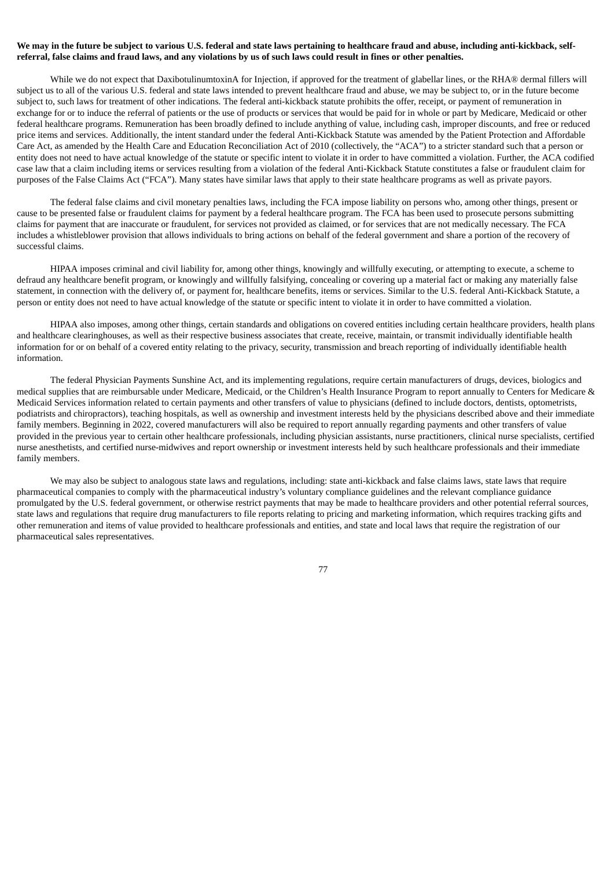## We mav in the future be subject to various U.S. federal and state laws pertaining to healthcare fraud and abuse, including anti-kickback, selfreferral, false claims and fraud laws, and any violations by us of such laws could result in fines or other penalties.

While we do not expect that DaxibotulinumtoxinA for Injection, if approved for the treatment of glabellar lines, or the RHA® dermal fillers will subject us to all of the various U.S. federal and state laws intended to prevent healthcare fraud and abuse, we may be subject to, or in the future become subject to, such laws for treatment of other indications. The federal anti-kickback statute prohibits the offer, receipt, or payment of remuneration in exchange for or to induce the referral of patients or the use of products or services that would be paid for in whole or part by Medicare, Medicaid or other federal healthcare programs. Remuneration has been broadly defined to include anything of value, including cash, improper discounts, and free or reduced price items and services. Additionally, the intent standard under the federal Anti-Kickback Statute was amended by the Patient Protection and Affordable Care Act, as amended by the Health Care and Education Reconciliation Act of 2010 (collectively, the "ACA") to a stricter standard such that a person or entity does not need to have actual knowledge of the statute or specific intent to violate it in order to have committed a violation. Further, the ACA codified case law that a claim including items or services resulting from a violation of the federal Anti-Kickback Statute constitutes a false or fraudulent claim for purposes of the False Claims Act ("FCA"). Many states have similar laws that apply to their state healthcare programs as well as private payors.

The federal false claims and civil monetary penalties laws, including the FCA impose liability on persons who, among other things, present or cause to be presented false or fraudulent claims for payment by a federal healthcare program. The FCA has been used to prosecute persons submitting claims for payment that are inaccurate or fraudulent, for services not provided as claimed, or for services that are not medically necessary. The FCA includes a whistleblower provision that allows individuals to bring actions on behalf of the federal government and share a portion of the recovery of successful claims.

HIPAA imposes criminal and civil liability for, among other things, knowingly and willfully executing, or attempting to execute, a scheme to defraud any healthcare benefit program, or knowingly and willfully falsifying, concealing or covering up a material fact or making any materially false statement, in connection with the delivery of, or payment for, healthcare benefits, items or services. Similar to the U.S. federal Anti-Kickback Statute, a person or entity does not need to have actual knowledge of the statute or specific intent to violate it in order to have committed a violation.

HIPAA also imposes, among other things, certain standards and obligations on covered entities including certain healthcare providers, health plans and healthcare clearinghouses, as well as their respective business associates that create, receive, maintain, or transmit individually identifiable health information for or on behalf of a covered entity relating to the privacy, security, transmission and breach reporting of individually identifiable health information.

The federal Physician Payments Sunshine Act, and its implementing regulations, require certain manufacturers of drugs, devices, biologics and medical supplies that are reimbursable under Medicare, Medicaid, or the Children's Health Insurance Program to report annually to Centers for Medicare & Medicaid Services information related to certain payments and other transfers of value to physicians (defined to include doctors, dentists, optometrists, podiatrists and chiropractors), teaching hospitals, as well as ownership and investment interests held by the physicians described above and their immediate family members. Beginning in 2022, covered manufacturers will also be required to report annually regarding payments and other transfers of value provided in the previous year to certain other healthcare professionals, including physician assistants, nurse practitioners, clinical nurse specialists, certified nurse anesthetists, and certified nurse-midwives and report ownership or investment interests held by such healthcare professionals and their immediate family members.

We may also be subject to analogous state laws and regulations, including: state anti-kickback and false claims laws, state laws that require pharmaceutical companies to comply with the pharmaceutical industry's voluntary compliance guidelines and the relevant compliance guidance promulgated by the U.S. federal government, or otherwise restrict payments that may be made to healthcare providers and other potential referral sources, state laws and regulations that require drug manufacturers to file reports relating to pricing and marketing information, which requires tracking gifts and other remuneration and items of value provided to healthcare professionals and entities, and state and local laws that require the registration of our pharmaceutical sales representatives.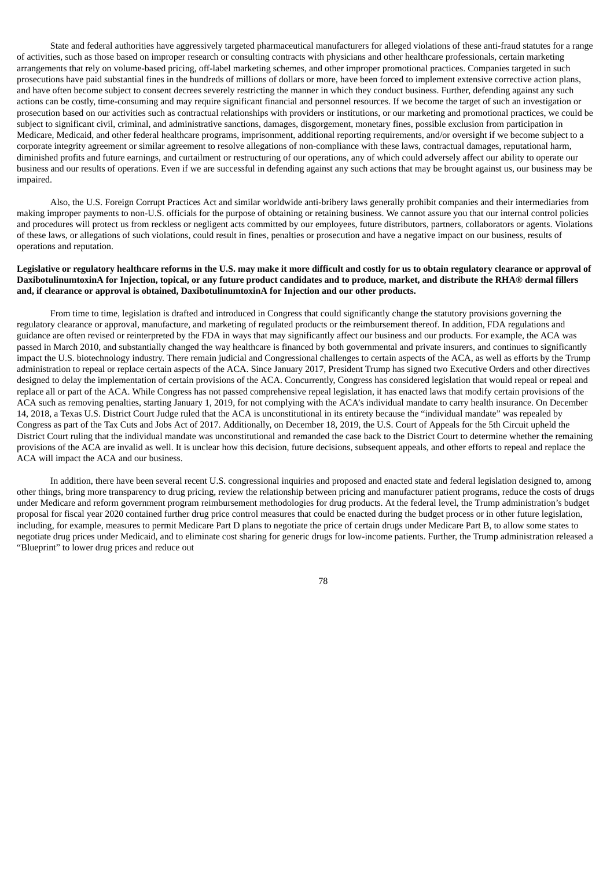State and federal authorities have aggressively targeted pharmaceutical manufacturers for alleged violations of these anti-fraud statutes for a range of activities, such as those based on improper research or consulting contracts with physicians and other healthcare professionals, certain marketing arrangements that rely on volume-based pricing, off-label marketing schemes, and other improper promotional practices. Companies targeted in such prosecutions have paid substantial fines in the hundreds of millions of dollars or more, have been forced to implement extensive corrective action plans, and have often become subject to consent decrees severely restricting the manner in which they conduct business. Further, defending against any such actions can be costly, time-consuming and may require significant financial and personnel resources. If we become the target of such an investigation or prosecution based on our activities such as contractual relationships with providers or institutions, or our marketing and promotional practices, we could be subject to significant civil, criminal, and administrative sanctions, damages, disgorgement, monetary fines, possible exclusion from participation in Medicare, Medicaid, and other federal healthcare programs, imprisonment, additional reporting requirements, and/or oversight if we become subject to a corporate integrity agreement or similar agreement to resolve allegations of non-compliance with these laws, contractual damages, reputational harm, diminished profits and future earnings, and curtailment or restructuring of our operations, any of which could adversely affect our ability to operate our business and our results of operations. Even if we are successful in defending against any such actions that may be brought against us, our business may be impaired.

Also, the U.S. Foreign Corrupt Practices Act and similar worldwide anti-bribery laws generally prohibit companies and their intermediaries from making improper payments to non-U.S. officials for the purpose of obtaining or retaining business. We cannot assure you that our internal control policies and procedures will protect us from reckless or negligent acts committed by our employees, future distributors, partners, collaborators or agents. Violations of these laws, or allegations of such violations, could result in fines, penalties or prosecution and have a negative impact on our business, results of operations and reputation.

## Legislative or regulatory healthcare reforms in the U.S. may make it more difficult and costly for us to obtain regulatory clearance or approval of DaxibotulinumtoxinA for Injection, topical, or any future product candidates and to produce, market, and distribute the RHA® dermal fillers **and, if clearance or approval is obtained, DaxibotulinumtoxinA for Injection and our other products.**

From time to time, legislation is drafted and introduced in Congress that could significantly change the statutory provisions governing the regulatory clearance or approval, manufacture, and marketing of regulated products or the reimbursement thereof. In addition, FDA regulations and guidance are often revised or reinterpreted by the FDA in ways that may significantly affect our business and our products. For example, the ACA was passed in March 2010, and substantially changed the way healthcare is financed by both governmental and private insurers, and continues to significantly impact the U.S. biotechnology industry. There remain judicial and Congressional challenges to certain aspects of the ACA, as well as efforts by the Trump administration to repeal or replace certain aspects of the ACA. Since January 2017, President Trump has signed two Executive Orders and other directives designed to delay the implementation of certain provisions of the ACA. Concurrently, Congress has considered legislation that would repeal or repeal and replace all or part of the ACA. While Congress has not passed comprehensive repeal legislation, it has enacted laws that modify certain provisions of the ACA such as removing penalties, starting January 1, 2019, for not complying with the ACA's individual mandate to carry health insurance. On December 14, 2018, a Texas U.S. District Court Judge ruled that the ACA is unconstitutional in its entirety because the "individual mandate" was repealed by Congress as part of the Tax Cuts and Jobs Act of 2017. Additionally, on December 18, 2019, the U.S. Court of Appeals for the 5th Circuit upheld the District Court ruling that the individual mandate was unconstitutional and remanded the case back to the District Court to determine whether the remaining provisions of the ACA are invalid as well. It is unclear how this decision, future decisions, subsequent appeals, and other efforts to repeal and replace the ACA will impact the ACA and our business.

In addition, there have been several recent U.S. congressional inquiries and proposed and enacted state and federal legislation designed to, among other things, bring more transparency to drug pricing, review the relationship between pricing and manufacturer patient programs, reduce the costs of drugs under Medicare and reform government program reimbursement methodologies for drug products. At the federal level, the Trump administration's budget proposal for fiscal year 2020 contained further drug price control measures that could be enacted during the budget process or in other future legislation, including, for example, measures to permit Medicare Part D plans to negotiate the price of certain drugs under Medicare Part B, to allow some states to negotiate drug prices under Medicaid, and to eliminate cost sharing for generic drugs for low-income patients. Further, the Trump administration released a "Blueprint" to lower drug prices and reduce out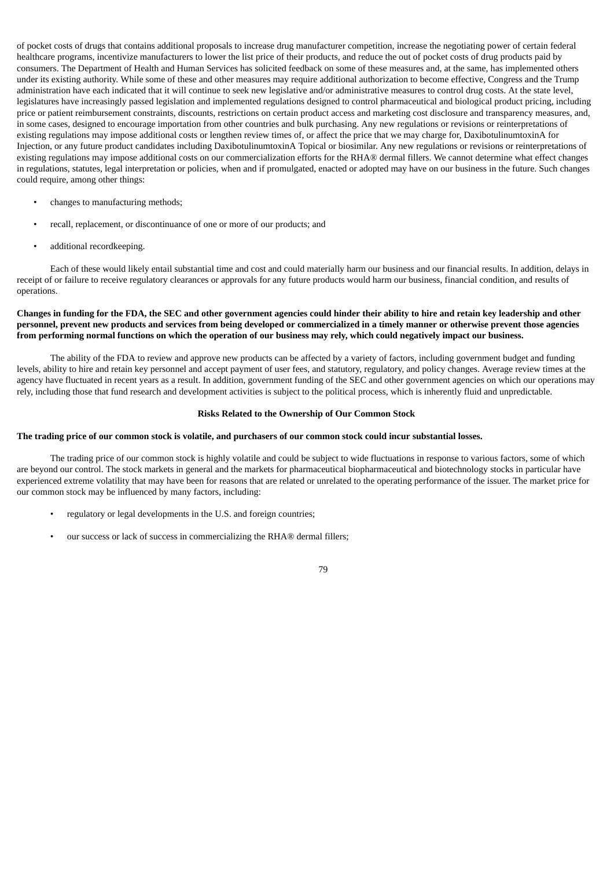of pocket costs of drugs that contains additional proposals to increase drug manufacturer competition, increase the negotiating power of certain federal healthcare programs, incentivize manufacturers to lower the list price of their products, and reduce the out of pocket costs of drug products paid by consumers. The Department of Health and Human Services has solicited feedback on some of these measures and, at the same, has implemented others under its existing authority. While some of these and other measures may require additional authorization to become effective, Congress and the Trump administration have each indicated that it will continue to seek new legislative and/or administrative measures to control drug costs. At the state level, legislatures have increasingly passed legislation and implemented regulations designed to control pharmaceutical and biological product pricing, including price or patient reimbursement constraints, discounts, restrictions on certain product access and marketing cost disclosure and transparency measures, and, in some cases, designed to encourage importation from other countries and bulk purchasing. Any new regulations or revisions or reinterpretations of existing regulations may impose additional costs or lengthen review times of, or affect the price that we may charge for, DaxibotulinumtoxinA for Injection, or any future product candidates including DaxibotulinumtoxinA Topical or biosimilar. Any new regulations or revisions or reinterpretations of existing regulations may impose additional costs on our commercialization efforts for the RHA® dermal fillers. We cannot determine what effect changes in regulations, statutes, legal interpretation or policies, when and if promulgated, enacted or adopted may have on our business in the future. Such changes could require, among other things:

- changes to manufacturing methods;
- recall, replacement, or discontinuance of one or more of our products; and
- additional recordkeeping.

Each of these would likely entail substantial time and cost and could materially harm our business and our financial results. In addition, delays in receipt of or failure to receive regulatory clearances or approvals for any future products would harm our business, financial condition, and results of operations.

# Changes in funding for the FDA, the SEC and other government agencies could hinder their ability to hire and retain key leadership and other personnel, prevent new products and services from being developed or commercialized in a timely manner or otherwise prevent those agencies from performing normal functions on which the operation of our business may rely, which could negatively impact our business.

The ability of the FDA to review and approve new products can be affected by a variety of factors, including government budget and funding levels, ability to hire and retain key personnel and accept payment of user fees, and statutory, regulatory, and policy changes. Average review times at the agency have fluctuated in recent years as a result. In addition, government funding of the SEC and other government agencies on which our operations may rely, including those that fund research and development activities is subject to the political process, which is inherently fluid and unpredictable.

#### **Risks Related to the Ownership of Our Common Stock**

#### The trading price of our common stock is volatile, and purchasers of our common stock could incur substantial losses.

The trading price of our common stock is highly volatile and could be subject to wide fluctuations in response to various factors, some of which are beyond our control. The stock markets in general and the markets for pharmaceutical biopharmaceutical and biotechnology stocks in particular have experienced extreme volatility that may have been for reasons that are related or unrelated to the operating performance of the issuer. The market price for our common stock may be influenced by many factors, including:

- regulatory or legal developments in the U.S. and foreign countries;
- our success or lack of success in commercializing the RHA® dermal fillers;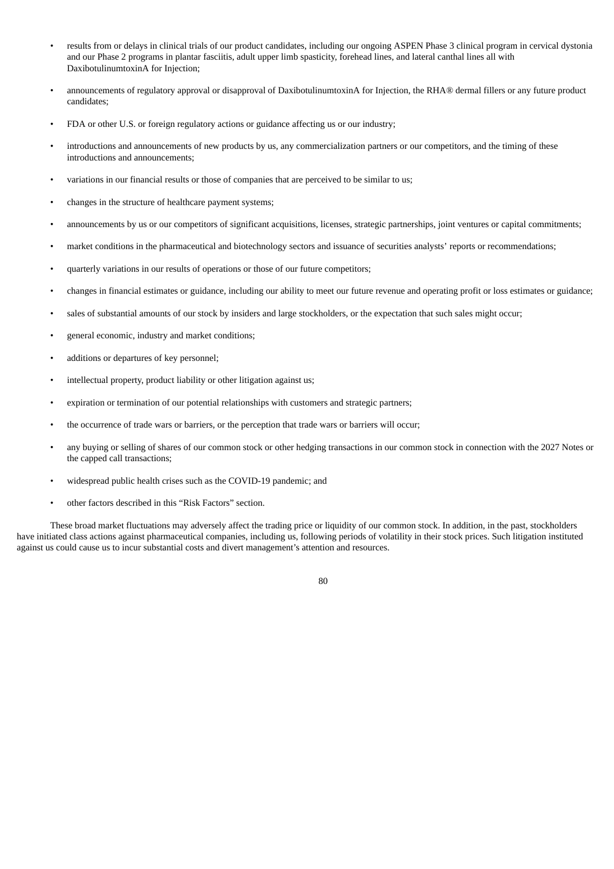- results from or delays in clinical trials of our product candidates, including our ongoing ASPEN Phase 3 clinical program in cervical dystonia and our Phase 2 programs in plantar fasciitis, adult upper limb spasticity, forehead lines, and lateral canthal lines all with DaxibotulinumtoxinA for Injection;
- announcements of regulatory approval or disapproval of DaxibotulinumtoxinA for Injection, the RHA® dermal fillers or any future product candidates;
- FDA or other U.S. or foreign regulatory actions or guidance affecting us or our industry;
- introductions and announcements of new products by us, any commercialization partners or our competitors, and the timing of these introductions and announcements;
- variations in our financial results or those of companies that are perceived to be similar to us;
- changes in the structure of healthcare payment systems;
- announcements by us or our competitors of significant acquisitions, licenses, strategic partnerships, joint ventures or capital commitments;
- market conditions in the pharmaceutical and biotechnology sectors and issuance of securities analysts' reports or recommendations;
- quarterly variations in our results of operations or those of our future competitors;
- changes in financial estimates or guidance, including our ability to meet our future revenue and operating profit or loss estimates or guidance;
- sales of substantial amounts of our stock by insiders and large stockholders, or the expectation that such sales might occur;
- general economic, industry and market conditions;
- additions or departures of key personnel;
- intellectual property, product liability or other litigation against us;
- expiration or termination of our potential relationships with customers and strategic partners;
- the occurrence of trade wars or barriers, or the perception that trade wars or barriers will occur;
- any buying or selling of shares of our common stock or other hedging transactions in our common stock in connection with the 2027 Notes or the capped call transactions;
- widespread public health crises such as the COVID-19 pandemic; and
- other factors described in this "Risk Factors" section.

These broad market fluctuations may adversely affect the trading price or liquidity of our common stock. In addition, in the past, stockholders have initiated class actions against pharmaceutical companies, including us, following periods of volatility in their stock prices. Such litigation instituted against us could cause us to incur substantial costs and divert management's attention and resources.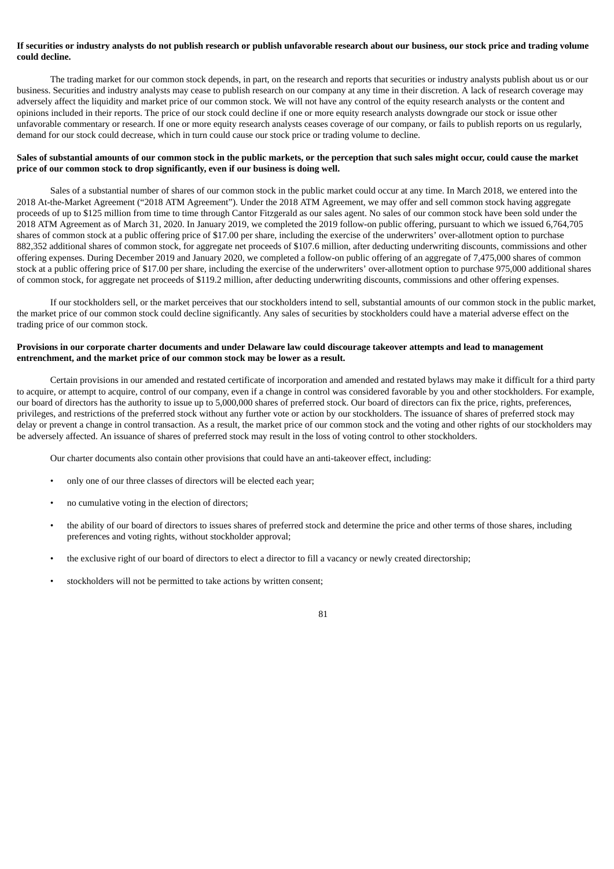## If securities or industry analysts do not publish research or publish unfavorable research about our business, our stock price and trading volume **could decline.**

The trading market for our common stock depends, in part, on the research and reports that securities or industry analysts publish about us or our business. Securities and industry analysts may cease to publish research on our company at any time in their discretion. A lack of research coverage may adversely affect the liquidity and market price of our common stock. We will not have any control of the equity research analysts or the content and opinions included in their reports. The price of our stock could decline if one or more equity research analysts downgrade our stock or issue other unfavorable commentary or research. If one or more equity research analysts ceases coverage of our company, or fails to publish reports on us regularly, demand for our stock could decrease, which in turn could cause our stock price or trading volume to decline.

## Sales of substantial amounts of our common stock in the public markets, or the perception that such sales might occur, could cause the market **price of our common stock to drop significantly, even if our business is doing well.**

Sales of a substantial number of shares of our common stock in the public market could occur at any time. In March 2018, we entered into the 2018 At-the-Market Agreement ("2018 ATM Agreement"). Under the 2018 ATM Agreement, we may offer and sell common stock having aggregate proceeds of up to \$125 million from time to time through Cantor Fitzgerald as our sales agent. No sales of our common stock have been sold under the 2018 ATM Agreement as of March 31, 2020. In January 2019, we completed the 2019 follow-on public offering, pursuant to which we issued 6,764,705 shares of common stock at a public offering price of \$17.00 per share, including the exercise of the underwriters' over-allotment option to purchase 882,352 additional shares of common stock, for aggregate net proceeds of \$107.6 million, after deducting underwriting discounts, commissions and other offering expenses. During December 2019 and January 2020, we completed a follow-on public offering of an aggregate of 7,475,000 shares of common stock at a public offering price of \$17.00 per share, including the exercise of the underwriters' over-allotment option to purchase 975,000 additional shares of common stock, for aggregate net proceeds of \$119.2 million, after deducting underwriting discounts, commissions and other offering expenses.

If our stockholders sell, or the market perceives that our stockholders intend to sell, substantial amounts of our common stock in the public market, the market price of our common stock could decline significantly. Any sales of securities by stockholders could have a material adverse effect on the trading price of our common stock.

### Provisions in our corporate charter documents and under Delaware law could discourage takeover attempts and lead to management **entrenchment, and the market price of our common stock may be lower as a result.**

Certain provisions in our amended and restated certificate of incorporation and amended and restated bylaws may make it difficult for a third party to acquire, or attempt to acquire, control of our company, even if a change in control was considered favorable by you and other stockholders. For example, our board of directors has the authority to issue up to 5,000,000 shares of preferred stock. Our board of directors can fix the price, rights, preferences, privileges, and restrictions of the preferred stock without any further vote or action by our stockholders. The issuance of shares of preferred stock may delay or prevent a change in control transaction. As a result, the market price of our common stock and the voting and other rights of our stockholders may be adversely affected. An issuance of shares of preferred stock may result in the loss of voting control to other stockholders.

Our charter documents also contain other provisions that could have an anti-takeover effect, including:

- only one of our three classes of directors will be elected each year;
- no cumulative voting in the election of directors;
- the ability of our board of directors to issues shares of preferred stock and determine the price and other terms of those shares, including preferences and voting rights, without stockholder approval;
- the exclusive right of our board of directors to elect a director to fill a vacancy or newly created directorship;
- stockholders will not be permitted to take actions by written consent;

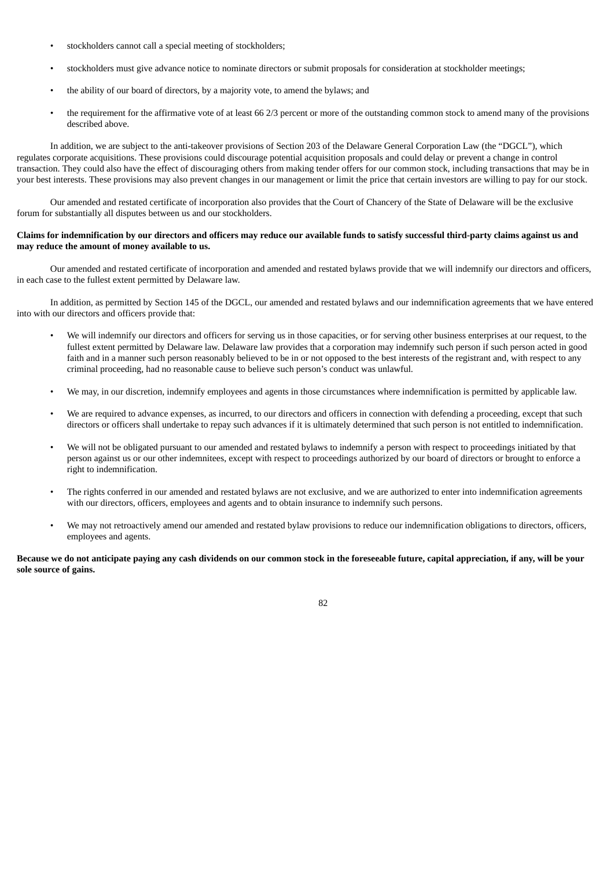- stockholders cannot call a special meeting of stockholders;
- stockholders must give advance notice to nominate directors or submit proposals for consideration at stockholder meetings;
- the ability of our board of directors, by a majority vote, to amend the bylaws; and
- the requirement for the affirmative vote of at least 66 2/3 percent or more of the outstanding common stock to amend many of the provisions described above.

In addition, we are subject to the anti-takeover provisions of Section 203 of the Delaware General Corporation Law (the "DGCL"), which regulates corporate acquisitions. These provisions could discourage potential acquisition proposals and could delay or prevent a change in control transaction. They could also have the effect of discouraging others from making tender offers for our common stock, including transactions that may be in your best interests. These provisions may also prevent changes in our management or limit the price that certain investors are willing to pay for our stock.

Our amended and restated certificate of incorporation also provides that the Court of Chancery of the State of Delaware will be the exclusive forum for substantially all disputes between us and our stockholders.

## Claims for indemnification by our directors and officers may reduce our available funds to satisfy successful third-party claims against us and **may reduce the amount of money available to us.**

Our amended and restated certificate of incorporation and amended and restated bylaws provide that we will indemnify our directors and officers, in each case to the fullest extent permitted by Delaware law.

In addition, as permitted by Section 145 of the DGCL, our amended and restated bylaws and our indemnification agreements that we have entered into with our directors and officers provide that:

- We will indemnify our directors and officers for serving us in those capacities, or for serving other business enterprises at our request, to the fullest extent permitted by Delaware law. Delaware law provides that a corporation may indemnify such person if such person acted in good faith and in a manner such person reasonably believed to be in or not opposed to the best interests of the registrant and, with respect to any criminal proceeding, had no reasonable cause to believe such person's conduct was unlawful.
- We may, in our discretion, indemnify employees and agents in those circumstances where indemnification is permitted by applicable law.
- We are required to advance expenses, as incurred, to our directors and officers in connection with defending a proceeding, except that such directors or officers shall undertake to repay such advances if it is ultimately determined that such person is not entitled to indemnification.
- We will not be obligated pursuant to our amended and restated bylaws to indemnify a person with respect to proceedings initiated by that person against us or our other indemnitees, except with respect to proceedings authorized by our board of directors or brought to enforce a right to indemnification.
- The rights conferred in our amended and restated bylaws are not exclusive, and we are authorized to enter into indemnification agreements with our directors, officers, employees and agents and to obtain insurance to indemnify such persons.
- We may not retroactively amend our amended and restated bylaw provisions to reduce our indemnification obligations to directors, officers, employees and agents.

### Because we do not anticipate paying any cash dividends on our common stock in the foreseeable future, capital appreciation, if any, will be your **sole source of gains.**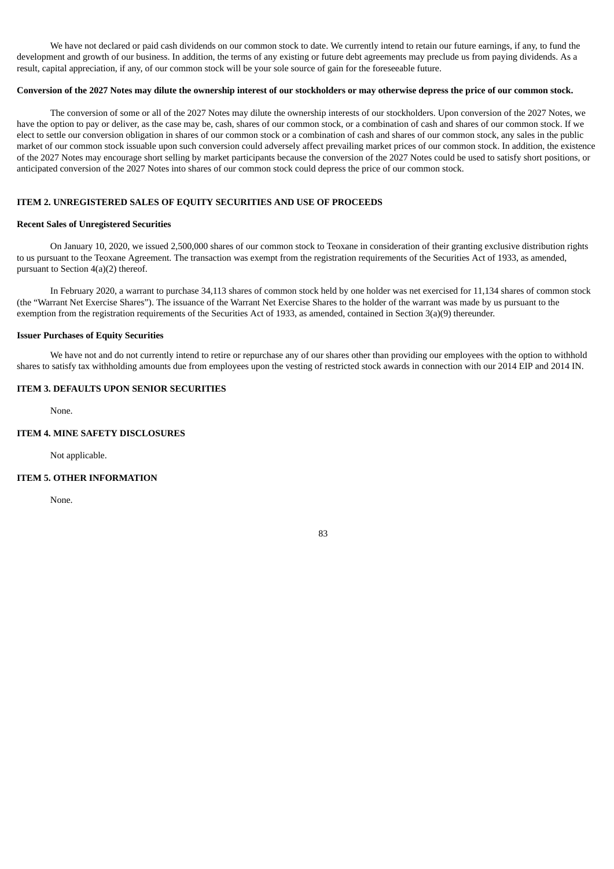We have not declared or paid cash dividends on our common stock to date. We currently intend to retain our future earnings, if any, to fund the development and growth of our business. In addition, the terms of any existing or future debt agreements may preclude us from paying dividends. As a result, capital appreciation, if any, of our common stock will be your sole source of gain for the foreseeable future.

## Conversion of the 2027 Notes may dilute the ownership interest of our stockholders or may otherwise depress the price of our common stock.

The conversion of some or all of the 2027 Notes may dilute the ownership interests of our stockholders. Upon conversion of the 2027 Notes, we have the option to pay or deliver, as the case may be, cash, shares of our common stock, or a combination of cash and shares of our common stock. If we elect to settle our conversion obligation in shares of our common stock or a combination of cash and shares of our common stock, any sales in the public market of our common stock issuable upon such conversion could adversely affect prevailing market prices of our common stock. In addition, the existence of the 2027 Notes may encourage short selling by market participants because the conversion of the 2027 Notes could be used to satisfy short positions, or anticipated conversion of the 2027 Notes into shares of our common stock could depress the price of our common stock.

# **ITEM 2. UNREGISTERED SALES OF EQUITY SECURITIES AND USE OF PROCEEDS**

## **Recent Sales of Unregistered Securities**

On January 10, 2020, we issued 2,500,000 shares of our common stock to Teoxane in consideration of their granting exclusive distribution rights to us pursuant to the Teoxane Agreement. The transaction was exempt from the registration requirements of the Securities Act of 1933, as amended, pursuant to Section 4(a)(2) thereof.

In February 2020, a warrant to purchase 34,113 shares of common stock held by one holder was net exercised for 11,134 shares of common stock (the "Warrant Net Exercise Shares"). The issuance of the Warrant Net Exercise Shares to the holder of the warrant was made by us pursuant to the exemption from the registration requirements of the Securities Act of 1933, as amended, contained in Section 3(a)(9) thereunder.

### **Issuer Purchases of Equity Securities**

We have not and do not currently intend to retire or repurchase any of our shares other than providing our employees with the option to withhold shares to satisfy tax withholding amounts due from employees upon the vesting of restricted stock awards in connection with our 2014 EIP and 2014 IN.

## **ITEM 3. DEFAULTS UPON SENIOR SECURITIES**

None.

## **ITEM 4. MINE SAFETY DISCLOSURES**

Not applicable.

### **ITEM 5. OTHER INFORMATION**

None.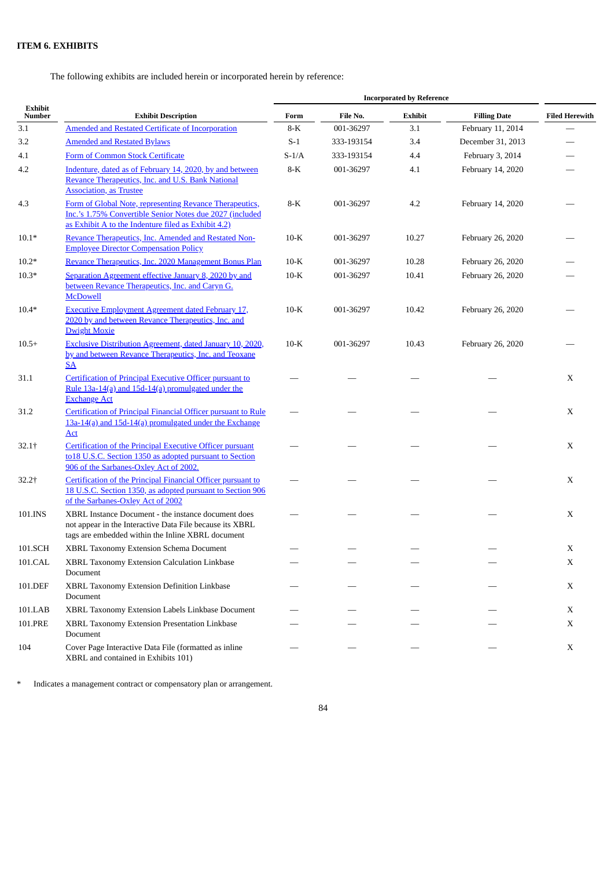The following exhibits are included herein or incorporated herein by reference:

| <b>Exhibit</b><br>Number | <b>Exhibit Description</b>                                                                                                                                                 | <b>Incorporated by Reference</b> |            |                |                     |                       |
|--------------------------|----------------------------------------------------------------------------------------------------------------------------------------------------------------------------|----------------------------------|------------|----------------|---------------------|-----------------------|
|                          |                                                                                                                                                                            | Form                             | File No.   | <b>Exhibit</b> | <b>Filling Date</b> | <b>Filed Herewith</b> |
| 3.1                      | Amended and Restated Certificate of Incorporation                                                                                                                          | 8-K                              | 001-36297  | 3.1            | February 11, 2014   |                       |
| 3.2                      | <b>Amended and Restated Bylaws</b>                                                                                                                                         | $S-1$                            | 333-193154 | 3.4            | December 31, 2013   |                       |
| 4.1                      | Form of Common Stock Certificate                                                                                                                                           | $S-1/A$                          | 333-193154 | 4.4            | February 3, 2014    |                       |
| 4.2                      | Indenture, dated as of February 14, 2020, by and between<br>Revance Therapeutics, Inc. and U.S. Bank National<br><b>Association, as Trustee</b>                            | $8-K$                            | 001-36297  | 4.1            | February 14, 2020   |                       |
| 4.3                      | Form of Global Note, representing Revance Therapeutics,<br>Inc.'s 1.75% Convertible Senior Notes due 2027 (included<br>as Exhibit A to the Indenture filed as Exhibit 4.2) | $8-K$                            | 001-36297  | 4.2            | February 14, 2020   |                       |
| $10.1*$                  | Revance Therapeutics, Inc. Amended and Restated Non-<br><b>Employee Director Compensation Policy</b>                                                                       | $10-K$                           | 001-36297  | 10.27          | February 26, 2020   |                       |
| $10.2*$                  | Revance Therapeutics, Inc. 2020 Management Bonus Plan                                                                                                                      | $10-K$                           | 001-36297  | 10.28          | February 26, 2020   |                       |
| $10.3*$                  | Separation Agreement effective January 8, 2020 by and<br>between Revance Therapeutics, Inc. and Caryn G.<br><b>McDowell</b>                                                | $10-K$                           | 001-36297  | 10.41          | February 26, 2020   |                       |
| $10.4*$                  | <b>Executive Employment Agreement dated February 17,</b><br>2020 by and between Revance Therapeutics, Inc. and<br><b>Dwight Moxie</b>                                      | $10-K$                           | 001-36297  | 10.42          | February 26, 2020   |                       |
| $10.5+$                  | <b>Exclusive Distribution Agreement, dated January 10, 2020,</b><br>by and between Revance Therapeutics, Inc. and Teoxane<br>$\underline{SA}$                              | $10-K$                           | 001-36297  | 10.43          | February 26, 2020   |                       |
| 31.1                     | Certification of Principal Executive Officer pursuant to<br>Rule 13a-14(a) and 15d-14(a) promulgated under the<br><b>Exchange Act</b>                                      |                                  |            |                |                     | X                     |
| 31.2                     | Certification of Principal Financial Officer pursuant to Rule<br>13a-14(a) and 15d-14(a) promulgated under the Exchange<br>Act                                             |                                  |            |                |                     | X                     |
| 32.1†                    | Certification of the Principal Executive Officer pursuant<br>to18 U.S.C. Section 1350 as adopted pursuant to Section<br>906 of the Sarbanes-Oxley Act of 2002.             |                                  |            |                |                     | X                     |
| 32.2†                    | Certification of the Principal Financial Officer pursuant to<br>18 U.S.C. Section 1350, as adopted pursuant to Section 906<br>of the Sarbanes-Oxley Act of 2002            |                                  |            |                |                     | X                     |
| 101.INS                  | XBRL Instance Document - the instance document does<br>not appear in the Interactive Data File because its XBRL<br>tags are embedded within the Inline XBRL document       |                                  |            |                |                     | X                     |
| 101.SCH                  | XBRL Taxonomy Extension Schema Document                                                                                                                                    |                                  |            |                |                     | X                     |
| 101.CAL                  | XBRL Taxonomy Extension Calculation Linkbase<br>Document                                                                                                                   |                                  |            |                |                     | $\mathbf X$           |
| 101.DEF                  | XBRL Taxonomy Extension Definition Linkbase<br>Document                                                                                                                    |                                  |            |                |                     | $\mathbf X$           |
| 101.LAB                  | XBRL Taxonomy Extension Labels Linkbase Document                                                                                                                           |                                  |            |                |                     | $\mathbf X$           |
| 101.PRE                  | XBRL Taxonomy Extension Presentation Linkbase<br>Document                                                                                                                  |                                  |            |                |                     | X                     |
| 104                      | Cover Page Interactive Data File (formatted as inline<br>XBRL and contained in Exhibits 101)                                                                               |                                  |            |                |                     | $\mathbf X$           |

\* Indicates a management contract or compensatory plan or arrangement.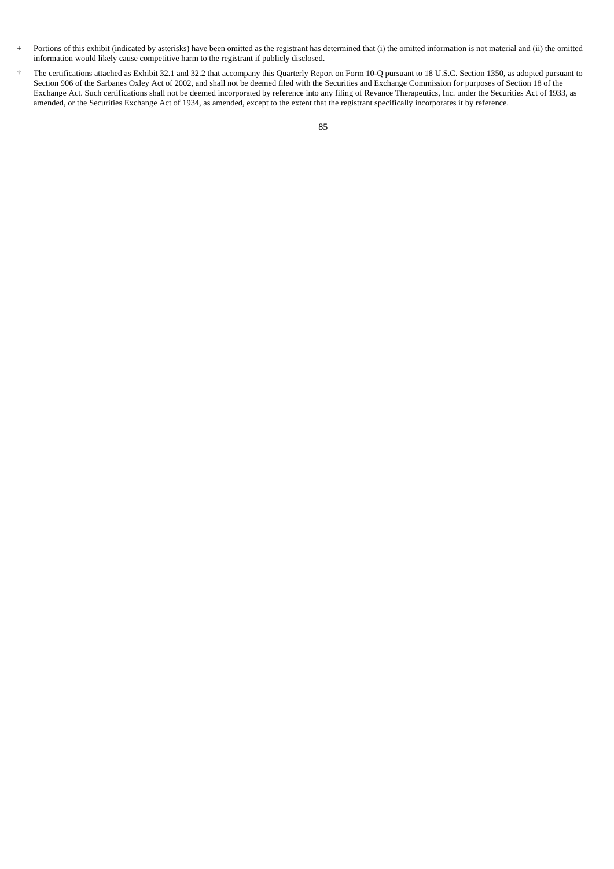- + Portions of this exhibit (indicated by asterisks) have been omitted as the registrant has determined that (i) the omitted information is not material and (ii) the omitted information would likely cause competitive harm to the registrant if publicly disclosed.
- † The certifications attached as Exhibit 32.1 and 32.2 that accompany this Quarterly Report on Form 10-Q pursuant to 18 U.S.C. Section 1350, as adopted pursuant to Section 906 of the Sarbanes Oxley Act of 2002, and shall not be deemed filed with the Securities and Exchange Commission for purposes of Section 18 of the Exchange Act. Such certifications shall not be deemed incorporated by reference into any filing of Revance Therapeutics, Inc. under the Securities Act of 1933, as amended, or the Securities Exchange Act of 1934, as amended, except to the extent that the registrant specifically incorporates it by reference.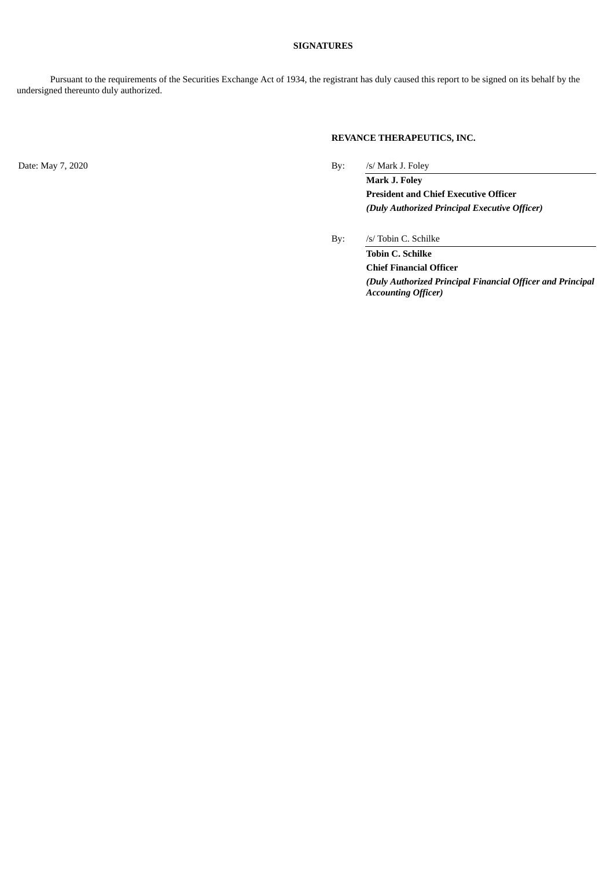## **SIGNATURES**

Pursuant to the requirements of the Securities Exchange Act of 1934, the registrant has duly caused this report to be signed on its behalf by the undersigned thereunto duly authorized.

# **REVANCE THERAPEUTICS, INC.**

Date: May 7, 2020 By: /s/ Mark J. Foley

**Mark J. Foley President and Chief Executive Officer** *(Duly Authorized Principal Executive Officer)*

By: /s/ Tobin C. Schilke

**Tobin C. Schilke Chief Financial Officer** *(Duly Authorized Principal Financial Officer and Principal Accounting Officer)*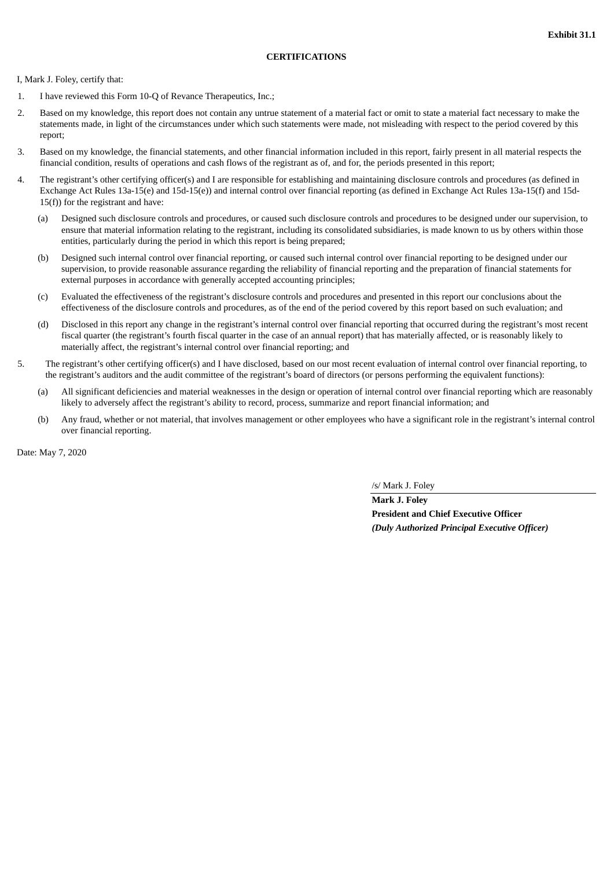#### **CERTIFICATIONS**

<span id="page-86-0"></span>I, Mark J. Foley, certify that:

- 1. I have reviewed this Form 10-Q of Revance Therapeutics, Inc.;
- 2. Based on my knowledge, this report does not contain any untrue statement of a material fact or omit to state a material fact necessary to make the statements made, in light of the circumstances under which such statements were made, not misleading with respect to the period covered by this report;
- 3. Based on my knowledge, the financial statements, and other financial information included in this report, fairly present in all material respects the financial condition, results of operations and cash flows of the registrant as of, and for, the periods presented in this report;
- 4. The registrant's other certifying officer(s) and I are responsible for establishing and maintaining disclosure controls and procedures (as defined in Exchange Act Rules 13a-15(e) and 15d-15(e)) and internal control over financial reporting (as defined in Exchange Act Rules 13a-15(f) and 15d- $15(f)$ ) for the registrant and have:
	- (a) Designed such disclosure controls and procedures, or caused such disclosure controls and procedures to be designed under our supervision, to ensure that material information relating to the registrant, including its consolidated subsidiaries, is made known to us by others within those entities, particularly during the period in which this report is being prepared;
	- (b) Designed such internal control over financial reporting, or caused such internal control over financial reporting to be designed under our supervision, to provide reasonable assurance regarding the reliability of financial reporting and the preparation of financial statements for external purposes in accordance with generally accepted accounting principles;
	- (c) Evaluated the effectiveness of the registrant's disclosure controls and procedures and presented in this report our conclusions about the effectiveness of the disclosure controls and procedures, as of the end of the period covered by this report based on such evaluation; and
	- (d) Disclosed in this report any change in the registrant's internal control over financial reporting that occurred during the registrant's most recent fiscal quarter (the registrant's fourth fiscal quarter in the case of an annual report) that has materially affected, or is reasonably likely to materially affect, the registrant's internal control over financial reporting; and
- 5. The registrant's other certifying officer(s) and I have disclosed, based on our most recent evaluation of internal control over financial reporting, to the registrant's auditors and the audit committee of the registrant's board of directors (or persons performing the equivalent functions):
	- (a) All significant deficiencies and material weaknesses in the design or operation of internal control over financial reporting which are reasonably likely to adversely affect the registrant's ability to record, process, summarize and report financial information; and
	- (b) Any fraud, whether or not material, that involves management or other employees who have a significant role in the registrant's internal control over financial reporting.

Date: May 7, 2020

/s/ Mark J. Foley

**Mark J. Foley President and Chief Executive Officer** *(Duly Authorized Principal Executive Officer)*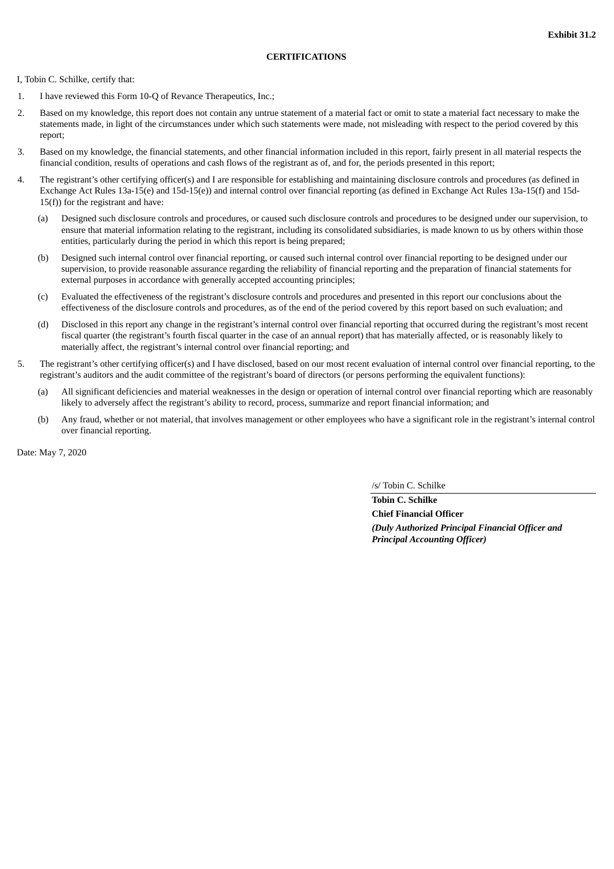#### **CERTIFICATIONS**

<span id="page-87-0"></span>I, Tobin C. Schilke, certify that:

- 1. I have reviewed this Form 10-Q of Revance Therapeutics, Inc.;
- 2. Based on my knowledge, this report does not contain any untrue statement of a material fact or omit to state a material fact necessary to make the statements made, in light of the circumstances under which such statements were made, not misleading with respect to the period covered by this report;
- 3. Based on my knowledge, the financial statements, and other financial information included in this report, fairly present in all material respects the financial condition, results of operations and cash flows of the registrant as of, and for, the periods presented in this report;
- 4. The registrant's other certifying officer(s) and I are responsible for establishing and maintaining disclosure controls and procedures (as defined in Exchange Act Rules 13a-15(e) and 15d-15(e)) and internal control over financial reporting (as defined in Exchange Act Rules 13a-15(f) and 15d- $15(f)$ ) for the registrant and have:
	- (a) Designed such disclosure controls and procedures, or caused such disclosure controls and procedures to be designed under our supervision, to ensure that material information relating to the registrant, including its consolidated subsidiaries, is made known to us by others within those entities, particularly during the period in which this report is being prepared;
	- (b) Designed such internal control over financial reporting, or caused such internal control over financial reporting to be designed under our supervision, to provide reasonable assurance regarding the reliability of financial reporting and the preparation of financial statements for external purposes in accordance with generally accepted accounting principles;
	- (c) Evaluated the effectiveness of the registrant's disclosure controls and procedures and presented in this report our conclusions about the effectiveness of the disclosure controls and procedures, as of the end of the period covered by this report based on such evaluation; and
	- (d) Disclosed in this report any change in the registrant's internal control over financial reporting that occurred during the registrant's most recent fiscal quarter (the registrant's fourth fiscal quarter in the case of an annual report) that has materially affected, or is reasonably likely to materially affect, the registrant's internal control over financial reporting; and
- 5. The registrant's other certifying officer(s) and I have disclosed, based on our most recent evaluation of internal control over financial reporting, to the registrant's auditors and the audit committee of the registrant's board of directors (or persons performing the equivalent functions):
	- (a) All significant deficiencies and material weaknesses in the design or operation of internal control over financial reporting which are reasonably likely to adversely affect the registrant's ability to record, process, summarize and report financial information; and
	- (b) Any fraud, whether or not material, that involves management or other employees who have a significant role in the registrant's internal control over financial reporting.

Date: May 7, 2020

/s/ Tobin C. Schilke

**Tobin C. Schilke Chief Financial Officer** *(Duly Authorized Principal Financial Officer and Principal Accounting Officer)*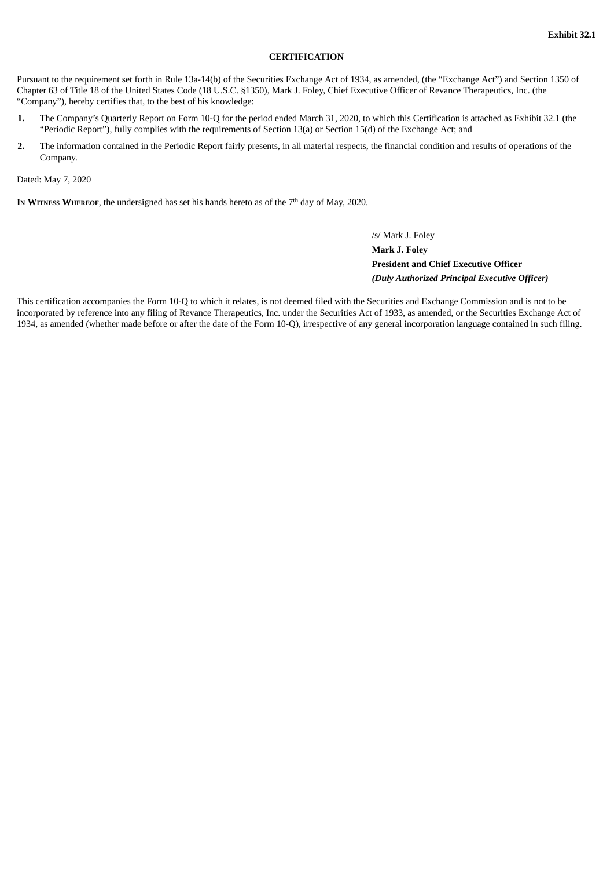### **CERTIFICATION**

<span id="page-88-0"></span>Pursuant to the requirement set forth in Rule 13a-14(b) of the Securities Exchange Act of 1934, as amended, (the "Exchange Act") and Section 1350 of Chapter 63 of Title 18 of the United States Code (18 U.S.C. §1350), Mark J. Foley, Chief Executive Officer of Revance Therapeutics, Inc. (the "Company"), hereby certifies that, to the best of his knowledge:

- **1.** The Company's Quarterly Report on Form 10-Q for the period ended March 31, 2020, to which this Certification is attached as Exhibit 32.1 (the "Periodic Report"), fully complies with the requirements of Section 13(a) or Section 15(d) of the Exchange Act; and
- **2.** The information contained in the Periodic Report fairly presents, in all material respects, the financial condition and results of operations of the Company.

Dated: May 7, 2020

**I<sup>N</sup> WITNESS WHEREOF**, the undersigned has set his hands hereto as of the 7 th day of May, 2020.

/s/ Mark J. Foley

**Mark J. Foley President and Chief Executive Officer** *(Duly Authorized Principal Executive Officer)*

This certification accompanies the Form 10-Q to which it relates, is not deemed filed with the Securities and Exchange Commission and is not to be incorporated by reference into any filing of Revance Therapeutics, Inc. under the Securities Act of 1933, as amended, or the Securities Exchange Act of 1934, as amended (whether made before or after the date of the Form 10-Q), irrespective of any general incorporation language contained in such filing.